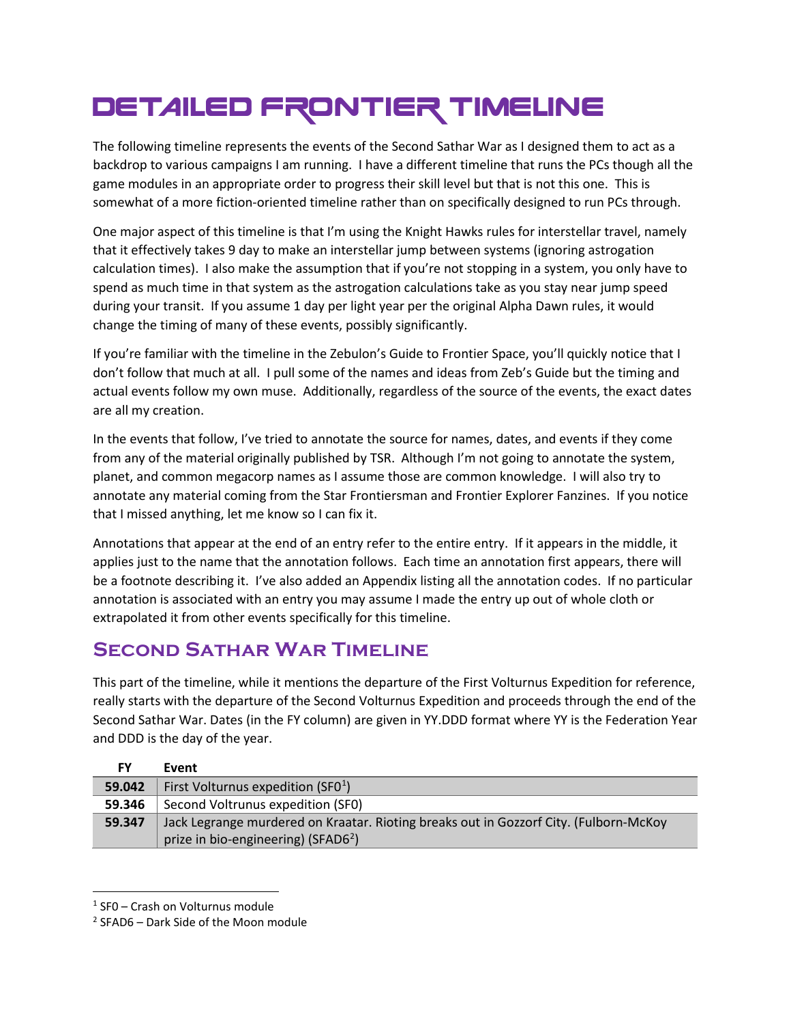## DETAILED FRONTIER TIMELINE

The following timeline represents the events of the Second Sathar War as I designed them to act as a backdrop to various campaigns I am running. I have a different timeline that runs the PCs though all the game modules in an appropriate order to progress their skill level but that is not this one. This is somewhat of a more fiction-oriented timeline rather than on specifically designed to run PCs through.

One major aspect of this timeline is that I'm using the Knight Hawks rules for interstellar travel, namely that it effectively takes 9 day to make an interstellar jump between systems (ignoring astrogation calculation times). I also make the assumption that if you're not stopping in a system, you only have to spend as much time in that system as the astrogation calculations take as you stay near jump speed during your transit. If you assume 1 day per light year per the original Alpha Dawn rules, it would change the timing of many of these events, possibly significantly.

If you're familiar with the timeline in the Zebulon's Guide to Frontier Space, you'll quickly notice that I don't follow that much at all. I pull some of the names and ideas from Zeb's Guide but the timing and actual events follow my own muse. Additionally, regardless of the source of the events, the exact dates are all my creation.

In the events that follow, I've tried to annotate the source for names, dates, and events if they come from any of the material originally published by TSR. Although I'm not going to annotate the system, planet, and common megacorp names as I assume those are common knowledge. I will also try to annotate any material coming from the Star Frontiersman and Frontier Explorer Fanzines. If you notice that I missed anything, let me know so I can fix it.

Annotations that appear at the end of an entry refer to the entire entry. If it appears in the middle, it applies just to the name that the annotation follows. Each time an annotation first appears, there will be a footnote describing it. I've also added an Appendix listing all the annotation codes. If no particular annotation is associated with an entry you may assume I made the entry up out of whole cloth or extrapolated it from other events specifically for this timeline.

## **Second Sathar War Timeline**

This part of the timeline, while it mentions the departure of the First Volturnus Expedition for reference, really starts with the departure of the Second Volturnus Expedition and proceeds through the end of the Second Sathar War. Dates (in the FY column) are given in YY.DDD format where YY is the Federation Year and DDD is the day of the year.

| FY     | Event                                                                                 |
|--------|---------------------------------------------------------------------------------------|
| 59.042 | First Volturnus expedition (SF0 $1$ )                                                 |
| 59.346 | Second Voltrunus expedition (SF0)                                                     |
| 59.347 | Jack Legrange murdered on Kraatar. Rioting breaks out in Gozzorf City. (Fulborn-McKoy |
|        | prize in bio-engineering) (SFAD6 <sup>2</sup> )                                       |

<span id="page-0-0"></span> $1$  SF0 – Crash on Volturnus module

<span id="page-0-1"></span><sup>2</sup> SFAD6 – Dark Side of the Moon module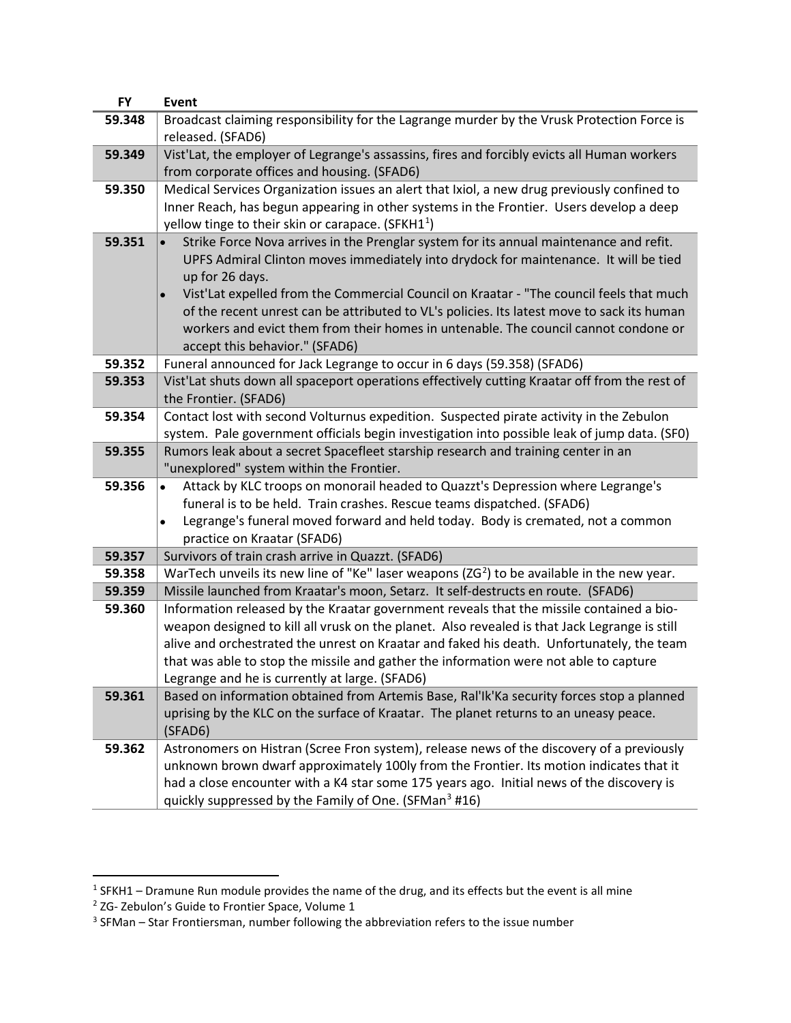| <b>FY</b> | <b>Event</b>                                                                                                                                                                       |
|-----------|------------------------------------------------------------------------------------------------------------------------------------------------------------------------------------|
| 59.348    | Broadcast claiming responsibility for the Lagrange murder by the Vrusk Protection Force is                                                                                         |
|           | released. (SFAD6)                                                                                                                                                                  |
| 59.349    | Vist'Lat, the employer of Legrange's assassins, fires and forcibly evicts all Human workers                                                                                        |
|           | from corporate offices and housing. (SFAD6)                                                                                                                                        |
| 59.350    | Medical Services Organization issues an alert that Ixiol, a new drug previously confined to                                                                                        |
|           | Inner Reach, has begun appearing in other systems in the Frontier. Users develop a deep                                                                                            |
|           | yellow tinge to their skin or carapace. (SFKH1 <sup>1</sup> )                                                                                                                      |
| 59.351    | Strike Force Nova arrives in the Prenglar system for its annual maintenance and refit.                                                                                             |
|           | UPFS Admiral Clinton moves immediately into drydock for maintenance. It will be tied                                                                                               |
|           | up for 26 days.                                                                                                                                                                    |
|           | Vist'Lat expelled from the Commercial Council on Kraatar - "The council feels that much                                                                                            |
|           | of the recent unrest can be attributed to VL's policies. Its latest move to sack its human                                                                                         |
|           | workers and evict them from their homes in untenable. The council cannot condone or                                                                                                |
| 59.352    | accept this behavior." (SFAD6)<br>Funeral announced for Jack Legrange to occur in 6 days (59.358) (SFAD6)                                                                          |
| 59.353    | Vist'Lat shuts down all spaceport operations effectively cutting Kraatar off from the rest of                                                                                      |
|           | the Frontier. (SFAD6)                                                                                                                                                              |
| 59.354    | Contact lost with second Volturnus expedition. Suspected pirate activity in the Zebulon                                                                                            |
|           | system. Pale government officials begin investigation into possible leak of jump data. (SF0)                                                                                       |
| 59.355    | Rumors leak about a secret Spacefleet starship research and training center in an                                                                                                  |
|           | "unexplored" system within the Frontier.                                                                                                                                           |
| 59.356    | Attack by KLC troops on monorail headed to Quazzt's Depression where Legrange's<br>$\bullet$                                                                                       |
|           | funeral is to be held. Train crashes. Rescue teams dispatched. (SFAD6)                                                                                                             |
|           | Legrange's funeral moved forward and held today. Body is cremated, not a common                                                                                                    |
|           | practice on Kraatar (SFAD6)                                                                                                                                                        |
| 59.357    | Survivors of train crash arrive in Quazzt. (SFAD6)                                                                                                                                 |
| 59.358    | WarTech unveils its new line of "Ke" laser weapons ( $ZG2$ ) to be available in the new year.                                                                                      |
| 59.359    | Missile launched from Kraatar's moon, Setarz. It self-destructs en route. (SFAD6)                                                                                                  |
| 59.360    | Information released by the Kraatar government reveals that the missile contained a bio-                                                                                           |
|           | weapon designed to kill all vrusk on the planet. Also revealed is that Jack Legrange is still                                                                                      |
|           | alive and orchestrated the unrest on Kraatar and faked his death. Unfortunately, the team                                                                                          |
|           | that was able to stop the missile and gather the information were not able to capture                                                                                              |
|           | Legrange and he is currently at large. (SFAD6)                                                                                                                                     |
| 59.361    | Based on information obtained from Artemis Base, Ral'Ik'Ka security forces stop a planned<br>uprising by the KLC on the surface of Kraatar. The planet returns to an uneasy peace. |
|           | (SFAD6)                                                                                                                                                                            |
| 59.362    | Astronomers on Histran (Scree Fron system), release news of the discovery of a previously                                                                                          |
|           | unknown brown dwarf approximately 100ly from the Frontier. Its motion indicates that it                                                                                            |
|           | had a close encounter with a K4 star some 175 years ago. Initial news of the discovery is                                                                                          |
|           | quickly suppressed by the Family of One. (SFMan <sup>3</sup> #16)                                                                                                                  |
|           |                                                                                                                                                                                    |

<span id="page-1-1"></span><span id="page-1-0"></span> $1$  SFKH1 – Dramune Run module provides the name of the drug, and its effects but the event is all mine

<sup>&</sup>lt;sup>2</sup> ZG- Zebulon's Guide to Frontier Space, Volume 1

<span id="page-1-2"></span> $3$  SFMan – Star Frontiersman, number following the abbreviation refers to the issue number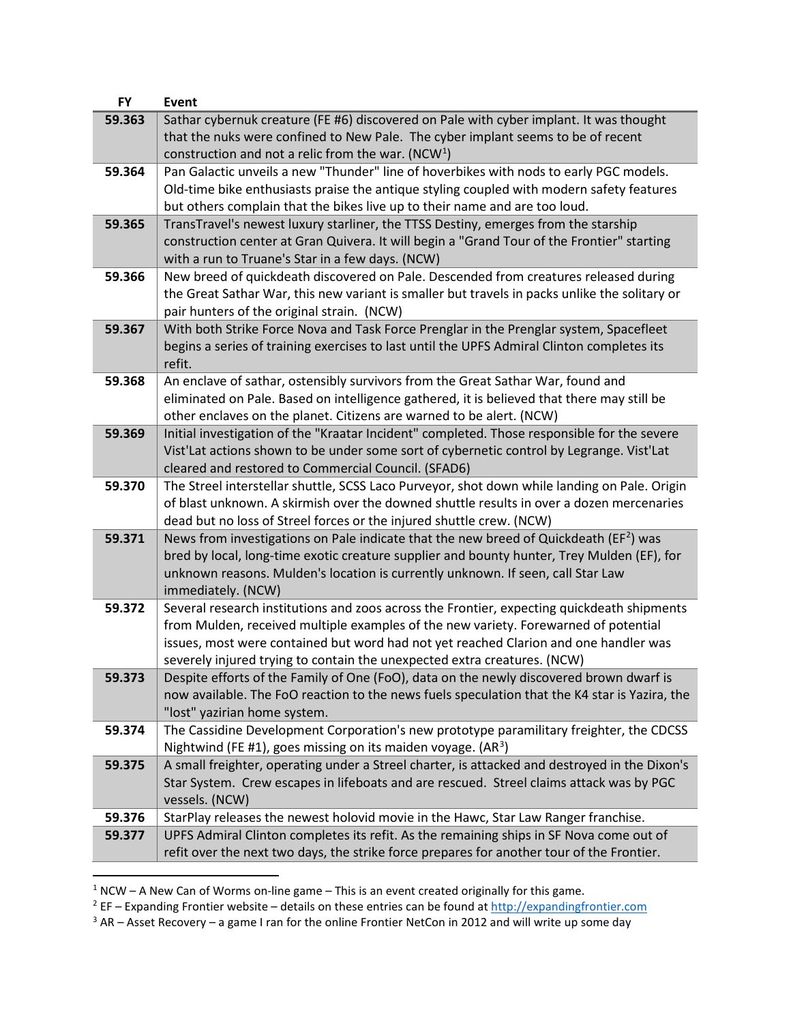| 59.363<br>Sathar cybernuk creature (FE #6) discovered on Pale with cyber implant. It was thought<br>that the nuks were confined to New Pale. The cyber implant seems to be of recent<br>construction and not a relic from the war. (NCW <sup>1</sup> )<br>Pan Galactic unveils a new "Thunder" line of hoverbikes with nods to early PGC models.<br>59.364<br>Old-time bike enthusiasts praise the antique styling coupled with modern safety features<br>but others complain that the bikes live up to their name and are too loud.<br>59.365<br>TransTravel's newest luxury starliner, the TTSS Destiny, emerges from the starship<br>construction center at Gran Quivera. It will begin a "Grand Tour of the Frontier" starting<br>with a run to Truane's Star in a few days. (NCW)<br>59.366<br>New breed of quickdeath discovered on Pale. Descended from creatures released during<br>the Great Sathar War, this new variant is smaller but travels in packs unlike the solitary or<br>pair hunters of the original strain. (NCW)<br>With both Strike Force Nova and Task Force Prenglar in the Prenglar system, Spacefleet<br>59.367<br>begins a series of training exercises to last until the UPFS Admiral Clinton completes its<br>refit.<br>An enclave of sathar, ostensibly survivors from the Great Sathar War, found and<br>59.368<br>eliminated on Pale. Based on intelligence gathered, it is believed that there may still be<br>other enclaves on the planet. Citizens are warned to be alert. (NCW)<br>Initial investigation of the "Kraatar Incident" completed. Those responsible for the severe<br>59.369<br>Vist'Lat actions shown to be under some sort of cybernetic control by Legrange. Vist'Lat<br>cleared and restored to Commercial Council. (SFAD6)<br>The Streel interstellar shuttle, SCSS Laco Purveyor, shot down while landing on Pale. Origin<br>59.370<br>of blast unknown. A skirmish over the downed shuttle results in over a dozen mercenaries<br>dead but no loss of Streel forces or the injured shuttle crew. (NCW)<br>News from investigations on Pale indicate that the new breed of Quickdeath ( $EF2$ ) was<br>59.371<br>bred by local, long-time exotic creature supplier and bounty hunter, Trey Mulden (EF), for<br>unknown reasons. Mulden's location is currently unknown. If seen, call Star Law<br>immediately. (NCW)<br>59.372<br>Several research institutions and zoos across the Frontier, expecting quickdeath shipments<br>from Mulden, received multiple examples of the new variety. Forewarned of potential<br>issues, most were contained but word had not yet reached Clarion and one handler was<br>severely injured trying to contain the unexpected extra creatures. (NCW)<br>Despite efforts of the Family of One (FoO), data on the newly discovered brown dwarf is<br>59.373<br>now available. The FoO reaction to the news fuels speculation that the K4 star is Yazira, the<br>"lost" yazirian home system.<br>The Cassidine Development Corporation's new prototype paramilitary freighter, the CDCSS<br>59.374<br>Nightwind (FE #1), goes missing on its maiden voyage. $(AR^3)$<br>59.375<br>A small freighter, operating under a Streel charter, is attacked and destroyed in the Dixon's<br>Star System. Crew escapes in lifeboats and are rescued. Streel claims attack was by PGC<br>vessels. (NCW)<br>59.376<br>StarPlay releases the newest holovid movie in the Hawc, Star Law Ranger franchise.<br>UPFS Admiral Clinton completes its refit. As the remaining ships in SF Nova come out of<br>59.377<br>refit over the next two days, the strike force prepares for another tour of the Frontier. | <b>FY</b> | <b>Event</b> |
|-----------------------------------------------------------------------------------------------------------------------------------------------------------------------------------------------------------------------------------------------------------------------------------------------------------------------------------------------------------------------------------------------------------------------------------------------------------------------------------------------------------------------------------------------------------------------------------------------------------------------------------------------------------------------------------------------------------------------------------------------------------------------------------------------------------------------------------------------------------------------------------------------------------------------------------------------------------------------------------------------------------------------------------------------------------------------------------------------------------------------------------------------------------------------------------------------------------------------------------------------------------------------------------------------------------------------------------------------------------------------------------------------------------------------------------------------------------------------------------------------------------------------------------------------------------------------------------------------------------------------------------------------------------------------------------------------------------------------------------------------------------------------------------------------------------------------------------------------------------------------------------------------------------------------------------------------------------------------------------------------------------------------------------------------------------------------------------------------------------------------------------------------------------------------------------------------------------------------------------------------------------------------------------------------------------------------------------------------------------------------------------------------------------------------------------------------------------------------------------------------------------------------------------------------------------------------------------------------------------------------------------------------------------------------------------------------------------------------------------------------------------------------------------------------------------------------------------------------------------------------------------------------------------------------------------------------------------------------------------------------------------------------------------------------------------------------------------------------------------------------------------------------------------------------------------------------------------------------------------------------------------------------------------------------------------------------------------------------------------------------------------------------------------------------------------------------------------------------------------------------------------------------------------------------------------------------------------------------------------------------------------------------------------------------------------------|-----------|--------------|
|                                                                                                                                                                                                                                                                                                                                                                                                                                                                                                                                                                                                                                                                                                                                                                                                                                                                                                                                                                                                                                                                                                                                                                                                                                                                                                                                                                                                                                                                                                                                                                                                                                                                                                                                                                                                                                                                                                                                                                                                                                                                                                                                                                                                                                                                                                                                                                                                                                                                                                                                                                                                                                                                                                                                                                                                                                                                                                                                                                                                                                                                                                                                                                                                                                                                                                                                                                                                                                                                                                                                                                                                                                                                                         |           |              |
|                                                                                                                                                                                                                                                                                                                                                                                                                                                                                                                                                                                                                                                                                                                                                                                                                                                                                                                                                                                                                                                                                                                                                                                                                                                                                                                                                                                                                                                                                                                                                                                                                                                                                                                                                                                                                                                                                                                                                                                                                                                                                                                                                                                                                                                                                                                                                                                                                                                                                                                                                                                                                                                                                                                                                                                                                                                                                                                                                                                                                                                                                                                                                                                                                                                                                                                                                                                                                                                                                                                                                                                                                                                                                         |           |              |
|                                                                                                                                                                                                                                                                                                                                                                                                                                                                                                                                                                                                                                                                                                                                                                                                                                                                                                                                                                                                                                                                                                                                                                                                                                                                                                                                                                                                                                                                                                                                                                                                                                                                                                                                                                                                                                                                                                                                                                                                                                                                                                                                                                                                                                                                                                                                                                                                                                                                                                                                                                                                                                                                                                                                                                                                                                                                                                                                                                                                                                                                                                                                                                                                                                                                                                                                                                                                                                                                                                                                                                                                                                                                                         |           |              |
|                                                                                                                                                                                                                                                                                                                                                                                                                                                                                                                                                                                                                                                                                                                                                                                                                                                                                                                                                                                                                                                                                                                                                                                                                                                                                                                                                                                                                                                                                                                                                                                                                                                                                                                                                                                                                                                                                                                                                                                                                                                                                                                                                                                                                                                                                                                                                                                                                                                                                                                                                                                                                                                                                                                                                                                                                                                                                                                                                                                                                                                                                                                                                                                                                                                                                                                                                                                                                                                                                                                                                                                                                                                                                         |           |              |
|                                                                                                                                                                                                                                                                                                                                                                                                                                                                                                                                                                                                                                                                                                                                                                                                                                                                                                                                                                                                                                                                                                                                                                                                                                                                                                                                                                                                                                                                                                                                                                                                                                                                                                                                                                                                                                                                                                                                                                                                                                                                                                                                                                                                                                                                                                                                                                                                                                                                                                                                                                                                                                                                                                                                                                                                                                                                                                                                                                                                                                                                                                                                                                                                                                                                                                                                                                                                                                                                                                                                                                                                                                                                                         |           |              |
|                                                                                                                                                                                                                                                                                                                                                                                                                                                                                                                                                                                                                                                                                                                                                                                                                                                                                                                                                                                                                                                                                                                                                                                                                                                                                                                                                                                                                                                                                                                                                                                                                                                                                                                                                                                                                                                                                                                                                                                                                                                                                                                                                                                                                                                                                                                                                                                                                                                                                                                                                                                                                                                                                                                                                                                                                                                                                                                                                                                                                                                                                                                                                                                                                                                                                                                                                                                                                                                                                                                                                                                                                                                                                         |           |              |
|                                                                                                                                                                                                                                                                                                                                                                                                                                                                                                                                                                                                                                                                                                                                                                                                                                                                                                                                                                                                                                                                                                                                                                                                                                                                                                                                                                                                                                                                                                                                                                                                                                                                                                                                                                                                                                                                                                                                                                                                                                                                                                                                                                                                                                                                                                                                                                                                                                                                                                                                                                                                                                                                                                                                                                                                                                                                                                                                                                                                                                                                                                                                                                                                                                                                                                                                                                                                                                                                                                                                                                                                                                                                                         |           |              |
|                                                                                                                                                                                                                                                                                                                                                                                                                                                                                                                                                                                                                                                                                                                                                                                                                                                                                                                                                                                                                                                                                                                                                                                                                                                                                                                                                                                                                                                                                                                                                                                                                                                                                                                                                                                                                                                                                                                                                                                                                                                                                                                                                                                                                                                                                                                                                                                                                                                                                                                                                                                                                                                                                                                                                                                                                                                                                                                                                                                                                                                                                                                                                                                                                                                                                                                                                                                                                                                                                                                                                                                                                                                                                         |           |              |
|                                                                                                                                                                                                                                                                                                                                                                                                                                                                                                                                                                                                                                                                                                                                                                                                                                                                                                                                                                                                                                                                                                                                                                                                                                                                                                                                                                                                                                                                                                                                                                                                                                                                                                                                                                                                                                                                                                                                                                                                                                                                                                                                                                                                                                                                                                                                                                                                                                                                                                                                                                                                                                                                                                                                                                                                                                                                                                                                                                                                                                                                                                                                                                                                                                                                                                                                                                                                                                                                                                                                                                                                                                                                                         |           |              |
|                                                                                                                                                                                                                                                                                                                                                                                                                                                                                                                                                                                                                                                                                                                                                                                                                                                                                                                                                                                                                                                                                                                                                                                                                                                                                                                                                                                                                                                                                                                                                                                                                                                                                                                                                                                                                                                                                                                                                                                                                                                                                                                                                                                                                                                                                                                                                                                                                                                                                                                                                                                                                                                                                                                                                                                                                                                                                                                                                                                                                                                                                                                                                                                                                                                                                                                                                                                                                                                                                                                                                                                                                                                                                         |           |              |
|                                                                                                                                                                                                                                                                                                                                                                                                                                                                                                                                                                                                                                                                                                                                                                                                                                                                                                                                                                                                                                                                                                                                                                                                                                                                                                                                                                                                                                                                                                                                                                                                                                                                                                                                                                                                                                                                                                                                                                                                                                                                                                                                                                                                                                                                                                                                                                                                                                                                                                                                                                                                                                                                                                                                                                                                                                                                                                                                                                                                                                                                                                                                                                                                                                                                                                                                                                                                                                                                                                                                                                                                                                                                                         |           |              |
|                                                                                                                                                                                                                                                                                                                                                                                                                                                                                                                                                                                                                                                                                                                                                                                                                                                                                                                                                                                                                                                                                                                                                                                                                                                                                                                                                                                                                                                                                                                                                                                                                                                                                                                                                                                                                                                                                                                                                                                                                                                                                                                                                                                                                                                                                                                                                                                                                                                                                                                                                                                                                                                                                                                                                                                                                                                                                                                                                                                                                                                                                                                                                                                                                                                                                                                                                                                                                                                                                                                                                                                                                                                                                         |           |              |
|                                                                                                                                                                                                                                                                                                                                                                                                                                                                                                                                                                                                                                                                                                                                                                                                                                                                                                                                                                                                                                                                                                                                                                                                                                                                                                                                                                                                                                                                                                                                                                                                                                                                                                                                                                                                                                                                                                                                                                                                                                                                                                                                                                                                                                                                                                                                                                                                                                                                                                                                                                                                                                                                                                                                                                                                                                                                                                                                                                                                                                                                                                                                                                                                                                                                                                                                                                                                                                                                                                                                                                                                                                                                                         |           |              |
|                                                                                                                                                                                                                                                                                                                                                                                                                                                                                                                                                                                                                                                                                                                                                                                                                                                                                                                                                                                                                                                                                                                                                                                                                                                                                                                                                                                                                                                                                                                                                                                                                                                                                                                                                                                                                                                                                                                                                                                                                                                                                                                                                                                                                                                                                                                                                                                                                                                                                                                                                                                                                                                                                                                                                                                                                                                                                                                                                                                                                                                                                                                                                                                                                                                                                                                                                                                                                                                                                                                                                                                                                                                                                         |           |              |
|                                                                                                                                                                                                                                                                                                                                                                                                                                                                                                                                                                                                                                                                                                                                                                                                                                                                                                                                                                                                                                                                                                                                                                                                                                                                                                                                                                                                                                                                                                                                                                                                                                                                                                                                                                                                                                                                                                                                                                                                                                                                                                                                                                                                                                                                                                                                                                                                                                                                                                                                                                                                                                                                                                                                                                                                                                                                                                                                                                                                                                                                                                                                                                                                                                                                                                                                                                                                                                                                                                                                                                                                                                                                                         |           |              |

<span id="page-2-0"></span> $1$  NCW – A New Can of Worms on-line game – This is an event created originally for this game.

<span id="page-2-1"></span><sup>&</sup>lt;sup>2</sup> EF – Expanding Frontier website – details on these entries can be found at [http://expandingfrontier.com](http://expandingfrontier.com/)

<span id="page-2-2"></span> $3$  AR – Asset Recovery – a game I ran for the online Frontier NetCon in 2012 and will write up some day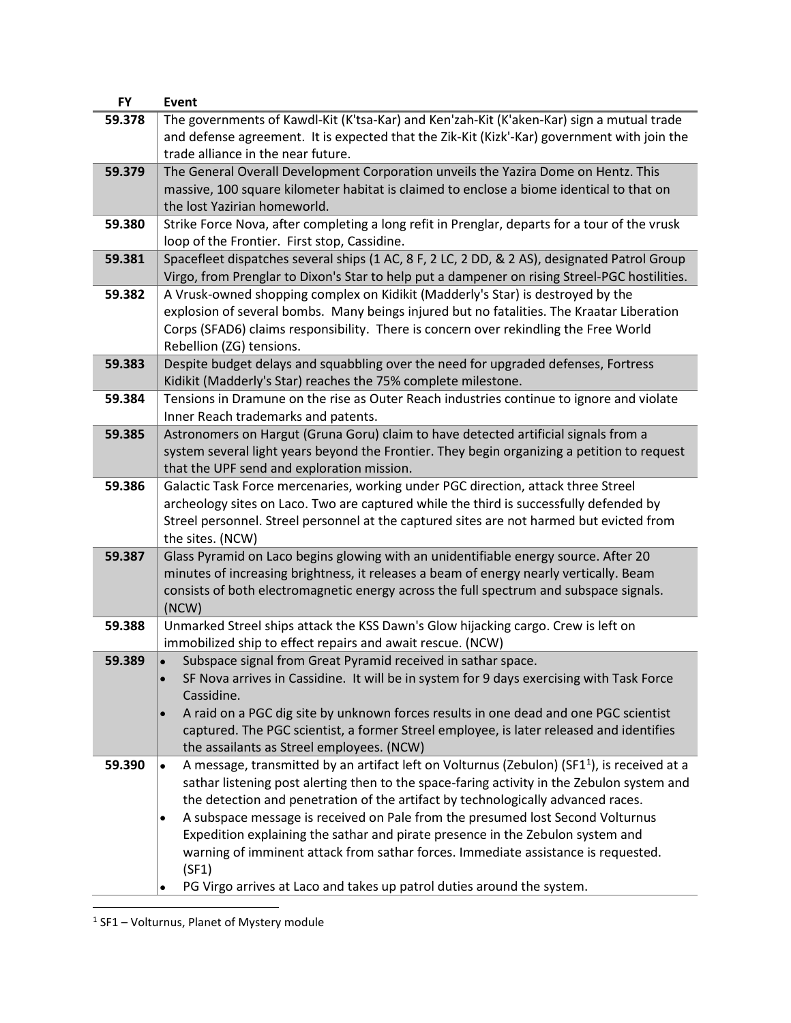<span id="page-3-0"></span>

| The governments of Kawdl-Kit (K'tsa-Kar) and Ken'zah-Kit (K'aken-Kar) sign a mutual trade<br>59.378<br>and defense agreement. It is expected that the Zik-Kit (Kizk'-Kar) government with join the<br>trade alliance in the near future.<br>The General Overall Development Corporation unveils the Yazira Dome on Hentz. This<br>59.379<br>massive, 100 square kilometer habitat is claimed to enclose a biome identical to that on<br>the lost Yazirian homeworld.<br>Strike Force Nova, after completing a long refit in Prenglar, departs for a tour of the vrusk<br>59.380<br>loop of the Frontier. First stop, Cassidine.<br>Spacefleet dispatches several ships (1 AC, 8 F, 2 LC, 2 DD, & 2 AS), designated Patrol Group<br>59.381<br>Virgo, from Prenglar to Dixon's Star to help put a dampener on rising Streel-PGC hostilities.<br>A Vrusk-owned shopping complex on Kidikit (Madderly's Star) is destroyed by the<br>59.382<br>explosion of several bombs. Many beings injured but no fatalities. The Kraatar Liberation<br>Corps (SFAD6) claims responsibility. There is concern over rekindling the Free World<br>Rebellion (ZG) tensions.<br>Despite budget delays and squabbling over the need for upgraded defenses, Fortress<br>59.383<br>Kidikit (Madderly's Star) reaches the 75% complete milestone.<br>59.384<br>Tensions in Dramune on the rise as Outer Reach industries continue to ignore and violate<br>Inner Reach trademarks and patents.<br>Astronomers on Hargut (Gruna Goru) claim to have detected artificial signals from a<br>59.385<br>system several light years beyond the Frontier. They begin organizing a petition to request<br>that the UPF send and exploration mission.<br>Galactic Task Force mercenaries, working under PGC direction, attack three Streel<br>59.386<br>archeology sites on Laco. Two are captured while the third is successfully defended by<br>Streel personnel. Streel personnel at the captured sites are not harmed but evicted from<br>the sites. (NCW)<br>Glass Pyramid on Laco begins glowing with an unidentifiable energy source. After 20<br>59.387<br>minutes of increasing brightness, it releases a beam of energy nearly vertically. Beam<br>consists of both electromagnetic energy across the full spectrum and subspace signals.<br>(NCW)<br>Unmarked Streel ships attack the KSS Dawn's Glow hijacking cargo. Crew is left on<br>59.388<br>immobilized ship to effect repairs and await rescue. (NCW)<br>Subspace signal from Great Pyramid received in sathar space.<br>59.389 |
|--------------------------------------------------------------------------------------------------------------------------------------------------------------------------------------------------------------------------------------------------------------------------------------------------------------------------------------------------------------------------------------------------------------------------------------------------------------------------------------------------------------------------------------------------------------------------------------------------------------------------------------------------------------------------------------------------------------------------------------------------------------------------------------------------------------------------------------------------------------------------------------------------------------------------------------------------------------------------------------------------------------------------------------------------------------------------------------------------------------------------------------------------------------------------------------------------------------------------------------------------------------------------------------------------------------------------------------------------------------------------------------------------------------------------------------------------------------------------------------------------------------------------------------------------------------------------------------------------------------------------------------------------------------------------------------------------------------------------------------------------------------------------------------------------------------------------------------------------------------------------------------------------------------------------------------------------------------------------------------------------------------------------------------------------------------------------------------------------------------------------------------------------------------------------------------------------------------------------------------------------------------------------------------------------------------------------------------------------------------------------------------------------------------------------------------------------------------------------------------------------------------------------------------------------------------------|
|                                                                                                                                                                                                                                                                                                                                                                                                                                                                                                                                                                                                                                                                                                                                                                                                                                                                                                                                                                                                                                                                                                                                                                                                                                                                                                                                                                                                                                                                                                                                                                                                                                                                                                                                                                                                                                                                                                                                                                                                                                                                                                                                                                                                                                                                                                                                                                                                                                                                                                                                                                    |
|                                                                                                                                                                                                                                                                                                                                                                                                                                                                                                                                                                                                                                                                                                                                                                                                                                                                                                                                                                                                                                                                                                                                                                                                                                                                                                                                                                                                                                                                                                                                                                                                                                                                                                                                                                                                                                                                                                                                                                                                                                                                                                                                                                                                                                                                                                                                                                                                                                                                                                                                                                    |
|                                                                                                                                                                                                                                                                                                                                                                                                                                                                                                                                                                                                                                                                                                                                                                                                                                                                                                                                                                                                                                                                                                                                                                                                                                                                                                                                                                                                                                                                                                                                                                                                                                                                                                                                                                                                                                                                                                                                                                                                                                                                                                                                                                                                                                                                                                                                                                                                                                                                                                                                                                    |
|                                                                                                                                                                                                                                                                                                                                                                                                                                                                                                                                                                                                                                                                                                                                                                                                                                                                                                                                                                                                                                                                                                                                                                                                                                                                                                                                                                                                                                                                                                                                                                                                                                                                                                                                                                                                                                                                                                                                                                                                                                                                                                                                                                                                                                                                                                                                                                                                                                                                                                                                                                    |
|                                                                                                                                                                                                                                                                                                                                                                                                                                                                                                                                                                                                                                                                                                                                                                                                                                                                                                                                                                                                                                                                                                                                                                                                                                                                                                                                                                                                                                                                                                                                                                                                                                                                                                                                                                                                                                                                                                                                                                                                                                                                                                                                                                                                                                                                                                                                                                                                                                                                                                                                                                    |
|                                                                                                                                                                                                                                                                                                                                                                                                                                                                                                                                                                                                                                                                                                                                                                                                                                                                                                                                                                                                                                                                                                                                                                                                                                                                                                                                                                                                                                                                                                                                                                                                                                                                                                                                                                                                                                                                                                                                                                                                                                                                                                                                                                                                                                                                                                                                                                                                                                                                                                                                                                    |
|                                                                                                                                                                                                                                                                                                                                                                                                                                                                                                                                                                                                                                                                                                                                                                                                                                                                                                                                                                                                                                                                                                                                                                                                                                                                                                                                                                                                                                                                                                                                                                                                                                                                                                                                                                                                                                                                                                                                                                                                                                                                                                                                                                                                                                                                                                                                                                                                                                                                                                                                                                    |
|                                                                                                                                                                                                                                                                                                                                                                                                                                                                                                                                                                                                                                                                                                                                                                                                                                                                                                                                                                                                                                                                                                                                                                                                                                                                                                                                                                                                                                                                                                                                                                                                                                                                                                                                                                                                                                                                                                                                                                                                                                                                                                                                                                                                                                                                                                                                                                                                                                                                                                                                                                    |
|                                                                                                                                                                                                                                                                                                                                                                                                                                                                                                                                                                                                                                                                                                                                                                                                                                                                                                                                                                                                                                                                                                                                                                                                                                                                                                                                                                                                                                                                                                                                                                                                                                                                                                                                                                                                                                                                                                                                                                                                                                                                                                                                                                                                                                                                                                                                                                                                                                                                                                                                                                    |
|                                                                                                                                                                                                                                                                                                                                                                                                                                                                                                                                                                                                                                                                                                                                                                                                                                                                                                                                                                                                                                                                                                                                                                                                                                                                                                                                                                                                                                                                                                                                                                                                                                                                                                                                                                                                                                                                                                                                                                                                                                                                                                                                                                                                                                                                                                                                                                                                                                                                                                                                                                    |
|                                                                                                                                                                                                                                                                                                                                                                                                                                                                                                                                                                                                                                                                                                                                                                                                                                                                                                                                                                                                                                                                                                                                                                                                                                                                                                                                                                                                                                                                                                                                                                                                                                                                                                                                                                                                                                                                                                                                                                                                                                                                                                                                                                                                                                                                                                                                                                                                                                                                                                                                                                    |
|                                                                                                                                                                                                                                                                                                                                                                                                                                                                                                                                                                                                                                                                                                                                                                                                                                                                                                                                                                                                                                                                                                                                                                                                                                                                                                                                                                                                                                                                                                                                                                                                                                                                                                                                                                                                                                                                                                                                                                                                                                                                                                                                                                                                                                                                                                                                                                                                                                                                                                                                                                    |
| SF Nova arrives in Cassidine. It will be in system for 9 days exercising with Task Force<br>Cassidine.<br>A raid on a PGC dig site by unknown forces results in one dead and one PGC scientist<br>captured. The PGC scientist, a former Streel employee, is later released and identifies<br>the assailants as Streel employees. (NCW)                                                                                                                                                                                                                                                                                                                                                                                                                                                                                                                                                                                                                                                                                                                                                                                                                                                                                                                                                                                                                                                                                                                                                                                                                                                                                                                                                                                                                                                                                                                                                                                                                                                                                                                                                                                                                                                                                                                                                                                                                                                                                                                                                                                                                             |
| A message, transmitted by an artifact left on Volturnus (Zebulon) (SF1 <sup>1</sup> ), is received at a<br>59.390<br>$\bullet$<br>sathar listening post alerting then to the space-faring activity in the Zebulon system and<br>the detection and penetration of the artifact by technologically advanced races.<br>A subspace message is received on Pale from the presumed lost Second Volturnus<br>٠                                                                                                                                                                                                                                                                                                                                                                                                                                                                                                                                                                                                                                                                                                                                                                                                                                                                                                                                                                                                                                                                                                                                                                                                                                                                                                                                                                                                                                                                                                                                                                                                                                                                                                                                                                                                                                                                                                                                                                                                                                                                                                                                                            |
| Expedition explaining the sathar and pirate presence in the Zebulon system and<br>warning of imminent attack from sathar forces. Immediate assistance is requested.<br>(SF1)<br>PG Virgo arrives at Laco and takes up patrol duties around the system.                                                                                                                                                                                                                                                                                                                                                                                                                                                                                                                                                                                                                                                                                                                                                                                                                                                                                                                                                                                                                                                                                                                                                                                                                                                                                                                                                                                                                                                                                                                                                                                                                                                                                                                                                                                                                                                                                                                                                                                                                                                                                                                                                                                                                                                                                                             |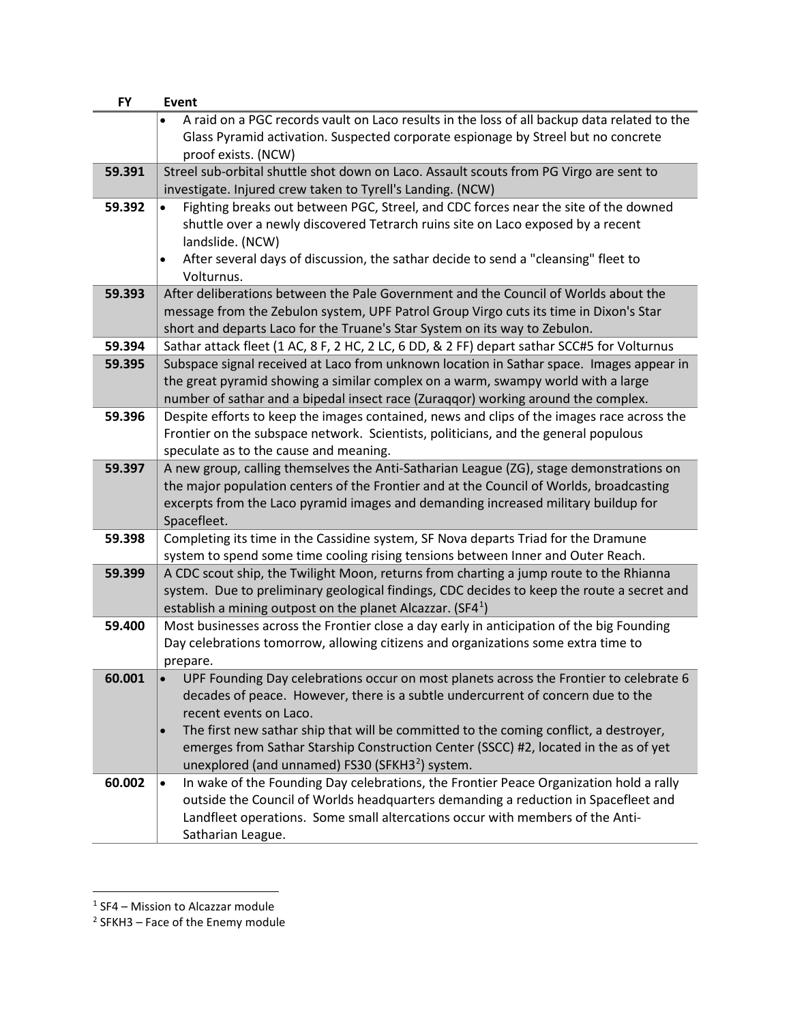| <b>FY</b> | <b>Event</b>                                                                                        |
|-----------|-----------------------------------------------------------------------------------------------------|
|           | A raid on a PGC records vault on Laco results in the loss of all backup data related to the         |
|           | Glass Pyramid activation. Suspected corporate espionage by Streel but no concrete                   |
|           | proof exists. (NCW)                                                                                 |
| 59.391    | Streel sub-orbital shuttle shot down on Laco. Assault scouts from PG Virgo are sent to              |
|           | investigate. Injured crew taken to Tyrell's Landing. (NCW)                                          |
| 59.392    | Fighting breaks out between PGC, Streel, and CDC forces near the site of the downed<br>$\bullet$    |
|           | shuttle over a newly discovered Tetrarch ruins site on Laco exposed by a recent                     |
|           | landslide. (NCW)                                                                                    |
|           | After several days of discussion, the sathar decide to send a "cleansing" fleet to                  |
|           | Volturnus.                                                                                          |
| 59.393    | After deliberations between the Pale Government and the Council of Worlds about the                 |
|           | message from the Zebulon system, UPF Patrol Group Virgo cuts its time in Dixon's Star               |
|           | short and departs Laco for the Truane's Star System on its way to Zebulon.                          |
| 59.394    | Sathar attack fleet (1 AC, 8 F, 2 HC, 2 LC, 6 DD, & 2 FF) depart sathar SCC#5 for Volturnus         |
| 59.395    | Subspace signal received at Laco from unknown location in Sathar space. Images appear in            |
|           | the great pyramid showing a similar complex on a warm, swampy world with a large                    |
|           | number of sathar and a bipedal insect race (Zuraqqor) working around the complex.                   |
| 59.396    | Despite efforts to keep the images contained, news and clips of the images race across the          |
|           | Frontier on the subspace network. Scientists, politicians, and the general populous                 |
|           | speculate as to the cause and meaning.                                                              |
| 59.397    | A new group, calling themselves the Anti-Satharian League (ZG), stage demonstrations on             |
|           | the major population centers of the Frontier and at the Council of Worlds, broadcasting             |
|           | excerpts from the Laco pyramid images and demanding increased military buildup for                  |
|           | Spacefleet.                                                                                         |
| 59.398    | Completing its time in the Cassidine system, SF Nova departs Triad for the Dramune                  |
|           | system to spend some time cooling rising tensions between Inner and Outer Reach.                    |
| 59.399    | A CDC scout ship, the Twilight Moon, returns from charting a jump route to the Rhianna              |
|           | system. Due to preliminary geological findings, CDC decides to keep the route a secret and          |
|           | establish a mining outpost on the planet Alcazzar. (SF4 <sup>1</sup> )                              |
| 59.400    | Most businesses across the Frontier close a day early in anticipation of the big Founding           |
|           | Day celebrations tomorrow, allowing citizens and organizations some extra time to                   |
|           | prepare.                                                                                            |
| 60.001    | UPF Founding Day celebrations occur on most planets across the Frontier to celebrate 6              |
|           | decades of peace. However, there is a subtle undercurrent of concern due to the                     |
|           | recent events on Laco.                                                                              |
|           | The first new sathar ship that will be committed to the coming conflict, a destroyer,               |
|           | emerges from Sathar Starship Construction Center (SSCC) #2, located in the as of yet                |
|           | unexplored (and unnamed) FS30 (SFKH3 <sup>2</sup> ) system.                                         |
| 60.002    | In wake of the Founding Day celebrations, the Frontier Peace Organization hold a rally<br>$\bullet$ |
|           | outside the Council of Worlds headquarters demanding a reduction in Spacefleet and                  |
|           | Landfleet operations. Some small altercations occur with members of the Anti-                       |
|           | Satharian League.                                                                                   |

<span id="page-4-0"></span> $1$  SF4 – Mission to Alcazzar module

<span id="page-4-1"></span> $2$  SFKH3 – Face of the Enemy module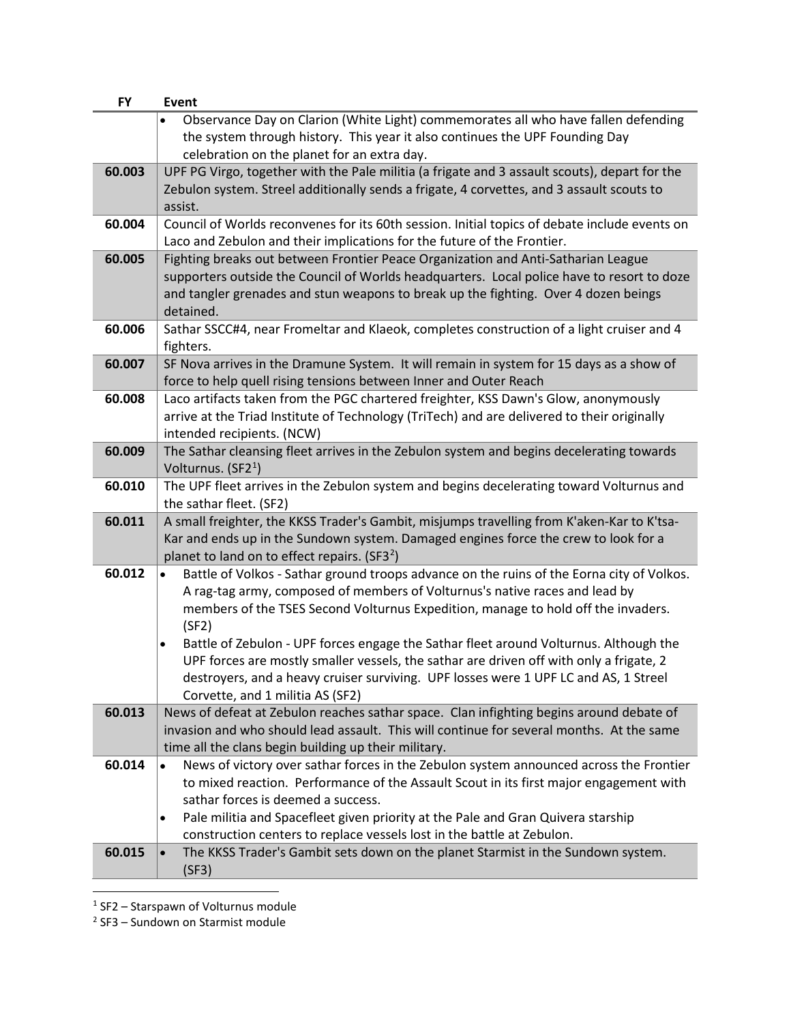| Observance Day on Clarion (White Light) commemorates all who have fallen defending                               |  |
|------------------------------------------------------------------------------------------------------------------|--|
|                                                                                                                  |  |
| the system through history. This year it also continues the UPF Founding Day                                     |  |
| celebration on the planet for an extra day.                                                                      |  |
| 60.003<br>UPF PG Virgo, together with the Pale militia (a frigate and 3 assault scouts), depart for the          |  |
| Zebulon system. Streel additionally sends a frigate, 4 corvettes, and 3 assault scouts to                        |  |
| assist.                                                                                                          |  |
| Council of Worlds reconvenes for its 60th session. Initial topics of debate include events on<br>60.004          |  |
| Laco and Zebulon and their implications for the future of the Frontier.                                          |  |
| Fighting breaks out between Frontier Peace Organization and Anti-Satharian League<br>60.005                      |  |
| supporters outside the Council of Worlds headquarters. Local police have to resort to doze                       |  |
| and tangler grenades and stun weapons to break up the fighting. Over 4 dozen beings                              |  |
| detained.                                                                                                        |  |
| Sathar SSCC#4, near Fromeltar and Klaeok, completes construction of a light cruiser and 4<br>60.006              |  |
| fighters.                                                                                                        |  |
| 60.007<br>SF Nova arrives in the Dramune System. It will remain in system for 15 days as a show of               |  |
| force to help quell rising tensions between Inner and Outer Reach                                                |  |
| 60.008<br>Laco artifacts taken from the PGC chartered freighter, KSS Dawn's Glow, anonymously                    |  |
| arrive at the Triad Institute of Technology (TriTech) and are delivered to their originally                      |  |
| intended recipients. (NCW)                                                                                       |  |
| The Sathar cleansing fleet arrives in the Zebulon system and begins decelerating towards<br>60.009               |  |
| Volturnus. (SF2 <sup>1</sup> )                                                                                   |  |
| The UPF fleet arrives in the Zebulon system and begins decelerating toward Volturnus and<br>60.010               |  |
| the sathar fleet. (SF2)                                                                                          |  |
| 60.011<br>A small freighter, the KKSS Trader's Gambit, misjumps travelling from K'aken-Kar to K'tsa-             |  |
| Kar and ends up in the Sundown system. Damaged engines force the crew to look for a                              |  |
| planet to land on to effect repairs. (SF3 <sup>2</sup> )                                                         |  |
| 60.012<br>Battle of Volkos - Sathar ground troops advance on the ruins of the Eorna city of Volkos.<br>$\bullet$ |  |
| A rag-tag army, composed of members of Volturnus's native races and lead by                                      |  |
| members of the TSES Second Volturnus Expedition, manage to hold off the invaders.                                |  |
| (SF2)                                                                                                            |  |
| Battle of Zebulon - UPF forces engage the Sathar fleet around Volturnus. Although the<br>$\bullet$               |  |
| UPF forces are mostly smaller vessels, the sathar are driven off with only a frigate, 2                          |  |
| destroyers, and a heavy cruiser surviving. UPF losses were 1 UPF LC and AS, 1 Streel                             |  |
| Corvette, and 1 militia AS (SF2)                                                                                 |  |
| 60.013<br>News of defeat at Zebulon reaches sathar space. Clan infighting begins around debate of                |  |
| invasion and who should lead assault. This will continue for several months. At the same                         |  |
| time all the clans begin building up their military.                                                             |  |
| 60.014<br>News of victory over sathar forces in the Zebulon system announced across the Frontier                 |  |
| to mixed reaction. Performance of the Assault Scout in its first major engagement with                           |  |
| sathar forces is deemed a success.                                                                               |  |
| Pale militia and Spacefleet given priority at the Pale and Gran Quivera starship<br>٠                            |  |
| construction centers to replace vessels lost in the battle at Zebulon.                                           |  |
| 60.015<br>The KKSS Trader's Gambit sets down on the planet Starmist in the Sundown system.<br>$\bullet$          |  |
| (SF3)                                                                                                            |  |

<span id="page-5-1"></span><span id="page-5-0"></span> $1$  SF2 – Starspawn of Volturnus module

<sup>2</sup> SF3 – Sundown on Starmist module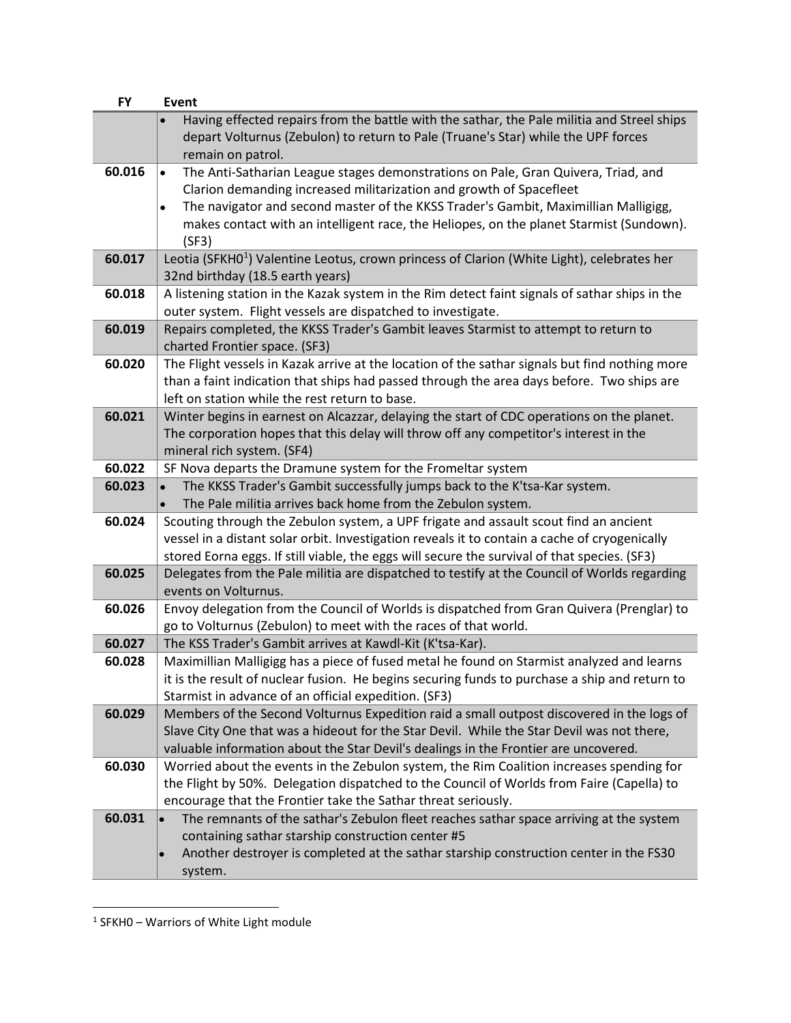| <b>FY</b> | Event                                                                                                                                                                                                |
|-----------|------------------------------------------------------------------------------------------------------------------------------------------------------------------------------------------------------|
|           | Having effected repairs from the battle with the sathar, the Pale militia and Streel ships<br>depart Volturnus (Zebulon) to return to Pale (Truane's Star) while the UPF forces<br>remain on patrol. |
| 60.016    | The Anti-Satharian League stages demonstrations on Pale, Gran Quivera, Triad, and<br>$\bullet$                                                                                                       |
|           | Clarion demanding increased militarization and growth of Spacefleet                                                                                                                                  |
|           | The navigator and second master of the KKSS Trader's Gambit, Maximillian Malligigg,<br>٠                                                                                                             |
|           | makes contact with an intelligent race, the Heliopes, on the planet Starmist (Sundown).                                                                                                              |
|           | (SF3)                                                                                                                                                                                                |
| 60.017    | Leotia (SFKHO <sup>1</sup> ) Valentine Leotus, crown princess of Clarion (White Light), celebrates her                                                                                               |
|           | 32nd birthday (18.5 earth years)                                                                                                                                                                     |
| 60.018    | A listening station in the Kazak system in the Rim detect faint signals of sathar ships in the                                                                                                       |
|           | outer system. Flight vessels are dispatched to investigate.                                                                                                                                          |
| 60.019    | Repairs completed, the KKSS Trader's Gambit leaves Starmist to attempt to return to                                                                                                                  |
|           | charted Frontier space. (SF3)                                                                                                                                                                        |
| 60.020    | The Flight vessels in Kazak arrive at the location of the sathar signals but find nothing more                                                                                                       |
|           | than a faint indication that ships had passed through the area days before. Two ships are                                                                                                            |
|           | left on station while the rest return to base.                                                                                                                                                       |
| 60.021    | Winter begins in earnest on Alcazzar, delaying the start of CDC operations on the planet.                                                                                                            |
|           | The corporation hopes that this delay will throw off any competitor's interest in the                                                                                                                |
|           | mineral rich system. (SF4)                                                                                                                                                                           |
| 60.022    | SF Nova departs the Dramune system for the Fromeltar system                                                                                                                                          |
| 60.023    | The KKSS Trader's Gambit successfully jumps back to the K'tsa-Kar system.                                                                                                                            |
|           | The Pale militia arrives back home from the Zebulon system.                                                                                                                                          |
| 60.024    | Scouting through the Zebulon system, a UPF frigate and assault scout find an ancient                                                                                                                 |
|           | vessel in a distant solar orbit. Investigation reveals it to contain a cache of cryogenically                                                                                                        |
|           | stored Eorna eggs. If still viable, the eggs will secure the survival of that species. (SF3)                                                                                                         |
| 60.025    | Delegates from the Pale militia are dispatched to testify at the Council of Worlds regarding<br>events on Volturnus.                                                                                 |
| 60.026    | Envoy delegation from the Council of Worlds is dispatched from Gran Quivera (Prenglar) to                                                                                                            |
|           | go to Volturnus (Zebulon) to meet with the races of that world.                                                                                                                                      |
| 60.027    | The KSS Trader's Gambit arrives at Kawdl-Kit (K'tsa-Kar).                                                                                                                                            |
| 60.028    | Maximillian Malligigg has a piece of fused metal he found on Starmist analyzed and learns                                                                                                            |
|           | it is the result of nuclear fusion. He begins securing funds to purchase a ship and return to                                                                                                        |
|           | Starmist in advance of an official expedition. (SF3)                                                                                                                                                 |
| 60.029    | Members of the Second Volturnus Expedition raid a small outpost discovered in the logs of                                                                                                            |
|           | Slave City One that was a hideout for the Star Devil. While the Star Devil was not there,                                                                                                            |
|           | valuable information about the Star Devil's dealings in the Frontier are uncovered.                                                                                                                  |
| 60.030    | Worried about the events in the Zebulon system, the Rim Coalition increases spending for                                                                                                             |
|           | the Flight by 50%. Delegation dispatched to the Council of Worlds from Faire (Capella) to                                                                                                            |
| 60.031    | encourage that the Frontier take the Sathar threat seriously.<br>The remnants of the sathar's Zebulon fleet reaches sathar space arriving at the system                                              |
|           | containing sathar starship construction center #5                                                                                                                                                    |
|           | Another destroyer is completed at the sathar starship construction center in the FS30                                                                                                                |
|           |                                                                                                                                                                                                      |
|           | system.                                                                                                                                                                                              |

<span id="page-6-0"></span><sup>1</sup> SFKH0 – Warriors of White Light module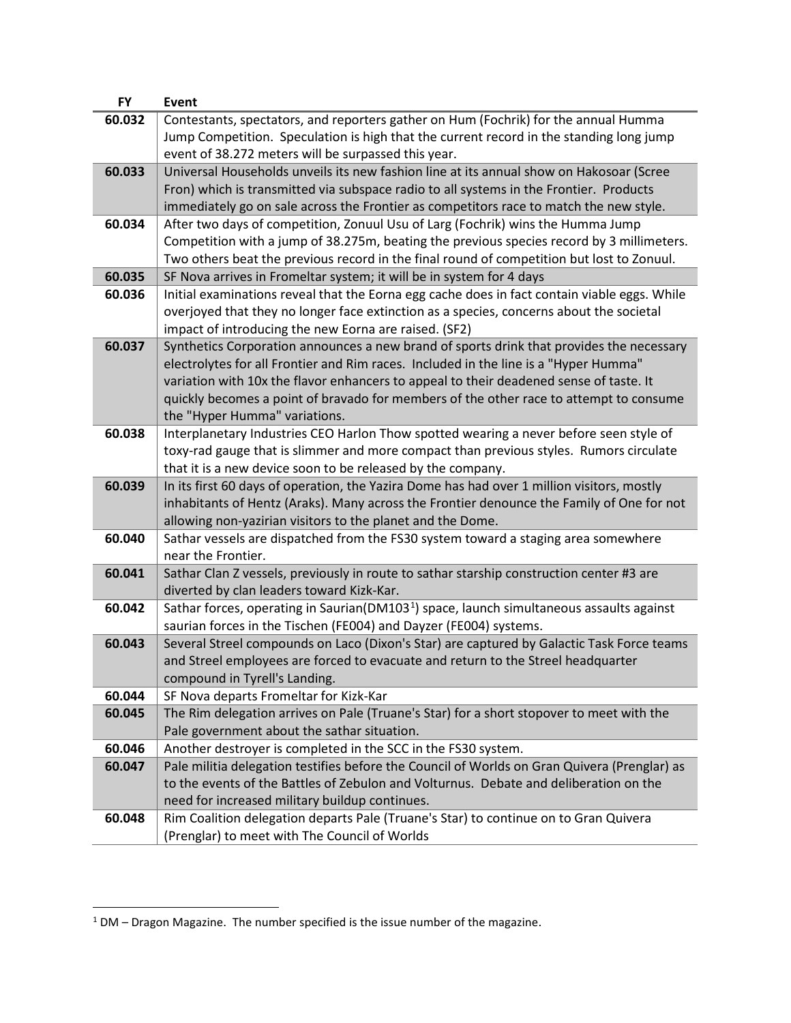| Contestants, spectators, and reporters gather on Hum (Fochrik) for the annual Humma<br>60.032<br>Jump Competition. Speculation is high that the current record in the standing long jump<br>event of 38.272 meters will be surpassed this year.<br>60.033<br>Universal Households unveils its new fashion line at its annual show on Hakosoar (Scree<br>Fron) which is transmitted via subspace radio to all systems in the Frontier. Products<br>immediately go on sale across the Frontier as competitors race to match the new style.<br>After two days of competition, Zonuul Usu of Larg (Fochrik) wins the Humma Jump<br>60.034<br>Competition with a jump of 38.275m, beating the previous species record by 3 millimeters.<br>Two others beat the previous record in the final round of competition but lost to Zonuul.<br>60.035<br>SF Nova arrives in Fromeltar system; it will be in system for 4 days<br>Initial examinations reveal that the Eorna egg cache does in fact contain viable eggs. While<br>60.036<br>overjoyed that they no longer face extinction as a species, concerns about the societal<br>impact of introducing the new Eorna are raised. (SF2)<br>60.037<br>Synthetics Corporation announces a new brand of sports drink that provides the necessary<br>electrolytes for all Frontier and Rim races. Included in the line is a "Hyper Humma"<br>variation with 10x the flavor enhancers to appeal to their deadened sense of taste. It<br>quickly becomes a point of bravado for members of the other race to attempt to consume<br>the "Hyper Humma" variations.<br>Interplanetary Industries CEO Harlon Thow spotted wearing a never before seen style of<br>60.038<br>toxy-rad gauge that is slimmer and more compact than previous styles. Rumors circulate<br>that it is a new device soon to be released by the company.<br>60.039<br>In its first 60 days of operation, the Yazira Dome has had over 1 million visitors, mostly<br>inhabitants of Hentz (Araks). Many across the Frontier denounce the Family of One for not<br>allowing non-yazirian visitors to the planet and the Dome.<br>60.040<br>Sathar vessels are dispatched from the FS30 system toward a staging area somewhere<br>near the Frontier.<br>60.041<br>Sathar Clan Z vessels, previously in route to sathar starship construction center #3 are<br>diverted by clan leaders toward Kizk-Kar.<br>Sathar forces, operating in Saurian(DM103 <sup>1</sup> ) space, launch simultaneous assaults against<br>60.042 |
|-------------------------------------------------------------------------------------------------------------------------------------------------------------------------------------------------------------------------------------------------------------------------------------------------------------------------------------------------------------------------------------------------------------------------------------------------------------------------------------------------------------------------------------------------------------------------------------------------------------------------------------------------------------------------------------------------------------------------------------------------------------------------------------------------------------------------------------------------------------------------------------------------------------------------------------------------------------------------------------------------------------------------------------------------------------------------------------------------------------------------------------------------------------------------------------------------------------------------------------------------------------------------------------------------------------------------------------------------------------------------------------------------------------------------------------------------------------------------------------------------------------------------------------------------------------------------------------------------------------------------------------------------------------------------------------------------------------------------------------------------------------------------------------------------------------------------------------------------------------------------------------------------------------------------------------------------------------------------------------------------------------------------------------------------------------------------------------------------------------------------------------------------------------------------------------------------------------------------------------------------------------------------------------------------------------------------------------------------------------------------------------------------------------------------------------------------------------------------------------------------------------------------------|
|                                                                                                                                                                                                                                                                                                                                                                                                                                                                                                                                                                                                                                                                                                                                                                                                                                                                                                                                                                                                                                                                                                                                                                                                                                                                                                                                                                                                                                                                                                                                                                                                                                                                                                                                                                                                                                                                                                                                                                                                                                                                                                                                                                                                                                                                                                                                                                                                                                                                                                                               |
|                                                                                                                                                                                                                                                                                                                                                                                                                                                                                                                                                                                                                                                                                                                                                                                                                                                                                                                                                                                                                                                                                                                                                                                                                                                                                                                                                                                                                                                                                                                                                                                                                                                                                                                                                                                                                                                                                                                                                                                                                                                                                                                                                                                                                                                                                                                                                                                                                                                                                                                               |
|                                                                                                                                                                                                                                                                                                                                                                                                                                                                                                                                                                                                                                                                                                                                                                                                                                                                                                                                                                                                                                                                                                                                                                                                                                                                                                                                                                                                                                                                                                                                                                                                                                                                                                                                                                                                                                                                                                                                                                                                                                                                                                                                                                                                                                                                                                                                                                                                                                                                                                                               |
|                                                                                                                                                                                                                                                                                                                                                                                                                                                                                                                                                                                                                                                                                                                                                                                                                                                                                                                                                                                                                                                                                                                                                                                                                                                                                                                                                                                                                                                                                                                                                                                                                                                                                                                                                                                                                                                                                                                                                                                                                                                                                                                                                                                                                                                                                                                                                                                                                                                                                                                               |
|                                                                                                                                                                                                                                                                                                                                                                                                                                                                                                                                                                                                                                                                                                                                                                                                                                                                                                                                                                                                                                                                                                                                                                                                                                                                                                                                                                                                                                                                                                                                                                                                                                                                                                                                                                                                                                                                                                                                                                                                                                                                                                                                                                                                                                                                                                                                                                                                                                                                                                                               |
|                                                                                                                                                                                                                                                                                                                                                                                                                                                                                                                                                                                                                                                                                                                                                                                                                                                                                                                                                                                                                                                                                                                                                                                                                                                                                                                                                                                                                                                                                                                                                                                                                                                                                                                                                                                                                                                                                                                                                                                                                                                                                                                                                                                                                                                                                                                                                                                                                                                                                                                               |
|                                                                                                                                                                                                                                                                                                                                                                                                                                                                                                                                                                                                                                                                                                                                                                                                                                                                                                                                                                                                                                                                                                                                                                                                                                                                                                                                                                                                                                                                                                                                                                                                                                                                                                                                                                                                                                                                                                                                                                                                                                                                                                                                                                                                                                                                                                                                                                                                                                                                                                                               |
|                                                                                                                                                                                                                                                                                                                                                                                                                                                                                                                                                                                                                                                                                                                                                                                                                                                                                                                                                                                                                                                                                                                                                                                                                                                                                                                                                                                                                                                                                                                                                                                                                                                                                                                                                                                                                                                                                                                                                                                                                                                                                                                                                                                                                                                                                                                                                                                                                                                                                                                               |
|                                                                                                                                                                                                                                                                                                                                                                                                                                                                                                                                                                                                                                                                                                                                                                                                                                                                                                                                                                                                                                                                                                                                                                                                                                                                                                                                                                                                                                                                                                                                                                                                                                                                                                                                                                                                                                                                                                                                                                                                                                                                                                                                                                                                                                                                                                                                                                                                                                                                                                                               |
|                                                                                                                                                                                                                                                                                                                                                                                                                                                                                                                                                                                                                                                                                                                                                                                                                                                                                                                                                                                                                                                                                                                                                                                                                                                                                                                                                                                                                                                                                                                                                                                                                                                                                                                                                                                                                                                                                                                                                                                                                                                                                                                                                                                                                                                                                                                                                                                                                                                                                                                               |
|                                                                                                                                                                                                                                                                                                                                                                                                                                                                                                                                                                                                                                                                                                                                                                                                                                                                                                                                                                                                                                                                                                                                                                                                                                                                                                                                                                                                                                                                                                                                                                                                                                                                                                                                                                                                                                                                                                                                                                                                                                                                                                                                                                                                                                                                                                                                                                                                                                                                                                                               |
|                                                                                                                                                                                                                                                                                                                                                                                                                                                                                                                                                                                                                                                                                                                                                                                                                                                                                                                                                                                                                                                                                                                                                                                                                                                                                                                                                                                                                                                                                                                                                                                                                                                                                                                                                                                                                                                                                                                                                                                                                                                                                                                                                                                                                                                                                                                                                                                                                                                                                                                               |
|                                                                                                                                                                                                                                                                                                                                                                                                                                                                                                                                                                                                                                                                                                                                                                                                                                                                                                                                                                                                                                                                                                                                                                                                                                                                                                                                                                                                                                                                                                                                                                                                                                                                                                                                                                                                                                                                                                                                                                                                                                                                                                                                                                                                                                                                                                                                                                                                                                                                                                                               |
|                                                                                                                                                                                                                                                                                                                                                                                                                                                                                                                                                                                                                                                                                                                                                                                                                                                                                                                                                                                                                                                                                                                                                                                                                                                                                                                                                                                                                                                                                                                                                                                                                                                                                                                                                                                                                                                                                                                                                                                                                                                                                                                                                                                                                                                                                                                                                                                                                                                                                                                               |
|                                                                                                                                                                                                                                                                                                                                                                                                                                                                                                                                                                                                                                                                                                                                                                                                                                                                                                                                                                                                                                                                                                                                                                                                                                                                                                                                                                                                                                                                                                                                                                                                                                                                                                                                                                                                                                                                                                                                                                                                                                                                                                                                                                                                                                                                                                                                                                                                                                                                                                                               |
|                                                                                                                                                                                                                                                                                                                                                                                                                                                                                                                                                                                                                                                                                                                                                                                                                                                                                                                                                                                                                                                                                                                                                                                                                                                                                                                                                                                                                                                                                                                                                                                                                                                                                                                                                                                                                                                                                                                                                                                                                                                                                                                                                                                                                                                                                                                                                                                                                                                                                                                               |
|                                                                                                                                                                                                                                                                                                                                                                                                                                                                                                                                                                                                                                                                                                                                                                                                                                                                                                                                                                                                                                                                                                                                                                                                                                                                                                                                                                                                                                                                                                                                                                                                                                                                                                                                                                                                                                                                                                                                                                                                                                                                                                                                                                                                                                                                                                                                                                                                                                                                                                                               |
|                                                                                                                                                                                                                                                                                                                                                                                                                                                                                                                                                                                                                                                                                                                                                                                                                                                                                                                                                                                                                                                                                                                                                                                                                                                                                                                                                                                                                                                                                                                                                                                                                                                                                                                                                                                                                                                                                                                                                                                                                                                                                                                                                                                                                                                                                                                                                                                                                                                                                                                               |
|                                                                                                                                                                                                                                                                                                                                                                                                                                                                                                                                                                                                                                                                                                                                                                                                                                                                                                                                                                                                                                                                                                                                                                                                                                                                                                                                                                                                                                                                                                                                                                                                                                                                                                                                                                                                                                                                                                                                                                                                                                                                                                                                                                                                                                                                                                                                                                                                                                                                                                                               |
|                                                                                                                                                                                                                                                                                                                                                                                                                                                                                                                                                                                                                                                                                                                                                                                                                                                                                                                                                                                                                                                                                                                                                                                                                                                                                                                                                                                                                                                                                                                                                                                                                                                                                                                                                                                                                                                                                                                                                                                                                                                                                                                                                                                                                                                                                                                                                                                                                                                                                                                               |
|                                                                                                                                                                                                                                                                                                                                                                                                                                                                                                                                                                                                                                                                                                                                                                                                                                                                                                                                                                                                                                                                                                                                                                                                                                                                                                                                                                                                                                                                                                                                                                                                                                                                                                                                                                                                                                                                                                                                                                                                                                                                                                                                                                                                                                                                                                                                                                                                                                                                                                                               |
|                                                                                                                                                                                                                                                                                                                                                                                                                                                                                                                                                                                                                                                                                                                                                                                                                                                                                                                                                                                                                                                                                                                                                                                                                                                                                                                                                                                                                                                                                                                                                                                                                                                                                                                                                                                                                                                                                                                                                                                                                                                                                                                                                                                                                                                                                                                                                                                                                                                                                                                               |
|                                                                                                                                                                                                                                                                                                                                                                                                                                                                                                                                                                                                                                                                                                                                                                                                                                                                                                                                                                                                                                                                                                                                                                                                                                                                                                                                                                                                                                                                                                                                                                                                                                                                                                                                                                                                                                                                                                                                                                                                                                                                                                                                                                                                                                                                                                                                                                                                                                                                                                                               |
|                                                                                                                                                                                                                                                                                                                                                                                                                                                                                                                                                                                                                                                                                                                                                                                                                                                                                                                                                                                                                                                                                                                                                                                                                                                                                                                                                                                                                                                                                                                                                                                                                                                                                                                                                                                                                                                                                                                                                                                                                                                                                                                                                                                                                                                                                                                                                                                                                                                                                                                               |
|                                                                                                                                                                                                                                                                                                                                                                                                                                                                                                                                                                                                                                                                                                                                                                                                                                                                                                                                                                                                                                                                                                                                                                                                                                                                                                                                                                                                                                                                                                                                                                                                                                                                                                                                                                                                                                                                                                                                                                                                                                                                                                                                                                                                                                                                                                                                                                                                                                                                                                                               |
|                                                                                                                                                                                                                                                                                                                                                                                                                                                                                                                                                                                                                                                                                                                                                                                                                                                                                                                                                                                                                                                                                                                                                                                                                                                                                                                                                                                                                                                                                                                                                                                                                                                                                                                                                                                                                                                                                                                                                                                                                                                                                                                                                                                                                                                                                                                                                                                                                                                                                                                               |
|                                                                                                                                                                                                                                                                                                                                                                                                                                                                                                                                                                                                                                                                                                                                                                                                                                                                                                                                                                                                                                                                                                                                                                                                                                                                                                                                                                                                                                                                                                                                                                                                                                                                                                                                                                                                                                                                                                                                                                                                                                                                                                                                                                                                                                                                                                                                                                                                                                                                                                                               |
|                                                                                                                                                                                                                                                                                                                                                                                                                                                                                                                                                                                                                                                                                                                                                                                                                                                                                                                                                                                                                                                                                                                                                                                                                                                                                                                                                                                                                                                                                                                                                                                                                                                                                                                                                                                                                                                                                                                                                                                                                                                                                                                                                                                                                                                                                                                                                                                                                                                                                                                               |
| saurian forces in the Tischen (FE004) and Dayzer (FE004) systems.                                                                                                                                                                                                                                                                                                                                                                                                                                                                                                                                                                                                                                                                                                                                                                                                                                                                                                                                                                                                                                                                                                                                                                                                                                                                                                                                                                                                                                                                                                                                                                                                                                                                                                                                                                                                                                                                                                                                                                                                                                                                                                                                                                                                                                                                                                                                                                                                                                                             |
| 60.043<br>Several Streel compounds on Laco (Dixon's Star) are captured by Galactic Task Force teams                                                                                                                                                                                                                                                                                                                                                                                                                                                                                                                                                                                                                                                                                                                                                                                                                                                                                                                                                                                                                                                                                                                                                                                                                                                                                                                                                                                                                                                                                                                                                                                                                                                                                                                                                                                                                                                                                                                                                                                                                                                                                                                                                                                                                                                                                                                                                                                                                           |
| and Streel employees are forced to evacuate and return to the Streel headquarter                                                                                                                                                                                                                                                                                                                                                                                                                                                                                                                                                                                                                                                                                                                                                                                                                                                                                                                                                                                                                                                                                                                                                                                                                                                                                                                                                                                                                                                                                                                                                                                                                                                                                                                                                                                                                                                                                                                                                                                                                                                                                                                                                                                                                                                                                                                                                                                                                                              |
| compound in Tyrell's Landing.                                                                                                                                                                                                                                                                                                                                                                                                                                                                                                                                                                                                                                                                                                                                                                                                                                                                                                                                                                                                                                                                                                                                                                                                                                                                                                                                                                                                                                                                                                                                                                                                                                                                                                                                                                                                                                                                                                                                                                                                                                                                                                                                                                                                                                                                                                                                                                                                                                                                                                 |
| SF Nova departs Fromeltar for Kizk-Kar<br>60.044<br>60.045<br>The Rim delegation arrives on Pale (Truane's Star) for a short stopover to meet with the                                                                                                                                                                                                                                                                                                                                                                                                                                                                                                                                                                                                                                                                                                                                                                                                                                                                                                                                                                                                                                                                                                                                                                                                                                                                                                                                                                                                                                                                                                                                                                                                                                                                                                                                                                                                                                                                                                                                                                                                                                                                                                                                                                                                                                                                                                                                                                        |
| Pale government about the sathar situation.                                                                                                                                                                                                                                                                                                                                                                                                                                                                                                                                                                                                                                                                                                                                                                                                                                                                                                                                                                                                                                                                                                                                                                                                                                                                                                                                                                                                                                                                                                                                                                                                                                                                                                                                                                                                                                                                                                                                                                                                                                                                                                                                                                                                                                                                                                                                                                                                                                                                                   |
| 60.046<br>Another destroyer is completed in the SCC in the FS30 system.                                                                                                                                                                                                                                                                                                                                                                                                                                                                                                                                                                                                                                                                                                                                                                                                                                                                                                                                                                                                                                                                                                                                                                                                                                                                                                                                                                                                                                                                                                                                                                                                                                                                                                                                                                                                                                                                                                                                                                                                                                                                                                                                                                                                                                                                                                                                                                                                                                                       |
| Pale militia delegation testifies before the Council of Worlds on Gran Quivera (Prenglar) as<br>60.047                                                                                                                                                                                                                                                                                                                                                                                                                                                                                                                                                                                                                                                                                                                                                                                                                                                                                                                                                                                                                                                                                                                                                                                                                                                                                                                                                                                                                                                                                                                                                                                                                                                                                                                                                                                                                                                                                                                                                                                                                                                                                                                                                                                                                                                                                                                                                                                                                        |
| to the events of the Battles of Zebulon and Volturnus. Debate and deliberation on the                                                                                                                                                                                                                                                                                                                                                                                                                                                                                                                                                                                                                                                                                                                                                                                                                                                                                                                                                                                                                                                                                                                                                                                                                                                                                                                                                                                                                                                                                                                                                                                                                                                                                                                                                                                                                                                                                                                                                                                                                                                                                                                                                                                                                                                                                                                                                                                                                                         |
| need for increased military buildup continues.                                                                                                                                                                                                                                                                                                                                                                                                                                                                                                                                                                                                                                                                                                                                                                                                                                                                                                                                                                                                                                                                                                                                                                                                                                                                                                                                                                                                                                                                                                                                                                                                                                                                                                                                                                                                                                                                                                                                                                                                                                                                                                                                                                                                                                                                                                                                                                                                                                                                                |
| 60.048<br>Rim Coalition delegation departs Pale (Truane's Star) to continue on to Gran Quivera                                                                                                                                                                                                                                                                                                                                                                                                                                                                                                                                                                                                                                                                                                                                                                                                                                                                                                                                                                                                                                                                                                                                                                                                                                                                                                                                                                                                                                                                                                                                                                                                                                                                                                                                                                                                                                                                                                                                                                                                                                                                                                                                                                                                                                                                                                                                                                                                                                |
| (Prenglar) to meet with The Council of Worlds                                                                                                                                                                                                                                                                                                                                                                                                                                                                                                                                                                                                                                                                                                                                                                                                                                                                                                                                                                                                                                                                                                                                                                                                                                                                                                                                                                                                                                                                                                                                                                                                                                                                                                                                                                                                                                                                                                                                                                                                                                                                                                                                                                                                                                                                                                                                                                                                                                                                                 |

<span id="page-7-0"></span> $1$  DM – Dragon Magazine. The number specified is the issue number of the magazine.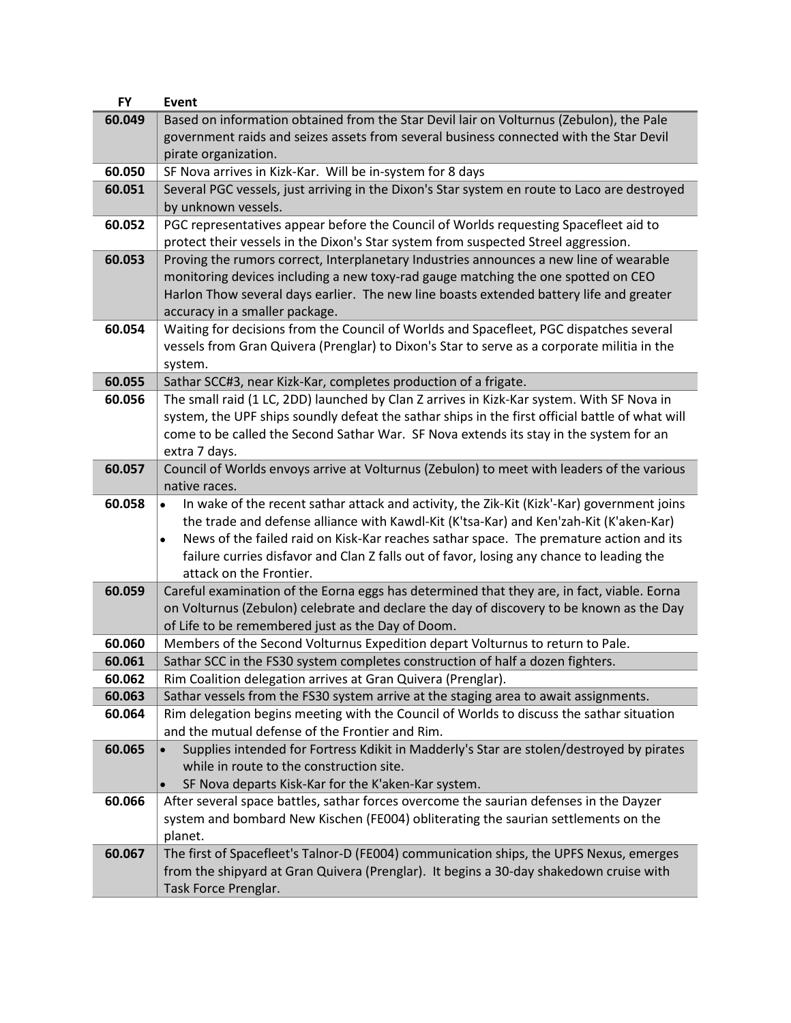| <b>FY</b>        | <b>Event</b>                                                                                                                                                                     |
|------------------|----------------------------------------------------------------------------------------------------------------------------------------------------------------------------------|
| 60.049           | Based on information obtained from the Star Devil lair on Volturnus (Zebulon), the Pale                                                                                          |
|                  | government raids and seizes assets from several business connected with the Star Devil                                                                                           |
|                  | pirate organization.                                                                                                                                                             |
| 60.050           | SF Nova arrives in Kizk-Kar. Will be in-system for 8 days                                                                                                                        |
| 60.051           | Several PGC vessels, just arriving in the Dixon's Star system en route to Laco are destroyed                                                                                     |
|                  | by unknown vessels.                                                                                                                                                              |
| 60.052           | PGC representatives appear before the Council of Worlds requesting Spacefleet aid to                                                                                             |
|                  | protect their vessels in the Dixon's Star system from suspected Streel aggression.                                                                                               |
| 60.053           | Proving the rumors correct, Interplanetary Industries announces a new line of wearable                                                                                           |
|                  | monitoring devices including a new toxy-rad gauge matching the one spotted on CEO                                                                                                |
|                  | Harlon Thow several days earlier. The new line boasts extended battery life and greater                                                                                          |
|                  | accuracy in a smaller package.                                                                                                                                                   |
| 60.054           | Waiting for decisions from the Council of Worlds and Spacefleet, PGC dispatches several                                                                                          |
|                  | vessels from Gran Quivera (Prenglar) to Dixon's Star to serve as a corporate militia in the                                                                                      |
|                  | system.                                                                                                                                                                          |
| 60.055           | Sathar SCC#3, near Kizk-Kar, completes production of a frigate.                                                                                                                  |
| 60.056           | The small raid (1 LC, 2DD) launched by Clan Z arrives in Kizk-Kar system. With SF Nova in                                                                                        |
|                  | system, the UPF ships soundly defeat the sathar ships in the first official battle of what will                                                                                  |
|                  | come to be called the Second Sathar War. SF Nova extends its stay in the system for an                                                                                           |
|                  | extra 7 days.                                                                                                                                                                    |
| 60.057           | Council of Worlds envoys arrive at Volturnus (Zebulon) to meet with leaders of the various                                                                                       |
|                  | native races.                                                                                                                                                                    |
| 60.058           | In wake of the recent sathar attack and activity, the Zik-Kit (Kizk'-Kar) government joins                                                                                       |
|                  | the trade and defense alliance with Kawdl-Kit (K'tsa-Kar) and Ken'zah-Kit (K'aken-Kar)                                                                                           |
|                  | News of the failed raid on Kisk-Kar reaches sathar space. The premature action and its<br>$\bullet$                                                                              |
|                  | failure curries disfavor and Clan Z falls out of favor, losing any chance to leading the                                                                                         |
|                  | attack on the Frontier.                                                                                                                                                          |
| 60.059           | Careful examination of the Eorna eggs has determined that they are, in fact, viable. Eorna                                                                                       |
|                  | on Volturnus (Zebulon) celebrate and declare the day of discovery to be known as the Day                                                                                         |
|                  | of Life to be remembered just as the Day of Doom.                                                                                                                                |
| 60.060           | Members of the Second Volturnus Expedition depart Volturnus to return to Pale.                                                                                                   |
| 60.061           | Sathar SCC in the FS30 system completes construction of half a dozen fighters.                                                                                                   |
| 60.062           | Rim Coalition delegation arrives at Gran Quivera (Prenglar).                                                                                                                     |
| 60.063<br>60.064 | Sathar vessels from the FS30 system arrive at the staging area to await assignments.<br>Rim delegation begins meeting with the Council of Worlds to discuss the sathar situation |
|                  | and the mutual defense of the Frontier and Rim.                                                                                                                                  |
| 60.065           | Supplies intended for Fortress Kdikit in Madderly's Star are stolen/destroyed by pirates                                                                                         |
|                  | while in route to the construction site.                                                                                                                                         |
|                  | SF Nova departs Kisk-Kar for the K'aken-Kar system.                                                                                                                              |
| 60.066           | After several space battles, sathar forces overcome the saurian defenses in the Dayzer                                                                                           |
|                  |                                                                                                                                                                                  |
|                  |                                                                                                                                                                                  |
|                  | system and bombard New Kischen (FE004) obliterating the saurian settlements on the                                                                                               |
|                  | planet.                                                                                                                                                                          |
| 60.067           | The first of Spacefleet's Talnor-D (FE004) communication ships, the UPFS Nexus, emerges                                                                                          |
|                  | from the shipyard at Gran Quivera (Prenglar). It begins a 30-day shakedown cruise with<br>Task Force Prenglar.                                                                   |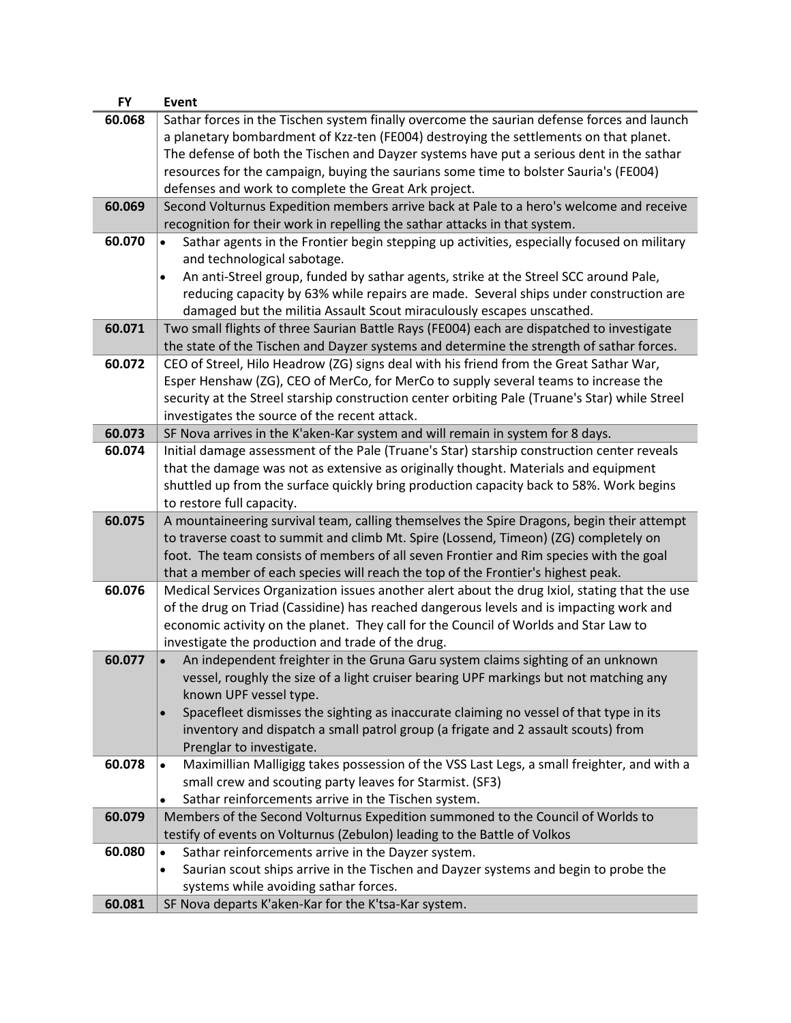| <b>FY</b> | Event                                                                                                                                                       |
|-----------|-------------------------------------------------------------------------------------------------------------------------------------------------------------|
| 60.068    | Sathar forces in the Tischen system finally overcome the saurian defense forces and launch                                                                  |
|           | a planetary bombardment of Kzz-ten (FE004) destroying the settlements on that planet.                                                                       |
|           | The defense of both the Tischen and Dayzer systems have put a serious dent in the sathar                                                                    |
|           | resources for the campaign, buying the saurians some time to bolster Sauria's (FE004)                                                                       |
|           | defenses and work to complete the Great Ark project.                                                                                                        |
| 60.069    | Second Volturnus Expedition members arrive back at Pale to a hero's welcome and receive                                                                     |
|           | recognition for their work in repelling the sathar attacks in that system.                                                                                  |
| 60.070    | Sathar agents in the Frontier begin stepping up activities, especially focused on military<br>and technological sabotage.                                   |
|           | An anti-Streel group, funded by sathar agents, strike at the Streel SCC around Pale,<br>$\bullet$                                                           |
|           | reducing capacity by 63% while repairs are made. Several ships under construction are                                                                       |
|           | damaged but the militia Assault Scout miraculously escapes unscathed.                                                                                       |
| 60.071    | Two small flights of three Saurian Battle Rays (FE004) each are dispatched to investigate                                                                   |
|           | the state of the Tischen and Dayzer systems and determine the strength of sathar forces.                                                                    |
| 60.072    | CEO of Streel, Hilo Headrow (ZG) signs deal with his friend from the Great Sathar War,                                                                      |
|           | Esper Henshaw (ZG), CEO of MerCo, for MerCo to supply several teams to increase the                                                                         |
|           | security at the Streel starship construction center orbiting Pale (Truane's Star) while Streel                                                              |
|           | investigates the source of the recent attack.                                                                                                               |
| 60.073    | SF Nova arrives in the K'aken-Kar system and will remain in system for 8 days.                                                                              |
| 60.074    | Initial damage assessment of the Pale (Truane's Star) starship construction center reveals                                                                  |
|           | that the damage was not as extensive as originally thought. Materials and equipment                                                                         |
|           | shuttled up from the surface quickly bring production capacity back to 58%. Work begins                                                                     |
|           | to restore full capacity.                                                                                                                                   |
| 60.075    | A mountaineering survival team, calling themselves the Spire Dragons, begin their attempt                                                                   |
|           | to traverse coast to summit and climb Mt. Spire (Lossend, Timeon) (ZG) completely on                                                                        |
|           | foot. The team consists of members of all seven Frontier and Rim species with the goal                                                                      |
|           | that a member of each species will reach the top of the Frontier's highest peak.                                                                            |
| 60.076    | Medical Services Organization issues another alert about the drug Ixiol, stating that the use                                                               |
|           | of the drug on Triad (Cassidine) has reached dangerous levels and is impacting work and                                                                     |
|           | economic activity on the planet. They call for the Council of Worlds and Star Law to                                                                        |
|           | investigate the production and trade of the drug.                                                                                                           |
| 60.077    | An independent freighter in the Gruna Garu system claims sighting of an unknown                                                                             |
|           | vessel, roughly the size of a light cruiser bearing UPF markings but not matching any                                                                       |
|           | known UPF vessel type.                                                                                                                                      |
|           | Spacefleet dismisses the sighting as inaccurate claiming no vessel of that type in its                                                                      |
|           | inventory and dispatch a small patrol group (a frigate and 2 assault scouts) from                                                                           |
|           | Prenglar to investigate.                                                                                                                                    |
| 60.078    | Maximillian Malligigg takes possession of the VSS Last Legs, a small freighter, and with a                                                                  |
|           | small crew and scouting party leaves for Starmist. (SF3)                                                                                                    |
| 60.079    | Sathar reinforcements arrive in the Tischen system.<br>$\bullet$                                                                                            |
|           | Members of the Second Volturnus Expedition summoned to the Council of Worlds to<br>testify of events on Volturnus (Zebulon) leading to the Battle of Volkos |
| 60.080    | Sathar reinforcements arrive in the Dayzer system.<br>$\bullet$                                                                                             |
|           | Saurian scout ships arrive in the Tischen and Dayzer systems and begin to probe the                                                                         |
|           | systems while avoiding sathar forces.                                                                                                                       |
| 60.081    | SF Nova departs K'aken-Kar for the K'tsa-Kar system.                                                                                                        |
|           |                                                                                                                                                             |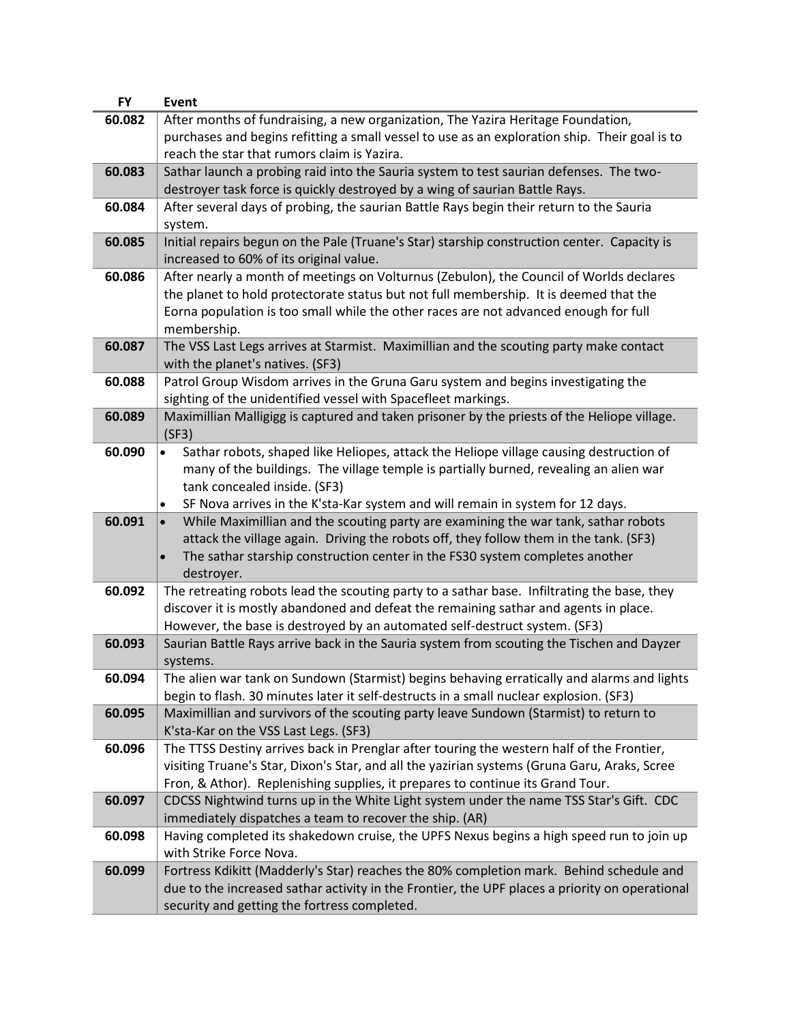| <b>FY</b> | Event                                                                                                                                                                                |
|-----------|--------------------------------------------------------------------------------------------------------------------------------------------------------------------------------------|
| 60.082    | After months of fundraising, a new organization, The Yazira Heritage Foundation,                                                                                                     |
|           | purchases and begins refitting a small vessel to use as an exploration ship. Their goal is to                                                                                        |
|           | reach the star that rumors claim is Yazira.                                                                                                                                          |
| 60.083    | Sathar launch a probing raid into the Sauria system to test saurian defenses. The two-                                                                                               |
|           | destroyer task force is quickly destroyed by a wing of saurian Battle Rays.                                                                                                          |
| 60.084    | After several days of probing, the saurian Battle Rays begin their return to the Sauria                                                                                              |
|           | system.                                                                                                                                                                              |
| 60.085    | Initial repairs begun on the Pale (Truane's Star) starship construction center. Capacity is                                                                                          |
|           | increased to 60% of its original value.                                                                                                                                              |
| 60.086    | After nearly a month of meetings on Volturnus (Zebulon), the Council of Worlds declares                                                                                              |
|           | the planet to hold protectorate status but not full membership. It is deemed that the                                                                                                |
|           | Eorna population is too small while the other races are not advanced enough for full                                                                                                 |
|           | membership.                                                                                                                                                                          |
| 60.087    | The VSS Last Legs arrives at Starmist. Maximillian and the scouting party make contact                                                                                               |
|           | with the planet's natives. (SF3)                                                                                                                                                     |
| 60.088    | Patrol Group Wisdom arrives in the Gruna Garu system and begins investigating the                                                                                                    |
|           | sighting of the unidentified vessel with Spacefleet markings.                                                                                                                        |
| 60.089    | Maximillian Malligigg is captured and taken prisoner by the priests of the Heliope village.                                                                                          |
|           | (SF3)                                                                                                                                                                                |
| 60.090    | Sathar robots, shaped like Heliopes, attack the Heliope village causing destruction of                                                                                               |
|           | many of the buildings. The village temple is partially burned, revealing an alien war                                                                                                |
|           | tank concealed inside. (SF3)                                                                                                                                                         |
|           | SF Nova arrives in the K'sta-Kar system and will remain in system for 12 days.<br>$\bullet$                                                                                          |
| 60.091    | While Maximillian and the scouting party are examining the war tank, sathar robots<br>$\bullet$                                                                                      |
|           | attack the village again. Driving the robots off, they follow them in the tank. (SF3)                                                                                                |
|           | The sathar starship construction center in the FS30 system completes another<br>$\bullet$                                                                                            |
|           | destroyer.                                                                                                                                                                           |
| 60.092    | The retreating robots lead the scouting party to a sathar base. Infiltrating the base, they                                                                                          |
|           | discover it is mostly abandoned and defeat the remaining sathar and agents in place.                                                                                                 |
|           | However, the base is destroyed by an automated self-destruct system. (SF3)                                                                                                           |
| 60.093    | Saurian Battle Rays arrive back in the Sauria system from scouting the Tischen and Dayzer                                                                                            |
|           | systems.                                                                                                                                                                             |
| 60.094    | The alien war tank on Sundown (Starmist) begins behaving erratically and alarms and lights<br>begin to flash. 30 minutes later it self-destructs in a small nuclear explosion. (SF3) |
| 60.095    | Maximillian and survivors of the scouting party leave Sundown (Starmist) to return to                                                                                                |
|           | K'sta-Kar on the VSS Last Legs. (SF3)                                                                                                                                                |
| 60.096    | The TTSS Destiny arrives back in Prenglar after touring the western half of the Frontier,                                                                                            |
|           | visiting Truane's Star, Dixon's Star, and all the yazirian systems (Gruna Garu, Araks, Scree                                                                                         |
|           | Fron, & Athor). Replenishing supplies, it prepares to continue its Grand Tour.                                                                                                       |
| 60.097    | CDCSS Nightwind turns up in the White Light system under the name TSS Star's Gift. CDC                                                                                               |
|           | immediately dispatches a team to recover the ship. (AR)                                                                                                                              |
| 60.098    | Having completed its shakedown cruise, the UPFS Nexus begins a high speed run to join up                                                                                             |
|           | with Strike Force Nova.                                                                                                                                                              |
| 60.099    | Fortress Kdikitt (Madderly's Star) reaches the 80% completion mark. Behind schedule and                                                                                              |
|           | due to the increased sathar activity in the Frontier, the UPF places a priority on operational                                                                                       |
|           | security and getting the fortress completed.                                                                                                                                         |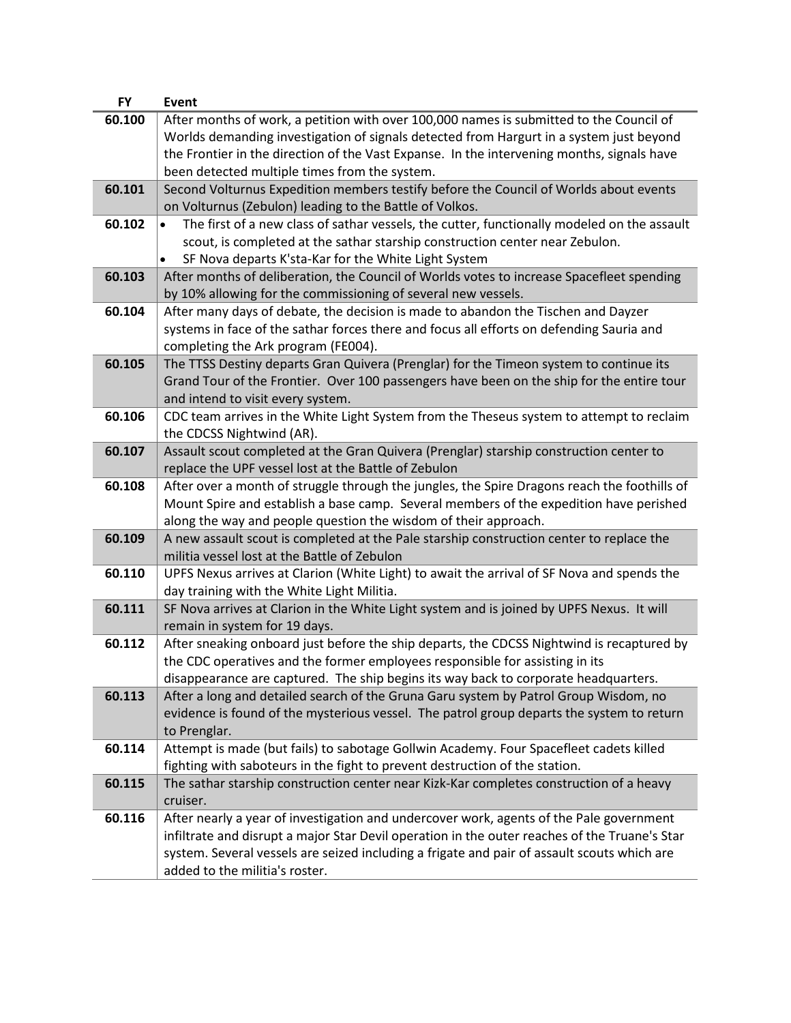| After months of work, a petition with over 100,000 names is submitted to the Council of<br>60.100<br>Worlds demanding investigation of signals detected from Hargurt in a system just beyond<br>the Frontier in the direction of the Vast Expanse. In the intervening months, signals have<br>been detected multiple times from the system.<br>60.101<br>Second Volturnus Expedition members testify before the Council of Worlds about events<br>on Volturnus (Zebulon) leading to the Battle of Volkos.<br>60.102<br>The first of a new class of sathar vessels, the cutter, functionally modeled on the assault<br>$\bullet$<br>scout, is completed at the sathar starship construction center near Zebulon.<br>SF Nova departs K'sta-Kar for the White Light System<br>60.103<br>After months of deliberation, the Council of Worlds votes to increase Spacefleet spending<br>by 10% allowing for the commissioning of several new vessels.<br>After many days of debate, the decision is made to abandon the Tischen and Dayzer<br>60.104<br>systems in face of the sathar forces there and focus all efforts on defending Sauria and<br>completing the Ark program (FE004).<br>60.105<br>The TTSS Destiny departs Gran Quivera (Prenglar) for the Timeon system to continue its<br>Grand Tour of the Frontier. Over 100 passengers have been on the ship for the entire tour<br>and intend to visit every system.<br>CDC team arrives in the White Light System from the Theseus system to attempt to reclaim<br>60.106<br>the CDCSS Nightwind (AR).<br>Assault scout completed at the Gran Quivera (Prenglar) starship construction center to<br>60.107<br>replace the UPF vessel lost at the Battle of Zebulon<br>60.108<br>After over a month of struggle through the jungles, the Spire Dragons reach the foothills of<br>Mount Spire and establish a base camp. Several members of the expedition have perished<br>along the way and people question the wisdom of their approach.<br>60.109<br>A new assault scout is completed at the Pale starship construction center to replace the |
|-----------------------------------------------------------------------------------------------------------------------------------------------------------------------------------------------------------------------------------------------------------------------------------------------------------------------------------------------------------------------------------------------------------------------------------------------------------------------------------------------------------------------------------------------------------------------------------------------------------------------------------------------------------------------------------------------------------------------------------------------------------------------------------------------------------------------------------------------------------------------------------------------------------------------------------------------------------------------------------------------------------------------------------------------------------------------------------------------------------------------------------------------------------------------------------------------------------------------------------------------------------------------------------------------------------------------------------------------------------------------------------------------------------------------------------------------------------------------------------------------------------------------------------------------------------------------------------------------------------------------------------------------------------------------------------------------------------------------------------------------------------------------------------------------------------------------------------------------------------------------------------------------------------------------------------------------------------------------------------------------------------------------------------------------------------------------------------------------------|
|                                                                                                                                                                                                                                                                                                                                                                                                                                                                                                                                                                                                                                                                                                                                                                                                                                                                                                                                                                                                                                                                                                                                                                                                                                                                                                                                                                                                                                                                                                                                                                                                                                                                                                                                                                                                                                                                                                                                                                                                                                                                                                     |
|                                                                                                                                                                                                                                                                                                                                                                                                                                                                                                                                                                                                                                                                                                                                                                                                                                                                                                                                                                                                                                                                                                                                                                                                                                                                                                                                                                                                                                                                                                                                                                                                                                                                                                                                                                                                                                                                                                                                                                                                                                                                                                     |
|                                                                                                                                                                                                                                                                                                                                                                                                                                                                                                                                                                                                                                                                                                                                                                                                                                                                                                                                                                                                                                                                                                                                                                                                                                                                                                                                                                                                                                                                                                                                                                                                                                                                                                                                                                                                                                                                                                                                                                                                                                                                                                     |
|                                                                                                                                                                                                                                                                                                                                                                                                                                                                                                                                                                                                                                                                                                                                                                                                                                                                                                                                                                                                                                                                                                                                                                                                                                                                                                                                                                                                                                                                                                                                                                                                                                                                                                                                                                                                                                                                                                                                                                                                                                                                                                     |
|                                                                                                                                                                                                                                                                                                                                                                                                                                                                                                                                                                                                                                                                                                                                                                                                                                                                                                                                                                                                                                                                                                                                                                                                                                                                                                                                                                                                                                                                                                                                                                                                                                                                                                                                                                                                                                                                                                                                                                                                                                                                                                     |
|                                                                                                                                                                                                                                                                                                                                                                                                                                                                                                                                                                                                                                                                                                                                                                                                                                                                                                                                                                                                                                                                                                                                                                                                                                                                                                                                                                                                                                                                                                                                                                                                                                                                                                                                                                                                                                                                                                                                                                                                                                                                                                     |
|                                                                                                                                                                                                                                                                                                                                                                                                                                                                                                                                                                                                                                                                                                                                                                                                                                                                                                                                                                                                                                                                                                                                                                                                                                                                                                                                                                                                                                                                                                                                                                                                                                                                                                                                                                                                                                                                                                                                                                                                                                                                                                     |
|                                                                                                                                                                                                                                                                                                                                                                                                                                                                                                                                                                                                                                                                                                                                                                                                                                                                                                                                                                                                                                                                                                                                                                                                                                                                                                                                                                                                                                                                                                                                                                                                                                                                                                                                                                                                                                                                                                                                                                                                                                                                                                     |
|                                                                                                                                                                                                                                                                                                                                                                                                                                                                                                                                                                                                                                                                                                                                                                                                                                                                                                                                                                                                                                                                                                                                                                                                                                                                                                                                                                                                                                                                                                                                                                                                                                                                                                                                                                                                                                                                                                                                                                                                                                                                                                     |
|                                                                                                                                                                                                                                                                                                                                                                                                                                                                                                                                                                                                                                                                                                                                                                                                                                                                                                                                                                                                                                                                                                                                                                                                                                                                                                                                                                                                                                                                                                                                                                                                                                                                                                                                                                                                                                                                                                                                                                                                                                                                                                     |
|                                                                                                                                                                                                                                                                                                                                                                                                                                                                                                                                                                                                                                                                                                                                                                                                                                                                                                                                                                                                                                                                                                                                                                                                                                                                                                                                                                                                                                                                                                                                                                                                                                                                                                                                                                                                                                                                                                                                                                                                                                                                                                     |
|                                                                                                                                                                                                                                                                                                                                                                                                                                                                                                                                                                                                                                                                                                                                                                                                                                                                                                                                                                                                                                                                                                                                                                                                                                                                                                                                                                                                                                                                                                                                                                                                                                                                                                                                                                                                                                                                                                                                                                                                                                                                                                     |
|                                                                                                                                                                                                                                                                                                                                                                                                                                                                                                                                                                                                                                                                                                                                                                                                                                                                                                                                                                                                                                                                                                                                                                                                                                                                                                                                                                                                                                                                                                                                                                                                                                                                                                                                                                                                                                                                                                                                                                                                                                                                                                     |
|                                                                                                                                                                                                                                                                                                                                                                                                                                                                                                                                                                                                                                                                                                                                                                                                                                                                                                                                                                                                                                                                                                                                                                                                                                                                                                                                                                                                                                                                                                                                                                                                                                                                                                                                                                                                                                                                                                                                                                                                                                                                                                     |
|                                                                                                                                                                                                                                                                                                                                                                                                                                                                                                                                                                                                                                                                                                                                                                                                                                                                                                                                                                                                                                                                                                                                                                                                                                                                                                                                                                                                                                                                                                                                                                                                                                                                                                                                                                                                                                                                                                                                                                                                                                                                                                     |
|                                                                                                                                                                                                                                                                                                                                                                                                                                                                                                                                                                                                                                                                                                                                                                                                                                                                                                                                                                                                                                                                                                                                                                                                                                                                                                                                                                                                                                                                                                                                                                                                                                                                                                                                                                                                                                                                                                                                                                                                                                                                                                     |
|                                                                                                                                                                                                                                                                                                                                                                                                                                                                                                                                                                                                                                                                                                                                                                                                                                                                                                                                                                                                                                                                                                                                                                                                                                                                                                                                                                                                                                                                                                                                                                                                                                                                                                                                                                                                                                                                                                                                                                                                                                                                                                     |
|                                                                                                                                                                                                                                                                                                                                                                                                                                                                                                                                                                                                                                                                                                                                                                                                                                                                                                                                                                                                                                                                                                                                                                                                                                                                                                                                                                                                                                                                                                                                                                                                                                                                                                                                                                                                                                                                                                                                                                                                                                                                                                     |
|                                                                                                                                                                                                                                                                                                                                                                                                                                                                                                                                                                                                                                                                                                                                                                                                                                                                                                                                                                                                                                                                                                                                                                                                                                                                                                                                                                                                                                                                                                                                                                                                                                                                                                                                                                                                                                                                                                                                                                                                                                                                                                     |
|                                                                                                                                                                                                                                                                                                                                                                                                                                                                                                                                                                                                                                                                                                                                                                                                                                                                                                                                                                                                                                                                                                                                                                                                                                                                                                                                                                                                                                                                                                                                                                                                                                                                                                                                                                                                                                                                                                                                                                                                                                                                                                     |
|                                                                                                                                                                                                                                                                                                                                                                                                                                                                                                                                                                                                                                                                                                                                                                                                                                                                                                                                                                                                                                                                                                                                                                                                                                                                                                                                                                                                                                                                                                                                                                                                                                                                                                                                                                                                                                                                                                                                                                                                                                                                                                     |
|                                                                                                                                                                                                                                                                                                                                                                                                                                                                                                                                                                                                                                                                                                                                                                                                                                                                                                                                                                                                                                                                                                                                                                                                                                                                                                                                                                                                                                                                                                                                                                                                                                                                                                                                                                                                                                                                                                                                                                                                                                                                                                     |
|                                                                                                                                                                                                                                                                                                                                                                                                                                                                                                                                                                                                                                                                                                                                                                                                                                                                                                                                                                                                                                                                                                                                                                                                                                                                                                                                                                                                                                                                                                                                                                                                                                                                                                                                                                                                                                                                                                                                                                                                                                                                                                     |
|                                                                                                                                                                                                                                                                                                                                                                                                                                                                                                                                                                                                                                                                                                                                                                                                                                                                                                                                                                                                                                                                                                                                                                                                                                                                                                                                                                                                                                                                                                                                                                                                                                                                                                                                                                                                                                                                                                                                                                                                                                                                                                     |
|                                                                                                                                                                                                                                                                                                                                                                                                                                                                                                                                                                                                                                                                                                                                                                                                                                                                                                                                                                                                                                                                                                                                                                                                                                                                                                                                                                                                                                                                                                                                                                                                                                                                                                                                                                                                                                                                                                                                                                                                                                                                                                     |
| militia vessel lost at the Battle of Zebulon                                                                                                                                                                                                                                                                                                                                                                                                                                                                                                                                                                                                                                                                                                                                                                                                                                                                                                                                                                                                                                                                                                                                                                                                                                                                                                                                                                                                                                                                                                                                                                                                                                                                                                                                                                                                                                                                                                                                                                                                                                                        |
| 60.110<br>UPFS Nexus arrives at Clarion (White Light) to await the arrival of SF Nova and spends the                                                                                                                                                                                                                                                                                                                                                                                                                                                                                                                                                                                                                                                                                                                                                                                                                                                                                                                                                                                                                                                                                                                                                                                                                                                                                                                                                                                                                                                                                                                                                                                                                                                                                                                                                                                                                                                                                                                                                                                                |
| day training with the White Light Militia.                                                                                                                                                                                                                                                                                                                                                                                                                                                                                                                                                                                                                                                                                                                                                                                                                                                                                                                                                                                                                                                                                                                                                                                                                                                                                                                                                                                                                                                                                                                                                                                                                                                                                                                                                                                                                                                                                                                                                                                                                                                          |
| 60.111<br>SF Nova arrives at Clarion in the White Light system and is joined by UPFS Nexus. It will                                                                                                                                                                                                                                                                                                                                                                                                                                                                                                                                                                                                                                                                                                                                                                                                                                                                                                                                                                                                                                                                                                                                                                                                                                                                                                                                                                                                                                                                                                                                                                                                                                                                                                                                                                                                                                                                                                                                                                                                 |
| remain in system for 19 days.                                                                                                                                                                                                                                                                                                                                                                                                                                                                                                                                                                                                                                                                                                                                                                                                                                                                                                                                                                                                                                                                                                                                                                                                                                                                                                                                                                                                                                                                                                                                                                                                                                                                                                                                                                                                                                                                                                                                                                                                                                                                       |
| 60.112<br>After sneaking onboard just before the ship departs, the CDCSS Nightwind is recaptured by                                                                                                                                                                                                                                                                                                                                                                                                                                                                                                                                                                                                                                                                                                                                                                                                                                                                                                                                                                                                                                                                                                                                                                                                                                                                                                                                                                                                                                                                                                                                                                                                                                                                                                                                                                                                                                                                                                                                                                                                 |
| the CDC operatives and the former employees responsible for assisting in its<br>disappearance are captured. The ship begins its way back to corporate headquarters.                                                                                                                                                                                                                                                                                                                                                                                                                                                                                                                                                                                                                                                                                                                                                                                                                                                                                                                                                                                                                                                                                                                                                                                                                                                                                                                                                                                                                                                                                                                                                                                                                                                                                                                                                                                                                                                                                                                                 |
| 60.113                                                                                                                                                                                                                                                                                                                                                                                                                                                                                                                                                                                                                                                                                                                                                                                                                                                                                                                                                                                                                                                                                                                                                                                                                                                                                                                                                                                                                                                                                                                                                                                                                                                                                                                                                                                                                                                                                                                                                                                                                                                                                              |
| After a long and detailed search of the Gruna Garu system by Patrol Group Wisdom, no<br>evidence is found of the mysterious vessel. The patrol group departs the system to return                                                                                                                                                                                                                                                                                                                                                                                                                                                                                                                                                                                                                                                                                                                                                                                                                                                                                                                                                                                                                                                                                                                                                                                                                                                                                                                                                                                                                                                                                                                                                                                                                                                                                                                                                                                                                                                                                                                   |
| to Prenglar.                                                                                                                                                                                                                                                                                                                                                                                                                                                                                                                                                                                                                                                                                                                                                                                                                                                                                                                                                                                                                                                                                                                                                                                                                                                                                                                                                                                                                                                                                                                                                                                                                                                                                                                                                                                                                                                                                                                                                                                                                                                                                        |
| Attempt is made (but fails) to sabotage Gollwin Academy. Four Spacefleet cadets killed<br>60.114                                                                                                                                                                                                                                                                                                                                                                                                                                                                                                                                                                                                                                                                                                                                                                                                                                                                                                                                                                                                                                                                                                                                                                                                                                                                                                                                                                                                                                                                                                                                                                                                                                                                                                                                                                                                                                                                                                                                                                                                    |
| fighting with saboteurs in the fight to prevent destruction of the station.                                                                                                                                                                                                                                                                                                                                                                                                                                                                                                                                                                                                                                                                                                                                                                                                                                                                                                                                                                                                                                                                                                                                                                                                                                                                                                                                                                                                                                                                                                                                                                                                                                                                                                                                                                                                                                                                                                                                                                                                                         |
| The sathar starship construction center near Kizk-Kar completes construction of a heavy<br>60.115                                                                                                                                                                                                                                                                                                                                                                                                                                                                                                                                                                                                                                                                                                                                                                                                                                                                                                                                                                                                                                                                                                                                                                                                                                                                                                                                                                                                                                                                                                                                                                                                                                                                                                                                                                                                                                                                                                                                                                                                   |
| cruiser.                                                                                                                                                                                                                                                                                                                                                                                                                                                                                                                                                                                                                                                                                                                                                                                                                                                                                                                                                                                                                                                                                                                                                                                                                                                                                                                                                                                                                                                                                                                                                                                                                                                                                                                                                                                                                                                                                                                                                                                                                                                                                            |
| After nearly a year of investigation and undercover work, agents of the Pale government<br>60.116                                                                                                                                                                                                                                                                                                                                                                                                                                                                                                                                                                                                                                                                                                                                                                                                                                                                                                                                                                                                                                                                                                                                                                                                                                                                                                                                                                                                                                                                                                                                                                                                                                                                                                                                                                                                                                                                                                                                                                                                   |
| infiltrate and disrupt a major Star Devil operation in the outer reaches of the Truane's Star                                                                                                                                                                                                                                                                                                                                                                                                                                                                                                                                                                                                                                                                                                                                                                                                                                                                                                                                                                                                                                                                                                                                                                                                                                                                                                                                                                                                                                                                                                                                                                                                                                                                                                                                                                                                                                                                                                                                                                                                       |
| system. Several vessels are seized including a frigate and pair of assault scouts which are                                                                                                                                                                                                                                                                                                                                                                                                                                                                                                                                                                                                                                                                                                                                                                                                                                                                                                                                                                                                                                                                                                                                                                                                                                                                                                                                                                                                                                                                                                                                                                                                                                                                                                                                                                                                                                                                                                                                                                                                         |
| added to the militia's roster.                                                                                                                                                                                                                                                                                                                                                                                                                                                                                                                                                                                                                                                                                                                                                                                                                                                                                                                                                                                                                                                                                                                                                                                                                                                                                                                                                                                                                                                                                                                                                                                                                                                                                                                                                                                                                                                                                                                                                                                                                                                                      |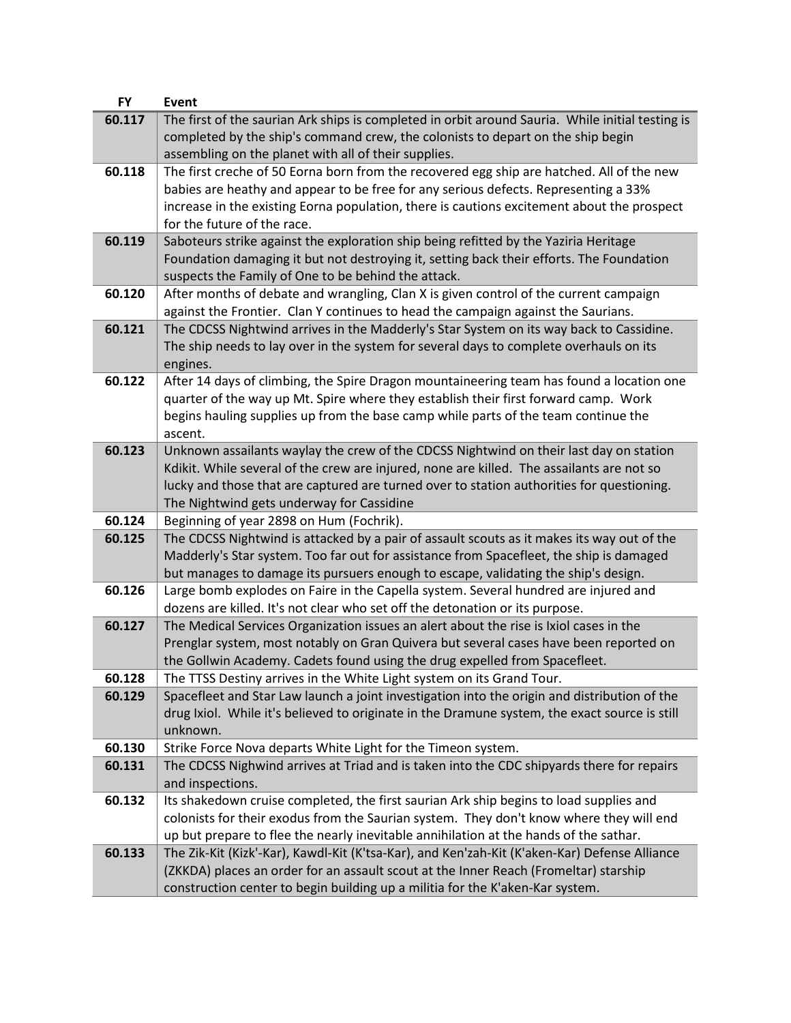| <b>FY</b> | Event                                                                                                                                                                     |
|-----------|---------------------------------------------------------------------------------------------------------------------------------------------------------------------------|
| 60.117    | The first of the saurian Ark ships is completed in orbit around Sauria. While initial testing is                                                                          |
|           | completed by the ship's command crew, the colonists to depart on the ship begin                                                                                           |
|           | assembling on the planet with all of their supplies.                                                                                                                      |
| 60.118    | The first creche of 50 Eorna born from the recovered egg ship are hatched. All of the new                                                                                 |
|           | babies are heathy and appear to be free for any serious defects. Representing a 33%                                                                                       |
|           | increase in the existing Eorna population, there is cautions excitement about the prospect                                                                                |
|           | for the future of the race.                                                                                                                                               |
| 60.119    | Saboteurs strike against the exploration ship being refitted by the Yaziria Heritage                                                                                      |
|           | Foundation damaging it but not destroying it, setting back their efforts. The Foundation                                                                                  |
|           | suspects the Family of One to be behind the attack.                                                                                                                       |
| 60.120    | After months of debate and wrangling, Clan X is given control of the current campaign                                                                                     |
|           | against the Frontier. Clan Y continues to head the campaign against the Saurians.                                                                                         |
| 60.121    | The CDCSS Nightwind arrives in the Madderly's Star System on its way back to Cassidine.                                                                                   |
|           | The ship needs to lay over in the system for several days to complete overhauls on its                                                                                    |
|           | engines.                                                                                                                                                                  |
| 60.122    | After 14 days of climbing, the Spire Dragon mountaineering team has found a location one                                                                                  |
|           |                                                                                                                                                                           |
|           | quarter of the way up Mt. Spire where they establish their first forward camp. Work<br>begins hauling supplies up from the base camp while parts of the team continue the |
|           |                                                                                                                                                                           |
| 60.123    | ascent.<br>Unknown assailants waylay the crew of the CDCSS Nightwind on their last day on station                                                                         |
|           |                                                                                                                                                                           |
|           | Kdikit. While several of the crew are injured, none are killed. The assailants are not so                                                                                 |
|           | lucky and those that are captured are turned over to station authorities for questioning.                                                                                 |
| 60.124    | The Nightwind gets underway for Cassidine                                                                                                                                 |
|           | Beginning of year 2898 on Hum (Fochrik).                                                                                                                                  |
| 60.125    | The CDCSS Nightwind is attacked by a pair of assault scouts as it makes its way out of the                                                                                |
|           | Madderly's Star system. Too far out for assistance from Spacefleet, the ship is damaged                                                                                   |
|           | but manages to damage its pursuers enough to escape, validating the ship's design.                                                                                        |
| 60.126    | Large bomb explodes on Faire in the Capella system. Several hundred are injured and                                                                                       |
|           | dozens are killed. It's not clear who set off the detonation or its purpose.                                                                                              |
| 60.127    | The Medical Services Organization issues an alert about the rise is Ixiol cases in the                                                                                    |
|           | Prenglar system, most notably on Gran Quivera but several cases have been reported on                                                                                     |
|           | the Gollwin Academy. Cadets found using the drug expelled from Spacefleet.                                                                                                |
| 60.128    | The TTSS Destiny arrives in the White Light system on its Grand Tour.                                                                                                     |
| 60.129    | Spacefleet and Star Law launch a joint investigation into the origin and distribution of the                                                                              |
|           | drug Ixiol. While it's believed to originate in the Dramune system, the exact source is still                                                                             |
|           | unknown.                                                                                                                                                                  |
| 60.130    | Strike Force Nova departs White Light for the Timeon system.                                                                                                              |
| 60.131    | The CDCSS Nighwind arrives at Triad and is taken into the CDC shipyards there for repairs                                                                                 |
|           | and inspections.                                                                                                                                                          |
| 60.132    | Its shakedown cruise completed, the first saurian Ark ship begins to load supplies and                                                                                    |
|           | colonists for their exodus from the Saurian system. They don't know where they will end                                                                                   |
|           | up but prepare to flee the nearly inevitable annihilation at the hands of the sathar.                                                                                     |
| 60.133    | The Zik-Kit (Kizk'-Kar), Kawdl-Kit (K'tsa-Kar), and Ken'zah-Kit (K'aken-Kar) Defense Alliance                                                                             |
|           | (ZKKDA) places an order for an assault scout at the Inner Reach (Fromeltar) starship                                                                                      |
|           | construction center to begin building up a militia for the K'aken-Kar system.                                                                                             |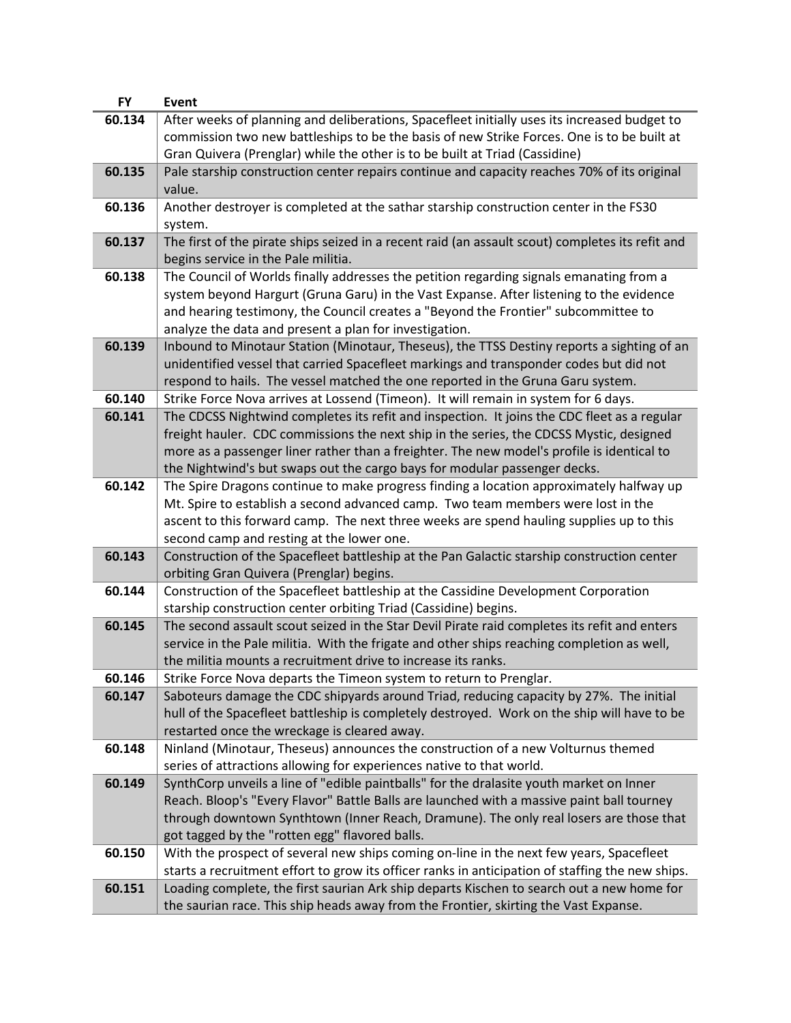| <b>FY</b> | <b>Event</b>                                                                                                                                                                                                                                                                                                                                                      |
|-----------|-------------------------------------------------------------------------------------------------------------------------------------------------------------------------------------------------------------------------------------------------------------------------------------------------------------------------------------------------------------------|
| 60.134    | After weeks of planning and deliberations, Spacefleet initially uses its increased budget to<br>commission two new battleships to be the basis of new Strike Forces. One is to be built at                                                                                                                                                                        |
|           | Gran Quivera (Prenglar) while the other is to be built at Triad (Cassidine)                                                                                                                                                                                                                                                                                       |
| 60.135    | Pale starship construction center repairs continue and capacity reaches 70% of its original<br>value.                                                                                                                                                                                                                                                             |
| 60.136    | Another destroyer is completed at the sathar starship construction center in the FS30<br>system.                                                                                                                                                                                                                                                                  |
| 60.137    | The first of the pirate ships seized in a recent raid (an assault scout) completes its refit and<br>begins service in the Pale militia.                                                                                                                                                                                                                           |
| 60.138    | The Council of Worlds finally addresses the petition regarding signals emanating from a<br>system beyond Hargurt (Gruna Garu) in the Vast Expanse. After listening to the evidence<br>and hearing testimony, the Council creates a "Beyond the Frontier" subcommittee to<br>analyze the data and present a plan for investigation.                                |
| 60.139    | Inbound to Minotaur Station (Minotaur, Theseus), the TTSS Destiny reports a sighting of an<br>unidentified vessel that carried Spacefleet markings and transponder codes but did not<br>respond to hails. The vessel matched the one reported in the Gruna Garu system.                                                                                           |
| 60.140    | Strike Force Nova arrives at Lossend (Timeon). It will remain in system for 6 days.                                                                                                                                                                                                                                                                               |
| 60.141    | The CDCSS Nightwind completes its refit and inspection. It joins the CDC fleet as a regular<br>freight hauler. CDC commissions the next ship in the series, the CDCSS Mystic, designed<br>more as a passenger liner rather than a freighter. The new model's profile is identical to<br>the Nightwind's but swaps out the cargo bays for modular passenger decks. |
| 60.142    | The Spire Dragons continue to make progress finding a location approximately halfway up                                                                                                                                                                                                                                                                           |
|           | Mt. Spire to establish a second advanced camp. Two team members were lost in the<br>ascent to this forward camp. The next three weeks are spend hauling supplies up to this                                                                                                                                                                                       |
|           | second camp and resting at the lower one.                                                                                                                                                                                                                                                                                                                         |
| 60.143    | Construction of the Spacefleet battleship at the Pan Galactic starship construction center<br>orbiting Gran Quivera (Prenglar) begins.                                                                                                                                                                                                                            |
| 60.144    | Construction of the Spacefleet battleship at the Cassidine Development Corporation<br>starship construction center orbiting Triad (Cassidine) begins.                                                                                                                                                                                                             |
| 60.145    | The second assault scout seized in the Star Devil Pirate raid completes its refit and enters<br>service in the Pale militia. With the frigate and other ships reaching completion as well,<br>the militia mounts a recruitment drive to increase its ranks.                                                                                                       |
| 60.146    | Strike Force Nova departs the Timeon system to return to Prenglar.                                                                                                                                                                                                                                                                                                |
| 60.147    | Saboteurs damage the CDC shipyards around Triad, reducing capacity by 27%. The initial<br>hull of the Spacefleet battleship is completely destroyed. Work on the ship will have to be<br>restarted once the wreckage is cleared away.                                                                                                                             |
| 60.148    | Ninland (Minotaur, Theseus) announces the construction of a new Volturnus themed<br>series of attractions allowing for experiences native to that world.                                                                                                                                                                                                          |
| 60.149    | SynthCorp unveils a line of "edible paintballs" for the dralasite youth market on Inner<br>Reach. Bloop's "Every Flavor" Battle Balls are launched with a massive paint ball tourney<br>through downtown Synthtown (Inner Reach, Dramune). The only real losers are those that<br>got tagged by the "rotten egg" flavored balls.                                  |
| 60.150    | With the prospect of several new ships coming on-line in the next few years, Spacefleet<br>starts a recruitment effort to grow its officer ranks in anticipation of staffing the new ships.                                                                                                                                                                       |
| 60.151    | Loading complete, the first saurian Ark ship departs Kischen to search out a new home for<br>the saurian race. This ship heads away from the Frontier, skirting the Vast Expanse.                                                                                                                                                                                 |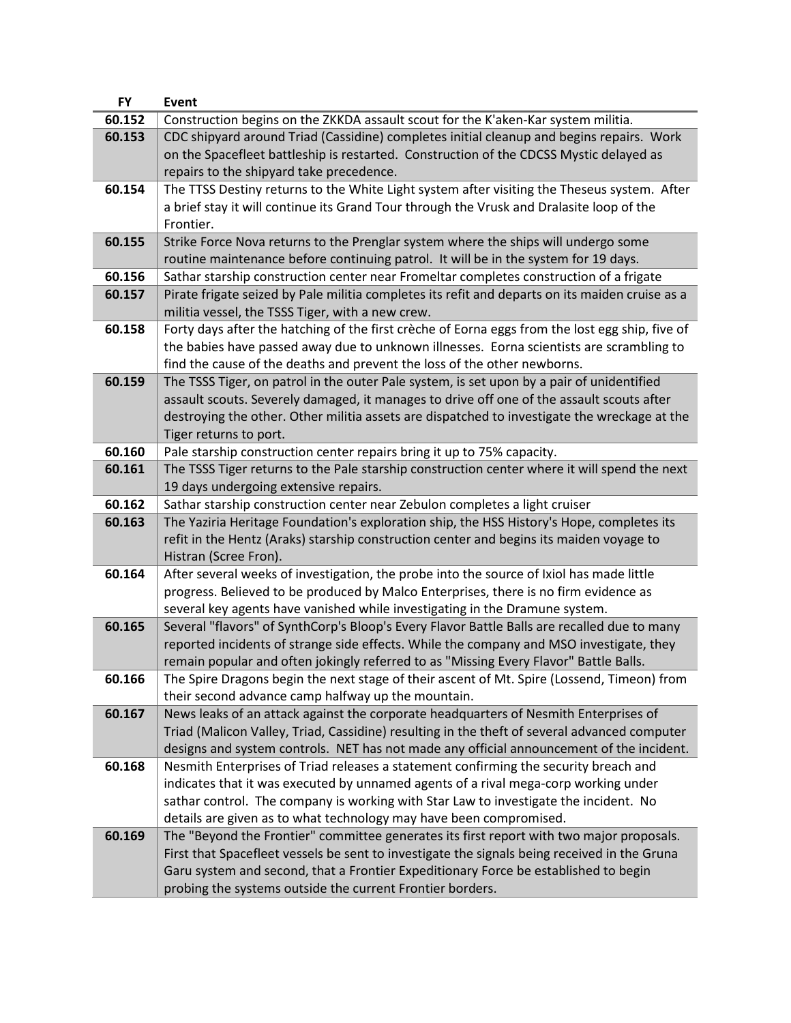| <b>FY</b> | <b>Event</b>                                                                                    |
|-----------|-------------------------------------------------------------------------------------------------|
| 60.152    | Construction begins on the ZKKDA assault scout for the K'aken-Kar system militia.               |
| 60.153    | CDC shipyard around Triad (Cassidine) completes initial cleanup and begins repairs. Work        |
|           | on the Spacefleet battleship is restarted. Construction of the CDCSS Mystic delayed as          |
|           | repairs to the shipyard take precedence.                                                        |
| 60.154    | The TTSS Destiny returns to the White Light system after visiting the Theseus system. After     |
|           | a brief stay it will continue its Grand Tour through the Vrusk and Dralasite loop of the        |
|           | Frontier.                                                                                       |
| 60.155    | Strike Force Nova returns to the Prenglar system where the ships will undergo some              |
|           | routine maintenance before continuing patrol. It will be in the system for 19 days.             |
| 60.156    | Sathar starship construction center near Fromeltar completes construction of a frigate          |
| 60.157    | Pirate frigate seized by Pale militia completes its refit and departs on its maiden cruise as a |
|           | militia vessel, the TSSS Tiger, with a new crew.                                                |
| 60.158    | Forty days after the hatching of the first crèche of Eorna eggs from the lost egg ship, five of |
|           |                                                                                                 |
|           | the babies have passed away due to unknown illnesses. Eorna scientists are scrambling to        |
|           | find the cause of the deaths and prevent the loss of the other newborns.                        |
| 60.159    | The TSSS Tiger, on patrol in the outer Pale system, is set upon by a pair of unidentified       |
|           | assault scouts. Severely damaged, it manages to drive off one of the assault scouts after       |
|           | destroying the other. Other militia assets are dispatched to investigate the wreckage at the    |
|           | Tiger returns to port.                                                                          |
| 60.160    | Pale starship construction center repairs bring it up to 75% capacity.                          |
| 60.161    | The TSSS Tiger returns to the Pale starship construction center where it will spend the next    |
|           | 19 days undergoing extensive repairs.                                                           |
| 60.162    | Sathar starship construction center near Zebulon completes a light cruiser                      |
| 60.163    | The Yaziria Heritage Foundation's exploration ship, the HSS History's Hope, completes its       |
|           | refit in the Hentz (Araks) starship construction center and begins its maiden voyage to         |
|           | Histran (Scree Fron).                                                                           |
| 60.164    | After several weeks of investigation, the probe into the source of Ixiol has made little        |
|           | progress. Believed to be produced by Malco Enterprises, there is no firm evidence as            |
|           | several key agents have vanished while investigating in the Dramune system.                     |
| 60.165    | Several "flavors" of SynthCorp's Bloop's Every Flavor Battle Balls are recalled due to many     |
|           | reported incidents of strange side effects. While the company and MSO investigate, they         |
|           | remain popular and often jokingly referred to as "Missing Every Flavor" Battle Balls.           |
| 60.166    | The Spire Dragons begin the next stage of their ascent of Mt. Spire (Lossend, Timeon) from      |
|           | their second advance camp halfway up the mountain.                                              |
| 60.167    | News leaks of an attack against the corporate headquarters of Nesmith Enterprises of            |
|           | Triad (Malicon Valley, Triad, Cassidine) resulting in the theft of several advanced computer    |
|           | designs and system controls. NET has not made any official announcement of the incident.        |
| 60.168    | Nesmith Enterprises of Triad releases a statement confirming the security breach and            |
|           | indicates that it was executed by unnamed agents of a rival mega-corp working under             |
|           | sathar control. The company is working with Star Law to investigate the incident. No            |
|           | details are given as to what technology may have been compromised.                              |
| 60.169    | The "Beyond the Frontier" committee generates its first report with two major proposals.        |
|           | First that Spacefleet vessels be sent to investigate the signals being received in the Gruna    |
|           | Garu system and second, that a Frontier Expeditionary Force be established to begin             |
|           | probing the systems outside the current Frontier borders.                                       |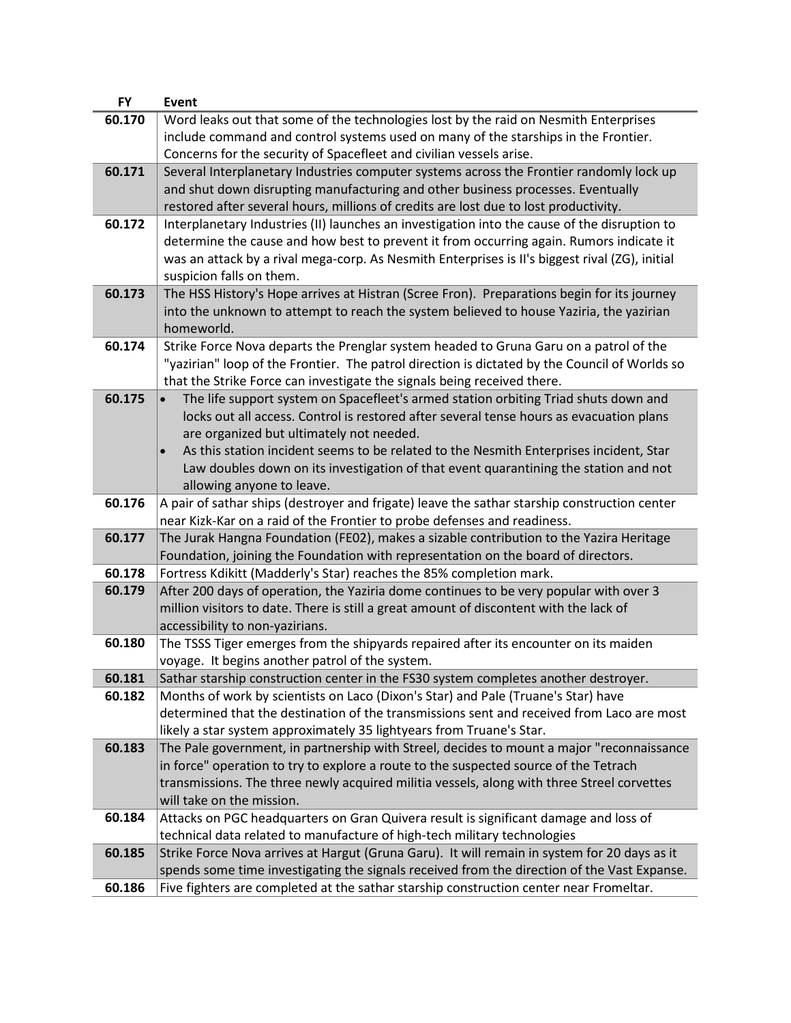| <b>FY</b> | <b>Event</b>                                                                                   |
|-----------|------------------------------------------------------------------------------------------------|
| 60.170    | Word leaks out that some of the technologies lost by the raid on Nesmith Enterprises           |
|           | include command and control systems used on many of the starships in the Frontier.             |
|           | Concerns for the security of Spacefleet and civilian vessels arise.                            |
| 60.171    | Several Interplanetary Industries computer systems across the Frontier randomly lock up        |
|           | and shut down disrupting manufacturing and other business processes. Eventually                |
|           | restored after several hours, millions of credits are lost due to lost productivity.           |
| 60.172    | Interplanetary Industries (II) launches an investigation into the cause of the disruption to   |
|           | determine the cause and how best to prevent it from occurring again. Rumors indicate it        |
|           | was an attack by a rival mega-corp. As Nesmith Enterprises is II's biggest rival (ZG), initial |
|           | suspicion falls on them.                                                                       |
| 60.173    | The HSS History's Hope arrives at Histran (Scree Fron). Preparations begin for its journey     |
|           | into the unknown to attempt to reach the system believed to house Yaziria, the yazirian        |
|           |                                                                                                |
|           | homeworld.                                                                                     |
| 60.174    | Strike Force Nova departs the Prenglar system headed to Gruna Garu on a patrol of the          |
|           | "yazirian" loop of the Frontier. The patrol direction is dictated by the Council of Worlds so  |
|           | that the Strike Force can investigate the signals being received there.                        |
| 60.175    | The life support system on Spacefleet's armed station orbiting Triad shuts down and            |
|           | locks out all access. Control is restored after several tense hours as evacuation plans        |
|           | are organized but ultimately not needed.                                                       |
|           | As this station incident seems to be related to the Nesmith Enterprises incident, Star         |
|           | Law doubles down on its investigation of that event quarantining the station and not           |
|           | allowing anyone to leave.                                                                      |
| 60.176    | A pair of sathar ships (destroyer and frigate) leave the sathar starship construction center   |
|           | near Kizk-Kar on a raid of the Frontier to probe defenses and readiness.                       |
| 60.177    | The Jurak Hangna Foundation (FEO2), makes a sizable contribution to the Yazira Heritage        |
|           | Foundation, joining the Foundation with representation on the board of directors.              |
| 60.178    | Fortress Kdikitt (Madderly's Star) reaches the 85% completion mark.                            |
| 60.179    | After 200 days of operation, the Yaziria dome continues to be very popular with over 3         |
|           | million visitors to date. There is still a great amount of discontent with the lack of         |
|           | accessibility to non-yazirians.                                                                |
| 60.180    | The TSSS Tiger emerges from the shipyards repaired after its encounter on its maiden           |
|           | voyage. It begins another patrol of the system.                                                |
| 60.181    | Sathar starship construction center in the FS30 system completes another destroyer.            |
| 60.182    | Months of work by scientists on Laco (Dixon's Star) and Pale (Truane's Star) have              |
|           | determined that the destination of the transmissions sent and received from Laco are most      |
|           | likely a star system approximately 35 lightyears from Truane's Star.                           |
| 60.183    | The Pale government, in partnership with Streel, decides to mount a major "reconnaissance      |
|           | in force" operation to try to explore a route to the suspected source of the Tetrach           |
|           | transmissions. The three newly acquired militia vessels, along with three Streel corvettes     |
|           | will take on the mission.                                                                      |
| 60.184    | Attacks on PGC headquarters on Gran Quivera result is significant damage and loss of           |
|           | technical data related to manufacture of high-tech military technologies                       |
| 60.185    | Strike Force Nova arrives at Hargut (Gruna Garu). It will remain in system for 20 days as it   |
|           | spends some time investigating the signals received from the direction of the Vast Expanse.    |
| 60.186    | Five fighters are completed at the sathar starship construction center near Fromeltar.         |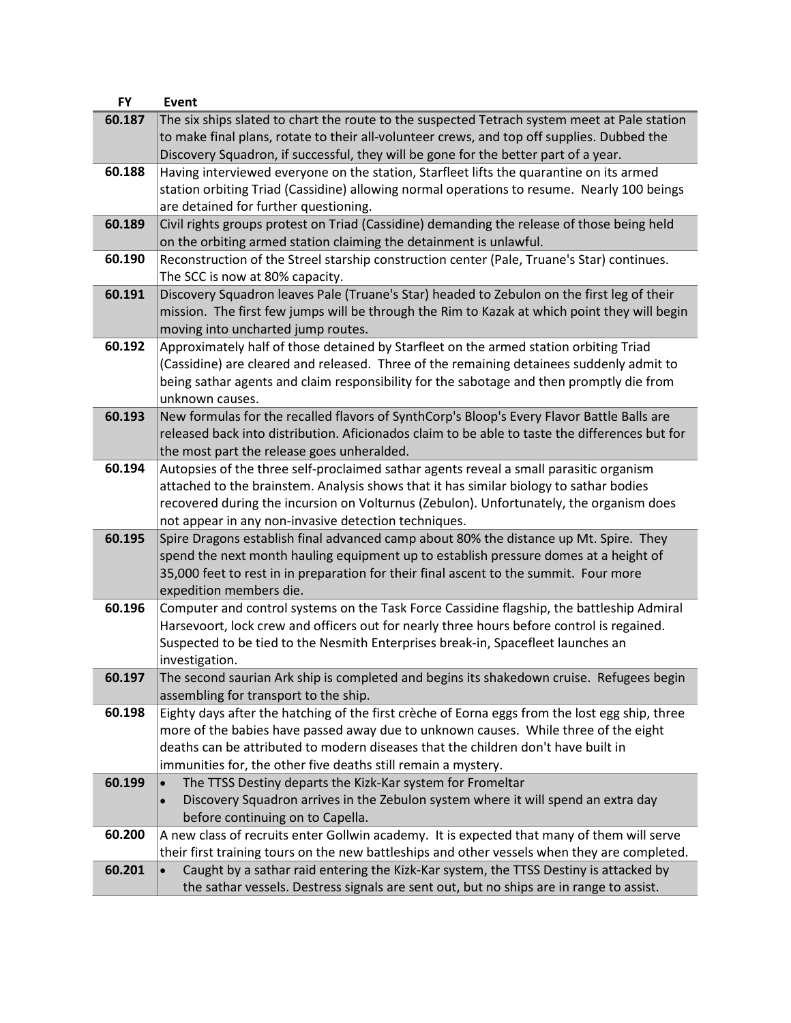| <b>FY</b> | <b>Event</b>                                                                                       |
|-----------|----------------------------------------------------------------------------------------------------|
| 60.187    | The six ships slated to chart the route to the suspected Tetrach system meet at Pale station       |
|           | to make final plans, rotate to their all-volunteer crews, and top off supplies. Dubbed the         |
|           | Discovery Squadron, if successful, they will be gone for the better part of a year.                |
| 60.188    | Having interviewed everyone on the station, Starfleet lifts the quarantine on its armed            |
|           | station orbiting Triad (Cassidine) allowing normal operations to resume. Nearly 100 beings         |
|           | are detained for further questioning.                                                              |
| 60.189    | Civil rights groups protest on Triad (Cassidine) demanding the release of those being held         |
|           | on the orbiting armed station claiming the detainment is unlawful.                                 |
| 60.190    | Reconstruction of the Streel starship construction center (Pale, Truane's Star) continues.         |
|           | The SCC is now at 80% capacity.                                                                    |
| 60.191    | Discovery Squadron leaves Pale (Truane's Star) headed to Zebulon on the first leg of their         |
|           | mission. The first few jumps will be through the Rim to Kazak at which point they will begin       |
|           | moving into uncharted jump routes.                                                                 |
| 60.192    | Approximately half of those detained by Starfleet on the armed station orbiting Triad              |
|           | (Cassidine) are cleared and released. Three of the remaining detainees suddenly admit to           |
|           | being sathar agents and claim responsibility for the sabotage and then promptly die from           |
|           | unknown causes.                                                                                    |
| 60.193    | New formulas for the recalled flavors of SynthCorp's Bloop's Every Flavor Battle Balls are         |
|           | released back into distribution. Aficionados claim to be able to taste the differences but for     |
|           | the most part the release goes unheralded.                                                         |
| 60.194    | Autopsies of the three self-proclaimed sathar agents reveal a small parasitic organism             |
|           | attached to the brainstem. Analysis shows that it has similar biology to sathar bodies             |
|           | recovered during the incursion on Volturnus (Zebulon). Unfortunately, the organism does            |
|           | not appear in any non-invasive detection techniques.                                               |
| 60.195    | Spire Dragons establish final advanced camp about 80% the distance up Mt. Spire. They              |
|           | spend the next month hauling equipment up to establish pressure domes at a height of               |
|           | 35,000 feet to rest in in preparation for their final ascent to the summit. Four more              |
|           | expedition members die.                                                                            |
| 60.196    | Computer and control systems on the Task Force Cassidine flagship, the battleship Admiral          |
|           | Harsevoort, lock crew and officers out for nearly three hours before control is regained.          |
|           | Suspected to be tied to the Nesmith Enterprises break-in, Spacefleet launches an                   |
|           | investigation.                                                                                     |
| 60.197    | The second saurian Ark ship is completed and begins its shakedown cruise. Refugees begin           |
|           | assembling for transport to the ship.                                                              |
| 60.198    | Eighty days after the hatching of the first crèche of Eorna eggs from the lost egg ship, three     |
|           | more of the babies have passed away due to unknown causes. While three of the eight                |
|           | deaths can be attributed to modern diseases that the children don't have built in                  |
|           | immunities for, the other five deaths still remain a mystery.                                      |
| 60.199    | The TTSS Destiny departs the Kizk-Kar system for Fromeltar                                         |
|           | Discovery Squadron arrives in the Zebulon system where it will spend an extra day<br>$\bullet$     |
|           | before continuing on to Capella.                                                                   |
| 60.200    | A new class of recruits enter Gollwin academy. It is expected that many of them will serve         |
|           | their first training tours on the new battleships and other vessels when they are completed.       |
| 60.201    | Caught by a sathar raid entering the Kizk-Kar system, the TTSS Destiny is attacked by<br>$\bullet$ |
|           | the sathar vessels. Destress signals are sent out, but no ships are in range to assist.            |
|           |                                                                                                    |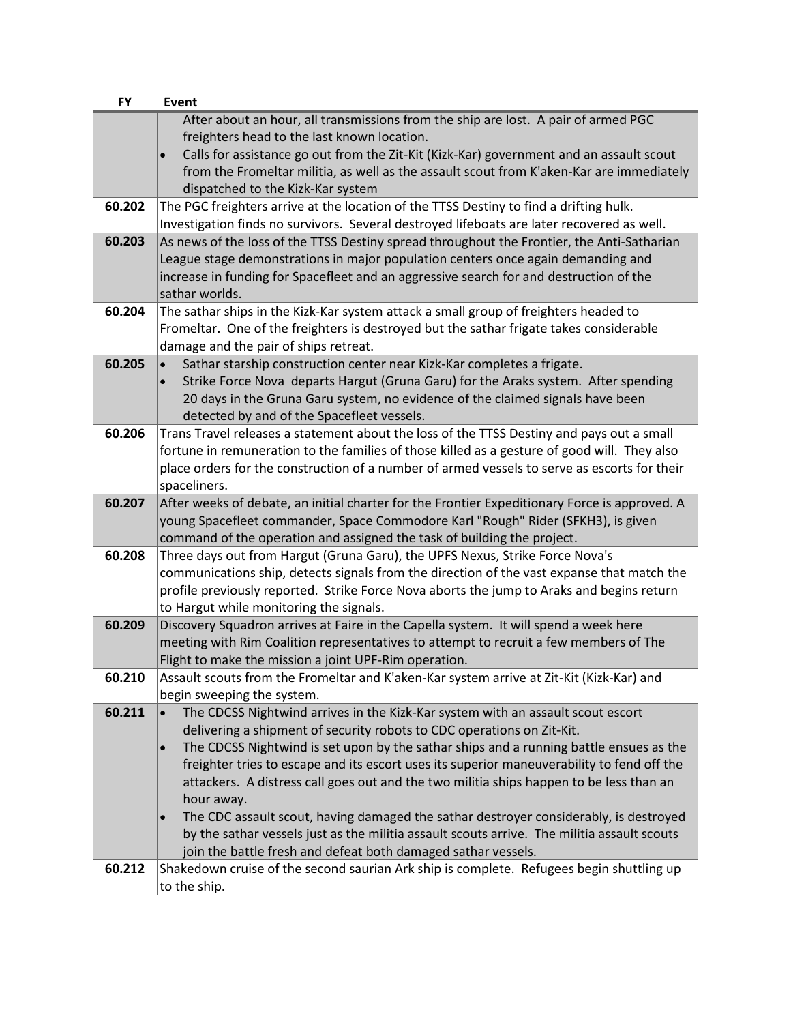| <b>FY</b> | Event                                                                                                                                                     |
|-----------|-----------------------------------------------------------------------------------------------------------------------------------------------------------|
|           | After about an hour, all transmissions from the ship are lost. A pair of armed PGC                                                                        |
|           | freighters head to the last known location.                                                                                                               |
|           | Calls for assistance go out from the Zit-Kit (Kizk-Kar) government and an assault scout<br>$\bullet$                                                      |
|           | from the Fromeltar militia, as well as the assault scout from K'aken-Kar are immediately                                                                  |
|           | dispatched to the Kizk-Kar system                                                                                                                         |
| 60.202    | The PGC freighters arrive at the location of the TTSS Destiny to find a drifting hulk.                                                                    |
|           | Investigation finds no survivors. Several destroyed lifeboats are later recovered as well.                                                                |
| 60.203    | As news of the loss of the TTSS Destiny spread throughout the Frontier, the Anti-Satharian                                                                |
|           | League stage demonstrations in major population centers once again demanding and                                                                          |
|           | increase in funding for Spacefleet and an aggressive search for and destruction of the                                                                    |
|           | sathar worlds.                                                                                                                                            |
| 60.204    | The sathar ships in the Kizk-Kar system attack a small group of freighters headed to                                                                      |
|           | Fromeltar. One of the freighters is destroyed but the sathar frigate takes considerable                                                                   |
|           | damage and the pair of ships retreat.                                                                                                                     |
| 60.205    | Sathar starship construction center near Kizk-Kar completes a frigate.                                                                                    |
|           | Strike Force Nova departs Hargut (Gruna Garu) for the Araks system. After spending                                                                        |
|           | 20 days in the Gruna Garu system, no evidence of the claimed signals have been                                                                            |
|           | detected by and of the Spacefleet vessels.                                                                                                                |
| 60.206    | Trans Travel releases a statement about the loss of the TTSS Destiny and pays out a small                                                                 |
|           | fortune in remuneration to the families of those killed as a gesture of good will. They also                                                              |
|           | place orders for the construction of a number of armed vessels to serve as escorts for their                                                              |
|           | spaceliners.                                                                                                                                              |
| 60.207    | After weeks of debate, an initial charter for the Frontier Expeditionary Force is approved. A                                                             |
|           | young Spacefleet commander, Space Commodore Karl "Rough" Rider (SFKH3), is given                                                                          |
| 60.208    | command of the operation and assigned the task of building the project.<br>Three days out from Hargut (Gruna Garu), the UPFS Nexus, Strike Force Nova's   |
|           | communications ship, detects signals from the direction of the vast expanse that match the                                                                |
|           | profile previously reported. Strike Force Nova aborts the jump to Araks and begins return                                                                 |
|           | to Hargut while monitoring the signals.                                                                                                                   |
| 60.209    | Discovery Squadron arrives at Faire in the Capella system. It will spend a week here                                                                      |
|           | meeting with Rim Coalition representatives to attempt to recruit a few members of The                                                                     |
|           | Flight to make the mission a joint UPF-Rim operation.                                                                                                     |
| 60.210    | Assault scouts from the Fromeltar and K'aken-Kar system arrive at Zit-Kit (Kizk-Kar) and                                                                  |
|           |                                                                                                                                                           |
|           |                                                                                                                                                           |
| 60.211    | begin sweeping the system.                                                                                                                                |
|           | The CDCSS Nightwind arrives in the Kizk-Kar system with an assault scout escort<br>delivering a shipment of security robots to CDC operations on Zit-Kit. |
|           | The CDCSS Nightwind is set upon by the sathar ships and a running battle ensues as the<br>$\bullet$                                                       |
|           | freighter tries to escape and its escort uses its superior maneuverability to fend off the                                                                |
|           | attackers. A distress call goes out and the two militia ships happen to be less than an                                                                   |
|           | hour away.                                                                                                                                                |
|           | The CDC assault scout, having damaged the sathar destroyer considerably, is destroyed                                                                     |
|           | by the sathar vessels just as the militia assault scouts arrive. The militia assault scouts                                                               |
|           | join the battle fresh and defeat both damaged sathar vessels.                                                                                             |
| 60.212    | Shakedown cruise of the second saurian Ark ship is complete. Refugees begin shuttling up<br>to the ship.                                                  |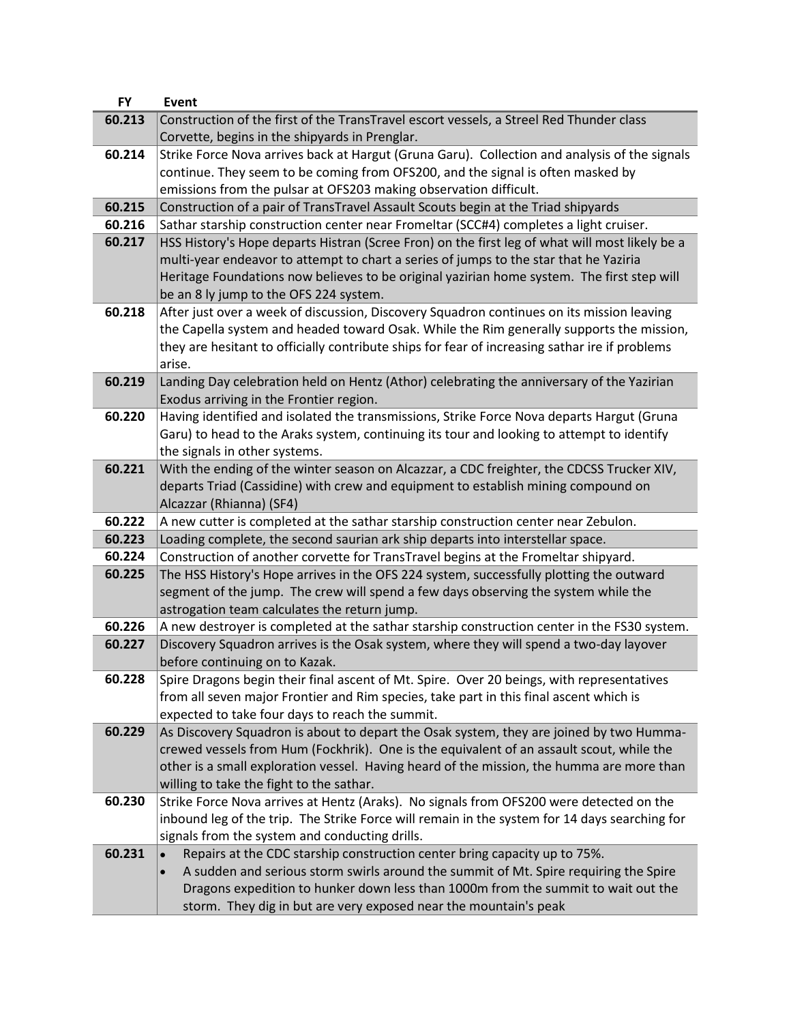| <b>FY</b> | Event                                                                                                                      |
|-----------|----------------------------------------------------------------------------------------------------------------------------|
| 60.213    | Construction of the first of the TransTravel escort vessels, a Streel Red Thunder class                                    |
|           | Corvette, begins in the shipyards in Prenglar.                                                                             |
| 60.214    | Strike Force Nova arrives back at Hargut (Gruna Garu). Collection and analysis of the signals                              |
|           | continue. They seem to be coming from OFS200, and the signal is often masked by                                            |
|           | emissions from the pulsar at OFS203 making observation difficult.                                                          |
| 60.215    | Construction of a pair of TransTravel Assault Scouts begin at the Triad shipyards                                          |
| 60.216    | Sathar starship construction center near Fromeltar (SCC#4) completes a light cruiser.                                      |
| 60.217    | HSS History's Hope departs Histran (Scree Fron) on the first leg of what will most likely be a                             |
|           | multi-year endeavor to attempt to chart a series of jumps to the star that he Yaziria                                      |
|           | Heritage Foundations now believes to be original yazirian home system. The first step will                                 |
|           | be an 8 ly jump to the OFS 224 system.                                                                                     |
| 60.218    | After just over a week of discussion, Discovery Squadron continues on its mission leaving                                  |
|           | the Capella system and headed toward Osak. While the Rim generally supports the mission,                                   |
|           | they are hesitant to officially contribute ships for fear of increasing sathar ire if problems                             |
|           | arise.                                                                                                                     |
| 60.219    | Landing Day celebration held on Hentz (Athor) celebrating the anniversary of the Yazirian                                  |
|           | Exodus arriving in the Frontier region.                                                                                    |
| 60.220    | Having identified and isolated the transmissions, Strike Force Nova departs Hargut (Gruna                                  |
|           | Garu) to head to the Araks system, continuing its tour and looking to attempt to identify                                  |
| 60.221    | the signals in other systems.<br>With the ending of the winter season on Alcazzar, a CDC freighter, the CDCSS Trucker XIV, |
|           | departs Triad (Cassidine) with crew and equipment to establish mining compound on                                          |
|           | Alcazzar (Rhianna) (SF4)                                                                                                   |
| 60.222    | A new cutter is completed at the sathar starship construction center near Zebulon.                                         |
| 60.223    | Loading complete, the second saurian ark ship departs into interstellar space.                                             |
| 60.224    | Construction of another corvette for TransTravel begins at the Fromeltar shipyard.                                         |
| 60.225    | The HSS History's Hope arrives in the OFS 224 system, successfully plotting the outward                                    |
|           | segment of the jump. The crew will spend a few days observing the system while the                                         |
|           | astrogation team calculates the return jump.                                                                               |
| 60.226    | A new destroyer is completed at the sathar starship construction center in the FS30 system.                                |
| 60.227    | Discovery Squadron arrives is the Osak system, where they will spend a two-day layover                                     |
|           | before continuing on to Kazak.                                                                                             |
| 60.228    | Spire Dragons begin their final ascent of Mt. Spire. Over 20 beings, with representatives                                  |
|           | from all seven major Frontier and Rim species, take part in this final ascent which is                                     |
|           | expected to take four days to reach the summit.                                                                            |
| 60.229    | As Discovery Squadron is about to depart the Osak system, they are joined by two Humma-                                    |
|           | crewed vessels from Hum (Fockhrik). One is the equivalent of an assault scout, while the                                   |
|           | other is a small exploration vessel. Having heard of the mission, the humma are more than                                  |
|           | willing to take the fight to the sathar.                                                                                   |
| 60.230    | Strike Force Nova arrives at Hentz (Araks). No signals from OFS200 were detected on the                                    |
|           | inbound leg of the trip. The Strike Force will remain in the system for 14 days searching for                              |
|           | signals from the system and conducting drills.                                                                             |
| 60.231    | Repairs at the CDC starship construction center bring capacity up to 75%.                                                  |
|           | A sudden and serious storm swirls around the summit of Mt. Spire requiring the Spire                                       |
|           | Dragons expedition to hunker down less than 1000m from the summit to wait out the                                          |
|           | storm. They dig in but are very exposed near the mountain's peak                                                           |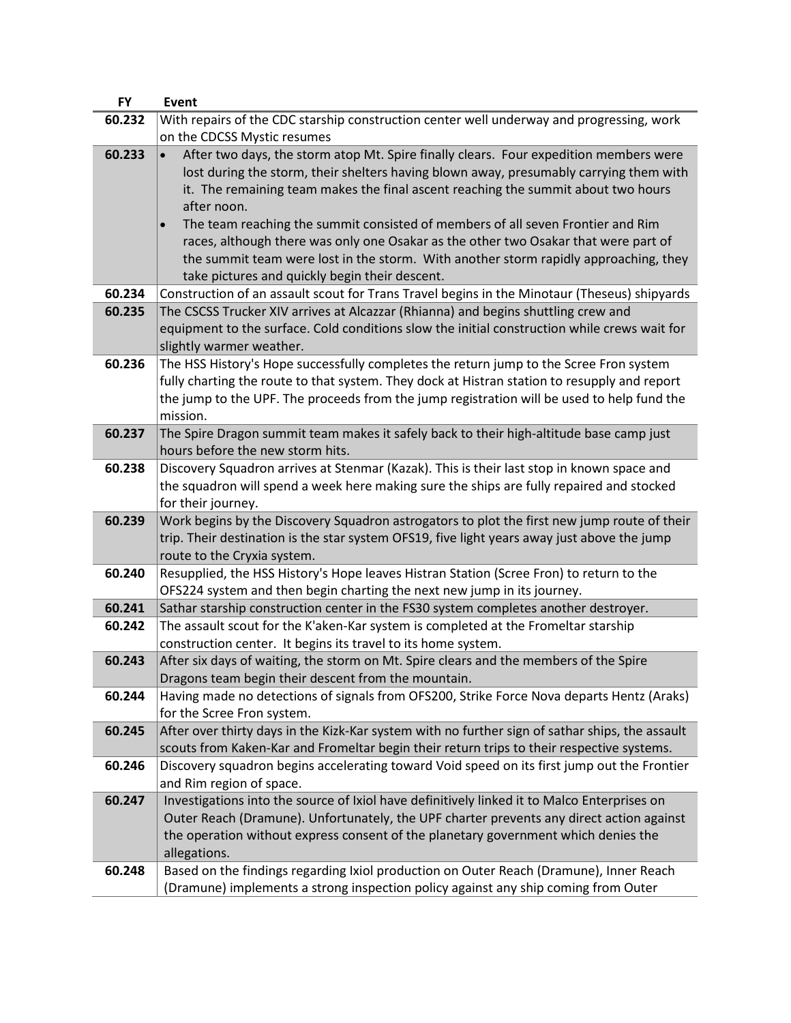| <b>FY</b> | Event                                                                                           |
|-----------|-------------------------------------------------------------------------------------------------|
| 60.232    | With repairs of the CDC starship construction center well underway and progressing, work        |
|           | on the CDCSS Mystic resumes                                                                     |
| 60.233    | After two days, the storm atop Mt. Spire finally clears. Four expedition members were           |
|           | lost during the storm, their shelters having blown away, presumably carrying them with          |
|           | it. The remaining team makes the final ascent reaching the summit about two hours               |
|           | after noon.                                                                                     |
|           | The team reaching the summit consisted of members of all seven Frontier and Rim                 |
|           | races, although there was only one Osakar as the other two Osakar that were part of             |
|           | the summit team were lost in the storm. With another storm rapidly approaching, they            |
|           | take pictures and quickly begin their descent.                                                  |
| 60.234    | Construction of an assault scout for Trans Travel begins in the Minotaur (Theseus) shipyards    |
| 60.235    | The CSCSS Trucker XIV arrives at Alcazzar (Rhianna) and begins shuttling crew and               |
|           | equipment to the surface. Cold conditions slow the initial construction while crews wait for    |
|           | slightly warmer weather.                                                                        |
| 60.236    | The HSS History's Hope successfully completes the return jump to the Scree Fron system          |
|           | fully charting the route to that system. They dock at Histran station to resupply and report    |
|           | the jump to the UPF. The proceeds from the jump registration will be used to help fund the      |
|           | mission.                                                                                        |
| 60.237    | The Spire Dragon summit team makes it safely back to their high-altitude base camp just         |
|           | hours before the new storm hits.                                                                |
| 60.238    | Discovery Squadron arrives at Stenmar (Kazak). This is their last stop in known space and       |
|           | the squadron will spend a week here making sure the ships are fully repaired and stocked        |
|           | for their journey.                                                                              |
| 60.239    | Work begins by the Discovery Squadron astrogators to plot the first new jump route of their     |
|           | trip. Their destination is the star system OFS19, five light years away just above the jump     |
|           | route to the Cryxia system.                                                                     |
| 60.240    | Resupplied, the HSS History's Hope leaves Histran Station (Scree Fron) to return to the         |
|           | OFS224 system and then begin charting the next new jump in its journey.                         |
| 60.241    | Sathar starship construction center in the FS30 system completes another destroyer.             |
| 60.242    | The assault scout for the K'aken-Kar system is completed at the Fromeltar starship              |
|           | construction center. It begins its travel to its home system.                                   |
| 60.243    | After six days of waiting, the storm on Mt. Spire clears and the members of the Spire           |
|           | Dragons team begin their descent from the mountain.                                             |
| 60.244    | Having made no detections of signals from OFS200, Strike Force Nova departs Hentz (Araks)       |
|           | for the Scree Fron system.                                                                      |
| 60.245    | After over thirty days in the Kizk-Kar system with no further sign of sathar ships, the assault |
|           | scouts from Kaken-Kar and Fromeltar begin their return trips to their respective systems.       |
| 60.246    | Discovery squadron begins accelerating toward Void speed on its first jump out the Frontier     |
|           | and Rim region of space.                                                                        |
| 60.247    | Investigations into the source of Ixiol have definitively linked it to Malco Enterprises on     |
|           | Outer Reach (Dramune). Unfortunately, the UPF charter prevents any direct action against        |
|           | the operation without express consent of the planetary government which denies the              |
|           | allegations.                                                                                    |
| 60.248    | Based on the findings regarding Ixiol production on Outer Reach (Dramune), Inner Reach          |
|           | (Dramune) implements a strong inspection policy against any ship coming from Outer              |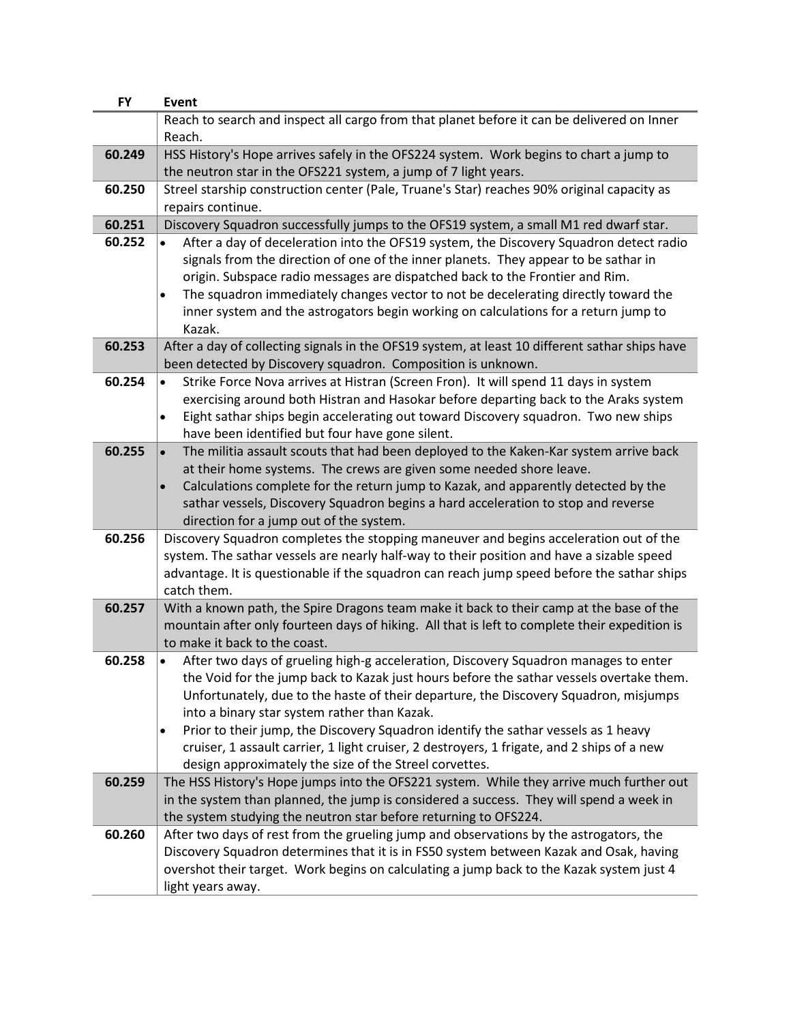| <b>FY</b> | <b>Event</b>                                                                                                                                                                                                                                                                                                                                                                                                                                                                                                                                                              |
|-----------|---------------------------------------------------------------------------------------------------------------------------------------------------------------------------------------------------------------------------------------------------------------------------------------------------------------------------------------------------------------------------------------------------------------------------------------------------------------------------------------------------------------------------------------------------------------------------|
|           | Reach to search and inspect all cargo from that planet before it can be delivered on Inner                                                                                                                                                                                                                                                                                                                                                                                                                                                                                |
|           | Reach.                                                                                                                                                                                                                                                                                                                                                                                                                                                                                                                                                                    |
| 60.249    | HSS History's Hope arrives safely in the OFS224 system. Work begins to chart a jump to                                                                                                                                                                                                                                                                                                                                                                                                                                                                                    |
|           | the neutron star in the OFS221 system, a jump of 7 light years.                                                                                                                                                                                                                                                                                                                                                                                                                                                                                                           |
| 60.250    | Streel starship construction center (Pale, Truane's Star) reaches 90% original capacity as                                                                                                                                                                                                                                                                                                                                                                                                                                                                                |
|           | repairs continue.                                                                                                                                                                                                                                                                                                                                                                                                                                                                                                                                                         |
| 60.251    | Discovery Squadron successfully jumps to the OFS19 system, a small M1 red dwarf star.                                                                                                                                                                                                                                                                                                                                                                                                                                                                                     |
| 60.252    | After a day of deceleration into the OFS19 system, the Discovery Squadron detect radio<br>signals from the direction of one of the inner planets. They appear to be sathar in<br>origin. Subspace radio messages are dispatched back to the Frontier and Rim.<br>The squadron immediately changes vector to not be decelerating directly toward the<br>inner system and the astrogators begin working on calculations for a return jump to                                                                                                                                |
|           | Kazak.                                                                                                                                                                                                                                                                                                                                                                                                                                                                                                                                                                    |
| 60.253    | After a day of collecting signals in the OFS19 system, at least 10 different sathar ships have<br>been detected by Discovery squadron. Composition is unknown.                                                                                                                                                                                                                                                                                                                                                                                                            |
| 60.254    | Strike Force Nova arrives at Histran (Screen Fron). It will spend 11 days in system<br>exercising around both Histran and Hasokar before departing back to the Araks system<br>Eight sathar ships begin accelerating out toward Discovery squadron. Two new ships<br>$\bullet$<br>have been identified but four have gone silent.                                                                                                                                                                                                                                         |
| 60.255    | The militia assault scouts that had been deployed to the Kaken-Kar system arrive back<br>at their home systems. The crews are given some needed shore leave.<br>Calculations complete for the return jump to Kazak, and apparently detected by the<br>$\bullet$<br>sathar vessels, Discovery Squadron begins a hard acceleration to stop and reverse<br>direction for a jump out of the system.                                                                                                                                                                           |
| 60.256    | Discovery Squadron completes the stopping maneuver and begins acceleration out of the<br>system. The sathar vessels are nearly half-way to their position and have a sizable speed<br>advantage. It is questionable if the squadron can reach jump speed before the sathar ships<br>catch them.                                                                                                                                                                                                                                                                           |
| 60.257    | With a known path, the Spire Dragons team make it back to their camp at the base of the<br>mountain after only fourteen days of hiking. All that is left to complete their expedition is<br>to make it back to the coast.                                                                                                                                                                                                                                                                                                                                                 |
| 60.258    | After two days of grueling high-g acceleration, Discovery Squadron manages to enter<br>the Void for the jump back to Kazak just hours before the sathar vessels overtake them.<br>Unfortunately, due to the haste of their departure, the Discovery Squadron, misjumps<br>into a binary star system rather than Kazak.<br>Prior to their jump, the Discovery Squadron identify the sathar vessels as 1 heavy<br>٠<br>cruiser, 1 assault carrier, 1 light cruiser, 2 destroyers, 1 frigate, and 2 ships of a new<br>design approximately the size of the Streel corvettes. |
| 60.259    | The HSS History's Hope jumps into the OFS221 system. While they arrive much further out<br>in the system than planned, the jump is considered a success. They will spend a week in<br>the system studying the neutron star before returning to OFS224.                                                                                                                                                                                                                                                                                                                    |
| 60.260    | After two days of rest from the grueling jump and observations by the astrogators, the<br>Discovery Squadron determines that it is in FS50 system between Kazak and Osak, having<br>overshot their target. Work begins on calculating a jump back to the Kazak system just 4<br>light years away.                                                                                                                                                                                                                                                                         |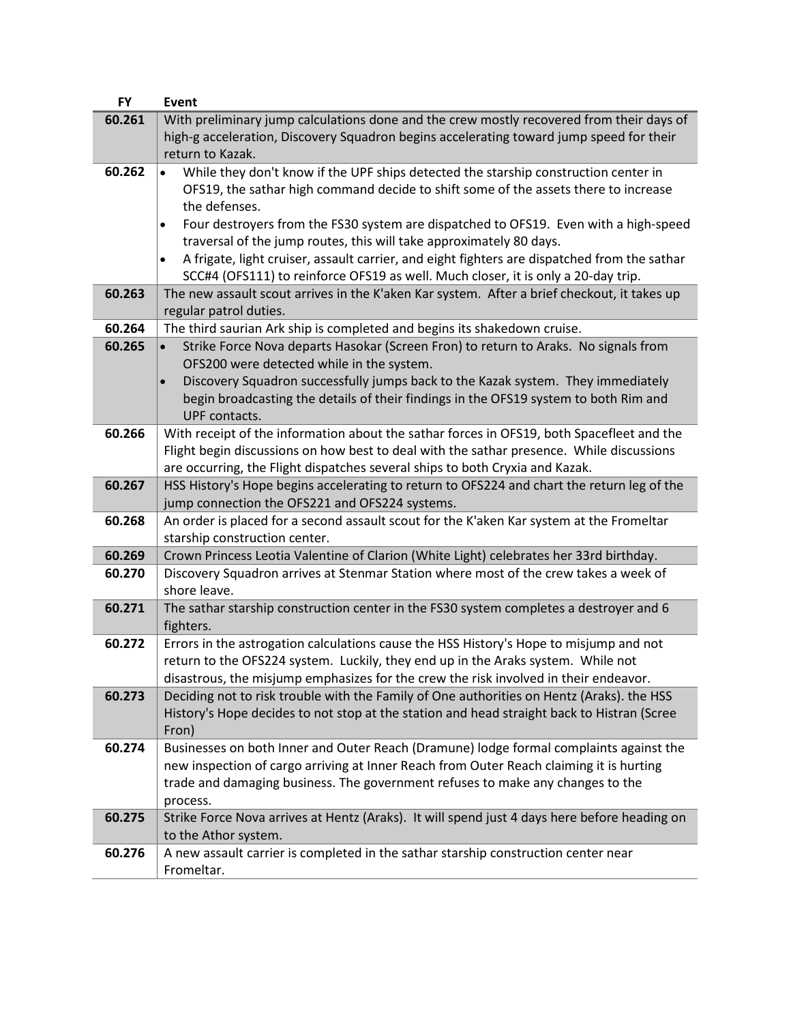| <b>FY</b> | <b>Event</b>                                                                                                              |
|-----------|---------------------------------------------------------------------------------------------------------------------------|
| 60.261    | With preliminary jump calculations done and the crew mostly recovered from their days of                                  |
|           | high-g acceleration, Discovery Squadron begins accelerating toward jump speed for their                                   |
|           | return to Kazak.                                                                                                          |
| 60.262    | While they don't know if the UPF ships detected the starship construction center in                                       |
|           | OFS19, the sathar high command decide to shift some of the assets there to increase                                       |
|           | the defenses.                                                                                                             |
|           | Four destroyers from the FS30 system are dispatched to OFS19. Even with a high-speed<br>$\bullet$                         |
|           | traversal of the jump routes, this will take approximately 80 days.                                                       |
|           | A frigate, light cruiser, assault carrier, and eight fighters are dispatched from the sathar<br>٠                         |
|           | SCC#4 (OFS111) to reinforce OFS19 as well. Much closer, it is only a 20-day trip.                                         |
| 60.263    | The new assault scout arrives in the K'aken Kar system. After a brief checkout, it takes up                               |
|           | regular patrol duties.                                                                                                    |
| 60.264    | The third saurian Ark ship is completed and begins its shakedown cruise.                                                  |
| 60.265    | Strike Force Nova departs Hasokar (Screen Fron) to return to Araks. No signals from                                       |
|           | OFS200 were detected while in the system.                                                                                 |
|           | Discovery Squadron successfully jumps back to the Kazak system. They immediately                                          |
|           | begin broadcasting the details of their findings in the OFS19 system to both Rim and                                      |
|           | UPF contacts.                                                                                                             |
| 60.266    | With receipt of the information about the sathar forces in OFS19, both Spacefleet and the                                 |
|           | Flight begin discussions on how best to deal with the sathar presence. While discussions                                  |
|           | are occurring, the Flight dispatches several ships to both Cryxia and Kazak.                                              |
| 60.267    | HSS History's Hope begins accelerating to return to OFS224 and chart the return leg of the                                |
| 60.268    | jump connection the OFS221 and OFS224 systems.                                                                            |
|           | An order is placed for a second assault scout for the K'aken Kar system at the Fromeltar<br>starship construction center. |
| 60.269    | Crown Princess Leotia Valentine of Clarion (White Light) celebrates her 33rd birthday.                                    |
| 60.270    | Discovery Squadron arrives at Stenmar Station where most of the crew takes a week of                                      |
|           | shore leave.                                                                                                              |
| 60.271    | The sathar starship construction center in the FS30 system completes a destroyer and 6<br>fighters.                       |
| 60.272    | Errors in the astrogation calculations cause the HSS History's Hope to misjump and not                                    |
|           | return to the OFS224 system. Luckily, they end up in the Araks system. While not                                          |
|           | disastrous, the misjump emphasizes for the crew the risk involved in their endeavor.                                      |
| 60.273    | Deciding not to risk trouble with the Family of One authorities on Hentz (Araks). the HSS                                 |
|           | History's Hope decides to not stop at the station and head straight back to Histran (Scree                                |
|           | Fron)                                                                                                                     |
| 60.274    | Businesses on both Inner and Outer Reach (Dramune) lodge formal complaints against the                                    |
|           | new inspection of cargo arriving at Inner Reach from Outer Reach claiming it is hurting                                   |
|           | trade and damaging business. The government refuses to make any changes to the                                            |
|           | process.                                                                                                                  |
| 60.275    | Strike Force Nova arrives at Hentz (Araks). It will spend just 4 days here before heading on                              |
|           | to the Athor system.                                                                                                      |
| 60.276    | A new assault carrier is completed in the sathar starship construction center near                                        |
|           | Fromeltar.                                                                                                                |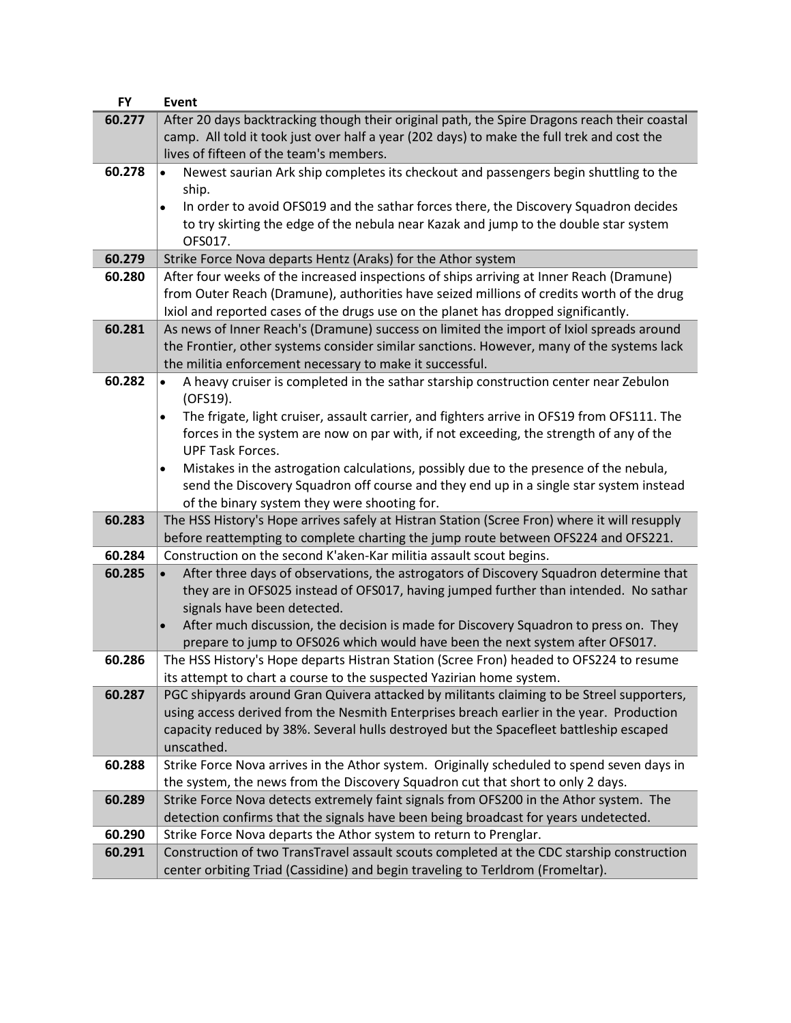| <b>FY</b> | <b>Event</b>                                                                                            |
|-----------|---------------------------------------------------------------------------------------------------------|
| 60.277    | After 20 days backtracking though their original path, the Spire Dragons reach their coastal            |
|           | camp. All told it took just over half a year (202 days) to make the full trek and cost the              |
|           | lives of fifteen of the team's members.                                                                 |
| 60.278    | Newest saurian Ark ship completes its checkout and passengers begin shuttling to the                    |
|           | ship.                                                                                                   |
|           | In order to avoid OFS019 and the sathar forces there, the Discovery Squadron decides<br>$\bullet$       |
|           | to try skirting the edge of the nebula near Kazak and jump to the double star system                    |
|           | OFS017.                                                                                                 |
| 60.279    | Strike Force Nova departs Hentz (Araks) for the Athor system                                            |
| 60.280    | After four weeks of the increased inspections of ships arriving at Inner Reach (Dramune)                |
|           | from Outer Reach (Dramune), authorities have seized millions of credits worth of the drug               |
|           | Ixiol and reported cases of the drugs use on the planet has dropped significantly.                      |
| 60.281    | As news of Inner Reach's (Dramune) success on limited the import of Ixiol spreads around                |
|           | the Frontier, other systems consider similar sanctions. However, many of the systems lack               |
|           | the militia enforcement necessary to make it successful.                                                |
| 60.282    | A heavy cruiser is completed in the sathar starship construction center near Zebulon                    |
|           | (OFS19).                                                                                                |
|           | The frigate, light cruiser, assault carrier, and fighters arrive in OFS19 from OFS111. The<br>$\bullet$ |
|           | forces in the system are now on par with, if not exceeding, the strength of any of the                  |
|           | <b>UPF Task Forces.</b>                                                                                 |
|           | Mistakes in the astrogation calculations, possibly due to the presence of the nebula,<br>٠              |
|           | send the Discovery Squadron off course and they end up in a single star system instead                  |
|           | of the binary system they were shooting for.                                                            |
| 60.283    | The HSS History's Hope arrives safely at Histran Station (Scree Fron) where it will resupply            |
|           | before reattempting to complete charting the jump route between OFS224 and OFS221.                      |
| 60.284    | Construction on the second K'aken-Kar militia assault scout begins.                                     |
| 60.285    | After three days of observations, the astrogators of Discovery Squadron determine that                  |
|           | they are in OFS025 instead of OFS017, having jumped further than intended. No sathar                    |
|           | signals have been detected.                                                                             |
|           | After much discussion, the decision is made for Discovery Squadron to press on. They                    |
|           | prepare to jump to OFS026 which would have been the next system after OFS017.                           |
| 60.286    | The HSS History's Hope departs Histran Station (Scree Fron) headed to OFS224 to resume                  |
|           | its attempt to chart a course to the suspected Yazirian home system.                                    |
| 60.287    | PGC shipyards around Gran Quivera attacked by militants claiming to be Streel supporters,               |
|           | using access derived from the Nesmith Enterprises breach earlier in the year. Production                |
|           | capacity reduced by 38%. Several hulls destroyed but the Spacefleet battleship escaped                  |
|           | unscathed.                                                                                              |
| 60.288    | Strike Force Nova arrives in the Athor system. Originally scheduled to spend seven days in              |
|           | the system, the news from the Discovery Squadron cut that short to only 2 days.                         |
| 60.289    | Strike Force Nova detects extremely faint signals from OFS200 in the Athor system. The                  |
|           | detection confirms that the signals have been being broadcast for years undetected.                     |
| 60.290    | Strike Force Nova departs the Athor system to return to Prenglar.                                       |
| 60.291    | Construction of two TransTravel assault scouts completed at the CDC starship construction               |
|           | center orbiting Triad (Cassidine) and begin traveling to Terldrom (Fromeltar).                          |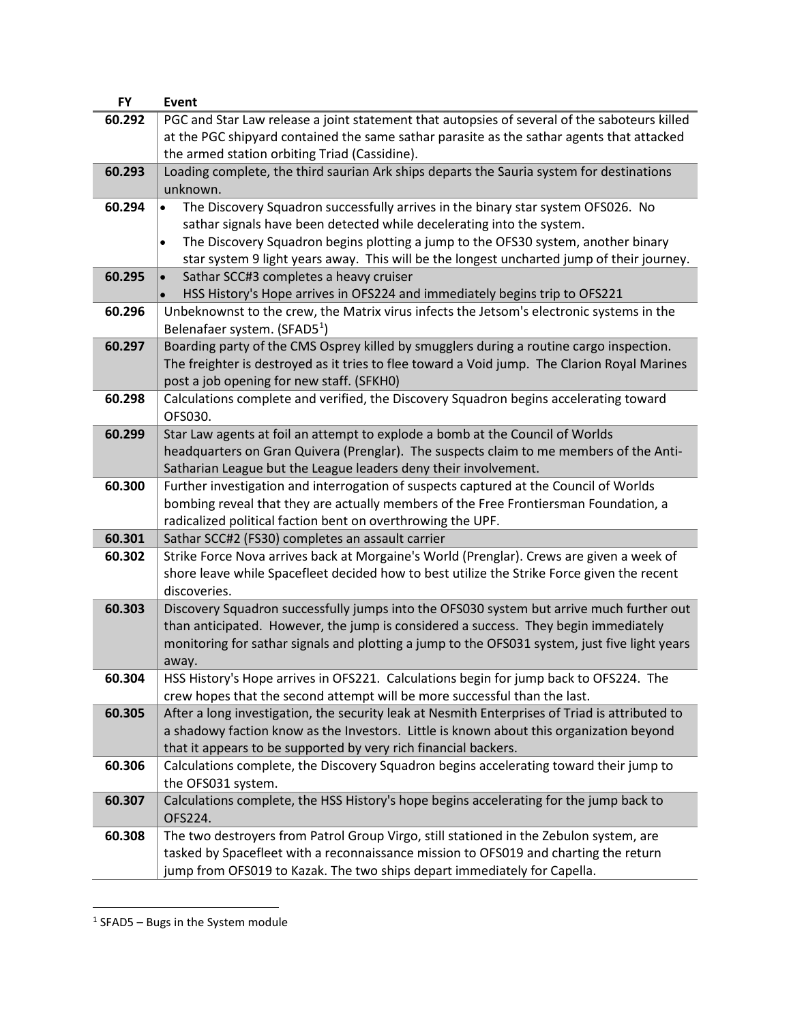| <b>FY</b> | <b>Event</b>                                                                                             |
|-----------|----------------------------------------------------------------------------------------------------------|
| 60.292    | PGC and Star Law release a joint statement that autopsies of several of the saboteurs killed             |
|           | at the PGC shipyard contained the same sathar parasite as the sathar agents that attacked                |
|           | the armed station orbiting Triad (Cassidine).                                                            |
| 60.293    | Loading complete, the third saurian Ark ships departs the Sauria system for destinations                 |
|           | unknown.                                                                                                 |
| 60.294    | The Discovery Squadron successfully arrives in the binary star system OFS026. No                         |
|           | sathar signals have been detected while decelerating into the system.                                    |
|           | The Discovery Squadron begins plotting a jump to the OFS30 system, another binary<br>$\bullet$           |
|           | star system 9 light years away. This will be the longest uncharted jump of their journey.                |
| 60.295    | Sathar SCC#3 completes a heavy cruiser                                                                   |
|           | HSS History's Hope arrives in OFS224 and immediately begins trip to OFS221                               |
| 60.296    | Unbeknownst to the crew, the Matrix virus infects the Jetsom's electronic systems in the                 |
|           | Belenafaer system. (SFAD5 <sup>1</sup> )                                                                 |
| 60.297    | Boarding party of the CMS Osprey killed by smugglers during a routine cargo inspection.                  |
|           | The freighter is destroyed as it tries to flee toward a Void jump. The Clarion Royal Marines             |
|           | post a job opening for new staff. (SFKH0)                                                                |
| 60.298    | Calculations complete and verified, the Discovery Squadron begins accelerating toward                    |
|           | OFS030.                                                                                                  |
| 60.299    | Star Law agents at foil an attempt to explode a bomb at the Council of Worlds                            |
|           | headquarters on Gran Quivera (Prenglar). The suspects claim to me members of the Anti-                   |
|           | Satharian League but the League leaders deny their involvement.                                          |
| 60.300    | Further investigation and interrogation of suspects captured at the Council of Worlds                    |
|           | bombing reveal that they are actually members of the Free Frontiersman Foundation, a                     |
|           | radicalized political faction bent on overthrowing the UPF.                                              |
| 60.301    | Sathar SCC#2 (FS30) completes an assault carrier                                                         |
| 60.302    | Strike Force Nova arrives back at Morgaine's World (Prenglar). Crews are given a week of                 |
|           | shore leave while Spacefleet decided how to best utilize the Strike Force given the recent               |
| 60.303    | discoveries.<br>Discovery Squadron successfully jumps into the OFS030 system but arrive much further out |
|           | than anticipated. However, the jump is considered a success. They begin immediately                      |
|           | monitoring for sathar signals and plotting a jump to the OFS031 system, just five light years            |
|           | away.                                                                                                    |
| 60.304    | HSS History's Hope arrives in OFS221. Calculations begin for jump back to OFS224. The                    |
|           | crew hopes that the second attempt will be more successful than the last.                                |
| 60.305    | After a long investigation, the security leak at Nesmith Enterprises of Triad is attributed to           |
|           | a shadowy faction know as the Investors. Little is known about this organization beyond                  |
|           | that it appears to be supported by very rich financial backers.                                          |
| 60.306    | Calculations complete, the Discovery Squadron begins accelerating toward their jump to                   |
|           | the OFS031 system.                                                                                       |
| 60.307    | Calculations complete, the HSS History's hope begins accelerating for the jump back to                   |
|           | OFS224.                                                                                                  |
| 60.308    | The two destroyers from Patrol Group Virgo, still stationed in the Zebulon system, are                   |
|           | tasked by Spacefleet with a reconnaissance mission to OFS019 and charting the return                     |
|           | jump from OFS019 to Kazak. The two ships depart immediately for Capella.                                 |

<span id="page-23-0"></span> $1$  SFAD5 – Bugs in the System module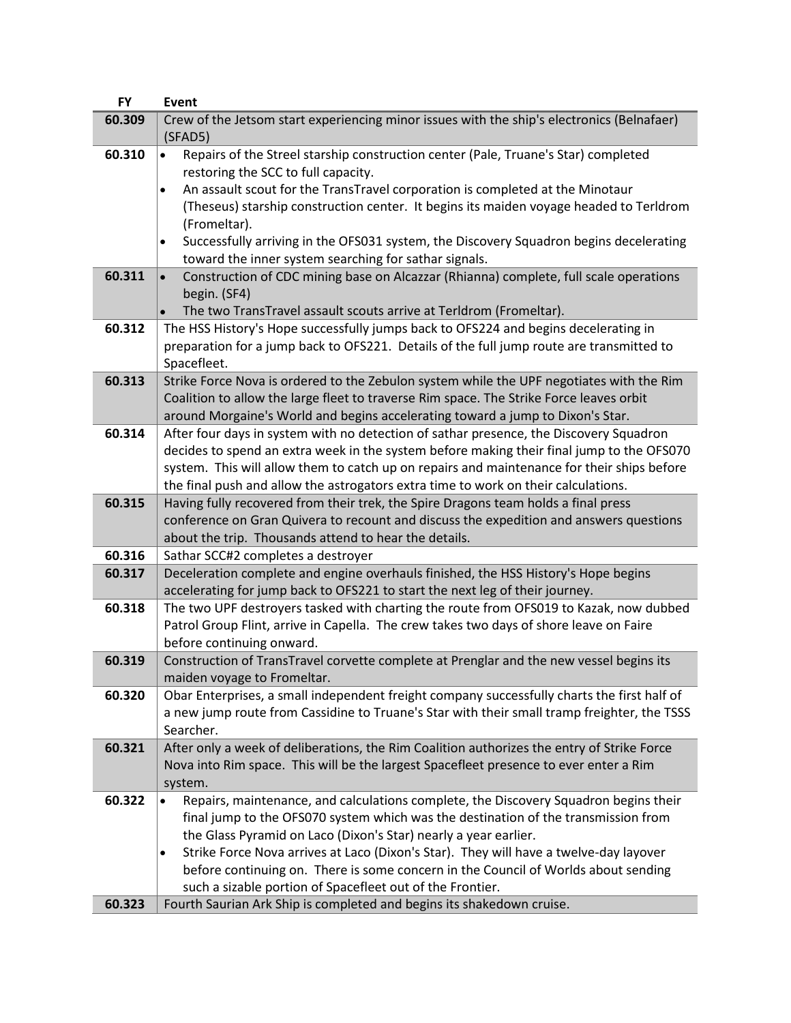| <b>FY</b> | <b>Event</b>                                                                                                                                                                                                                                                                                                                                                                                                                              |
|-----------|-------------------------------------------------------------------------------------------------------------------------------------------------------------------------------------------------------------------------------------------------------------------------------------------------------------------------------------------------------------------------------------------------------------------------------------------|
| 60.309    | Crew of the Jetsom start experiencing minor issues with the ship's electronics (Belnafaer)<br>(SFAD5)                                                                                                                                                                                                                                                                                                                                     |
| 60.310    | Repairs of the Streel starship construction center (Pale, Truane's Star) completed<br>$\bullet$<br>restoring the SCC to full capacity.                                                                                                                                                                                                                                                                                                    |
|           | An assault scout for the TransTravel corporation is completed at the Minotaur<br>$\bullet$<br>(Theseus) starship construction center. It begins its maiden voyage headed to Terldrom<br>(Fromeltar).                                                                                                                                                                                                                                      |
|           | Successfully arriving in the OFS031 system, the Discovery Squadron begins decelerating<br>$\bullet$<br>toward the inner system searching for sathar signals.                                                                                                                                                                                                                                                                              |
| 60.311    | Construction of CDC mining base on Alcazzar (Rhianna) complete, full scale operations<br>begin. (SF4)<br>The two TransTravel assault scouts arrive at Terldrom (Fromeltar).                                                                                                                                                                                                                                                               |
| 60.312    | The HSS History's Hope successfully jumps back to OFS224 and begins decelerating in                                                                                                                                                                                                                                                                                                                                                       |
|           | preparation for a jump back to OFS221. Details of the full jump route are transmitted to<br>Spacefleet.                                                                                                                                                                                                                                                                                                                                   |
| 60.313    | Strike Force Nova is ordered to the Zebulon system while the UPF negotiates with the Rim<br>Coalition to allow the large fleet to traverse Rim space. The Strike Force leaves orbit<br>around Morgaine's World and begins accelerating toward a jump to Dixon's Star.                                                                                                                                                                     |
| 60.314    | After four days in system with no detection of sathar presence, the Discovery Squadron<br>decides to spend an extra week in the system before making their final jump to the OFS070<br>system. This will allow them to catch up on repairs and maintenance for their ships before<br>the final push and allow the astrogators extra time to work on their calculations.                                                                   |
| 60.315    | Having fully recovered from their trek, the Spire Dragons team holds a final press<br>conference on Gran Quivera to recount and discuss the expedition and answers questions<br>about the trip. Thousands attend to hear the details.                                                                                                                                                                                                     |
| 60.316    | Sathar SCC#2 completes a destroyer                                                                                                                                                                                                                                                                                                                                                                                                        |
| 60.317    | Deceleration complete and engine overhauls finished, the HSS History's Hope begins<br>accelerating for jump back to OFS221 to start the next leg of their journey.                                                                                                                                                                                                                                                                        |
| 60.318    | The two UPF destroyers tasked with charting the route from OFS019 to Kazak, now dubbed<br>Patrol Group Flint, arrive in Capella. The crew takes two days of shore leave on Faire<br>before continuing onward.                                                                                                                                                                                                                             |
| 60.319    | Construction of TransTravel corvette complete at Prenglar and the new vessel begins its<br>maiden voyage to Fromeltar.                                                                                                                                                                                                                                                                                                                    |
| 60.320    | Obar Enterprises, a small independent freight company successfully charts the first half of<br>a new jump route from Cassidine to Truane's Star with their small tramp freighter, the TSSS<br>Searcher.                                                                                                                                                                                                                                   |
| 60.321    | After only a week of deliberations, the Rim Coalition authorizes the entry of Strike Force<br>Nova into Rim space. This will be the largest Spacefleet presence to ever enter a Rim<br>system.                                                                                                                                                                                                                                            |
| 60.322    | Repairs, maintenance, and calculations complete, the Discovery Squadron begins their<br>final jump to the OFS070 system which was the destination of the transmission from<br>the Glass Pyramid on Laco (Dixon's Star) nearly a year earlier.<br>Strike Force Nova arrives at Laco (Dixon's Star). They will have a twelve-day layover<br>$\bullet$<br>before continuing on. There is some concern in the Council of Worlds about sending |
|           | such a sizable portion of Spacefleet out of the Frontier.                                                                                                                                                                                                                                                                                                                                                                                 |
| 60.323    | Fourth Saurian Ark Ship is completed and begins its shakedown cruise.                                                                                                                                                                                                                                                                                                                                                                     |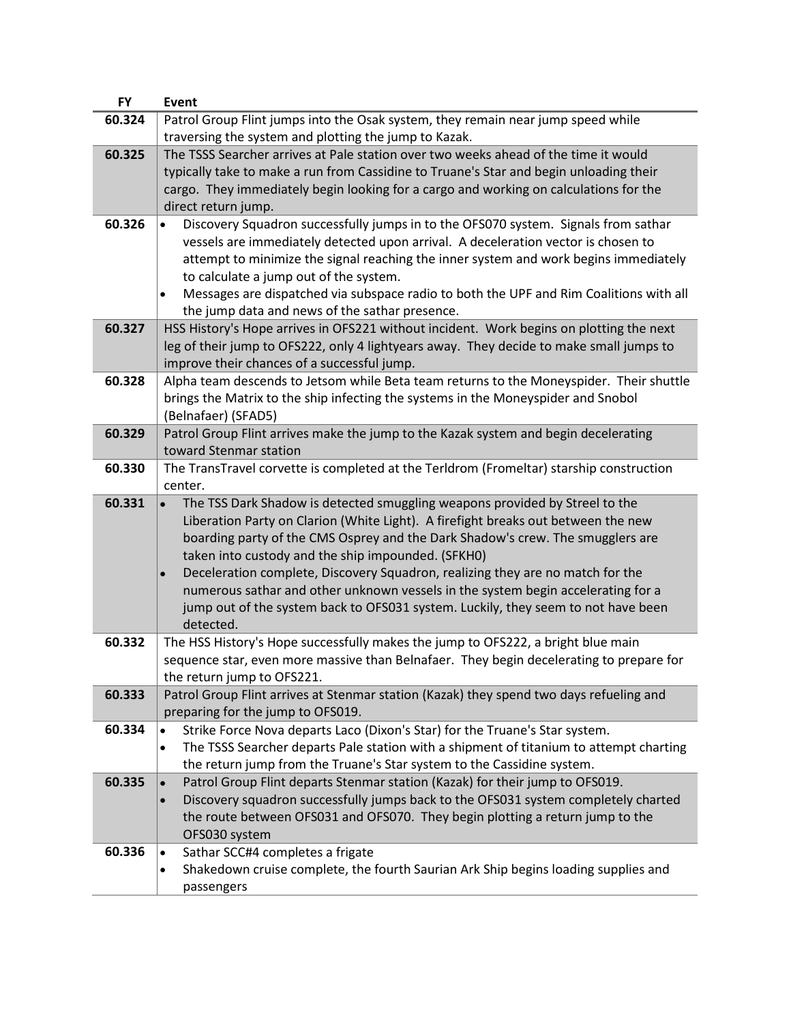| <b>FY</b> | Event                                                                                                                                                            |
|-----------|------------------------------------------------------------------------------------------------------------------------------------------------------------------|
| 60.324    | Patrol Group Flint jumps into the Osak system, they remain near jump speed while                                                                                 |
|           | traversing the system and plotting the jump to Kazak.                                                                                                            |
| 60.325    | The TSSS Searcher arrives at Pale station over two weeks ahead of the time it would                                                                              |
|           | typically take to make a run from Cassidine to Truane's Star and begin unloading their                                                                           |
|           | cargo. They immediately begin looking for a cargo and working on calculations for the                                                                            |
|           | direct return jump.                                                                                                                                              |
| 60.326    | Discovery Squadron successfully jumps in to the OFS070 system. Signals from sathar                                                                               |
|           | vessels are immediately detected upon arrival. A deceleration vector is chosen to                                                                                |
|           | attempt to minimize the signal reaching the inner system and work begins immediately                                                                             |
|           | to calculate a jump out of the system.                                                                                                                           |
|           | Messages are dispatched via subspace radio to both the UPF and Rim Coalitions with all                                                                           |
|           | the jump data and news of the sathar presence.                                                                                                                   |
| 60.327    | HSS History's Hope arrives in OFS221 without incident. Work begins on plotting the next                                                                          |
|           | leg of their jump to OFS222, only 4 lightyears away. They decide to make small jumps to                                                                          |
|           | improve their chances of a successful jump.                                                                                                                      |
| 60.328    | Alpha team descends to Jetsom while Beta team returns to the Moneyspider. Their shuttle                                                                          |
|           | brings the Matrix to the ship infecting the systems in the Moneyspider and Snobol                                                                                |
|           | (Belnafaer) (SFAD5)                                                                                                                                              |
| 60.329    | Patrol Group Flint arrives make the jump to the Kazak system and begin decelerating                                                                              |
|           | toward Stenmar station                                                                                                                                           |
| 60.330    | The TransTravel corvette is completed at the Terldrom (Fromeltar) starship construction                                                                          |
| 60.331    | center.                                                                                                                                                          |
|           | The TSS Dark Shadow is detected smuggling weapons provided by Streel to the<br>Liberation Party on Clarion (White Light). A firefight breaks out between the new |
|           | boarding party of the CMS Osprey and the Dark Shadow's crew. The smugglers are                                                                                   |
|           | taken into custody and the ship impounded. (SFKH0)                                                                                                               |
|           | Deceleration complete, Discovery Squadron, realizing they are no match for the<br>$\bullet$                                                                      |
|           | numerous sathar and other unknown vessels in the system begin accelerating for a                                                                                 |
|           | jump out of the system back to OFS031 system. Luckily, they seem to not have been                                                                                |
|           | detected.                                                                                                                                                        |
| 60.332    | The HSS History's Hope successfully makes the jump to OFS222, a bright blue main                                                                                 |
|           | sequence star, even more massive than Belnafaer. They begin decelerating to prepare for                                                                          |
|           | the return jump to OFS221.                                                                                                                                       |
| 60.333    | Patrol Group Flint arrives at Stenmar station (Kazak) they spend two days refueling and                                                                          |
|           | preparing for the jump to OFS019.                                                                                                                                |
| 60.334    | Strike Force Nova departs Laco (Dixon's Star) for the Truane's Star system.                                                                                      |
|           | The TSSS Searcher departs Pale station with a shipment of titanium to attempt charting                                                                           |
|           | the return jump from the Truane's Star system to the Cassidine system.                                                                                           |
| 60.335    | Patrol Group Flint departs Stenmar station (Kazak) for their jump to OFS019.                                                                                     |
|           | Discovery squadron successfully jumps back to the OFS031 system completely charted                                                                               |
|           | the route between OFS031 and OFS070. They begin plotting a return jump to the                                                                                    |
|           | OFS030 system                                                                                                                                                    |
| 60.336    | Sathar SCC#4 completes a frigate<br>$\bullet$                                                                                                                    |
|           | Shakedown cruise complete, the fourth Saurian Ark Ship begins loading supplies and                                                                               |
|           | passengers                                                                                                                                                       |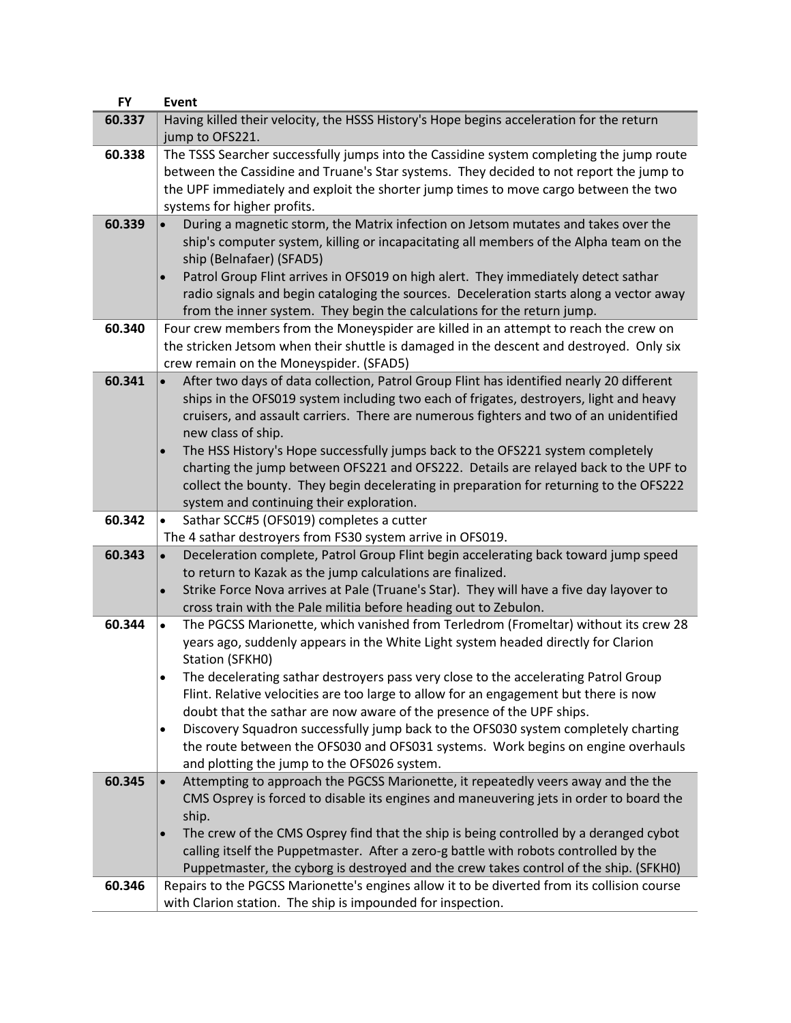| <b>FY</b> | <b>Event</b>                                                                                         |
|-----------|------------------------------------------------------------------------------------------------------|
| 60.337    | Having killed their velocity, the HSSS History's Hope begins acceleration for the return             |
|           | jump to OFS221.                                                                                      |
| 60.338    | The TSSS Searcher successfully jumps into the Cassidine system completing the jump route             |
|           | between the Cassidine and Truane's Star systems. They decided to not report the jump to              |
|           | the UPF immediately and exploit the shorter jump times to move cargo between the two                 |
|           | systems for higher profits.                                                                          |
| 60.339    | During a magnetic storm, the Matrix infection on Jetsom mutates and takes over the                   |
|           | ship's computer system, killing or incapacitating all members of the Alpha team on the               |
|           | ship (Belnafaer) (SFAD5)                                                                             |
|           | Patrol Group Flint arrives in OFS019 on high alert. They immediately detect sathar                   |
|           | radio signals and begin cataloging the sources. Deceleration starts along a vector away              |
|           | from the inner system. They begin the calculations for the return jump.                              |
| 60.340    | Four crew members from the Moneyspider are killed in an attempt to reach the crew on                 |
|           | the stricken Jetsom when their shuttle is damaged in the descent and destroyed. Only six             |
|           | crew remain on the Moneyspider. (SFAD5)                                                              |
| 60.341    | After two days of data collection, Patrol Group Flint has identified nearly 20 different             |
|           | ships in the OFS019 system including two each of frigates, destroyers, light and heavy               |
|           | cruisers, and assault carriers. There are numerous fighters and two of an unidentified               |
|           | new class of ship.                                                                                   |
|           | The HSS History's Hope successfully jumps back to the OFS221 system completely                       |
|           | charting the jump between OFS221 and OFS222. Details are relayed back to the UPF to                  |
|           | collect the bounty. They begin decelerating in preparation for returning to the OFS222               |
|           | system and continuing their exploration.                                                             |
| 60.342    | Sathar SCC#5 (OFS019) completes a cutter                                                             |
|           | The 4 sathar destroyers from FS30 system arrive in OFS019.                                           |
| 60.343    | Deceleration complete, Patrol Group Flint begin accelerating back toward jump speed<br>$\bullet$     |
|           | to return to Kazak as the jump calculations are finalized.                                           |
|           | Strike Force Nova arrives at Pale (Truane's Star). They will have a five day layover to<br>$\bullet$ |
|           | cross train with the Pale militia before heading out to Zebulon.                                     |
| 60.344    | The PGCSS Marionette, which vanished from Terledrom (Fromeltar) without its crew 28<br>$\bullet$     |
|           | years ago, suddenly appears in the White Light system headed directly for Clarion                    |
|           | Station (SFKHO)                                                                                      |
|           | The decelerating sathar destroyers pass very close to the accelerating Patrol Group                  |
|           | Flint. Relative velocities are too large to allow for an engagement but there is now                 |
|           | doubt that the sathar are now aware of the presence of the UPF ships.                                |
|           | Discovery Squadron successfully jump back to the OFS030 system completely charting<br>$\bullet$      |
|           | the route between the OFS030 and OFS031 systems. Work begins on engine overhauls                     |
|           | and plotting the jump to the OFS026 system.                                                          |
| 60.345    | Attempting to approach the PGCSS Marionette, it repeatedly veers away and the the                    |
|           | CMS Osprey is forced to disable its engines and maneuvering jets in order to board the               |
|           | ship.                                                                                                |
|           | The crew of the CMS Osprey find that the ship is being controlled by a deranged cybot                |
|           | calling itself the Puppetmaster. After a zero-g battle with robots controlled by the                 |
|           | Puppetmaster, the cyborg is destroyed and the crew takes control of the ship. (SFKH0)                |
| 60.346    | Repairs to the PGCSS Marionette's engines allow it to be diverted from its collision course          |
|           | with Clarion station. The ship is impounded for inspection.                                          |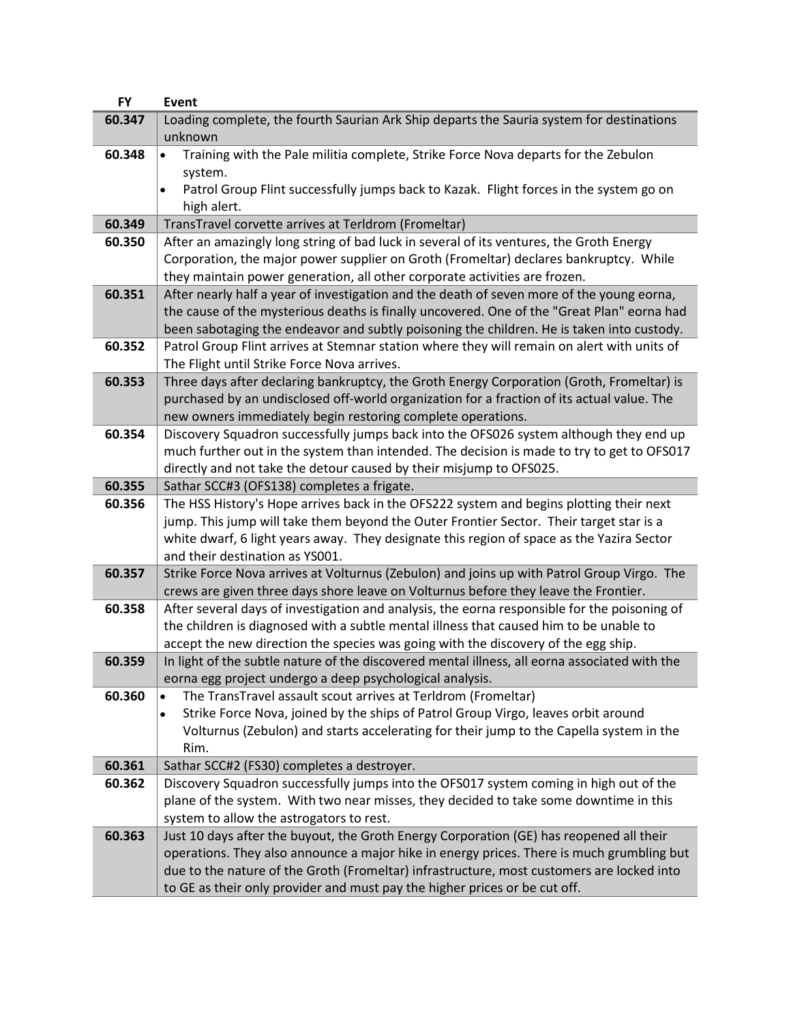| <b>FY</b> | Event                                                                                                                                                                               |
|-----------|-------------------------------------------------------------------------------------------------------------------------------------------------------------------------------------|
| 60.347    | Loading complete, the fourth Saurian Ark Ship departs the Sauria system for destinations                                                                                            |
|           | unknown                                                                                                                                                                             |
| 60.348    | Training with the Pale militia complete, Strike Force Nova departs for the Zebulon<br>$\bullet$                                                                                     |
|           | system.                                                                                                                                                                             |
|           | Patrol Group Flint successfully jumps back to Kazak. Flight forces in the system go on<br>$\bullet$                                                                                 |
|           | high alert.                                                                                                                                                                         |
| 60.349    | TransTravel corvette arrives at Terldrom (Fromeltar)                                                                                                                                |
| 60.350    | After an amazingly long string of bad luck in several of its ventures, the Groth Energy                                                                                             |
|           | Corporation, the major power supplier on Groth (Fromeltar) declares bankruptcy. While                                                                                               |
|           | they maintain power generation, all other corporate activities are frozen.                                                                                                          |
| 60.351    | After nearly half a year of investigation and the death of seven more of the young eorna,                                                                                           |
|           | the cause of the mysterious deaths is finally uncovered. One of the "Great Plan" eorna had                                                                                          |
|           | been sabotaging the endeavor and subtly poisoning the children. He is taken into custody.                                                                                           |
| 60.352    | Patrol Group Flint arrives at Stemnar station where they will remain on alert with units of                                                                                         |
|           | The Flight until Strike Force Nova arrives.                                                                                                                                         |
| 60.353    | Three days after declaring bankruptcy, the Groth Energy Corporation (Groth, Fromeltar) is                                                                                           |
|           | purchased by an undisclosed off-world organization for a fraction of its actual value. The                                                                                          |
|           | new owners immediately begin restoring complete operations.                                                                                                                         |
| 60.354    | Discovery Squadron successfully jumps back into the OFS026 system although they end up                                                                                              |
|           | much further out in the system than intended. The decision is made to try to get to OFS017                                                                                          |
|           | directly and not take the detour caused by their misjump to OFS025.                                                                                                                 |
| 60.355    | Sathar SCC#3 (OFS138) completes a frigate.                                                                                                                                          |
| 60.356    | The HSS History's Hope arrives back in the OFS222 system and begins plotting their next                                                                                             |
|           | jump. This jump will take them beyond the Outer Frontier Sector. Their target star is a                                                                                             |
|           | white dwarf, 6 light years away. They designate this region of space as the Yazira Sector                                                                                           |
|           | and their destination as YS001.                                                                                                                                                     |
| 60.357    | Strike Force Nova arrives at Volturnus (Zebulon) and joins up with Patrol Group Virgo. The                                                                                          |
| 60.358    | crews are given three days shore leave on Volturnus before they leave the Frontier.<br>After several days of investigation and analysis, the eorna responsible for the poisoning of |
|           | the children is diagnosed with a subtle mental illness that caused him to be unable to                                                                                              |
|           | accept the new direction the species was going with the discovery of the egg ship.                                                                                                  |
| 60.359    | In light of the subtle nature of the discovered mental illness, all eorna associated with the                                                                                       |
|           | eorna egg project undergo a deep psychological analysis.                                                                                                                            |
| 60.360    | The TransTravel assault scout arrives at Terldrom (Fromeltar)                                                                                                                       |
|           | Strike Force Nova, joined by the ships of Patrol Group Virgo, leaves orbit around                                                                                                   |
|           | Volturnus (Zebulon) and starts accelerating for their jump to the Capella system in the                                                                                             |
|           | Rim.                                                                                                                                                                                |
| 60.361    | Sathar SCC#2 (FS30) completes a destroyer.                                                                                                                                          |
| 60.362    | Discovery Squadron successfully jumps into the OFS017 system coming in high out of the                                                                                              |
|           | plane of the system. With two near misses, they decided to take some downtime in this                                                                                               |
|           | system to allow the astrogators to rest.                                                                                                                                            |
| 60.363    | Just 10 days after the buyout, the Groth Energy Corporation (GE) has reopened all their                                                                                             |
|           | operations. They also announce a major hike in energy prices. There is much grumbling but                                                                                           |
|           | due to the nature of the Groth (Fromeltar) infrastructure, most customers are locked into                                                                                           |
|           | to GE as their only provider and must pay the higher prices or be cut off.                                                                                                          |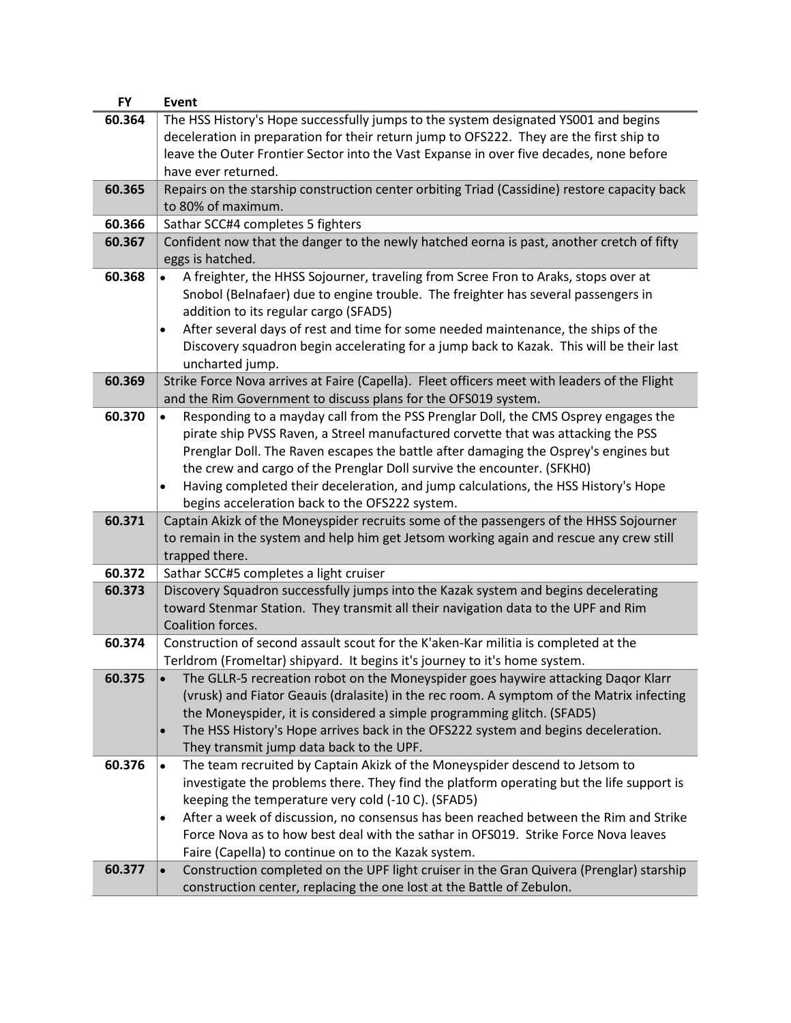| <b>FY</b> | Event                                                                                           |
|-----------|-------------------------------------------------------------------------------------------------|
| 60.364    | The HSS History's Hope successfully jumps to the system designated YS001 and begins             |
|           | deceleration in preparation for their return jump to OFS222. They are the first ship to         |
|           | leave the Outer Frontier Sector into the Vast Expanse in over five decades, none before         |
|           | have ever returned.                                                                             |
| 60.365    | Repairs on the starship construction center orbiting Triad (Cassidine) restore capacity back    |
|           | to 80% of maximum.                                                                              |
| 60.366    | Sathar SCC#4 completes 5 fighters                                                               |
| 60.367    | Confident now that the danger to the newly hatched eorna is past, another cretch of fifty       |
|           | eggs is hatched.                                                                                |
| 60.368    | A freighter, the HHSS Sojourner, traveling from Scree Fron to Araks, stops over at              |
|           | Snobol (Belnafaer) due to engine trouble. The freighter has several passengers in               |
|           | addition to its regular cargo (SFAD5)                                                           |
|           | After several days of rest and time for some needed maintenance, the ships of the<br>$\bullet$  |
|           | Discovery squadron begin accelerating for a jump back to Kazak. This will be their last         |
|           | uncharted jump.                                                                                 |
| 60.369    | Strike Force Nova arrives at Faire (Capella). Fleet officers meet with leaders of the Flight    |
|           | and the Rim Government to discuss plans for the OFS019 system.                                  |
| 60.370    | Responding to a mayday call from the PSS Prenglar Doll, the CMS Osprey engages the<br>$\bullet$ |
|           | pirate ship PVSS Raven, a Streel manufactured corvette that was attacking the PSS               |
|           | Prenglar Doll. The Raven escapes the battle after damaging the Osprey's engines but             |
|           | the crew and cargo of the Prenglar Doll survive the encounter. (SFKHO)                          |
|           | Having completed their deceleration, and jump calculations, the HSS History's Hope<br>$\bullet$ |
|           | begins acceleration back to the OFS222 system.                                                  |
| 60.371    | Captain Akizk of the Moneyspider recruits some of the passengers of the HHSS Sojourner          |
|           | to remain in the system and help him get Jetsom working again and rescue any crew still         |
|           | trapped there.                                                                                  |
| 60.372    | Sathar SCC#5 completes a light cruiser                                                          |
| 60.373    | Discovery Squadron successfully jumps into the Kazak system and begins decelerating             |
|           | toward Stenmar Station. They transmit all their navigation data to the UPF and Rim              |
|           | Coalition forces.                                                                               |
| 60.374    | Construction of second assault scout for the K'aken-Kar militia is completed at the             |
|           | Terldrom (Fromeltar) shipyard. It begins it's journey to it's home system.                      |
| 60.375    | The GLLR-5 recreation robot on the Moneyspider goes haywire attacking Daqor Klarr               |
|           | (vrusk) and Fiator Geauis (dralasite) in the rec room. A symptom of the Matrix infecting        |
|           | the Moneyspider, it is considered a simple programming glitch. (SFAD5)                          |
|           | The HSS History's Hope arrives back in the OFS222 system and begins deceleration.<br>$\bullet$  |
|           | They transmit jump data back to the UPF.                                                        |
| 60.376    | The team recruited by Captain Akizk of the Moneyspider descend to Jetsom to<br>$\bullet$        |
|           | investigate the problems there. They find the platform operating but the life support is        |
|           | keeping the temperature very cold (-10 C). (SFAD5)                                              |
|           | After a week of discussion, no consensus has been reached between the Rim and Strike<br>٠       |
|           | Force Nova as to how best deal with the sathar in OFS019. Strike Force Nova leaves              |
|           | Faire (Capella) to continue on to the Kazak system.                                             |
| 60.377    | Construction completed on the UPF light cruiser in the Gran Quivera (Prenglar) starship         |
|           | construction center, replacing the one lost at the Battle of Zebulon.                           |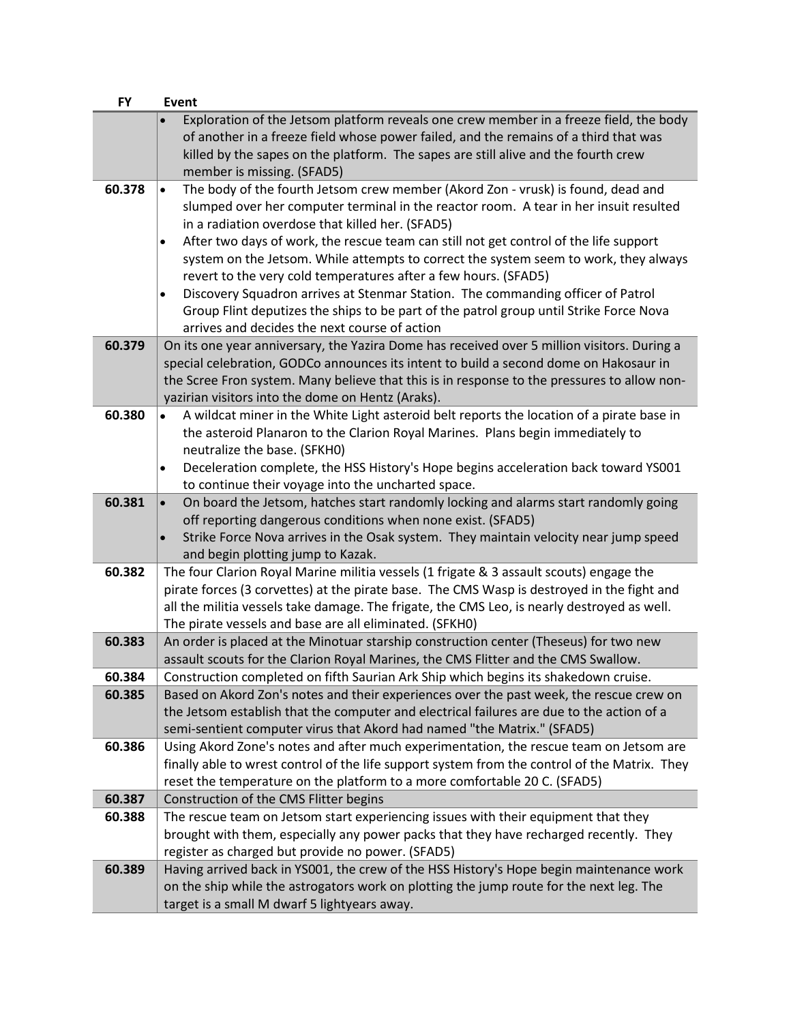| <b>FY</b> | <b>Event</b>                                                                                                                                                                                                                                                                                                                                                                                                                                                                                                                                                                                                                                                                                                                                           |
|-----------|--------------------------------------------------------------------------------------------------------------------------------------------------------------------------------------------------------------------------------------------------------------------------------------------------------------------------------------------------------------------------------------------------------------------------------------------------------------------------------------------------------------------------------------------------------------------------------------------------------------------------------------------------------------------------------------------------------------------------------------------------------|
|           | Exploration of the Jetsom platform reveals one crew member in a freeze field, the body<br>of another in a freeze field whose power failed, and the remains of a third that was<br>killed by the sapes on the platform. The sapes are still alive and the fourth crew<br>member is missing. (SFAD5)                                                                                                                                                                                                                                                                                                                                                                                                                                                     |
| 60.378    | The body of the fourth Jetsom crew member (Akord Zon - vrusk) is found, dead and<br>$\bullet$<br>slumped over her computer terminal in the reactor room. A tear in her insuit resulted<br>in a radiation overdose that killed her. (SFAD5)<br>After two days of work, the rescue team can still not get control of the life support<br>$\bullet$<br>system on the Jetsom. While attempts to correct the system seem to work, they always<br>revert to the very cold temperatures after a few hours. (SFAD5)<br>Discovery Squadron arrives at Stenmar Station. The commanding officer of Patrol<br>$\bullet$<br>Group Flint deputizes the ships to be part of the patrol group until Strike Force Nova<br>arrives and decides the next course of action |
| 60.379    | On its one year anniversary, the Yazira Dome has received over 5 million visitors. During a<br>special celebration, GODCo announces its intent to build a second dome on Hakosaur in<br>the Scree Fron system. Many believe that this is in response to the pressures to allow non-<br>yazirian visitors into the dome on Hentz (Araks).                                                                                                                                                                                                                                                                                                                                                                                                               |
| 60.380    | A wildcat miner in the White Light asteroid belt reports the location of a pirate base in<br>the asteroid Planaron to the Clarion Royal Marines. Plans begin immediately to<br>neutralize the base. (SFKHO)<br>Deceleration complete, the HSS History's Hope begins acceleration back toward YS001<br>$\bullet$<br>to continue their voyage into the uncharted space.                                                                                                                                                                                                                                                                                                                                                                                  |
| 60.381    | On board the Jetsom, hatches start randomly locking and alarms start randomly going<br>$\bullet$<br>off reporting dangerous conditions when none exist. (SFAD5)<br>Strike Force Nova arrives in the Osak system. They maintain velocity near jump speed<br>and begin plotting jump to Kazak.                                                                                                                                                                                                                                                                                                                                                                                                                                                           |
| 60.382    | The four Clarion Royal Marine militia vessels (1 frigate & 3 assault scouts) engage the<br>pirate forces (3 corvettes) at the pirate base. The CMS Wasp is destroyed in the fight and<br>all the militia vessels take damage. The frigate, the CMS Leo, is nearly destroyed as well.<br>The pirate vessels and base are all eliminated. (SFKH0)                                                                                                                                                                                                                                                                                                                                                                                                        |
| 60.383    | An order is placed at the Minotuar starship construction center (Theseus) for two new<br>assault scouts for the Clarion Royal Marines, the CMS Flitter and the CMS Swallow.                                                                                                                                                                                                                                                                                                                                                                                                                                                                                                                                                                            |
| 60.384    | Construction completed on fifth Saurian Ark Ship which begins its shakedown cruise.                                                                                                                                                                                                                                                                                                                                                                                                                                                                                                                                                                                                                                                                    |
| 60.385    | Based on Akord Zon's notes and their experiences over the past week, the rescue crew on<br>the Jetsom establish that the computer and electrical failures are due to the action of a<br>semi-sentient computer virus that Akord had named "the Matrix." (SFAD5)                                                                                                                                                                                                                                                                                                                                                                                                                                                                                        |
| 60.386    | Using Akord Zone's notes and after much experimentation, the rescue team on Jetsom are<br>finally able to wrest control of the life support system from the control of the Matrix. They<br>reset the temperature on the platform to a more comfortable 20 C. (SFAD5)                                                                                                                                                                                                                                                                                                                                                                                                                                                                                   |
| 60.387    | Construction of the CMS Flitter begins                                                                                                                                                                                                                                                                                                                                                                                                                                                                                                                                                                                                                                                                                                                 |
| 60.388    | The rescue team on Jetsom start experiencing issues with their equipment that they<br>brought with them, especially any power packs that they have recharged recently. They<br>register as charged but provide no power. (SFAD5)                                                                                                                                                                                                                                                                                                                                                                                                                                                                                                                       |
| 60.389    | Having arrived back in YS001, the crew of the HSS History's Hope begin maintenance work<br>on the ship while the astrogators work on plotting the jump route for the next leg. The<br>target is a small M dwarf 5 lightyears away.                                                                                                                                                                                                                                                                                                                                                                                                                                                                                                                     |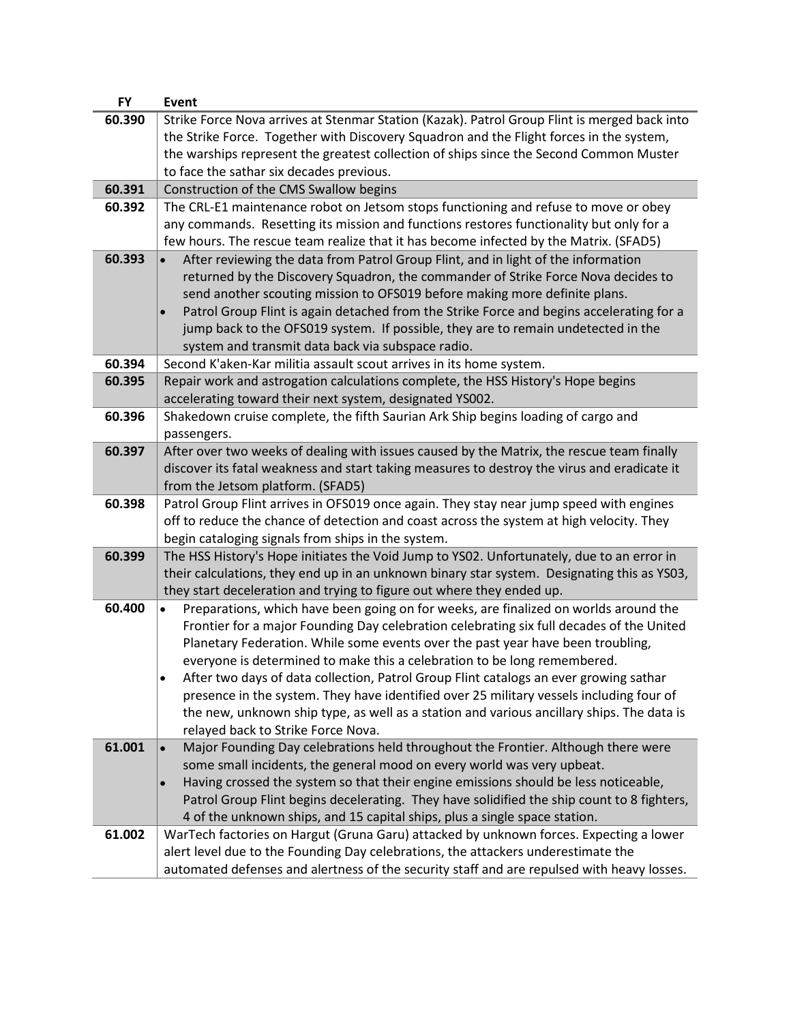| <b>FY</b> | <b>Event</b>                                                                                                                                                                     |
|-----------|----------------------------------------------------------------------------------------------------------------------------------------------------------------------------------|
| 60.390    | Strike Force Nova arrives at Stenmar Station (Kazak). Patrol Group Flint is merged back into                                                                                     |
|           | the Strike Force. Together with Discovery Squadron and the Flight forces in the system,                                                                                          |
|           | the warships represent the greatest collection of ships since the Second Common Muster                                                                                           |
|           | to face the sathar six decades previous.                                                                                                                                         |
| 60.391    | Construction of the CMS Swallow begins                                                                                                                                           |
| 60.392    | The CRL-E1 maintenance robot on Jetsom stops functioning and refuse to move or obey                                                                                              |
|           | any commands. Resetting its mission and functions restores functionality but only for a                                                                                          |
|           | few hours. The rescue team realize that it has become infected by the Matrix. (SFAD5)                                                                                            |
| 60.393    | After reviewing the data from Patrol Group Flint, and in light of the information                                                                                                |
|           | returned by the Discovery Squadron, the commander of Strike Force Nova decides to                                                                                                |
|           | send another scouting mission to OFS019 before making more definite plans.                                                                                                       |
|           | Patrol Group Flint is again detached from the Strike Force and begins accelerating for a                                                                                         |
|           | jump back to the OFS019 system. If possible, they are to remain undetected in the                                                                                                |
|           | system and transmit data back via subspace radio.                                                                                                                                |
| 60.394    | Second K'aken-Kar militia assault scout arrives in its home system.                                                                                                              |
| 60.395    | Repair work and astrogation calculations complete, the HSS History's Hope begins                                                                                                 |
|           | accelerating toward their next system, designated YS002.                                                                                                                         |
| 60.396    | Shakedown cruise complete, the fifth Saurian Ark Ship begins loading of cargo and                                                                                                |
|           | passengers.                                                                                                                                                                      |
| 60.397    | After over two weeks of dealing with issues caused by the Matrix, the rescue team finally                                                                                        |
|           | discover its fatal weakness and start taking measures to destroy the virus and eradicate it                                                                                      |
|           | from the Jetsom platform. (SFAD5)                                                                                                                                                |
| 60.398    | Patrol Group Flint arrives in OFS019 once again. They stay near jump speed with engines                                                                                          |
|           | off to reduce the chance of detection and coast across the system at high velocity. They                                                                                         |
|           | begin cataloging signals from ships in the system.                                                                                                                               |
| 60.399    | The HSS History's Hope initiates the Void Jump to YS02. Unfortunately, due to an error in                                                                                        |
|           | their calculations, they end up in an unknown binary star system. Designating this as YS03,                                                                                      |
|           | they start deceleration and trying to figure out where they ended up.                                                                                                            |
| 60.400    | Preparations, which have been going on for weeks, are finalized on worlds around the<br>$\bullet$                                                                                |
|           | Frontier for a major Founding Day celebration celebrating six full decades of the United                                                                                         |
|           | Planetary Federation. While some events over the past year have been troubling,                                                                                                  |
|           | everyone is determined to make this a celebration to be long remembered.                                                                                                         |
|           | After two days of data collection, Patrol Group Flint catalogs an ever growing sathar<br>presence in the system. They have identified over 25 military vessels including four of |
|           |                                                                                                                                                                                  |
|           | the new, unknown ship type, as well as a station and various ancillary ships. The data is<br>relayed back to Strike Force Nova.                                                  |
| 61.001    | Major Founding Day celebrations held throughout the Frontier. Although there were                                                                                                |
|           | some small incidents, the general mood on every world was very upbeat.                                                                                                           |
|           | Having crossed the system so that their engine emissions should be less noticeable,                                                                                              |
|           | Patrol Group Flint begins decelerating. They have solidified the ship count to 8 fighters,                                                                                       |
|           | 4 of the unknown ships, and 15 capital ships, plus a single space station.                                                                                                       |
| 61.002    | WarTech factories on Hargut (Gruna Garu) attacked by unknown forces. Expecting a lower                                                                                           |
|           | alert level due to the Founding Day celebrations, the attackers underestimate the                                                                                                |
|           | automated defenses and alertness of the security staff and are repulsed with heavy losses.                                                                                       |
|           |                                                                                                                                                                                  |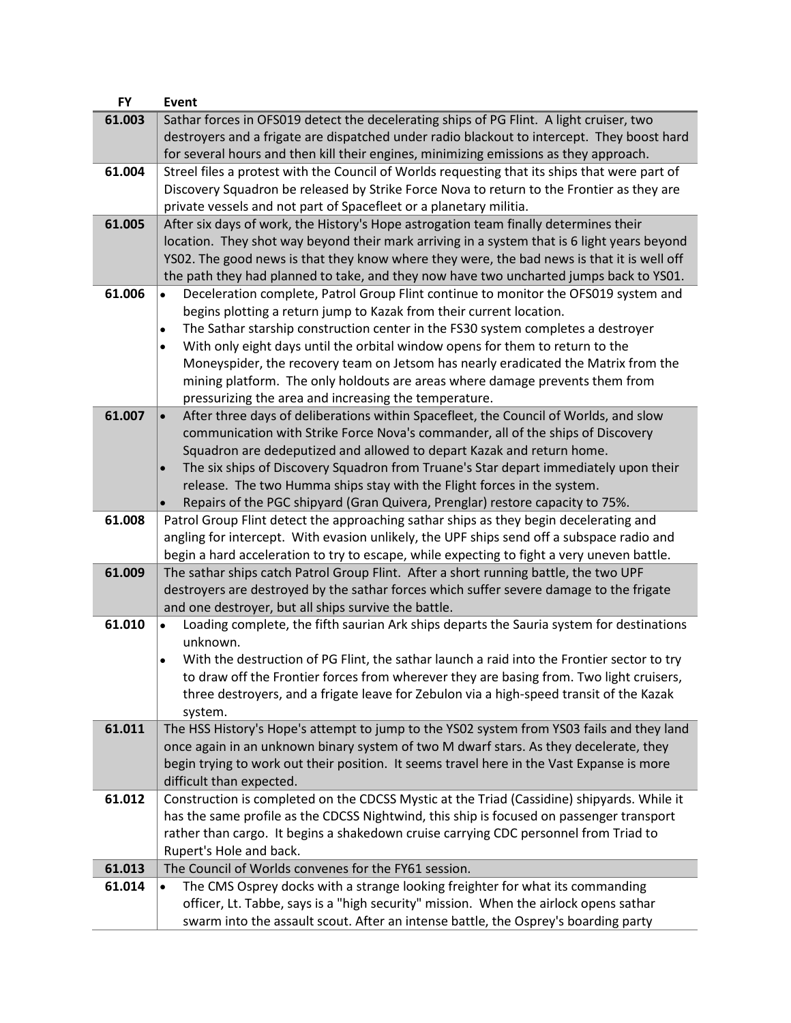| <b>FY</b> | <b>Event</b>                                                                                          |
|-----------|-------------------------------------------------------------------------------------------------------|
| 61.003    | Sathar forces in OFS019 detect the decelerating ships of PG Flint. A light cruiser, two               |
|           | destroyers and a frigate are dispatched under radio blackout to intercept. They boost hard            |
|           | for several hours and then kill their engines, minimizing emissions as they approach.                 |
| 61.004    | Streel files a protest with the Council of Worlds requesting that its ships that were part of         |
|           | Discovery Squadron be released by Strike Force Nova to return to the Frontier as they are             |
|           |                                                                                                       |
|           | private vessels and not part of Spacefleet or a planetary militia.                                    |
| 61.005    | After six days of work, the History's Hope astrogation team finally determines their                  |
|           | location. They shot way beyond their mark arriving in a system that is 6 light years beyond           |
|           | YS02. The good news is that they know where they were, the bad news is that it is well off            |
|           | the path they had planned to take, and they now have two uncharted jumps back to YSO1.                |
| 61.006    | Deceleration complete, Patrol Group Flint continue to monitor the OFS019 system and<br>$\bullet$      |
|           | begins plotting a return jump to Kazak from their current location.                                   |
|           | The Sathar starship construction center in the FS30 system completes a destroyer<br>$\bullet$         |
|           | With only eight days until the orbital window opens for them to return to the<br>$\bullet$            |
|           | Moneyspider, the recovery team on Jetsom has nearly eradicated the Matrix from the                    |
|           | mining platform. The only holdouts are areas where damage prevents them from                          |
|           | pressurizing the area and increasing the temperature.                                                 |
| 61.007    |                                                                                                       |
|           | After three days of deliberations within Spacefleet, the Council of Worlds, and slow<br>$\bullet$     |
|           | communication with Strike Force Nova's commander, all of the ships of Discovery                       |
|           | Squadron are dedeputized and allowed to depart Kazak and return home.                                 |
|           | The six ships of Discovery Squadron from Truane's Star depart immediately upon their<br>$\bullet$     |
|           | release. The two Humma ships stay with the Flight forces in the system.                               |
|           | Repairs of the PGC shipyard (Gran Quivera, Prenglar) restore capacity to 75%.<br>$\bullet$            |
| 61.008    | Patrol Group Flint detect the approaching sathar ships as they begin decelerating and                 |
|           | angling for intercept. With evasion unlikely, the UPF ships send off a subspace radio and             |
|           | begin a hard acceleration to try to escape, while expecting to fight a very uneven battle.            |
| 61.009    | The sathar ships catch Patrol Group Flint. After a short running battle, the two UPF                  |
|           | destroyers are destroyed by the sathar forces which suffer severe damage to the frigate               |
|           | and one destroyer, but all ships survive the battle.                                                  |
| 61.010    | Loading complete, the fifth saurian Ark ships departs the Sauria system for destinations<br>$\bullet$ |
|           | unknown.                                                                                              |
|           | With the destruction of PG Flint, the sathar launch a raid into the Frontier sector to try            |
|           | to draw off the Frontier forces from wherever they are basing from. Two light cruisers,               |
|           | three destroyers, and a frigate leave for Zebulon via a high-speed transit of the Kazak               |
|           | system.                                                                                               |
| 61.011    | The HSS History's Hope's attempt to jump to the YSO2 system from YSO3 fails and they land             |
|           |                                                                                                       |
|           | once again in an unknown binary system of two M dwarf stars. As they decelerate, they                 |
|           | begin trying to work out their position. It seems travel here in the Vast Expanse is more             |
|           | difficult than expected.                                                                              |
| 61.012    | Construction is completed on the CDCSS Mystic at the Triad (Cassidine) shipyards. While it            |
|           | has the same profile as the CDCSS Nightwind, this ship is focused on passenger transport              |
|           | rather than cargo. It begins a shakedown cruise carrying CDC personnel from Triad to                  |
|           | Rupert's Hole and back.                                                                               |
| 61.013    | The Council of Worlds convenes for the FY61 session.                                                  |
| 61.014    | The CMS Osprey docks with a strange looking freighter for what its commanding<br>$\bullet$            |
|           | officer, Lt. Tabbe, says is a "high security" mission. When the airlock opens sathar                  |
|           |                                                                                                       |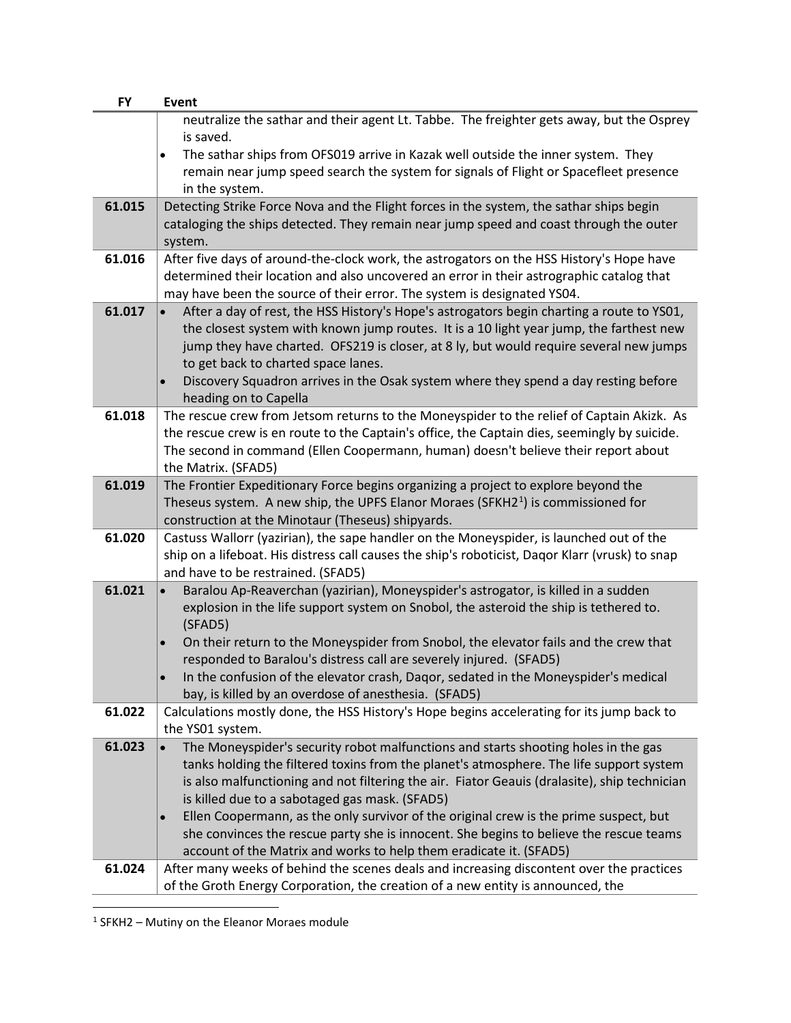| <b>FY</b> | <b>Event</b>                                                                                      |
|-----------|---------------------------------------------------------------------------------------------------|
|           | neutralize the sathar and their agent Lt. Tabbe. The freighter gets away, but the Osprey          |
|           | is saved.                                                                                         |
|           | The sathar ships from OFS019 arrive in Kazak well outside the inner system. They<br>$\bullet$     |
|           | remain near jump speed search the system for signals of Flight or Spacefleet presence             |
|           | in the system.                                                                                    |
| 61.015    | Detecting Strike Force Nova and the Flight forces in the system, the sathar ships begin           |
|           | cataloging the ships detected. They remain near jump speed and coast through the outer            |
|           | system.                                                                                           |
| 61.016    | After five days of around-the-clock work, the astrogators on the HSS History's Hope have          |
|           | determined their location and also uncovered an error in their astrographic catalog that          |
|           | may have been the source of their error. The system is designated YS04.                           |
| 61.017    | After a day of rest, the HSS History's Hope's astrogators begin charting a route to YS01,         |
|           | the closest system with known jump routes. It is a 10 light year jump, the farthest new           |
|           | jump they have charted. OFS219 is closer, at 8 ly, but would require several new jumps            |
|           | to get back to charted space lanes.                                                               |
|           | Discovery Squadron arrives in the Osak system where they spend a day resting before               |
|           | heading on to Capella                                                                             |
| 61.018    | The rescue crew from Jetsom returns to the Moneyspider to the relief of Captain Akizk. As         |
|           | the rescue crew is en route to the Captain's office, the Captain dies, seemingly by suicide.      |
|           | The second in command (Ellen Coopermann, human) doesn't believe their report about                |
|           | the Matrix. (SFAD5)                                                                               |
| 61.019    | The Frontier Expeditionary Force begins organizing a project to explore beyond the                |
|           | Theseus system. A new ship, the UPFS Elanor Moraes (SFKH2 $1$ ) is commissioned for               |
|           | construction at the Minotaur (Theseus) shipyards.                                                 |
| 61.020    | Castuss Wallorr (yazirian), the sape handler on the Moneyspider, is launched out of the           |
|           | ship on a lifeboat. His distress call causes the ship's roboticist, Daqor Klarr (vrusk) to snap   |
|           | and have to be restrained. (SFAD5)                                                                |
| 61.021    | Baralou Ap-Reaverchan (yazirian), Moneyspider's astrogator, is killed in a sudden                 |
|           | explosion in the life support system on Snobol, the asteroid the ship is tethered to.             |
|           | (SFAD5)                                                                                           |
|           | On their return to the Moneyspider from Snobol, the elevator fails and the crew that<br>$\bullet$ |
|           | responded to Baralou's distress call are severely injured. (SFAD5)                                |
|           | In the confusion of the elevator crash, Daqor, sedated in the Moneyspider's medical               |
|           | bay, is killed by an overdose of anesthesia. (SFAD5)                                              |
| 61.022    | Calculations mostly done, the HSS History's Hope begins accelerating for its jump back to         |
|           | the YS01 system.                                                                                  |
| 61.023    | The Moneyspider's security robot malfunctions and starts shooting holes in the gas                |
|           | tanks holding the filtered toxins from the planet's atmosphere. The life support system           |
|           | is also malfunctioning and not filtering the air. Fiator Geauis (dralasite), ship technician      |
|           | is killed due to a sabotaged gas mask. (SFAD5)                                                    |
|           | Ellen Coopermann, as the only survivor of the original crew is the prime suspect, but             |
|           | she convinces the rescue party she is innocent. She begins to believe the rescue teams            |
|           | account of the Matrix and works to help them eradicate it. (SFAD5)                                |
| 61.024    | After many weeks of behind the scenes deals and increasing discontent over the practices          |
|           | of the Groth Energy Corporation, the creation of a new entity is announced, the                   |

<span id="page-32-0"></span><sup>1</sup> SFKH2 – Mutiny on the Eleanor Moraes module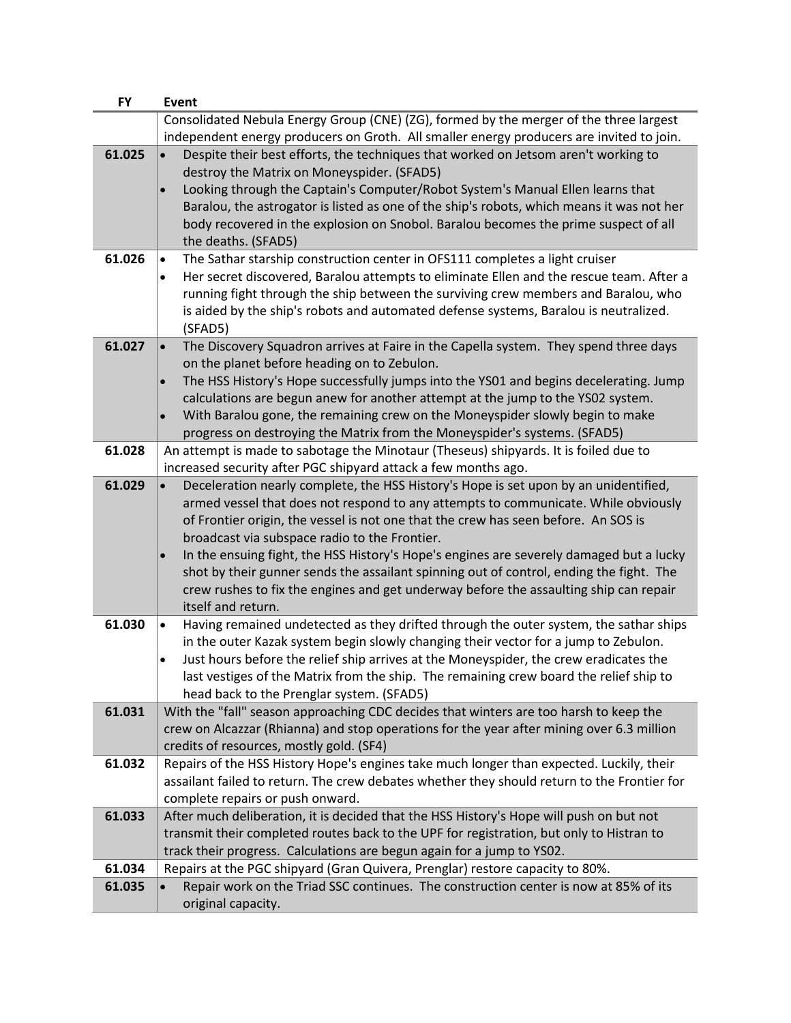| <b>FY</b> | <b>Event</b>                                                                                                                                                                                 |
|-----------|----------------------------------------------------------------------------------------------------------------------------------------------------------------------------------------------|
|           | Consolidated Nebula Energy Group (CNE) (ZG), formed by the merger of the three largest                                                                                                       |
|           | independent energy producers on Groth. All smaller energy producers are invited to join.                                                                                                     |
| 61.025    | Despite their best efforts, the techniques that worked on Jetsom aren't working to                                                                                                           |
|           | destroy the Matrix on Moneyspider. (SFAD5)                                                                                                                                                   |
|           | Looking through the Captain's Computer/Robot System's Manual Ellen learns that<br>$\bullet$                                                                                                  |
|           | Baralou, the astrogator is listed as one of the ship's robots, which means it was not her                                                                                                    |
|           | body recovered in the explosion on Snobol. Baralou becomes the prime suspect of all                                                                                                          |
|           | the deaths. (SFAD5)                                                                                                                                                                          |
| 61.026    | The Sathar starship construction center in OFS111 completes a light cruiser<br>$\bullet$                                                                                                     |
|           | Her secret discovered, Baralou attempts to eliminate Ellen and the rescue team. After a<br>$\bullet$                                                                                         |
|           | running fight through the ship between the surviving crew members and Baralou, who                                                                                                           |
|           | is aided by the ship's robots and automated defense systems, Baralou is neutralized.                                                                                                         |
|           | (SFAD5)                                                                                                                                                                                      |
| 61.027    | The Discovery Squadron arrives at Faire in the Capella system. They spend three days<br>$\bullet$                                                                                            |
|           | on the planet before heading on to Zebulon.                                                                                                                                                  |
|           | The HSS History's Hope successfully jumps into the YS01 and begins decelerating. Jump                                                                                                        |
|           | calculations are begun anew for another attempt at the jump to the YS02 system.                                                                                                              |
|           | With Baralou gone, the remaining crew on the Moneyspider slowly begin to make<br>$\bullet$                                                                                                   |
|           | progress on destroying the Matrix from the Moneyspider's systems. (SFAD5)                                                                                                                    |
| 61.028    | An attempt is made to sabotage the Minotaur (Theseus) shipyards. It is foiled due to                                                                                                         |
|           | increased security after PGC shipyard attack a few months ago.                                                                                                                               |
| 61.029    | Deceleration nearly complete, the HSS History's Hope is set upon by an unidentified,<br>$\bullet$                                                                                            |
|           | armed vessel that does not respond to any attempts to communicate. While obviously                                                                                                           |
|           | of Frontier origin, the vessel is not one that the crew has seen before. An SOS is                                                                                                           |
|           | broadcast via subspace radio to the Frontier.                                                                                                                                                |
|           | In the ensuing fight, the HSS History's Hope's engines are severely damaged but a lucky<br>$\bullet$                                                                                         |
|           | shot by their gunner sends the assailant spinning out of control, ending the fight. The                                                                                                      |
|           | crew rushes to fix the engines and get underway before the assaulting ship can repair                                                                                                        |
|           | itself and return.                                                                                                                                                                           |
| 61.030    | Having remained undetected as they drifted through the outer system, the sathar ships<br>$\bullet$                                                                                           |
|           | in the outer Kazak system begin slowly changing their vector for a jump to Zebulon.                                                                                                          |
|           | Just hours before the relief ship arrives at the Moneyspider, the crew eradicates the<br>$\bullet$<br>last vestiges of the Matrix from the ship. The remaining crew board the relief ship to |
|           | head back to the Prenglar system. (SFAD5)                                                                                                                                                    |
| 61.031    | With the "fall" season approaching CDC decides that winters are too harsh to keep the                                                                                                        |
|           | crew on Alcazzar (Rhianna) and stop operations for the year after mining over 6.3 million                                                                                                    |
|           | credits of resources, mostly gold. (SF4)                                                                                                                                                     |
| 61.032    | Repairs of the HSS History Hope's engines take much longer than expected. Luckily, their                                                                                                     |
|           | assailant failed to return. The crew debates whether they should return to the Frontier for                                                                                                  |
|           | complete repairs or push onward.                                                                                                                                                             |
| 61.033    | After much deliberation, it is decided that the HSS History's Hope will push on but not                                                                                                      |
|           | transmit their completed routes back to the UPF for registration, but only to Histran to                                                                                                     |
|           | track their progress. Calculations are begun again for a jump to YS02.                                                                                                                       |
| 61.034    | Repairs at the PGC shipyard (Gran Quivera, Prenglar) restore capacity to 80%.                                                                                                                |
| 61.035    | Repair work on the Triad SSC continues. The construction center is now at 85% of its                                                                                                         |
|           | original capacity.                                                                                                                                                                           |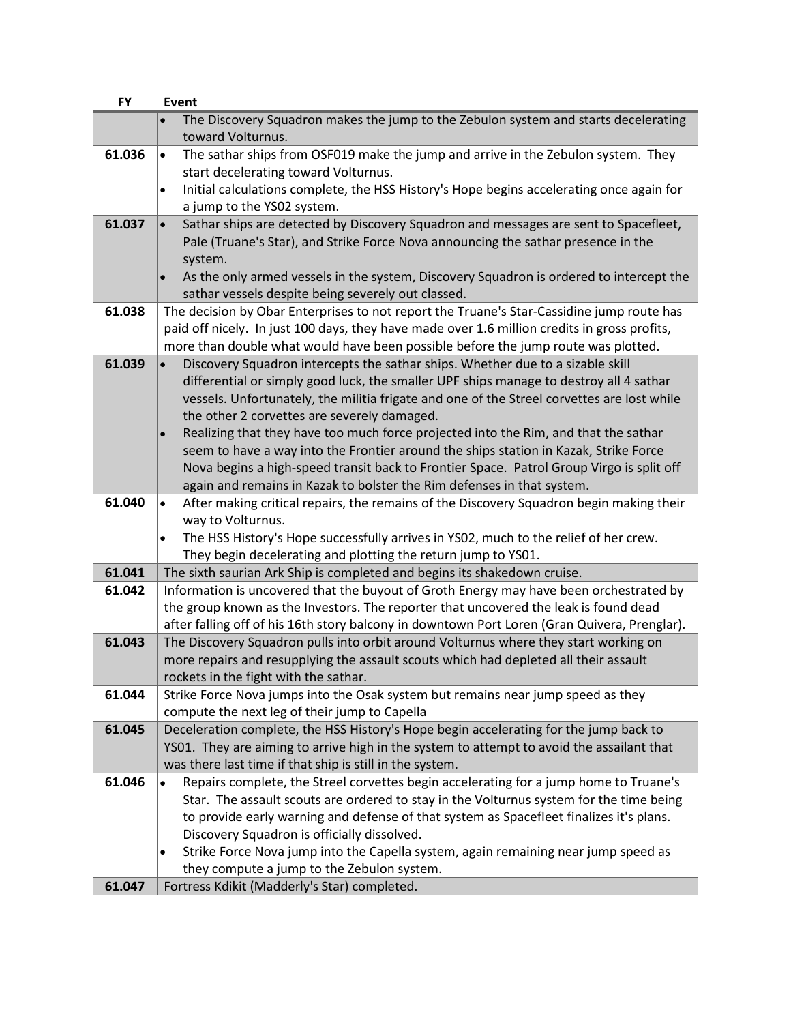| <b>FY</b> | <b>Event</b>                                                                                                                                                                         |
|-----------|--------------------------------------------------------------------------------------------------------------------------------------------------------------------------------------|
|           | The Discovery Squadron makes the jump to the Zebulon system and starts decelerating<br>toward Volturnus.                                                                             |
| 61.036    | The sathar ships from OSF019 make the jump and arrive in the Zebulon system. They<br>$\bullet$<br>start decelerating toward Volturnus.                                               |
|           | Initial calculations complete, the HSS History's Hope begins accelerating once again for<br>$\bullet$                                                                                |
|           | a jump to the YS02 system.                                                                                                                                                           |
| 61.037    | Sathar ships are detected by Discovery Squadron and messages are sent to Spacefleet,                                                                                                 |
|           | Pale (Truane's Star), and Strike Force Nova announcing the sathar presence in the                                                                                                    |
|           | system.                                                                                                                                                                              |
|           | As the only armed vessels in the system, Discovery Squadron is ordered to intercept the                                                                                              |
|           | sathar vessels despite being severely out classed.                                                                                                                                   |
| 61.038    | The decision by Obar Enterprises to not report the Truane's Star-Cassidine jump route has                                                                                            |
|           | paid off nicely. In just 100 days, they have made over 1.6 million credits in gross profits,                                                                                         |
|           | more than double what would have been possible before the jump route was plotted.                                                                                                    |
| 61.039    | Discovery Squadron intercepts the sathar ships. Whether due to a sizable skill                                                                                                       |
|           | differential or simply good luck, the smaller UPF ships manage to destroy all 4 sathar                                                                                               |
|           | vessels. Unfortunately, the militia frigate and one of the Streel corvettes are lost while<br>the other 2 corvettes are severely damaged.                                            |
|           | Realizing that they have too much force projected into the Rim, and that the sathar<br>$\bullet$                                                                                     |
|           | seem to have a way into the Frontier around the ships station in Kazak, Strike Force                                                                                                 |
|           | Nova begins a high-speed transit back to Frontier Space. Patrol Group Virgo is split off                                                                                             |
|           | again and remains in Kazak to bolster the Rim defenses in that system.                                                                                                               |
| 61.040    | After making critical repairs, the remains of the Discovery Squadron begin making their<br>$\bullet$                                                                                 |
|           | way to Volturnus.                                                                                                                                                                    |
|           | The HSS History's Hope successfully arrives in YSO2, much to the relief of her crew.                                                                                                 |
|           | They begin decelerating and plotting the return jump to YS01.                                                                                                                        |
| 61.041    | The sixth saurian Ark Ship is completed and begins its shakedown cruise.                                                                                                             |
| 61.042    | Information is uncovered that the buyout of Groth Energy may have been orchestrated by                                                                                               |
|           | the group known as the Investors. The reporter that uncovered the leak is found dead                                                                                                 |
| 61.043    | after falling off of his 16th story balcony in downtown Port Loren (Gran Quivera, Prenglar).<br>The Discovery Squadron pulls into orbit around Volturnus where they start working on |
|           | more repairs and resupplying the assault scouts which had depleted all their assault                                                                                                 |
|           | rockets in the fight with the sathar.                                                                                                                                                |
| 61.044    | Strike Force Nova jumps into the Osak system but remains near jump speed as they                                                                                                     |
|           | compute the next leg of their jump to Capella                                                                                                                                        |
| 61.045    | Deceleration complete, the HSS History's Hope begin accelerating for the jump back to                                                                                                |
|           | YS01. They are aiming to arrive high in the system to attempt to avoid the assailant that                                                                                            |
|           | was there last time if that ship is still in the system.                                                                                                                             |
| 61.046    | Repairs complete, the Streel corvettes begin accelerating for a jump home to Truane's                                                                                                |
|           | Star. The assault scouts are ordered to stay in the Volturnus system for the time being                                                                                              |
|           | to provide early warning and defense of that system as Spacefleet finalizes it's plans.                                                                                              |
|           | Discovery Squadron is officially dissolved.                                                                                                                                          |
|           | Strike Force Nova jump into the Capella system, again remaining near jump speed as<br>$\bullet$                                                                                      |
| 61.047    | they compute a jump to the Zebulon system.<br>Fortress Kdikit (Madderly's Star) completed.                                                                                           |
|           |                                                                                                                                                                                      |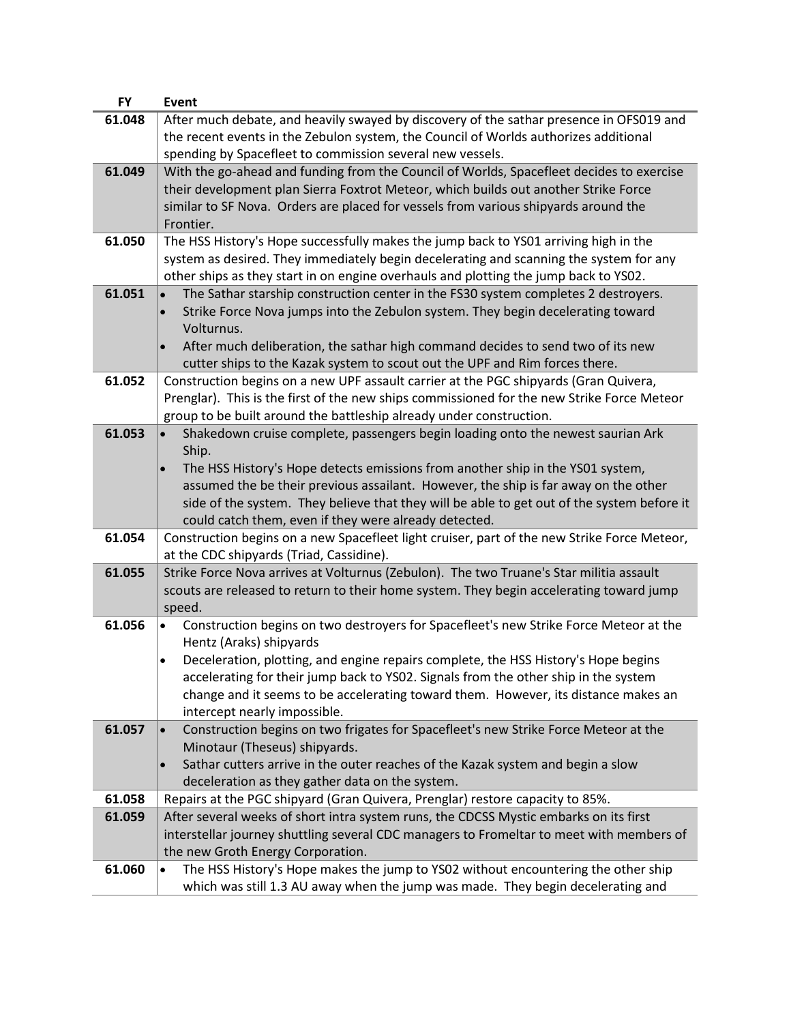| <b>FY</b> | Event                                                                                              |
|-----------|----------------------------------------------------------------------------------------------------|
| 61.048    | After much debate, and heavily swayed by discovery of the sathar presence in OFS019 and            |
|           | the recent events in the Zebulon system, the Council of Worlds authorizes additional               |
|           | spending by Spacefleet to commission several new vessels.                                          |
| 61.049    | With the go-ahead and funding from the Council of Worlds, Spacefleet decides to exercise           |
|           | their development plan Sierra Foxtrot Meteor, which builds out another Strike Force                |
|           | similar to SF Nova. Orders are placed for vessels from various shipyards around the                |
|           | Frontier.                                                                                          |
| 61.050    | The HSS History's Hope successfully makes the jump back to YS01 arriving high in the               |
|           | system as desired. They immediately begin decelerating and scanning the system for any             |
|           | other ships as they start in on engine overhauls and plotting the jump back to YSO2.               |
| 61.051    | The Sathar starship construction center in the FS30 system completes 2 destroyers.                 |
|           | Strike Force Nova jumps into the Zebulon system. They begin decelerating toward                    |
|           | Volturnus.                                                                                         |
|           | After much deliberation, the sathar high command decides to send two of its new                    |
|           | cutter ships to the Kazak system to scout out the UPF and Rim forces there.                        |
| 61.052    | Construction begins on a new UPF assault carrier at the PGC shipyards (Gran Quivera,               |
|           | Prenglar). This is the first of the new ships commissioned for the new Strike Force Meteor         |
|           | group to be built around the battleship already under construction.                                |
| 61.053    | Shakedown cruise complete, passengers begin loading onto the newest saurian Ark                    |
|           | Ship.                                                                                              |
|           | The HSS History's Hope detects emissions from another ship in the YS01 system,                     |
|           | assumed the be their previous assailant. However, the ship is far away on the other                |
|           | side of the system. They believe that they will be able to get out of the system before it         |
|           | could catch them, even if they were already detected.                                              |
| 61.054    | Construction begins on a new Spacefleet light cruiser, part of the new Strike Force Meteor,        |
|           | at the CDC shipyards (Triad, Cassidine).                                                           |
| 61.055    | Strike Force Nova arrives at Volturnus (Zebulon). The two Truane's Star militia assault            |
|           | scouts are released to return to their home system. They begin accelerating toward jump            |
|           | speed.                                                                                             |
| 61.056    | Construction begins on two destroyers for Spacefleet's new Strike Force Meteor at the<br>$\bullet$ |
|           | Hentz (Araks) shipyards                                                                            |
|           | Deceleration, plotting, and engine repairs complete, the HSS History's Hope begins<br>$\bullet$    |
|           | accelerating for their jump back to YSO2. Signals from the other ship in the system                |
|           | change and it seems to be accelerating toward them. However, its distance makes an                 |
|           | intercept nearly impossible.                                                                       |
| 61.057    | Construction begins on two frigates for Spacefleet's new Strike Force Meteor at the                |
|           | Minotaur (Theseus) shipyards.                                                                      |
|           | Sathar cutters arrive in the outer reaches of the Kazak system and begin a slow                    |
|           | deceleration as they gather data on the system.                                                    |
| 61.058    | Repairs at the PGC shipyard (Gran Quivera, Prenglar) restore capacity to 85%.                      |
| 61.059    | After several weeks of short intra system runs, the CDCSS Mystic embarks on its first              |
|           | interstellar journey shuttling several CDC managers to Fromeltar to meet with members of           |
|           | the new Groth Energy Corporation.                                                                  |
| 61.060    | The HSS History's Hope makes the jump to YS02 without encountering the other ship<br>$\bullet$     |
|           | which was still 1.3 AU away when the jump was made. They begin decelerating and                    |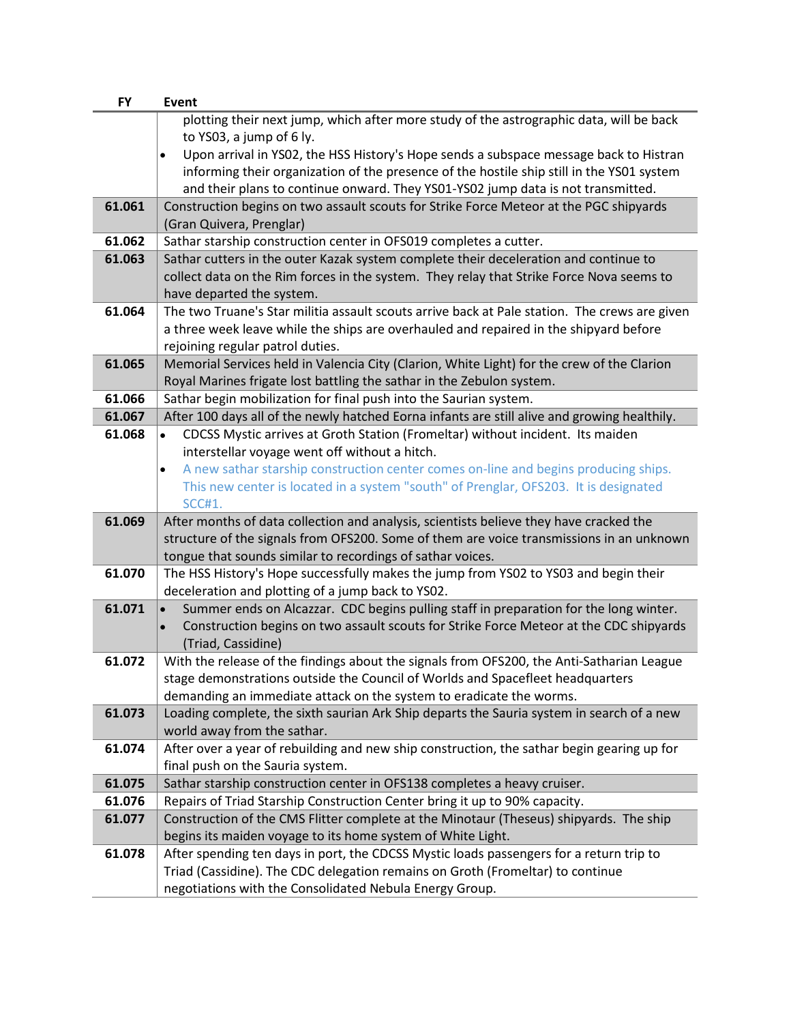| <b>FY</b> | Event                                                                                               |
|-----------|-----------------------------------------------------------------------------------------------------|
|           | plotting their next jump, which after more study of the astrographic data, will be back             |
|           | to YS03, a jump of 6 ly.                                                                            |
|           | Upon arrival in YSO2, the HSS History's Hope sends a subspace message back to Histran<br>$\bullet$  |
|           | informing their organization of the presence of the hostile ship still in the YS01 system           |
|           | and their plans to continue onward. They YS01-YS02 jump data is not transmitted.                    |
| 61.061    | Construction begins on two assault scouts for Strike Force Meteor at the PGC shipyards              |
|           | (Gran Quivera, Prenglar)                                                                            |
| 61.062    | Sathar starship construction center in OFS019 completes a cutter.                                   |
| 61.063    | Sathar cutters in the outer Kazak system complete their deceleration and continue to                |
|           | collect data on the Rim forces in the system. They relay that Strike Force Nova seems to            |
|           | have departed the system.                                                                           |
| 61.064    | The two Truane's Star militia assault scouts arrive back at Pale station. The crews are given       |
|           | a three week leave while the ships are overhauled and repaired in the shipyard before               |
|           | rejoining regular patrol duties.                                                                    |
| 61.065    | Memorial Services held in Valencia City (Clarion, White Light) for the crew of the Clarion          |
|           | Royal Marines frigate lost battling the sathar in the Zebulon system.                               |
| 61.066    | Sathar begin mobilization for final push into the Saurian system.                                   |
| 61.067    | After 100 days all of the newly hatched Eorna infants are still alive and growing healthily.        |
| 61.068    | CDCSS Mystic arrives at Groth Station (Fromeltar) without incident. Its maiden<br>$\bullet$         |
|           | interstellar voyage went off without a hitch.                                                       |
|           | A new sathar starship construction center comes on-line and begins producing ships.<br>$\bullet$    |
|           | This new center is located in a system "south" of Prenglar, OFS203. It is designated                |
|           | <b>SCC#1.</b>                                                                                       |
| 61.069    | After months of data collection and analysis, scientists believe they have cracked the              |
|           | structure of the signals from OFS200. Some of them are voice transmissions in an unknown            |
|           | tongue that sounds similar to recordings of sathar voices.                                          |
| 61.070    | The HSS History's Hope successfully makes the jump from YS02 to YS03 and begin their                |
|           | deceleration and plotting of a jump back to YS02.                                                   |
| 61.071    | Summer ends on Alcazzar. CDC begins pulling staff in preparation for the long winter.               |
|           | Construction begins on two assault scouts for Strike Force Meteor at the CDC shipyards<br>$\bullet$ |
|           | (Triad, Cassidine)                                                                                  |
| 61.072    | With the release of the findings about the signals from OFS200, the Anti-Satharian League           |
|           | stage demonstrations outside the Council of Worlds and Spacefleet headquarters                      |
|           | demanding an immediate attack on the system to eradicate the worms.                                 |
| 61.073    | Loading complete, the sixth saurian Ark Ship departs the Sauria system in search of a new           |
|           | world away from the sathar.                                                                         |
| 61.074    | After over a year of rebuilding and new ship construction, the sathar begin gearing up for          |
|           | final push on the Sauria system.                                                                    |
| 61.075    | Sathar starship construction center in OFS138 completes a heavy cruiser.                            |
| 61.076    | Repairs of Triad Starship Construction Center bring it up to 90% capacity.                          |
| 61.077    | Construction of the CMS Flitter complete at the Minotaur (Theseus) shipyards. The ship              |
|           | begins its maiden voyage to its home system of White Light.                                         |
| 61.078    | After spending ten days in port, the CDCSS Mystic loads passengers for a return trip to             |
|           | Triad (Cassidine). The CDC delegation remains on Groth (Fromeltar) to continue                      |
|           | negotiations with the Consolidated Nebula Energy Group.                                             |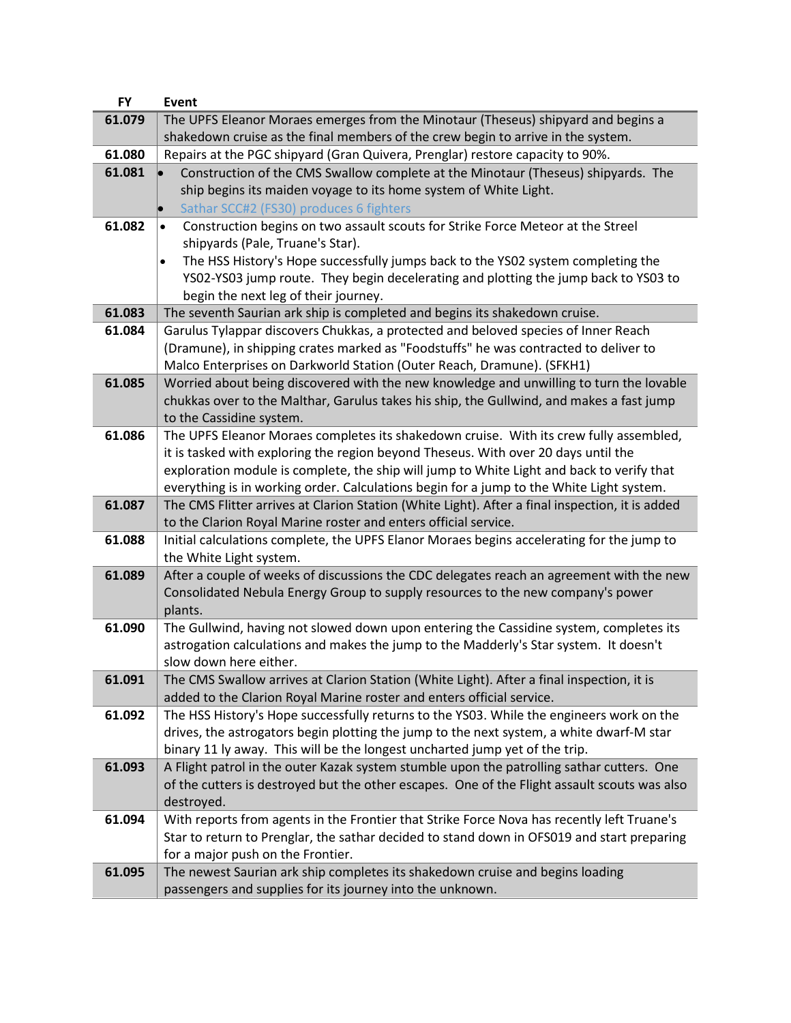| <b>FY</b> | <b>Event</b>                                                                                    |
|-----------|-------------------------------------------------------------------------------------------------|
| 61.079    | The UPFS Eleanor Moraes emerges from the Minotaur (Theseus) shipyard and begins a               |
|           | shakedown cruise as the final members of the crew begin to arrive in the system.                |
| 61.080    | Repairs at the PGC shipyard (Gran Quivera, Prenglar) restore capacity to 90%.                   |
| 61.081    | Construction of the CMS Swallow complete at the Minotaur (Theseus) shipyards. The               |
|           | ship begins its maiden voyage to its home system of White Light.                                |
|           | Sathar SCC#2 (FS30) produces 6 fighters                                                         |
| 61.082    | Construction begins on two assault scouts for Strike Force Meteor at the Streel                 |
|           | shipyards (Pale, Truane's Star).                                                                |
|           | The HSS History's Hope successfully jumps back to the YS02 system completing the<br>$\bullet$   |
|           | YS02-YS03 jump route. They begin decelerating and plotting the jump back to YS03 to             |
|           | begin the next leg of their journey.                                                            |
| 61.083    | The seventh Saurian ark ship is completed and begins its shakedown cruise.                      |
| 61.084    | Garulus Tylappar discovers Chukkas, a protected and beloved species of Inner Reach              |
|           | (Dramune), in shipping crates marked as "Foodstuffs" he was contracted to deliver to            |
|           | Malco Enterprises on Darkworld Station (Outer Reach, Dramune). (SFKH1)                          |
| 61.085    | Worried about being discovered with the new knowledge and unwilling to turn the lovable         |
|           | chukkas over to the Malthar, Garulus takes his ship, the Gullwind, and makes a fast jump        |
|           | to the Cassidine system.                                                                        |
| 61.086    | The UPFS Eleanor Moraes completes its shakedown cruise. With its crew fully assembled,          |
|           | it is tasked with exploring the region beyond Theseus. With over 20 days until the              |
|           | exploration module is complete, the ship will jump to White Light and back to verify that       |
|           | everything is in working order. Calculations begin for a jump to the White Light system.        |
| 61.087    | The CMS Flitter arrives at Clarion Station (White Light). After a final inspection, it is added |
|           | to the Clarion Royal Marine roster and enters official service.                                 |
| 61.088    | Initial calculations complete, the UPFS Elanor Moraes begins accelerating for the jump to       |
|           | the White Light system.                                                                         |
| 61.089    | After a couple of weeks of discussions the CDC delegates reach an agreement with the new        |
|           | Consolidated Nebula Energy Group to supply resources to the new company's power<br>plants.      |
| 61.090    | The Gullwind, having not slowed down upon entering the Cassidine system, completes its          |
|           | astrogation calculations and makes the jump to the Madderly's Star system. It doesn't           |
|           | slow down here either.                                                                          |
| 61.091    | The CMS Swallow arrives at Clarion Station (White Light). After a final inspection, it is       |
|           | added to the Clarion Royal Marine roster and enters official service.                           |
| 61.092    | The HSS History's Hope successfully returns to the YS03. While the engineers work on the        |
|           | drives, the astrogators begin plotting the jump to the next system, a white dwarf-M star        |
|           | binary 11 ly away. This will be the longest uncharted jump yet of the trip.                     |
| 61.093    | A Flight patrol in the outer Kazak system stumble upon the patrolling sathar cutters. One       |
|           | of the cutters is destroyed but the other escapes. One of the Flight assault scouts was also    |
|           | destroyed.                                                                                      |
| 61.094    | With reports from agents in the Frontier that Strike Force Nova has recently left Truane's      |
|           | Star to return to Prenglar, the sathar decided to stand down in OFS019 and start preparing      |
|           | for a major push on the Frontier.                                                               |
| 61.095    | The newest Saurian ark ship completes its shakedown cruise and begins loading                   |
|           | passengers and supplies for its journey into the unknown.                                       |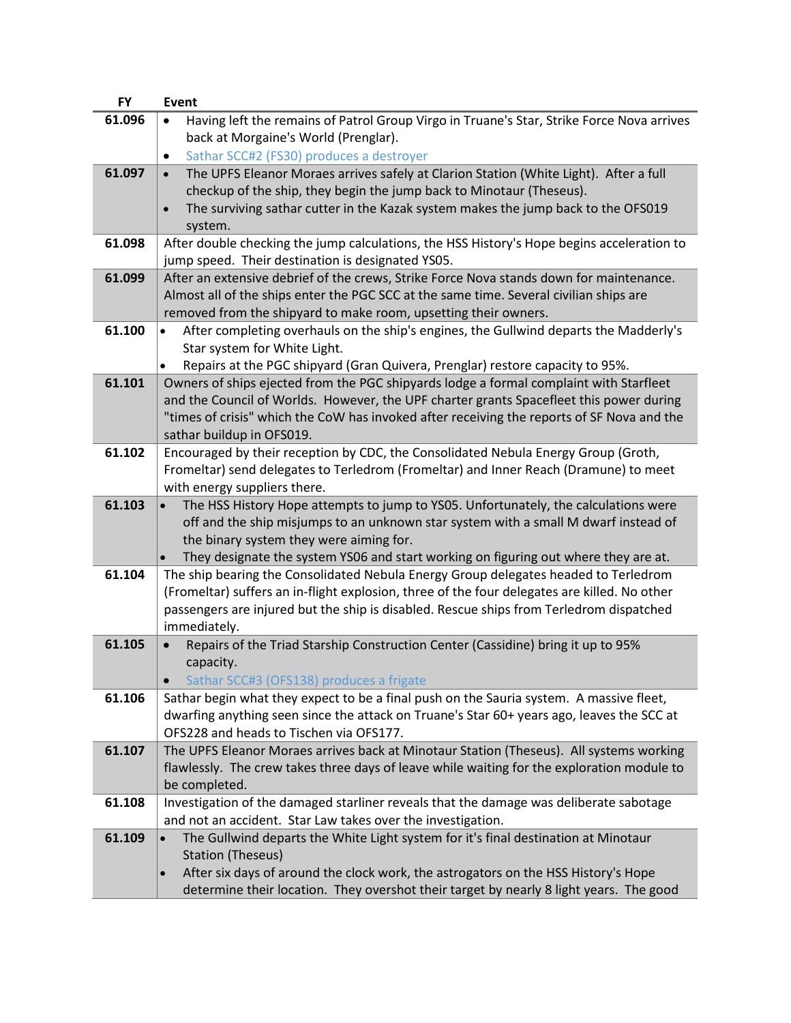| <b>FY</b> | <b>Event</b>                                                                                                                                                               |
|-----------|----------------------------------------------------------------------------------------------------------------------------------------------------------------------------|
| 61.096    | Having left the remains of Patrol Group Virgo in Truane's Star, Strike Force Nova arrives                                                                                  |
|           | back at Morgaine's World (Prenglar).                                                                                                                                       |
|           | Sathar SCC#2 (FS30) produces a destroyer<br>$\bullet$                                                                                                                      |
| 61.097    | The UPFS Eleanor Moraes arrives safely at Clarion Station (White Light). After a full<br>$\bullet$                                                                         |
|           | checkup of the ship, they begin the jump back to Minotaur (Theseus).                                                                                                       |
|           | The surviving sathar cutter in the Kazak system makes the jump back to the OFS019<br>$\bullet$                                                                             |
|           | system.                                                                                                                                                                    |
| 61.098    | After double checking the jump calculations, the HSS History's Hope begins acceleration to                                                                                 |
|           | jump speed. Their destination is designated YS05.                                                                                                                          |
| 61.099    | After an extensive debrief of the crews, Strike Force Nova stands down for maintenance.                                                                                    |
|           | Almost all of the ships enter the PGC SCC at the same time. Several civilian ships are                                                                                     |
|           | removed from the shipyard to make room, upsetting their owners.                                                                                                            |
| 61.100    | After completing overhauls on the ship's engines, the Gullwind departs the Madderly's<br>$\bullet$                                                                         |
|           | Star system for White Light.                                                                                                                                               |
|           | Repairs at the PGC shipyard (Gran Quivera, Prenglar) restore capacity to 95%.<br>$\bullet$                                                                                 |
| 61.101    | Owners of ships ejected from the PGC shipyards lodge a formal complaint with Starfleet                                                                                     |
|           | and the Council of Worlds. However, the UPF charter grants Spacefleet this power during                                                                                    |
|           | "times of crisis" which the CoW has invoked after receiving the reports of SF Nova and the                                                                                 |
|           | sathar buildup in OFS019.                                                                                                                                                  |
| 61.102    | Encouraged by their reception by CDC, the Consolidated Nebula Energy Group (Groth,                                                                                         |
|           | Fromeltar) send delegates to Terledrom (Fromeltar) and Inner Reach (Dramune) to meet                                                                                       |
|           | with energy suppliers there.                                                                                                                                               |
| 61.103    | The HSS History Hope attempts to jump to YS05. Unfortunately, the calculations were                                                                                        |
|           | off and the ship misjumps to an unknown star system with a small M dwarf instead of                                                                                        |
|           | the binary system they were aiming for.                                                                                                                                    |
| 61.104    | They designate the system YS06 and start working on figuring out where they are at.<br>The ship bearing the Consolidated Nebula Energy Group delegates headed to Terledrom |
|           | (Fromeltar) suffers an in-flight explosion, three of the four delegates are killed. No other                                                                               |
|           | passengers are injured but the ship is disabled. Rescue ships from Terledrom dispatched                                                                                    |
|           | immediately.                                                                                                                                                               |
| 61.105    | Repairs of the Triad Starship Construction Center (Cassidine) bring it up to 95%                                                                                           |
|           | capacity.                                                                                                                                                                  |
|           | Sathar SCC#3 (OFS138) produces a frigate                                                                                                                                   |
| 61.106    | Sathar begin what they expect to be a final push on the Sauria system. A massive fleet,                                                                                    |
|           | dwarfing anything seen since the attack on Truane's Star 60+ years ago, leaves the SCC at                                                                                  |
|           | OFS228 and heads to Tischen via OFS177.                                                                                                                                    |
| 61.107    | The UPFS Eleanor Moraes arrives back at Minotaur Station (Theseus). All systems working                                                                                    |
|           | flawlessly. The crew takes three days of leave while waiting for the exploration module to                                                                                 |
|           | be completed.                                                                                                                                                              |
| 61.108    | Investigation of the damaged starliner reveals that the damage was deliberate sabotage                                                                                     |
|           | and not an accident. Star Law takes over the investigation.                                                                                                                |
| 61.109    | The Gullwind departs the White Light system for it's final destination at Minotaur                                                                                         |
|           | <b>Station (Theseus)</b>                                                                                                                                                   |
|           | After six days of around the clock work, the astrogators on the HSS History's Hope<br>$\bullet$                                                                            |
|           | determine their location. They overshot their target by nearly 8 light years. The good                                                                                     |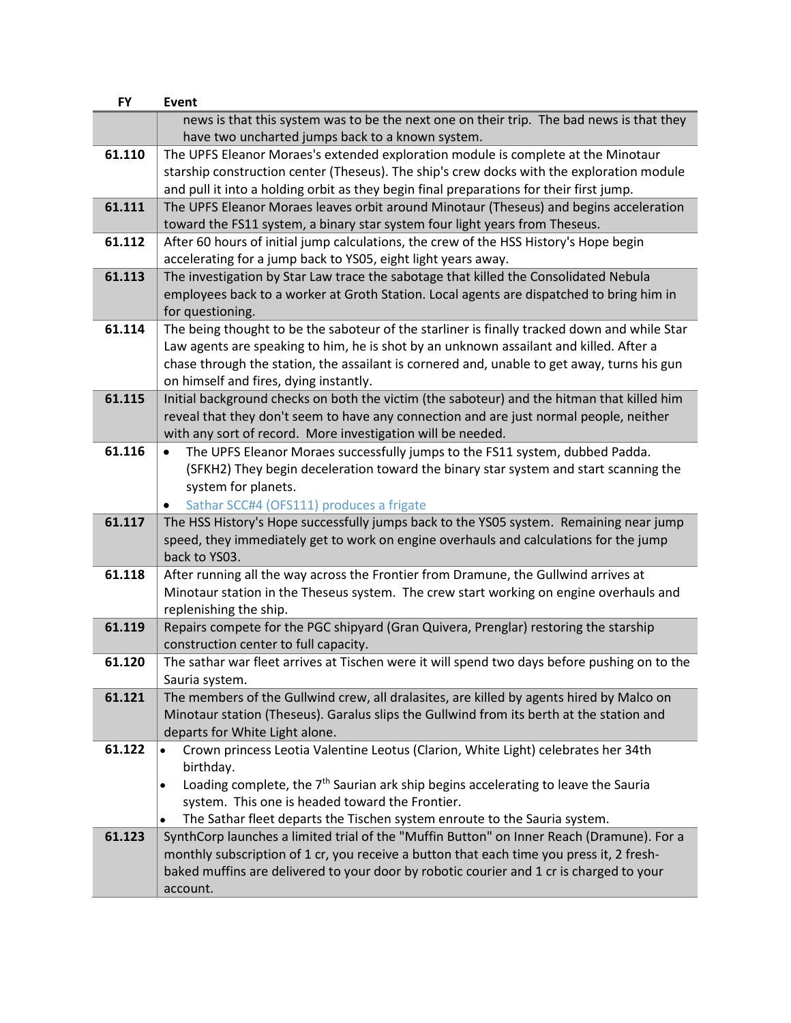| <b>FY</b> | Event                                                                                                                                                                               |
|-----------|-------------------------------------------------------------------------------------------------------------------------------------------------------------------------------------|
|           | news is that this system was to be the next one on their trip. The bad news is that they                                                                                            |
|           | have two uncharted jumps back to a known system.                                                                                                                                    |
| 61.110    | The UPFS Eleanor Moraes's extended exploration module is complete at the Minotaur                                                                                                   |
|           | starship construction center (Theseus). The ship's crew docks with the exploration module                                                                                           |
|           | and pull it into a holding orbit as they begin final preparations for their first jump.                                                                                             |
| 61.111    | The UPFS Eleanor Moraes leaves orbit around Minotaur (Theseus) and begins acceleration                                                                                              |
|           | toward the FS11 system, a binary star system four light years from Theseus.                                                                                                         |
| 61.112    | After 60 hours of initial jump calculations, the crew of the HSS History's Hope begin                                                                                               |
|           | accelerating for a jump back to YS05, eight light years away.                                                                                                                       |
| 61.113    | The investigation by Star Law trace the sabotage that killed the Consolidated Nebula                                                                                                |
|           | employees back to a worker at Groth Station. Local agents are dispatched to bring him in                                                                                            |
|           | for questioning.                                                                                                                                                                    |
| 61.114    | The being thought to be the saboteur of the starliner is finally tracked down and while Star                                                                                        |
|           | Law agents are speaking to him, he is shot by an unknown assailant and killed. After a                                                                                              |
|           | chase through the station, the assailant is cornered and, unable to get away, turns his gun                                                                                         |
|           | on himself and fires, dying instantly.                                                                                                                                              |
| 61.115    | Initial background checks on both the victim (the saboteur) and the hitman that killed him                                                                                          |
|           | reveal that they don't seem to have any connection and are just normal people, neither                                                                                              |
|           | with any sort of record. More investigation will be needed.                                                                                                                         |
| 61.116    | The UPFS Eleanor Moraes successfully jumps to the FS11 system, dubbed Padda.                                                                                                        |
|           | (SFKH2) They begin deceleration toward the binary star system and start scanning the                                                                                                |
|           | system for planets.                                                                                                                                                                 |
|           | Sathar SCC#4 (OFS111) produces a frigate                                                                                                                                            |
| 61.117    | The HSS History's Hope successfully jumps back to the YSO5 system. Remaining near jump                                                                                              |
|           | speed, they immediately get to work on engine overhauls and calculations for the jump                                                                                               |
|           | back to YS03.                                                                                                                                                                       |
| 61.118    | After running all the way across the Frontier from Dramune, the Gullwind arrives at                                                                                                 |
|           | Minotaur station in the Theseus system. The crew start working on engine overhauls and                                                                                              |
|           | replenishing the ship.                                                                                                                                                              |
| 61.119    | Repairs compete for the PGC shipyard (Gran Quivera, Prenglar) restoring the starship                                                                                                |
|           | construction center to full capacity.                                                                                                                                               |
| 61.120    | The sathar war fleet arrives at Tischen were it will spend two days before pushing on to the                                                                                        |
|           | Sauria system.                                                                                                                                                                      |
| 61.121    | The members of the Gullwind crew, all dralasites, are killed by agents hired by Malco on                                                                                            |
|           | Minotaur station (Theseus). Garalus slips the Gullwind from its berth at the station and                                                                                            |
|           | departs for White Light alone.                                                                                                                                                      |
| 61.122    | Crown princess Leotia Valentine Leotus (Clarion, White Light) celebrates her 34th                                                                                                   |
|           | birthday.                                                                                                                                                                           |
|           | Loading complete, the 7 <sup>th</sup> Saurian ark ship begins accelerating to leave the Sauria<br>$\bullet$                                                                         |
|           | system. This one is headed toward the Frontier.                                                                                                                                     |
| 61.123    | The Sathar fleet departs the Tischen system enroute to the Sauria system.<br>$\bullet$<br>SynthCorp launches a limited trial of the "Muffin Button" on Inner Reach (Dramune). For a |
|           | monthly subscription of 1 cr, you receive a button that each time you press it, 2 fresh-                                                                                            |
|           | baked muffins are delivered to your door by robotic courier and 1 cr is charged to your                                                                                             |
|           |                                                                                                                                                                                     |
|           | account.                                                                                                                                                                            |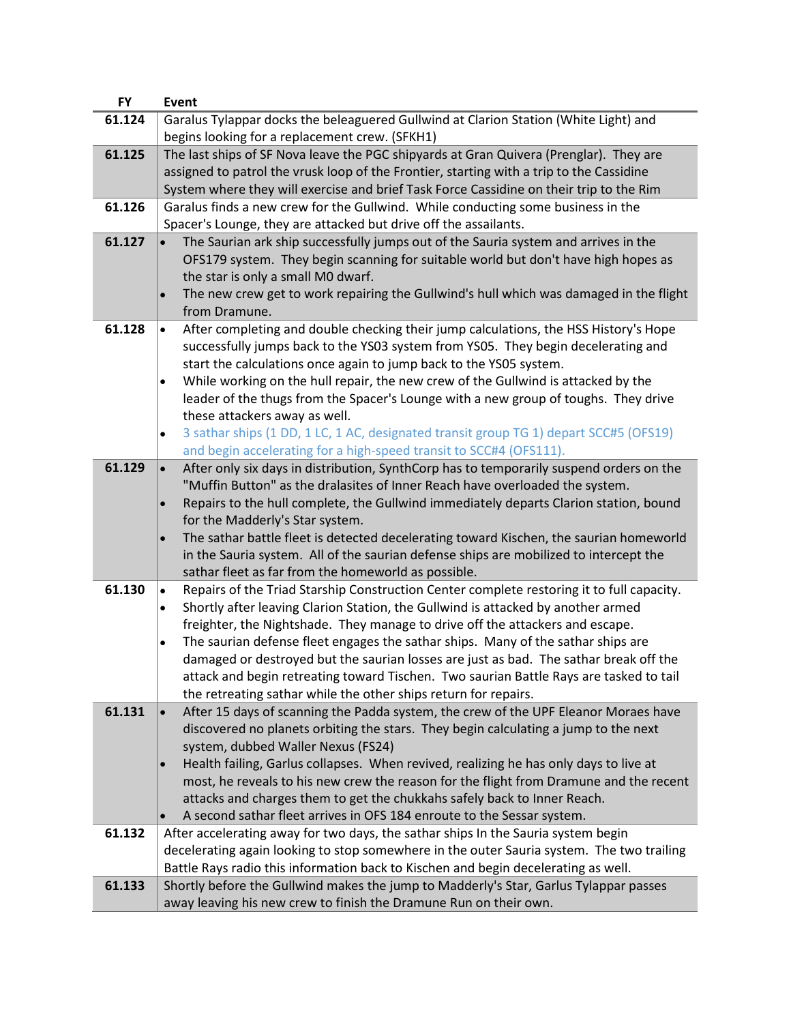| <b>FY</b> | <b>Event</b>                                                                                                                                                                    |  |  |  |
|-----------|---------------------------------------------------------------------------------------------------------------------------------------------------------------------------------|--|--|--|
| 61.124    | Garalus Tylappar docks the beleaguered Gullwind at Clarion Station (White Light) and                                                                                            |  |  |  |
|           | begins looking for a replacement crew. (SFKH1)                                                                                                                                  |  |  |  |
| 61.125    | The last ships of SF Nova leave the PGC shipyards at Gran Quivera (Prenglar). They are                                                                                          |  |  |  |
|           | assigned to patrol the vrusk loop of the Frontier, starting with a trip to the Cassidine                                                                                        |  |  |  |
|           | System where they will exercise and brief Task Force Cassidine on their trip to the Rim                                                                                         |  |  |  |
| 61.126    | Garalus finds a new crew for the Gullwind. While conducting some business in the                                                                                                |  |  |  |
|           | Spacer's Lounge, they are attacked but drive off the assailants.                                                                                                                |  |  |  |
| 61.127    | The Saurian ark ship successfully jumps out of the Sauria system and arrives in the<br>$\bullet$                                                                                |  |  |  |
|           | OFS179 system. They begin scanning for suitable world but don't have high hopes as                                                                                              |  |  |  |
|           | the star is only a small M0 dwarf.                                                                                                                                              |  |  |  |
|           | The new crew get to work repairing the Gullwind's hull which was damaged in the flight<br>$\bullet$                                                                             |  |  |  |
|           | from Dramune.                                                                                                                                                                   |  |  |  |
| 61.128    | After completing and double checking their jump calculations, the HSS History's Hope<br>$\bullet$                                                                               |  |  |  |
|           | successfully jumps back to the YS03 system from YS05. They begin decelerating and<br>start the calculations once again to jump back to the YS05 system.                         |  |  |  |
|           | While working on the hull repair, the new crew of the Gullwind is attacked by the<br>$\bullet$                                                                                  |  |  |  |
|           | leader of the thugs from the Spacer's Lounge with a new group of toughs. They drive                                                                                             |  |  |  |
|           | these attackers away as well.                                                                                                                                                   |  |  |  |
|           | 3 sathar ships (1 DD, 1 LC, 1 AC, designated transit group TG 1) depart SCC#5 (OFS19)<br>$\bullet$                                                                              |  |  |  |
|           | and begin accelerating for a high-speed transit to SCC#4 (OFS111).                                                                                                              |  |  |  |
| 61.129    | After only six days in distribution, SynthCorp has to temporarily suspend orders on the<br>$\bullet$                                                                            |  |  |  |
|           | "Muffin Button" as the dralasites of Inner Reach have overloaded the system.                                                                                                    |  |  |  |
|           | Repairs to the hull complete, the Gullwind immediately departs Clarion station, bound<br>$\bullet$                                                                              |  |  |  |
|           | for the Madderly's Star system.                                                                                                                                                 |  |  |  |
|           | The sathar battle fleet is detected decelerating toward Kischen, the saurian homeworld                                                                                          |  |  |  |
|           | in the Sauria system. All of the saurian defense ships are mobilized to intercept the                                                                                           |  |  |  |
|           | sathar fleet as far from the homeworld as possible.                                                                                                                             |  |  |  |
| 61.130    | Repairs of the Triad Starship Construction Center complete restoring it to full capacity.<br>$\bullet$                                                                          |  |  |  |
|           | Shortly after leaving Clarion Station, the Gullwind is attacked by another armed<br>$\bullet$                                                                                   |  |  |  |
|           | freighter, the Nightshade. They manage to drive off the attackers and escape.                                                                                                   |  |  |  |
|           | The saurian defense fleet engages the sathar ships. Many of the sathar ships are<br>$\bullet$                                                                                   |  |  |  |
|           | damaged or destroyed but the saurian losses are just as bad. The sathar break off the<br>attack and begin retreating toward Tischen. Two saurian Battle Rays are tasked to tail |  |  |  |
|           | the retreating sathar while the other ships return for repairs.                                                                                                                 |  |  |  |
| 61.131    | After 15 days of scanning the Padda system, the crew of the UPF Eleanor Moraes have<br>$\bullet$                                                                                |  |  |  |
|           | discovered no planets orbiting the stars. They begin calculating a jump to the next                                                                                             |  |  |  |
|           | system, dubbed Waller Nexus (FS24)                                                                                                                                              |  |  |  |
|           | Health failing, Garlus collapses. When revived, realizing he has only days to live at<br>$\bullet$                                                                              |  |  |  |
|           | most, he reveals to his new crew the reason for the flight from Dramune and the recent                                                                                          |  |  |  |
|           | attacks and charges them to get the chukkahs safely back to Inner Reach.                                                                                                        |  |  |  |
|           | A second sathar fleet arrives in OFS 184 enroute to the Sessar system.                                                                                                          |  |  |  |
| 61.132    | After accelerating away for two days, the sathar ships In the Sauria system begin                                                                                               |  |  |  |
|           | decelerating again looking to stop somewhere in the outer Sauria system. The two trailing                                                                                       |  |  |  |
|           | Battle Rays radio this information back to Kischen and begin decelerating as well.                                                                                              |  |  |  |
| 61.133    | Shortly before the Gullwind makes the jump to Madderly's Star, Garlus Tylappar passes                                                                                           |  |  |  |
|           | away leaving his new crew to finish the Dramune Run on their own.                                                                                                               |  |  |  |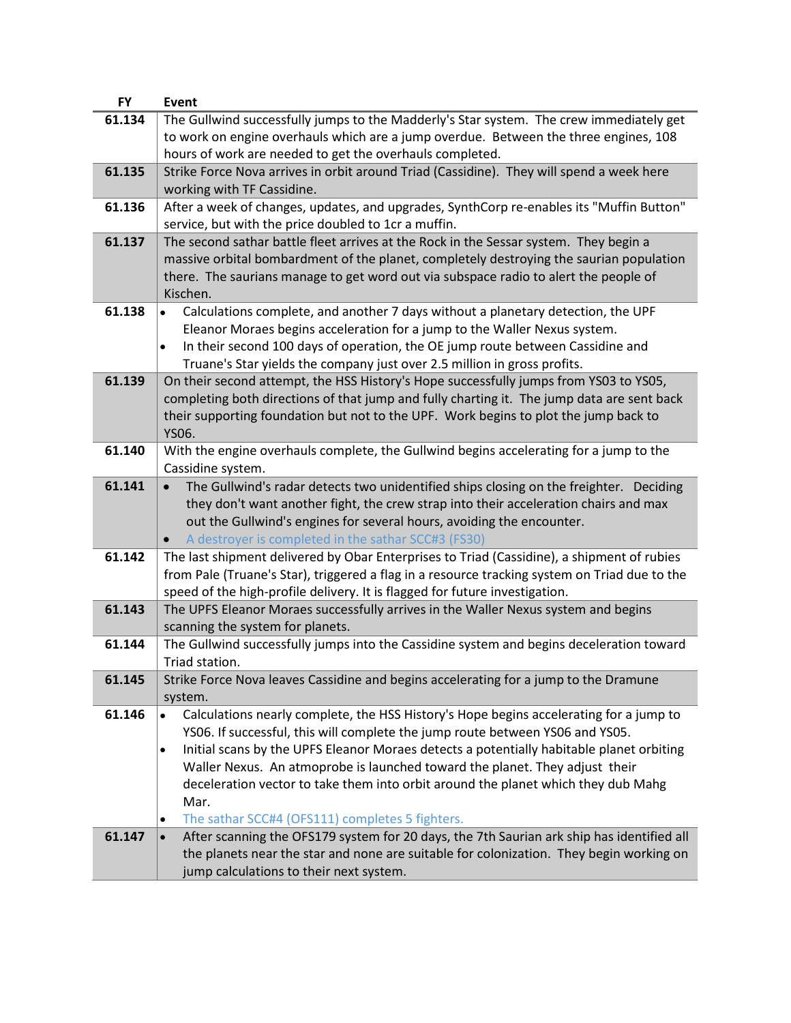| <b>FY</b> | <b>Event</b>                                                                                          |
|-----------|-------------------------------------------------------------------------------------------------------|
| 61.134    | The Gullwind successfully jumps to the Madderly's Star system. The crew immediately get               |
|           | to work on engine overhauls which are a jump overdue. Between the three engines, 108                  |
|           | hours of work are needed to get the overhauls completed.                                              |
| 61.135    | Strike Force Nova arrives in orbit around Triad (Cassidine). They will spend a week here              |
|           | working with TF Cassidine.                                                                            |
| 61.136    | After a week of changes, updates, and upgrades, SynthCorp re-enables its "Muffin Button"              |
|           | service, but with the price doubled to 1cr a muffin.                                                  |
| 61.137    | The second sathar battle fleet arrives at the Rock in the Sessar system. They begin a                 |
|           | massive orbital bombardment of the planet, completely destroying the saurian population               |
|           | there. The saurians manage to get word out via subspace radio to alert the people of                  |
|           | Kischen.                                                                                              |
| 61.138    | Calculations complete, and another 7 days without a planetary detection, the UPF                      |
|           | Eleanor Moraes begins acceleration for a jump to the Waller Nexus system.                             |
|           | In their second 100 days of operation, the OE jump route between Cassidine and<br>$\bullet$           |
|           | Truane's Star yields the company just over 2.5 million in gross profits.                              |
| 61.139    | On their second attempt, the HSS History's Hope successfully jumps from YS03 to YS05,                 |
|           | completing both directions of that jump and fully charting it. The jump data are sent back            |
|           | their supporting foundation but not to the UPF. Work begins to plot the jump back to                  |
|           | YS06.                                                                                                 |
| 61.140    | With the engine overhauls complete, the Gullwind begins accelerating for a jump to the                |
|           | Cassidine system.                                                                                     |
| 61.141    | The Gullwind's radar detects two unidentified ships closing on the freighter. Deciding                |
|           | they don't want another fight, the crew strap into their acceleration chairs and max                  |
|           | out the Gullwind's engines for several hours, avoiding the encounter.                                 |
|           | A destroyer is completed in the sathar SCC#3 (FS30)                                                   |
| 61.142    | The last shipment delivered by Obar Enterprises to Triad (Cassidine), a shipment of rubies            |
|           | from Pale (Truane's Star), triggered a flag in a resource tracking system on Triad due to the         |
|           | speed of the high-profile delivery. It is flagged for future investigation.                           |
| 61.143    | The UPFS Eleanor Moraes successfully arrives in the Waller Nexus system and begins                    |
|           | scanning the system for planets.                                                                      |
| 61.144    | The Gullwind successfully jumps into the Cassidine system and begins deceleration toward              |
|           | Triad station.                                                                                        |
| 61.145    | Strike Force Nova leaves Cassidine and begins accelerating for a jump to the Dramune                  |
|           | system.                                                                                               |
| 61.146    | Calculations nearly complete, the HSS History's Hope begins accelerating for a jump to                |
|           | YS06. If successful, this will complete the jump route between YS06 and YS05.                         |
|           | Initial scans by the UPFS Eleanor Moraes detects a potentially habitable planet orbiting<br>$\bullet$ |
|           | Waller Nexus. An atmoprobe is launched toward the planet. They adjust their                           |
|           | deceleration vector to take them into orbit around the planet which they dub Mahg                     |
|           | Mar.                                                                                                  |
|           | The sathar SCC#4 (OFS111) completes 5 fighters.<br>٠                                                  |
| 61.147    | After scanning the OFS179 system for 20 days, the 7th Saurian ark ship has identified all             |
|           | the planets near the star and none are suitable for colonization. They begin working on               |
|           | jump calculations to their next system.                                                               |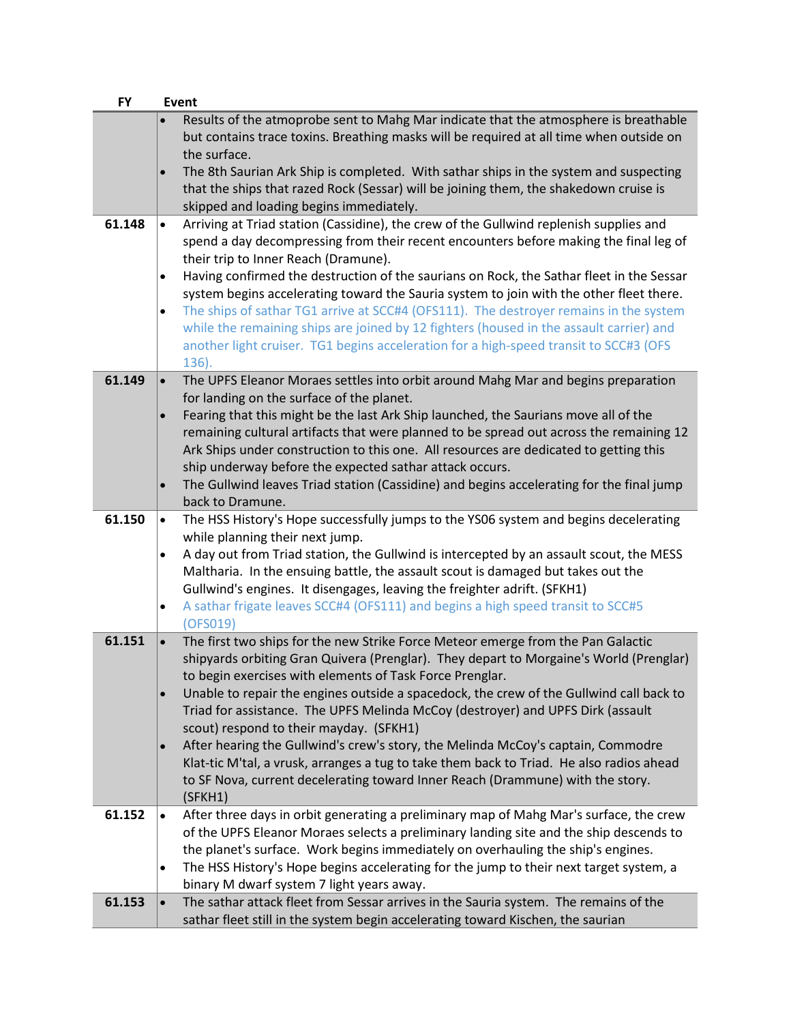| <b>FY</b> | Event                                                                                                                                                                                   |  |
|-----------|-----------------------------------------------------------------------------------------------------------------------------------------------------------------------------------------|--|
|           | Results of the atmoprobe sent to Mahg Mar indicate that the atmosphere is breathable<br>but contains trace toxins. Breathing masks will be required at all time when outside on         |  |
|           | the surface.                                                                                                                                                                            |  |
|           | The 8th Saurian Ark Ship is completed. With sathar ships in the system and suspecting<br>$\bullet$                                                                                      |  |
|           | that the ships that razed Rock (Sessar) will be joining them, the shakedown cruise is                                                                                                   |  |
|           | skipped and loading begins immediately.                                                                                                                                                 |  |
| 61.148    | Arriving at Triad station (Cassidine), the crew of the Gullwind replenish supplies and<br>$\bullet$                                                                                     |  |
|           | spend a day decompressing from their recent encounters before making the final leg of                                                                                                   |  |
|           | their trip to Inner Reach (Dramune).                                                                                                                                                    |  |
|           | Having confirmed the destruction of the saurians on Rock, the Sathar fleet in the Sessar<br>$\bullet$                                                                                   |  |
|           | system begins accelerating toward the Sauria system to join with the other fleet there.                                                                                                 |  |
|           | The ships of sathar TG1 arrive at SCC#4 (OFS111). The destroyer remains in the system<br>$\bullet$                                                                                      |  |
|           | while the remaining ships are joined by 12 fighters (housed in the assault carrier) and<br>another light cruiser. TG1 begins acceleration for a high-speed transit to SCC#3 (OFS        |  |
|           | 136).                                                                                                                                                                                   |  |
| 61.149    | The UPFS Eleanor Moraes settles into orbit around Mahg Mar and begins preparation<br>$\bullet$                                                                                          |  |
|           | for landing on the surface of the planet.                                                                                                                                               |  |
|           | Fearing that this might be the last Ark Ship launched, the Saurians move all of the<br>$\bullet$                                                                                        |  |
|           | remaining cultural artifacts that were planned to be spread out across the remaining 12                                                                                                 |  |
|           | Ark Ships under construction to this one. All resources are dedicated to getting this                                                                                                   |  |
|           | ship underway before the expected sathar attack occurs.                                                                                                                                 |  |
|           | The Gullwind leaves Triad station (Cassidine) and begins accelerating for the final jump                                                                                                |  |
|           | back to Dramune.                                                                                                                                                                        |  |
| 61.150    | The HSS History's Hope successfully jumps to the YS06 system and begins decelerating<br>$\bullet$<br>while planning their next jump.                                                    |  |
|           | A day out from Triad station, the Gullwind is intercepted by an assault scout, the MESS<br>$\bullet$                                                                                    |  |
|           | Maltharia. In the ensuing battle, the assault scout is damaged but takes out the                                                                                                        |  |
|           | Gullwind's engines. It disengages, leaving the freighter adrift. (SFKH1)                                                                                                                |  |
|           | A sathar frigate leaves SCC#4 (OFS111) and begins a high speed transit to SCC#5<br>$\bullet$                                                                                            |  |
|           | (OFS019)                                                                                                                                                                                |  |
| 61.151    | The first two ships for the new Strike Force Meteor emerge from the Pan Galactic<br>$\bullet$<br>shipyards orbiting Gran Quivera (Prenglar). They depart to Morgaine's World (Prenglar) |  |
|           | to begin exercises with elements of Task Force Prenglar.                                                                                                                                |  |
|           | Unable to repair the engines outside a spacedock, the crew of the Gullwind call back to<br>$\bullet$                                                                                    |  |
|           | Triad for assistance. The UPFS Melinda McCoy (destroyer) and UPFS Dirk (assault                                                                                                         |  |
|           | scout) respond to their mayday. (SFKH1)                                                                                                                                                 |  |
|           | After hearing the Gullwind's crew's story, the Melinda McCoy's captain, Commodre<br>$\bullet$                                                                                           |  |
|           | Klat-tic M'tal, a vrusk, arranges a tug to take them back to Triad. He also radios ahead                                                                                                |  |
|           | to SF Nova, current decelerating toward Inner Reach (Drammune) with the story.                                                                                                          |  |
|           | (SFKH1)                                                                                                                                                                                 |  |
| 61.152    | After three days in orbit generating a preliminary map of Mahg Mar's surface, the crew<br>$\bullet$                                                                                     |  |
|           | of the UPFS Eleanor Moraes selects a preliminary landing site and the ship descends to                                                                                                  |  |
|           | the planet's surface. Work begins immediately on overhauling the ship's engines.                                                                                                        |  |
|           | The HSS History's Hope begins accelerating for the jump to their next target system, a<br>$\bullet$                                                                                     |  |
|           | binary M dwarf system 7 light years away.                                                                                                                                               |  |
| 61.153    | The sathar attack fleet from Sessar arrives in the Sauria system. The remains of the<br>$\bullet$<br>sathar fleet still in the system begin accelerating toward Kischen, the saurian    |  |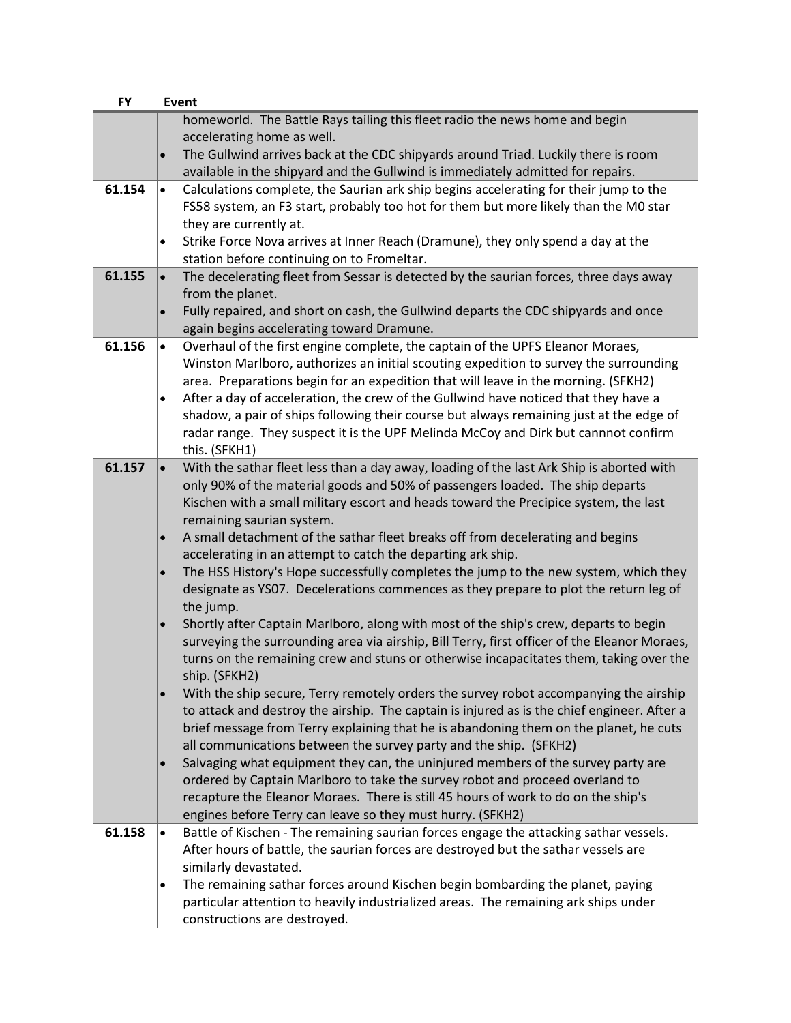| <b>FY</b> | Event                                                                                                                                                             |  |  |
|-----------|-------------------------------------------------------------------------------------------------------------------------------------------------------------------|--|--|
|           | homeworld. The Battle Rays tailing this fleet radio the news home and begin                                                                                       |  |  |
|           | accelerating home as well.                                                                                                                                        |  |  |
|           | The Gullwind arrives back at the CDC shipyards around Triad. Luckily there is room<br>$\bullet$                                                                   |  |  |
|           | available in the shipyard and the Gullwind is immediately admitted for repairs.                                                                                   |  |  |
| 61.154    | Calculations complete, the Saurian ark ship begins accelerating for their jump to the<br>$\bullet$                                                                |  |  |
|           | FS58 system, an F3 start, probably too hot for them but more likely than the M0 star                                                                              |  |  |
|           | they are currently at.                                                                                                                                            |  |  |
|           | Strike Force Nova arrives at Inner Reach (Dramune), they only spend a day at the<br>$\bullet$<br>station before continuing on to Fromeltar.                       |  |  |
| 61.155    | The decelerating fleet from Sessar is detected by the saurian forces, three days away<br>$\bullet$                                                                |  |  |
|           | from the planet.                                                                                                                                                  |  |  |
|           | Fully repaired, and short on cash, the Gullwind departs the CDC shipyards and once<br>$\bullet$                                                                   |  |  |
|           | again begins accelerating toward Dramune.                                                                                                                         |  |  |
| 61.156    | Overhaul of the first engine complete, the captain of the UPFS Eleanor Moraes,<br>$\bullet$                                                                       |  |  |
|           | Winston Marlboro, authorizes an initial scouting expedition to survey the surrounding                                                                             |  |  |
|           | area. Preparations begin for an expedition that will leave in the morning. (SFKH2)                                                                                |  |  |
|           | After a day of acceleration, the crew of the Gullwind have noticed that they have a<br>$\bullet$                                                                  |  |  |
|           | shadow, a pair of ships following their course but always remaining just at the edge of                                                                           |  |  |
|           | radar range. They suspect it is the UPF Melinda McCoy and Dirk but cannnot confirm                                                                                |  |  |
|           | this. (SFKH1)                                                                                                                                                     |  |  |
| 61.157    | With the sathar fleet less than a day away, loading of the last Ark Ship is aborted with<br>$\bullet$                                                             |  |  |
|           | only 90% of the material goods and 50% of passengers loaded. The ship departs                                                                                     |  |  |
|           | Kischen with a small military escort and heads toward the Precipice system, the last                                                                              |  |  |
|           | remaining saurian system.                                                                                                                                         |  |  |
|           | A small detachment of the sathar fleet breaks off from decelerating and begins<br>$\bullet$<br>accelerating in an attempt to catch the departing ark ship.        |  |  |
|           | The HSS History's Hope successfully completes the jump to the new system, which they<br>$\bullet$                                                                 |  |  |
|           | designate as YS07. Decelerations commences as they prepare to plot the return leg of                                                                              |  |  |
|           | the jump.                                                                                                                                                         |  |  |
|           | Shortly after Captain Marlboro, along with most of the ship's crew, departs to begin<br>$\bullet$                                                                 |  |  |
|           | surveying the surrounding area via airship, Bill Terry, first officer of the Eleanor Moraes,                                                                      |  |  |
|           | turns on the remaining crew and stuns or otherwise incapacitates them, taking over the                                                                            |  |  |
|           | ship. (SFKH2)                                                                                                                                                     |  |  |
|           | With the ship secure, Terry remotely orders the survey robot accompanying the airship<br>$\bullet$                                                                |  |  |
|           | to attack and destroy the airship. The captain is injured as is the chief engineer. After a                                                                       |  |  |
|           | brief message from Terry explaining that he is abandoning them on the planet, he cuts                                                                             |  |  |
|           | all communications between the survey party and the ship. (SFKH2)                                                                                                 |  |  |
|           | Salvaging what equipment they can, the uninjured members of the survey party are<br>$\bullet$                                                                     |  |  |
|           | ordered by Captain Marlboro to take the survey robot and proceed overland to<br>recapture the Eleanor Moraes. There is still 45 hours of work to do on the ship's |  |  |
|           | engines before Terry can leave so they must hurry. (SFKH2)                                                                                                        |  |  |
| 61.158    | Battle of Kischen - The remaining saurian forces engage the attacking sathar vessels.<br>$\bullet$                                                                |  |  |
|           | After hours of battle, the saurian forces are destroyed but the sathar vessels are                                                                                |  |  |
|           | similarly devastated.                                                                                                                                             |  |  |
|           | The remaining sathar forces around Kischen begin bombarding the planet, paying<br>$\bullet$                                                                       |  |  |
|           | particular attention to heavily industrialized areas. The remaining ark ships under                                                                               |  |  |
|           | constructions are destroyed.                                                                                                                                      |  |  |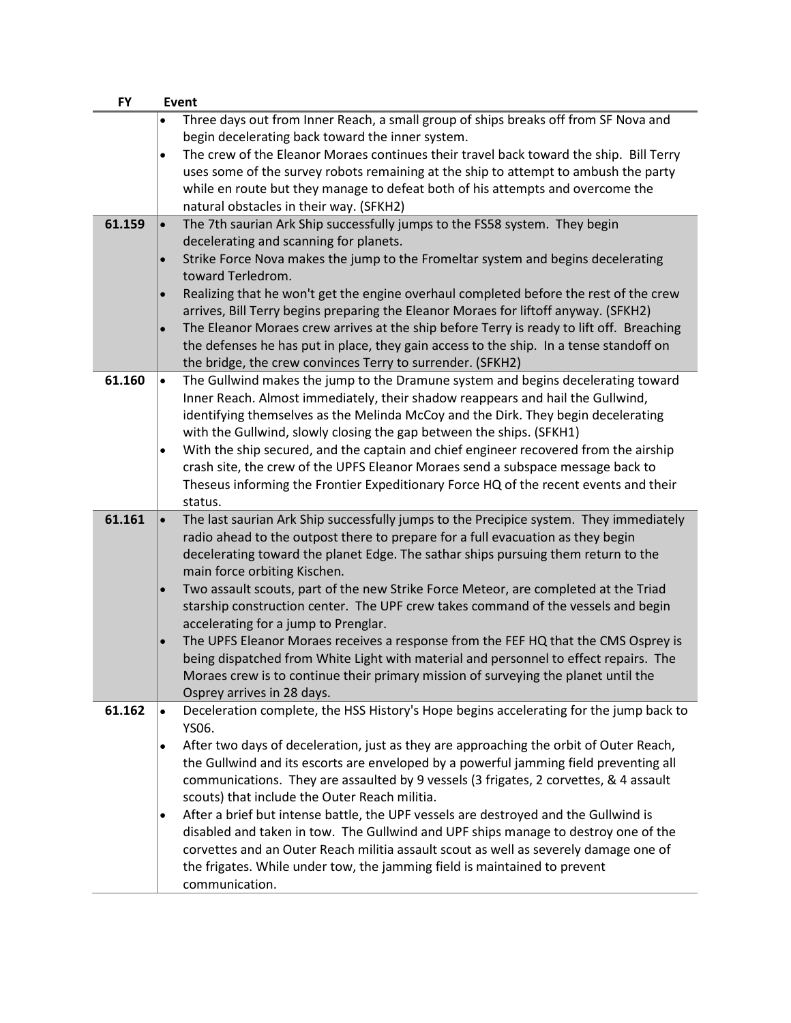| <b>FY</b> |           | Event                                                                                                                                                                     |
|-----------|-----------|---------------------------------------------------------------------------------------------------------------------------------------------------------------------------|
|           | $\bullet$ | Three days out from Inner Reach, a small group of ships breaks off from SF Nova and                                                                                       |
|           |           | begin decelerating back toward the inner system.                                                                                                                          |
|           | $\bullet$ | The crew of the Eleanor Moraes continues their travel back toward the ship. Bill Terry                                                                                    |
|           |           | uses some of the survey robots remaining at the ship to attempt to ambush the party                                                                                       |
|           |           | while en route but they manage to defeat both of his attempts and overcome the                                                                                            |
|           |           | natural obstacles in their way. (SFKH2)                                                                                                                                   |
| 61.159    | $\bullet$ | The 7th saurian Ark Ship successfully jumps to the FS58 system. They begin                                                                                                |
|           |           | decelerating and scanning for planets.                                                                                                                                    |
|           | $\bullet$ | Strike Force Nova makes the jump to the Fromeltar system and begins decelerating                                                                                          |
|           |           | toward Terledrom.                                                                                                                                                         |
|           | $\bullet$ | Realizing that he won't get the engine overhaul completed before the rest of the crew                                                                                     |
|           |           | arrives, Bill Terry begins preparing the Eleanor Moraes for liftoff anyway. (SFKH2)                                                                                       |
|           | $\bullet$ | The Eleanor Moraes crew arrives at the ship before Terry is ready to lift off. Breaching                                                                                  |
|           |           | the defenses he has put in place, they gain access to the ship. In a tense standoff on                                                                                    |
|           |           | the bridge, the crew convinces Terry to surrender. (SFKH2)                                                                                                                |
| 61.160    | $\bullet$ | The Gullwind makes the jump to the Dramune system and begins decelerating toward                                                                                          |
|           |           | Inner Reach. Almost immediately, their shadow reappears and hail the Gullwind,                                                                                            |
|           |           | identifying themselves as the Melinda McCoy and the Dirk. They begin decelerating                                                                                         |
|           |           | with the Gullwind, slowly closing the gap between the ships. (SFKH1)                                                                                                      |
|           | $\bullet$ | With the ship secured, and the captain and chief engineer recovered from the airship                                                                                      |
|           |           | crash site, the crew of the UPFS Eleanor Moraes send a subspace message back to                                                                                           |
|           |           | Theseus informing the Frontier Expeditionary Force HQ of the recent events and their                                                                                      |
| 61.161    |           | status.                                                                                                                                                                   |
|           | $\bullet$ | The last saurian Ark Ship successfully jumps to the Precipice system. They immediately<br>radio ahead to the outpost there to prepare for a full evacuation as they begin |
|           |           | decelerating toward the planet Edge. The sathar ships pursuing them return to the                                                                                         |
|           |           | main force orbiting Kischen.                                                                                                                                              |
|           | $\bullet$ | Two assault scouts, part of the new Strike Force Meteor, are completed at the Triad                                                                                       |
|           |           | starship construction center. The UPF crew takes command of the vessels and begin                                                                                         |
|           |           | accelerating for a jump to Prenglar.                                                                                                                                      |
|           | $\bullet$ | The UPFS Eleanor Moraes receives a response from the FEF HQ that the CMS Osprey is                                                                                        |
|           |           | being dispatched from White Light with material and personnel to effect repairs. The                                                                                      |
|           |           | Moraes crew is to continue their primary mission of surveying the planet until the                                                                                        |
|           |           | Osprey arrives in 28 days.                                                                                                                                                |
| 61.162    | $\bullet$ | Deceleration complete, the HSS History's Hope begins accelerating for the jump back to                                                                                    |
|           |           | YS06.                                                                                                                                                                     |
|           | $\bullet$ | After two days of deceleration, just as they are approaching the orbit of Outer Reach,                                                                                    |
|           |           | the Gullwind and its escorts are enveloped by a powerful jamming field preventing all                                                                                     |
|           |           | communications. They are assaulted by 9 vessels (3 frigates, 2 corvettes, & 4 assault                                                                                     |
|           |           | scouts) that include the Outer Reach militia.                                                                                                                             |
|           | $\bullet$ | After a brief but intense battle, the UPF vessels are destroyed and the Gullwind is                                                                                       |
|           |           | disabled and taken in tow. The Gullwind and UPF ships manage to destroy one of the                                                                                        |
|           |           | corvettes and an Outer Reach militia assault scout as well as severely damage one of                                                                                      |
|           |           | the frigates. While under tow, the jamming field is maintained to prevent                                                                                                 |
|           |           | communication.                                                                                                                                                            |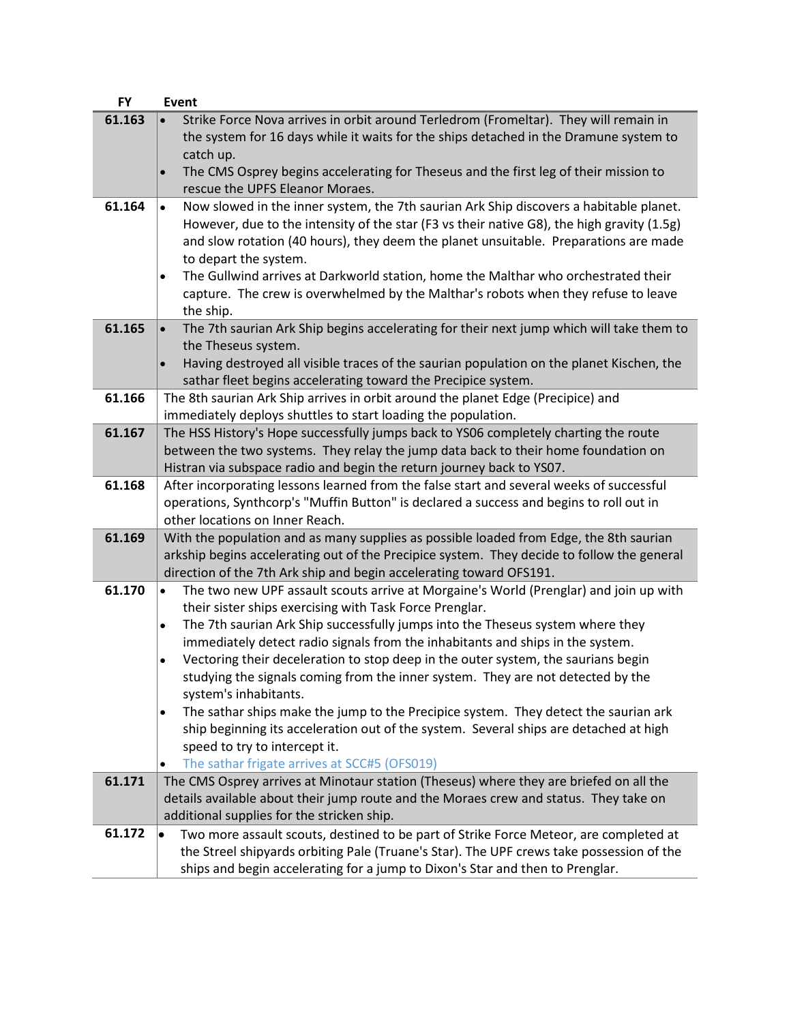| <b>FY</b> | Event                                                                                                                                                                                 |
|-----------|---------------------------------------------------------------------------------------------------------------------------------------------------------------------------------------|
| 61.163    | Strike Force Nova arrives in orbit around Terledrom (Fromeltar). They will remain in<br>the system for 16 days while it waits for the ships detached in the Dramune system to         |
|           | catch up.                                                                                                                                                                             |
|           | The CMS Osprey begins accelerating for Theseus and the first leg of their mission to<br>$\bullet$<br>rescue the UPFS Eleanor Moraes.                                                  |
| 61.164    | Now slowed in the inner system, the 7th saurian Ark Ship discovers a habitable planet.<br>$\bullet$                                                                                   |
|           | However, due to the intensity of the star (F3 vs their native G8), the high gravity (1.5g)                                                                                            |
|           | and slow rotation (40 hours), they deem the planet unsuitable. Preparations are made                                                                                                  |
|           | to depart the system.                                                                                                                                                                 |
|           | The Gullwind arrives at Darkworld station, home the Malthar who orchestrated their<br>$\bullet$<br>capture. The crew is overwhelmed by the Malthar's robots when they refuse to leave |
|           | the ship.                                                                                                                                                                             |
| 61.165    | The 7th saurian Ark Ship begins accelerating for their next jump which will take them to                                                                                              |
|           | the Theseus system.                                                                                                                                                                   |
|           | Having destroyed all visible traces of the saurian population on the planet Kischen, the<br>$\bullet$                                                                                 |
|           | sathar fleet begins accelerating toward the Precipice system.                                                                                                                         |
| 61.166    | The 8th saurian Ark Ship arrives in orbit around the planet Edge (Precipice) and<br>immediately deploys shuttles to start loading the population.                                     |
| 61.167    | The HSS History's Hope successfully jumps back to YS06 completely charting the route                                                                                                  |
|           | between the two systems. They relay the jump data back to their home foundation on                                                                                                    |
|           | Histran via subspace radio and begin the return journey back to YS07.                                                                                                                 |
| 61.168    | After incorporating lessons learned from the false start and several weeks of successful                                                                                              |
|           | operations, Synthcorp's "Muffin Button" is declared a success and begins to roll out in                                                                                               |
| 61.169    | other locations on Inner Reach.<br>With the population and as many supplies as possible loaded from Edge, the 8th saurian                                                             |
|           | arkship begins accelerating out of the Precipice system. They decide to follow the general                                                                                            |
|           | direction of the 7th Ark ship and begin accelerating toward OFS191.                                                                                                                   |
| 61.170    | The two new UPF assault scouts arrive at Morgaine's World (Prenglar) and join up with<br>$\bullet$                                                                                    |
|           | their sister ships exercising with Task Force Prenglar.                                                                                                                               |
|           | The 7th saurian Ark Ship successfully jumps into the Theseus system where they<br>$\bullet$                                                                                           |
|           | immediately detect radio signals from the inhabitants and ships in the system.<br>Vectoring their deceleration to stop deep in the outer system, the saurians begin<br>$\bullet$      |
|           | studying the signals coming from the inner system. They are not detected by the                                                                                                       |
|           | system's inhabitants.                                                                                                                                                                 |
|           | The sathar ships make the jump to the Precipice system. They detect the saurian ark<br>$\bullet$                                                                                      |
|           | ship beginning its acceleration out of the system. Several ships are detached at high                                                                                                 |
|           | speed to try to intercept it.                                                                                                                                                         |
| 61.171    | The sathar frigate arrives at SCC#5 (OFS019)<br>$\bullet$<br>The CMS Osprey arrives at Minotaur station (Theseus) where they are briefed on all the                                   |
|           | details available about their jump route and the Moraes crew and status. They take on                                                                                                 |
|           | additional supplies for the stricken ship.                                                                                                                                            |
| 61.172    | Two more assault scouts, destined to be part of Strike Force Meteor, are completed at<br>$\bullet$                                                                                    |
|           | the Streel shipyards orbiting Pale (Truane's Star). The UPF crews take possession of the                                                                                              |
|           | ships and begin accelerating for a jump to Dixon's Star and then to Prenglar.                                                                                                         |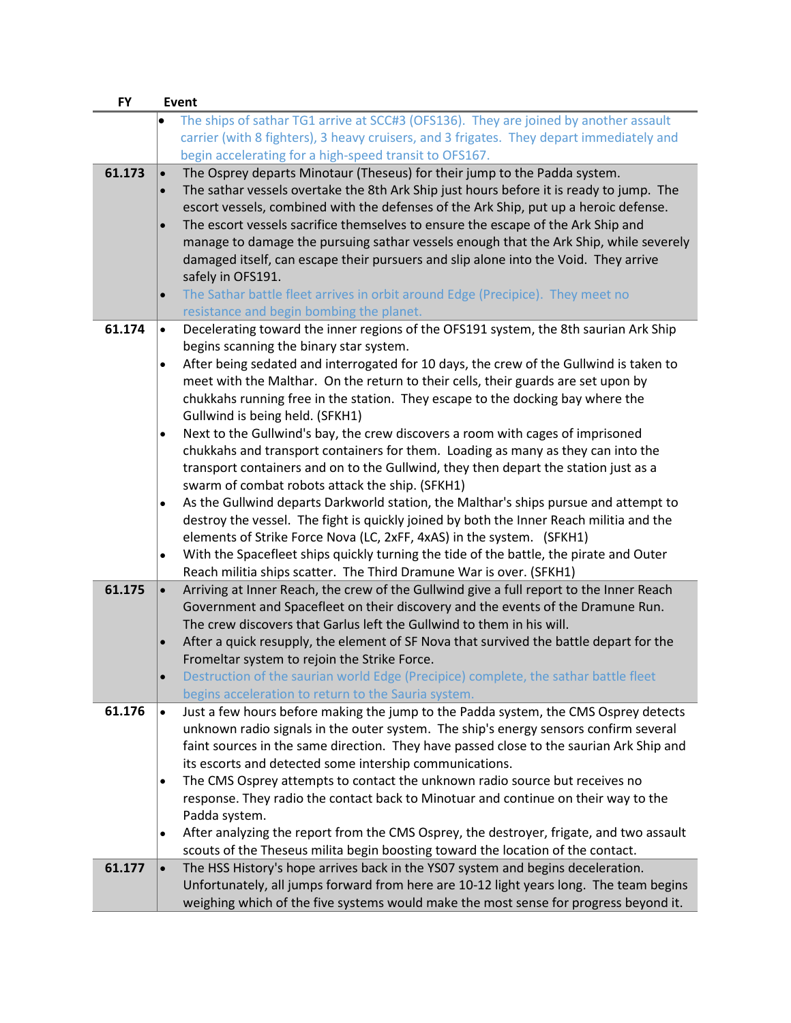| <b>FY</b> | Event                  |                                                                                                                                                                                                                                                                                       |
|-----------|------------------------|---------------------------------------------------------------------------------------------------------------------------------------------------------------------------------------------------------------------------------------------------------------------------------------|
|           |                        | The ships of sathar TG1 arrive at SCC#3 (OFS136). They are joined by another assault<br>carrier (with 8 fighters), 3 heavy cruisers, and 3 frigates. They depart immediately and<br>begin accelerating for a high-speed transit to OFS167.                                            |
| 61.173    | $\bullet$<br>$\bullet$ | The Osprey departs Minotaur (Theseus) for their jump to the Padda system.<br>The sathar vessels overtake the 8th Ark Ship just hours before it is ready to jump. The<br>escort vessels, combined with the defenses of the Ark Ship, put up a heroic defense.                          |
|           | $\bullet$              | The escort vessels sacrifice themselves to ensure the escape of the Ark Ship and<br>manage to damage the pursuing sathar vessels enough that the Ark Ship, while severely<br>damaged itself, can escape their pursuers and slip alone into the Void. They arrive<br>safely in OFS191. |
|           | $\bullet$              | The Sathar battle fleet arrives in orbit around Edge (Precipice). They meet no<br>resistance and begin bombing the planet.                                                                                                                                                            |
| 61.174    | $\bullet$              | Decelerating toward the inner regions of the OFS191 system, the 8th saurian Ark Ship                                                                                                                                                                                                  |
|           |                        | begins scanning the binary star system.                                                                                                                                                                                                                                               |
|           | $\bullet$              | After being sedated and interrogated for 10 days, the crew of the Gullwind is taken to                                                                                                                                                                                                |
|           |                        | meet with the Malthar. On the return to their cells, their guards are set upon by<br>chukkahs running free in the station. They escape to the docking bay where the                                                                                                                   |
|           |                        | Gullwind is being held. (SFKH1)                                                                                                                                                                                                                                                       |
|           | $\bullet$              | Next to the Gullwind's bay, the crew discovers a room with cages of imprisoned                                                                                                                                                                                                        |
|           |                        | chukkahs and transport containers for them. Loading as many as they can into the                                                                                                                                                                                                      |
|           |                        | transport containers and on to the Gullwind, they then depart the station just as a                                                                                                                                                                                                   |
|           |                        | swarm of combat robots attack the ship. (SFKH1)                                                                                                                                                                                                                                       |
|           | $\bullet$              | As the Gullwind departs Darkworld station, the Malthar's ships pursue and attempt to<br>destroy the vessel. The fight is quickly joined by both the Inner Reach militia and the                                                                                                       |
|           |                        | elements of Strike Force Nova (LC, 2xFF, 4xAS) in the system. (SFKH1)                                                                                                                                                                                                                 |
|           | $\bullet$              | With the Spacefleet ships quickly turning the tide of the battle, the pirate and Outer                                                                                                                                                                                                |
|           |                        | Reach militia ships scatter. The Third Dramune War is over. (SFKH1)                                                                                                                                                                                                                   |
| 61.175    | $\bullet$              | Arriving at Inner Reach, the crew of the Gullwind give a full report to the Inner Reach<br>Government and Spacefleet on their discovery and the events of the Dramune Run.                                                                                                            |
|           |                        | The crew discovers that Garlus left the Gullwind to them in his will.                                                                                                                                                                                                                 |
|           | $\bullet$              | After a quick resupply, the element of SF Nova that survived the battle depart for the                                                                                                                                                                                                |
|           |                        | Fromeltar system to rejoin the Strike Force.                                                                                                                                                                                                                                          |
|           |                        | Destruction of the saurian world Edge (Precipice) complete, the sathar battle fleet                                                                                                                                                                                                   |
| 61.176    | $\bullet$              | begins acceleration to return to the Sauria system.<br>Just a few hours before making the jump to the Padda system, the CMS Osprey detects                                                                                                                                            |
|           |                        | unknown radio signals in the outer system. The ship's energy sensors confirm several                                                                                                                                                                                                  |
|           |                        | faint sources in the same direction. They have passed close to the saurian Ark Ship and                                                                                                                                                                                               |
|           |                        | its escorts and detected some intership communications.                                                                                                                                                                                                                               |
|           | $\bullet$              | The CMS Osprey attempts to contact the unknown radio source but receives no                                                                                                                                                                                                           |
|           |                        | response. They radio the contact back to Minotuar and continue on their way to the                                                                                                                                                                                                    |
|           | $\bullet$              | Padda system.<br>After analyzing the report from the CMS Osprey, the destroyer, frigate, and two assault                                                                                                                                                                              |
|           |                        | scouts of the Theseus milita begin boosting toward the location of the contact.                                                                                                                                                                                                       |
| 61.177    | $\bullet$              | The HSS History's hope arrives back in the YS07 system and begins deceleration.                                                                                                                                                                                                       |
|           |                        | Unfortunately, all jumps forward from here are 10-12 light years long. The team begins                                                                                                                                                                                                |
|           |                        | weighing which of the five systems would make the most sense for progress beyond it.                                                                                                                                                                                                  |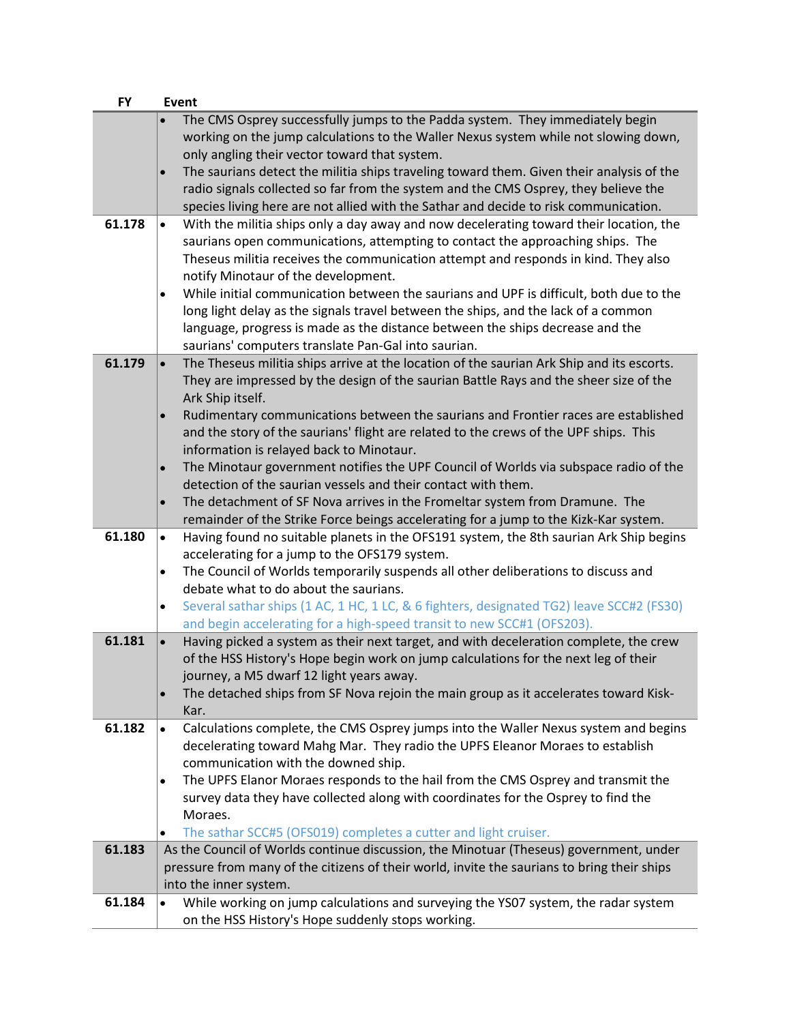| <b>FY</b> | <b>Event</b>                                                                                          |  |
|-----------|-------------------------------------------------------------------------------------------------------|--|
|           | The CMS Osprey successfully jumps to the Padda system. They immediately begin                         |  |
|           | working on the jump calculations to the Waller Nexus system while not slowing down,                   |  |
|           | only angling their vector toward that system.                                                         |  |
|           | The saurians detect the militia ships traveling toward them. Given their analysis of the              |  |
|           | radio signals collected so far from the system and the CMS Osprey, they believe the                   |  |
|           | species living here are not allied with the Sathar and decide to risk communication.                  |  |
| 61.178    | With the militia ships only a day away and now decelerating toward their location, the<br>$\bullet$   |  |
|           | saurians open communications, attempting to contact the approaching ships. The                        |  |
|           | Theseus militia receives the communication attempt and responds in kind. They also                    |  |
|           | notify Minotaur of the development.                                                                   |  |
|           | While initial communication between the saurians and UPF is difficult, both due to the<br>$\bullet$   |  |
|           | long light delay as the signals travel between the ships, and the lack of a common                    |  |
|           | language, progress is made as the distance between the ships decrease and the                         |  |
|           | saurians' computers translate Pan-Gal into saurian.                                                   |  |
| 61.179    | The Theseus militia ships arrive at the location of the saurian Ark Ship and its escorts.             |  |
|           | They are impressed by the design of the saurian Battle Rays and the sheer size of the                 |  |
|           | Ark Ship itself.                                                                                      |  |
|           | Rudimentary communications between the saurians and Frontier races are established                    |  |
|           | and the story of the saurians' flight are related to the crews of the UPF ships. This                 |  |
|           | information is relayed back to Minotaur.                                                              |  |
|           | The Minotaur government notifies the UPF Council of Worlds via subspace radio of the<br>$\bullet$     |  |
|           | detection of the saurian vessels and their contact with them.                                         |  |
|           | The detachment of SF Nova arrives in the Fromeltar system from Dramune. The<br>$\bullet$              |  |
|           | remainder of the Strike Force beings accelerating for a jump to the Kizk-Kar system.                  |  |
| 61.180    | Having found no suitable planets in the OFS191 system, the 8th saurian Ark Ship begins<br>$\bullet$   |  |
|           | accelerating for a jump to the OFS179 system.                                                         |  |
|           | The Council of Worlds temporarily suspends all other deliberations to discuss and<br>$\bullet$        |  |
|           | debate what to do about the saurians.                                                                 |  |
|           | Several sathar ships (1 AC, 1 HC, 1 LC, & 6 fighters, designated TG2) leave SCC#2 (FS30)<br>$\bullet$ |  |
|           | and begin accelerating for a high-speed transit to new SCC#1 (OFS203).                                |  |
| 61.181    | Having picked a system as their next target, and with deceleration complete, the crew<br>$\bullet$    |  |
|           | of the HSS History's Hope begin work on jump calculations for the next leg of their                   |  |
|           | journey, a M5 dwarf 12 light years away.                                                              |  |
|           | The detached ships from SF Nova rejoin the main group as it accelerates toward Kisk-<br>$\bullet$     |  |
|           | Kar.                                                                                                  |  |
| 61.182    | Calculations complete, the CMS Osprey jumps into the Waller Nexus system and begins<br>$\bullet$      |  |
|           | decelerating toward Mahg Mar. They radio the UPFS Eleanor Moraes to establish                         |  |
|           | communication with the downed ship.                                                                   |  |
|           | The UPFS Elanor Moraes responds to the hail from the CMS Osprey and transmit the<br>$\bullet$         |  |
|           | survey data they have collected along with coordinates for the Osprey to find the                     |  |
|           | Moraes.                                                                                               |  |
|           | The sathar SCC#5 (OFS019) completes a cutter and light cruiser.<br>٠                                  |  |
| 61.183    | As the Council of Worlds continue discussion, the Minotuar (Theseus) government, under                |  |
|           | pressure from many of the citizens of their world, invite the saurians to bring their ships           |  |
|           | into the inner system.                                                                                |  |
| 61.184    | While working on jump calculations and surveying the YS07 system, the radar system                    |  |
|           | on the HSS History's Hope suddenly stops working.                                                     |  |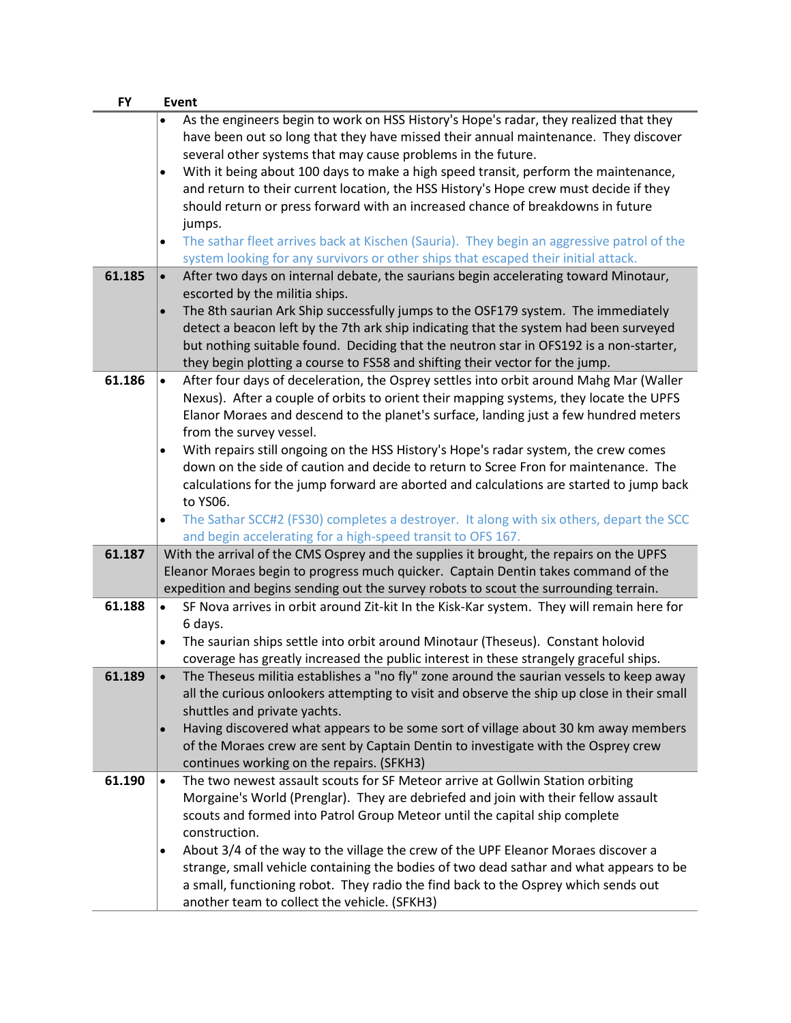| <b>FY</b> | <b>Event</b>                                                                                           |
|-----------|--------------------------------------------------------------------------------------------------------|
|           | As the engineers begin to work on HSS History's Hope's radar, they realized that they                  |
|           | have been out so long that they have missed their annual maintenance. They discover                    |
|           | several other systems that may cause problems in the future.                                           |
|           | With it being about 100 days to make a high speed transit, perform the maintenance,<br>$\bullet$       |
|           | and return to their current location, the HSS History's Hope crew must decide if they                  |
|           | should return or press forward with an increased chance of breakdowns in future                        |
|           | jumps.                                                                                                 |
|           | The sathar fleet arrives back at Kischen (Sauria). They begin an aggressive patrol of the<br>$\bullet$ |
|           | system looking for any survivors or other ships that escaped their initial attack.                     |
| 61.185    | After two days on internal debate, the saurians begin accelerating toward Minotaur,<br>$\bullet$       |
|           | escorted by the militia ships.                                                                         |
|           | The 8th saurian Ark Ship successfully jumps to the OSF179 system. The immediately<br>$\bullet$         |
|           | detect a beacon left by the 7th ark ship indicating that the system had been surveyed                  |
|           | but nothing suitable found. Deciding that the neutron star in OFS192 is a non-starter,                 |
|           | they begin plotting a course to FS58 and shifting their vector for the jump.                           |
| 61.186    | After four days of deceleration, the Osprey settles into orbit around Mahg Mar (Waller<br>$\bullet$    |
|           | Nexus). After a couple of orbits to orient their mapping systems, they locate the UPFS                 |
|           | Elanor Moraes and descend to the planet's surface, landing just a few hundred meters                   |
|           | from the survey vessel.                                                                                |
|           | With repairs still ongoing on the HSS History's Hope's radar system, the crew comes<br>$\bullet$       |
|           | down on the side of caution and decide to return to Scree Fron for maintenance. The                    |
|           | calculations for the jump forward are aborted and calculations are started to jump back                |
|           | to YS06.                                                                                               |
|           | The Sathar SCC#2 (FS30) completes a destroyer. It along with six others, depart the SCC<br>$\bullet$   |
|           | and begin accelerating for a high-speed transit to OFS 167.                                            |
| 61.187    | With the arrival of the CMS Osprey and the supplies it brought, the repairs on the UPFS                |
|           | Eleanor Moraes begin to progress much quicker. Captain Dentin takes command of the                     |
|           | expedition and begins sending out the survey robots to scout the surrounding terrain.                  |
| 61.188    | SF Nova arrives in orbit around Zit-kit In the Kisk-Kar system. They will remain here for<br>$\bullet$ |
|           | 6 days.                                                                                                |
|           | The saurian ships settle into orbit around Minotaur (Theseus). Constant holovid<br>$\bullet$           |
|           | coverage has greatly increased the public interest in these strangely graceful ships.                  |
| 61.189    | The Theseus militia establishes a "no fly" zone around the saurian vessels to keep away                |
|           | all the curious onlookers attempting to visit and observe the ship up close in their small             |
|           | shuttles and private yachts.                                                                           |
|           | Having discovered what appears to be some sort of village about 30 km away members<br>$\bullet$        |
|           | of the Moraes crew are sent by Captain Dentin to investigate with the Osprey crew                      |
|           | continues working on the repairs. (SFKH3)                                                              |
| 61.190    | The two newest assault scouts for SF Meteor arrive at Gollwin Station orbiting<br>$\bullet$            |
|           | Morgaine's World (Prenglar). They are debriefed and join with their fellow assault                     |
|           | scouts and formed into Patrol Group Meteor until the capital ship complete                             |
|           | construction.                                                                                          |
|           | About 3/4 of the way to the village the crew of the UPF Eleanor Moraes discover a<br>٠                 |
|           | strange, small vehicle containing the bodies of two dead sathar and what appears to be                 |
|           | a small, functioning robot. They radio the find back to the Osprey which sends out                     |
|           | another team to collect the vehicle. (SFKH3)                                                           |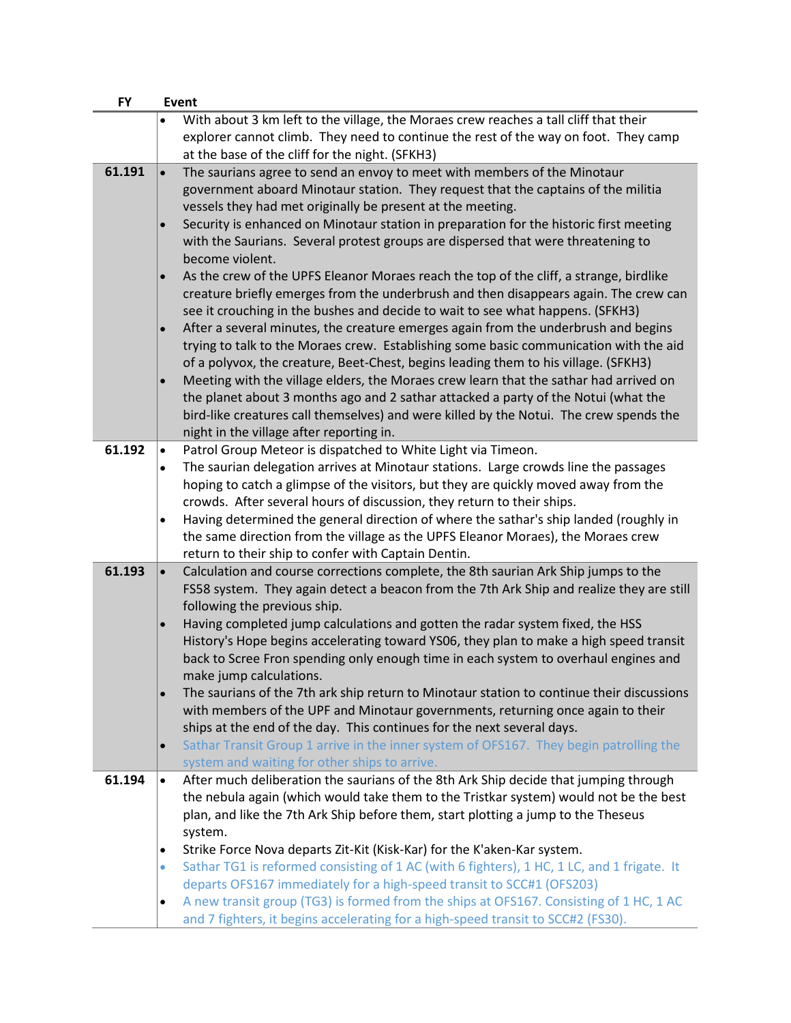| <b>FY</b> | Event                                                                                                                                                                        |
|-----------|------------------------------------------------------------------------------------------------------------------------------------------------------------------------------|
|           | With about 3 km left to the village, the Moraes crew reaches a tall cliff that their                                                                                         |
|           | explorer cannot climb. They need to continue the rest of the way on foot. They camp                                                                                          |
|           | at the base of the cliff for the night. (SFKH3)                                                                                                                              |
| 61.191    | The saurians agree to send an envoy to meet with members of the Minotaur<br>$\bullet$                                                                                        |
|           | government aboard Minotaur station. They request that the captains of the militia                                                                                            |
|           | vessels they had met originally be present at the meeting.                                                                                                                   |
|           | Security is enhanced on Minotaur station in preparation for the historic first meeting                                                                                       |
|           | with the Saurians. Several protest groups are dispersed that were threatening to                                                                                             |
|           | become violent.                                                                                                                                                              |
|           | As the crew of the UPFS Eleanor Moraes reach the top of the cliff, a strange, birdlike                                                                                       |
|           | creature briefly emerges from the underbrush and then disappears again. The crew can                                                                                         |
|           | see it crouching in the bushes and decide to wait to see what happens. (SFKH3)                                                                                               |
|           | After a several minutes, the creature emerges again from the underbrush and begins                                                                                           |
|           | trying to talk to the Moraes crew. Establishing some basic communication with the aid                                                                                        |
|           | of a polyvox, the creature, Beet-Chest, begins leading them to his village. (SFKH3)<br>Meeting with the village elders, the Moraes crew learn that the sathar had arrived on |
|           | the planet about 3 months ago and 2 sathar attacked a party of the Notui (what the                                                                                           |
|           | bird-like creatures call themselves) and were killed by the Notui. The crew spends the                                                                                       |
|           | night in the village after reporting in.                                                                                                                                     |
| 61.192    | Patrol Group Meteor is dispatched to White Light via Timeon.<br>$\bullet$                                                                                                    |
|           | The saurian delegation arrives at Minotaur stations. Large crowds line the passages                                                                                          |
|           | hoping to catch a glimpse of the visitors, but they are quickly moved away from the                                                                                          |
|           | crowds. After several hours of discussion, they return to their ships.                                                                                                       |
|           | Having determined the general direction of where the sathar's ship landed (roughly in                                                                                        |
|           | the same direction from the village as the UPFS Eleanor Moraes), the Moraes crew                                                                                             |
|           | return to their ship to confer with Captain Dentin.                                                                                                                          |
| 61.193    | Calculation and course corrections complete, the 8th saurian Ark Ship jumps to the                                                                                           |
|           | FS58 system. They again detect a beacon from the 7th Ark Ship and realize they are still                                                                                     |
|           | following the previous ship.                                                                                                                                                 |
|           | Having completed jump calculations and gotten the radar system fixed, the HSS                                                                                                |
|           | History's Hope begins accelerating toward YS06, they plan to make a high speed transit                                                                                       |
|           | back to Scree Fron spending only enough time in each system to overhaul engines and                                                                                          |
|           | make jump calculations.<br>The saurians of the 7th ark ship return to Minotaur station to continue their discussions                                                         |
|           | with members of the UPF and Minotaur governments, returning once again to their                                                                                              |
|           | ships at the end of the day. This continues for the next several days.                                                                                                       |
|           | Sathar Transit Group 1 arrive in the inner system of OFS167. They begin patrolling the<br>$\bullet$                                                                          |
|           | system and waiting for other ships to arrive.                                                                                                                                |
| 61.194    | After much deliberation the saurians of the 8th Ark Ship decide that jumping through<br>$\bullet$                                                                            |
|           | the nebula again (which would take them to the Tristkar system) would not be the best                                                                                        |
|           | plan, and like the 7th Ark Ship before them, start plotting a jump to the Theseus                                                                                            |
|           | system.                                                                                                                                                                      |
|           | Strike Force Nova departs Zit-Kit (Kisk-Kar) for the K'aken-Kar system.<br>$\bullet$                                                                                         |
|           | Sathar TG1 is reformed consisting of 1 AC (with 6 fighters), 1 HC, 1 LC, and 1 frigate. It<br>$\bullet$                                                                      |
|           | departs OFS167 immediately for a high-speed transit to SCC#1 (OFS203)                                                                                                        |
|           | A new transit group (TG3) is formed from the ships at OFS167. Consisting of 1 HC, 1 AC                                                                                       |
|           | and 7 fighters, it begins accelerating for a high-speed transit to SCC#2 (FS30).                                                                                             |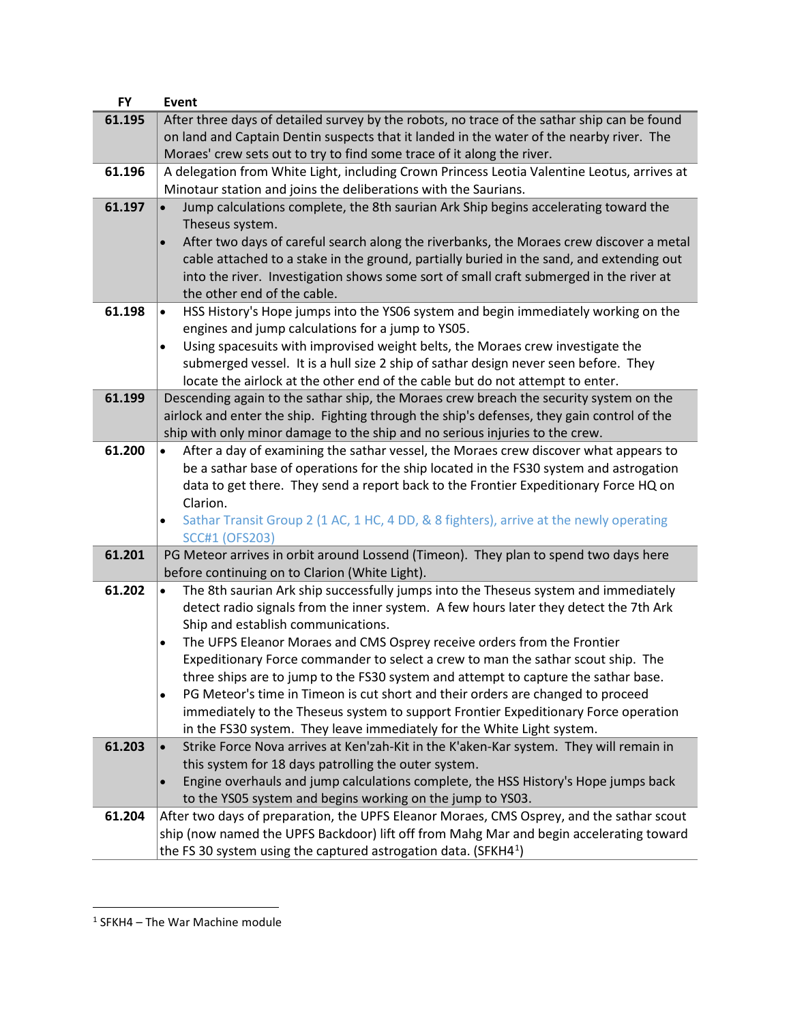| <b>FY</b> | Event                                                                                                                        |
|-----------|------------------------------------------------------------------------------------------------------------------------------|
| 61.195    | After three days of detailed survey by the robots, no trace of the sathar ship can be found                                  |
|           | on land and Captain Dentin suspects that it landed in the water of the nearby river. The                                     |
|           | Moraes' crew sets out to try to find some trace of it along the river.                                                       |
| 61.196    | A delegation from White Light, including Crown Princess Leotia Valentine Leotus, arrives at                                  |
|           | Minotaur station and joins the deliberations with the Saurians.                                                              |
| 61.197    | Jump calculations complete, the 8th saurian Ark Ship begins accelerating toward the                                          |
|           | Theseus system.                                                                                                              |
|           | After two days of careful search along the riverbanks, the Moraes crew discover a metal                                      |
|           | cable attached to a stake in the ground, partially buried in the sand, and extending out                                     |
|           | into the river. Investigation shows some sort of small craft submerged in the river at                                       |
|           | the other end of the cable.                                                                                                  |
| 61.198    | HSS History's Hope jumps into the YS06 system and begin immediately working on the<br>$\bullet$                              |
|           | engines and jump calculations for a jump to YS05.                                                                            |
|           | Using spacesuits with improvised weight belts, the Moraes crew investigate the<br>$\bullet$                                  |
|           | submerged vessel. It is a hull size 2 ship of sathar design never seen before. They                                          |
|           | locate the airlock at the other end of the cable but do not attempt to enter.                                                |
| 61.199    | Descending again to the sathar ship, the Moraes crew breach the security system on the                                       |
|           | airlock and enter the ship. Fighting through the ship's defenses, they gain control of the                                   |
|           | ship with only minor damage to the ship and no serious injuries to the crew.                                                 |
| 61.200    | After a day of examining the sathar vessel, the Moraes crew discover what appears to<br>$\bullet$                            |
|           | be a sathar base of operations for the ship located in the FS30 system and astrogation                                       |
|           | data to get there. They send a report back to the Frontier Expeditionary Force HQ on                                         |
|           | Clarion.                                                                                                                     |
|           | Sathar Transit Group 2 (1 AC, 1 HC, 4 DD, & 8 fighters), arrive at the newly operating<br>$\bullet$<br><b>SCC#1 (OFS203)</b> |
| 61.201    | PG Meteor arrives in orbit around Lossend (Timeon). They plan to spend two days here                                         |
|           | before continuing on to Clarion (White Light).                                                                               |
| 61.202    | The 8th saurian Ark ship successfully jumps into the Theseus system and immediately<br>$\bullet$                             |
|           | detect radio signals from the inner system. A few hours later they detect the 7th Ark                                        |
|           | Ship and establish communications.                                                                                           |
|           | The UFPS Eleanor Moraes and CMS Osprey receive orders from the Frontier<br>$\bullet$                                         |
|           | Expeditionary Force commander to select a crew to man the sathar scout ship. The                                             |
|           | three ships are to jump to the FS30 system and attempt to capture the sathar base.                                           |
|           | PG Meteor's time in Timeon is cut short and their orders are changed to proceed<br>$\bullet$                                 |
|           | immediately to the Theseus system to support Frontier Expeditionary Force operation                                          |
|           | in the FS30 system. They leave immediately for the White Light system.                                                       |
| 61.203    | Strike Force Nova arrives at Ken'zah-Kit in the K'aken-Kar system. They will remain in                                       |
|           | this system for 18 days patrolling the outer system.                                                                         |
|           | Engine overhauls and jump calculations complete, the HSS History's Hope jumps back                                           |
|           | to the YS05 system and begins working on the jump to YS03.                                                                   |
| 61.204    | After two days of preparation, the UPFS Eleanor Moraes, CMS Osprey, and the sathar scout                                     |
|           | ship (now named the UPFS Backdoor) lift off from Mahg Mar and begin accelerating toward                                      |
|           | the FS 30 system using the captured astrogation data. (SFKH4 $^1$ )                                                          |

<span id="page-50-0"></span><sup>1</sup> SFKH4 – The War Machine module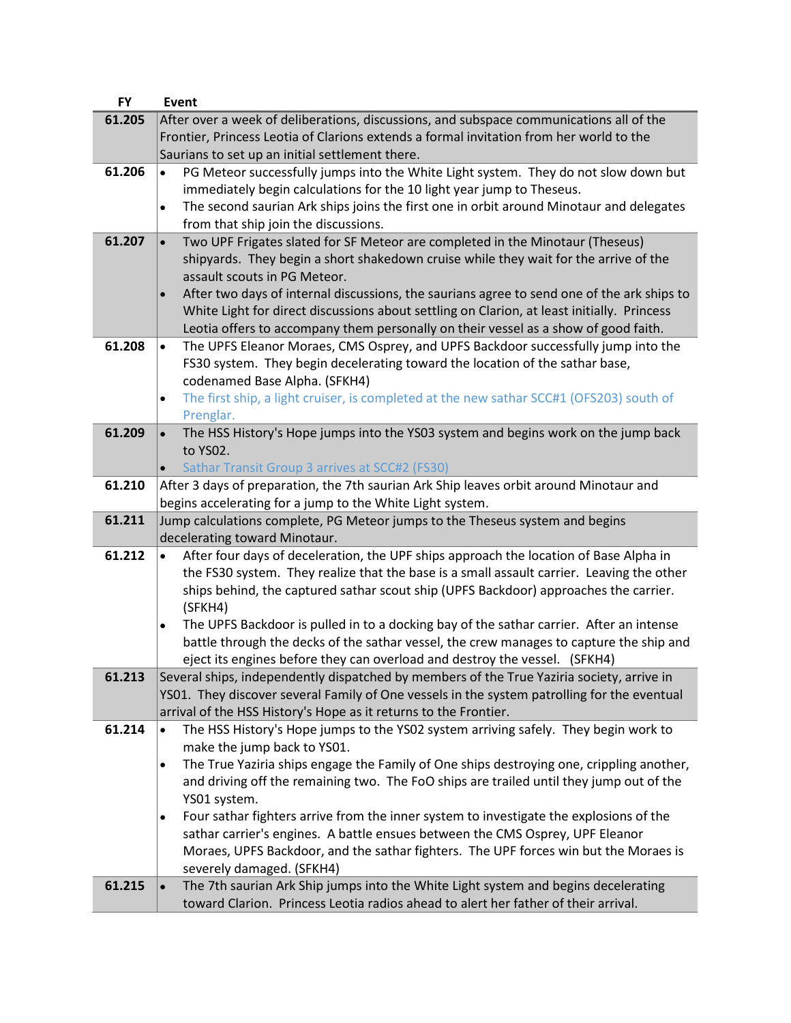| <b>FY</b> | Event                                                                                                   |
|-----------|---------------------------------------------------------------------------------------------------------|
| 61.205    | After over a week of deliberations, discussions, and subspace communications all of the                 |
|           | Frontier, Princess Leotia of Clarions extends a formal invitation from her world to the                 |
|           | Saurians to set up an initial settlement there.                                                         |
| 61.206    | PG Meteor successfully jumps into the White Light system. They do not slow down but<br>$\bullet$        |
|           | immediately begin calculations for the 10 light year jump to Theseus.                                   |
|           | The second saurian Ark ships joins the first one in orbit around Minotaur and delegates<br>$\bullet$    |
|           | from that ship join the discussions.                                                                    |
| 61.207    | Two UPF Frigates slated for SF Meteor are completed in the Minotaur (Theseus)<br>$\bullet$              |
|           | shipyards. They begin a short shakedown cruise while they wait for the arrive of the                    |
|           | assault scouts in PG Meteor.                                                                            |
|           | After two days of internal discussions, the saurians agree to send one of the ark ships to<br>$\bullet$ |
|           |                                                                                                         |
|           | White Light for direct discussions about settling on Clarion, at least initially. Princess              |
|           | Leotia offers to accompany them personally on their vessel as a show of good faith.                     |
| 61.208    | The UPFS Eleanor Moraes, CMS Osprey, and UPFS Backdoor successfully jump into the<br>$\bullet$          |
|           | FS30 system. They begin decelerating toward the location of the sathar base,                            |
|           | codenamed Base Alpha. (SFKH4)                                                                           |
|           | The first ship, a light cruiser, is completed at the new sathar SCC#1 (OFS203) south of<br>$\bullet$    |
|           | Prenglar.                                                                                               |
| 61.209    | The HSS History's Hope jumps into the YSO3 system and begins work on the jump back<br>$\bullet$         |
|           | to YSO2.                                                                                                |
|           | Sathar Transit Group 3 arrives at SCC#2 (FS30)                                                          |
| 61.210    | After 3 days of preparation, the 7th saurian Ark Ship leaves orbit around Minotaur and                  |
|           | begins accelerating for a jump to the White Light system.                                               |
| 61.211    | Jump calculations complete, PG Meteor jumps to the Theseus system and begins                            |
|           | decelerating toward Minotaur.                                                                           |
| 61.212    | After four days of deceleration, the UPF ships approach the location of Base Alpha in<br>$\bullet$      |
|           | the FS30 system. They realize that the base is a small assault carrier. Leaving the other               |
|           | ships behind, the captured sathar scout ship (UPFS Backdoor) approaches the carrier.                    |
|           | (SFKH4)                                                                                                 |
|           | The UPFS Backdoor is pulled in to a docking bay of the sathar carrier. After an intense<br>٠            |
|           | battle through the decks of the sathar vessel, the crew manages to capture the ship and                 |
|           | eject its engines before they can overload and destroy the vessel. (SFKH4)                              |
| 61.213    | Several ships, independently dispatched by members of the True Yaziria society, arrive in               |
|           | YS01. They discover several Family of One vessels in the system patrolling for the eventual             |
|           | arrival of the HSS History's Hope as it returns to the Frontier.                                        |
| 61.214    | The HSS History's Hope jumps to the YSO2 system arriving safely. They begin work to<br>$\bullet$        |
|           | make the jump back to YS01.                                                                             |
|           | The True Yaziria ships engage the Family of One ships destroying one, crippling another,<br>$\bullet$   |
|           | and driving off the remaining two. The FoO ships are trailed until they jump out of the                 |
|           | YS01 system.                                                                                            |
|           | Four sathar fighters arrive from the inner system to investigate the explosions of the<br>٠             |
|           | sathar carrier's engines. A battle ensues between the CMS Osprey, UPF Eleanor                           |
|           | Moraes, UPFS Backdoor, and the sathar fighters. The UPF forces win but the Moraes is                    |
|           | severely damaged. (SFKH4)                                                                               |
| 61.215    | The 7th saurian Ark Ship jumps into the White Light system and begins decelerating                      |
|           | toward Clarion. Princess Leotia radios ahead to alert her father of their arrival.                      |
|           |                                                                                                         |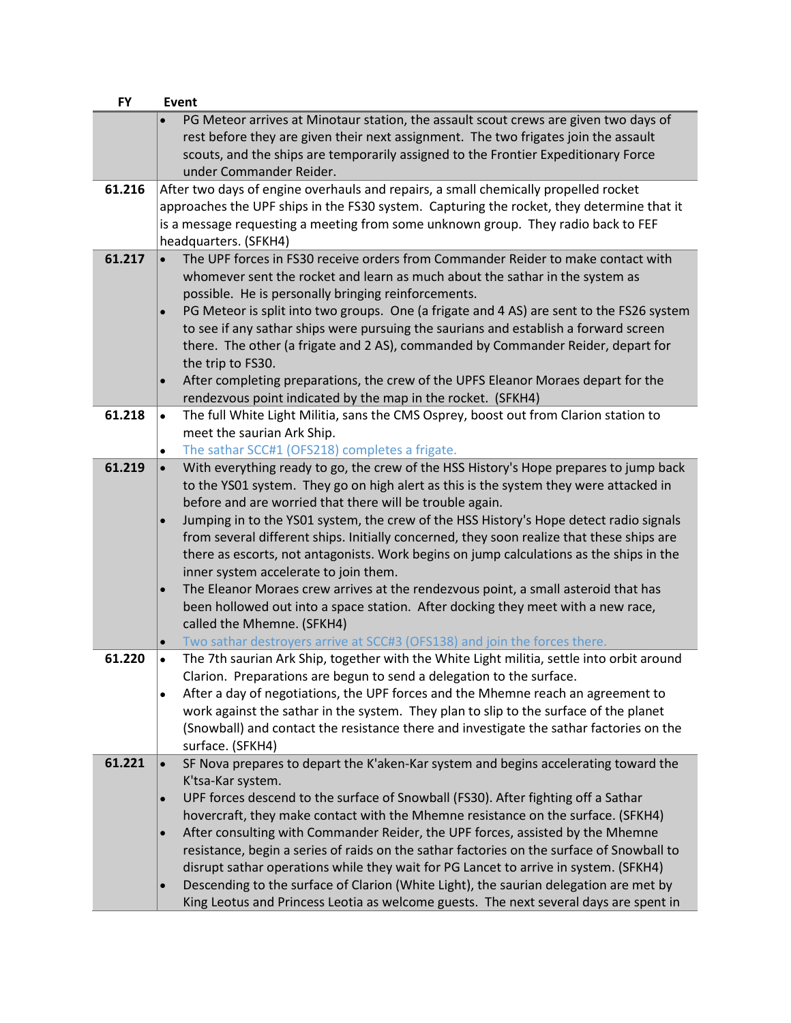| <b>FY</b> | <b>Event</b>                                                                                                                                                                                                                                                                                                                                                                                                                                                                                                                                                                                                                                                                                                                                                                                   |
|-----------|------------------------------------------------------------------------------------------------------------------------------------------------------------------------------------------------------------------------------------------------------------------------------------------------------------------------------------------------------------------------------------------------------------------------------------------------------------------------------------------------------------------------------------------------------------------------------------------------------------------------------------------------------------------------------------------------------------------------------------------------------------------------------------------------|
|           | PG Meteor arrives at Minotaur station, the assault scout crews are given two days of<br>rest before they are given their next assignment. The two frigates join the assault<br>scouts, and the ships are temporarily assigned to the Frontier Expeditionary Force<br>under Commander Reider.                                                                                                                                                                                                                                                                                                                                                                                                                                                                                                   |
| 61.216    | After two days of engine overhauls and repairs, a small chemically propelled rocket<br>approaches the UPF ships in the FS30 system. Capturing the rocket, they determine that it<br>is a message requesting a meeting from some unknown group. They radio back to FEF<br>headquarters. (SFKH4)                                                                                                                                                                                                                                                                                                                                                                                                                                                                                                 |
| 61.217    | The UPF forces in FS30 receive orders from Commander Reider to make contact with<br>whomever sent the rocket and learn as much about the sathar in the system as<br>possible. He is personally bringing reinforcements.<br>PG Meteor is split into two groups. One (a frigate and 4 AS) are sent to the FS26 system<br>$\bullet$<br>to see if any sathar ships were pursuing the saurians and establish a forward screen<br>there. The other (a frigate and 2 AS), commanded by Commander Reider, depart for<br>the trip to FS30.<br>After completing preparations, the crew of the UPFS Eleanor Moraes depart for the<br>$\bullet$<br>rendezvous point indicated by the map in the rocket. (SFKH4)                                                                                            |
| 61.218    | The full White Light Militia, sans the CMS Osprey, boost out from Clarion station to<br>$\bullet$<br>meet the saurian Ark Ship.<br>The sathar SCC#1 (OFS218) completes a frigate.<br>$\bullet$                                                                                                                                                                                                                                                                                                                                                                                                                                                                                                                                                                                                 |
| 61.219    | With everything ready to go, the crew of the HSS History's Hope prepares to jump back<br>$\bullet$<br>to the YS01 system. They go on high alert as this is the system they were attacked in<br>before and are worried that there will be trouble again.<br>Jumping in to the YS01 system, the crew of the HSS History's Hope detect radio signals<br>$\bullet$<br>from several different ships. Initially concerned, they soon realize that these ships are<br>there as escorts, not antagonists. Work begins on jump calculations as the ships in the<br>inner system accelerate to join them.                                                                                                                                                                                                |
|           | The Eleanor Moraes crew arrives at the rendezvous point, a small asteroid that has<br>$\bullet$<br>been hollowed out into a space station. After docking they meet with a new race,<br>called the Mhemne. (SFKH4)<br>Two sathar destroyers arrive at SCC#3 (OFS138) and join the forces there.<br>$\bullet$                                                                                                                                                                                                                                                                                                                                                                                                                                                                                    |
| 61.220    | The 7th saurian Ark Ship, together with the White Light militia, settle into orbit around<br>$\bullet$<br>Clarion. Preparations are begun to send a delegation to the surface.<br>After a day of negotiations, the UPF forces and the Mhemne reach an agreement to<br>$\bullet$<br>work against the sathar in the system. They plan to slip to the surface of the planet<br>(Snowball) and contact the resistance there and investigate the sathar factories on the<br>surface. (SFKH4)                                                                                                                                                                                                                                                                                                        |
| 61.221    | SF Nova prepares to depart the K'aken-Kar system and begins accelerating toward the<br>$\bullet$<br>K'tsa-Kar system.<br>UPF forces descend to the surface of Snowball (FS30). After fighting off a Sathar<br>$\bullet$<br>hovercraft, they make contact with the Mhemne resistance on the surface. (SFKH4)<br>After consulting with Commander Reider, the UPF forces, assisted by the Mhemne<br>$\bullet$<br>resistance, begin a series of raids on the sathar factories on the surface of Snowball to<br>disrupt sathar operations while they wait for PG Lancet to arrive in system. (SFKH4)<br>Descending to the surface of Clarion (White Light), the saurian delegation are met by<br>$\bullet$<br>King Leotus and Princess Leotia as welcome guests. The next several days are spent in |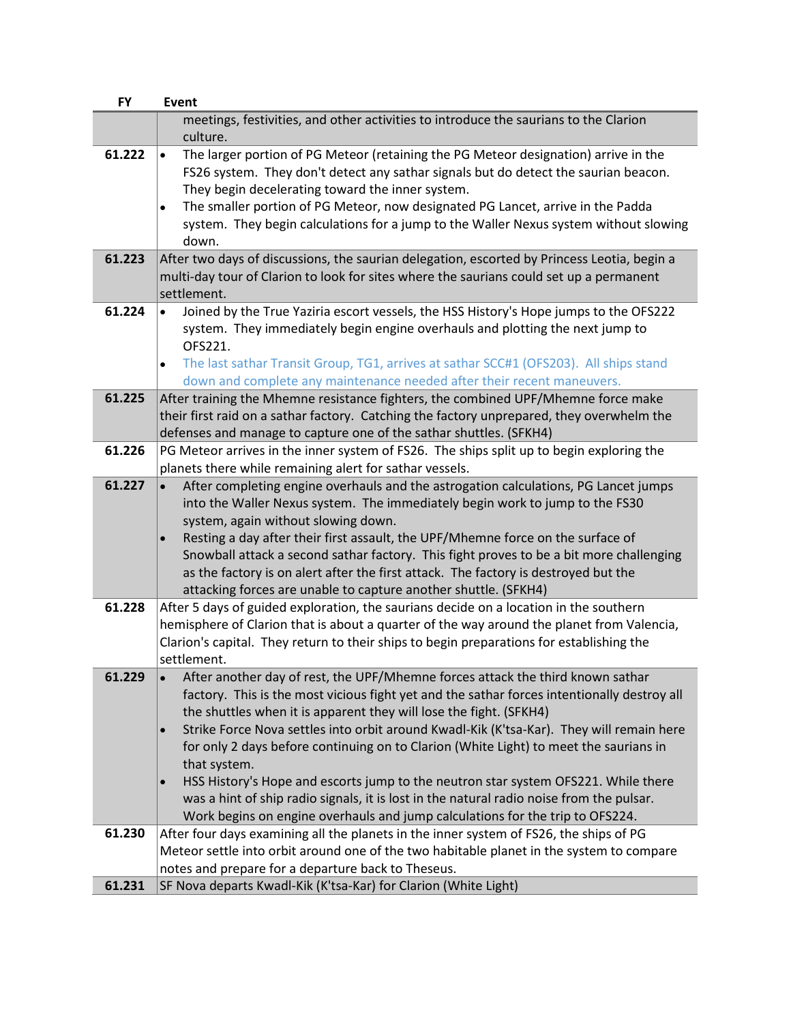| <b>FY</b> | <b>Event</b>                                                                                                                                                                                                                                                                                                                                                                                                                                                                                                                                                                                                                                                                                                                             |
|-----------|------------------------------------------------------------------------------------------------------------------------------------------------------------------------------------------------------------------------------------------------------------------------------------------------------------------------------------------------------------------------------------------------------------------------------------------------------------------------------------------------------------------------------------------------------------------------------------------------------------------------------------------------------------------------------------------------------------------------------------------|
|           | meetings, festivities, and other activities to introduce the saurians to the Clarion<br>culture.                                                                                                                                                                                                                                                                                                                                                                                                                                                                                                                                                                                                                                         |
| 61.222    | The larger portion of PG Meteor (retaining the PG Meteor designation) arrive in the<br>$\bullet$<br>FS26 system. They don't detect any sathar signals but do detect the saurian beacon.<br>They begin decelerating toward the inner system.<br>The smaller portion of PG Meteor, now designated PG Lancet, arrive in the Padda<br>$\bullet$<br>system. They begin calculations for a jump to the Waller Nexus system without slowing<br>down.                                                                                                                                                                                                                                                                                            |
| 61.223    | After two days of discussions, the saurian delegation, escorted by Princess Leotia, begin a<br>multi-day tour of Clarion to look for sites where the saurians could set up a permanent<br>settlement.                                                                                                                                                                                                                                                                                                                                                                                                                                                                                                                                    |
| 61.224    | Joined by the True Yaziria escort vessels, the HSS History's Hope jumps to the OFS222<br>$\bullet$<br>system. They immediately begin engine overhauls and plotting the next jump to<br>OFS221.<br>The last sathar Transit Group, TG1, arrives at sathar SCC#1 (OFS203). All ships stand<br>$\bullet$<br>down and complete any maintenance needed after their recent maneuvers.                                                                                                                                                                                                                                                                                                                                                           |
| 61.225    | After training the Mhemne resistance fighters, the combined UPF/Mhemne force make<br>their first raid on a sathar factory. Catching the factory unprepared, they overwhelm the<br>defenses and manage to capture one of the sathar shuttles. (SFKH4)                                                                                                                                                                                                                                                                                                                                                                                                                                                                                     |
| 61.226    | PG Meteor arrives in the inner system of FS26. The ships split up to begin exploring the<br>planets there while remaining alert for sathar vessels.                                                                                                                                                                                                                                                                                                                                                                                                                                                                                                                                                                                      |
| 61.227    | After completing engine overhauls and the astrogation calculations, PG Lancet jumps<br>$\bullet$<br>into the Waller Nexus system. The immediately begin work to jump to the FS30<br>system, again without slowing down.<br>Resting a day after their first assault, the UPF/Mhemne force on the surface of<br>Snowball attack a second sathar factory. This fight proves to be a bit more challenging<br>as the factory is on alert after the first attack. The factory is destroyed but the<br>attacking forces are unable to capture another shuttle. (SFKH4)                                                                                                                                                                          |
| 61.228    | After 5 days of guided exploration, the saurians decide on a location in the southern<br>hemisphere of Clarion that is about a quarter of the way around the planet from Valencia,<br>Clarion's capital. They return to their ships to begin preparations for establishing the<br>settlement.                                                                                                                                                                                                                                                                                                                                                                                                                                            |
| 61.229    | After another day of rest, the UPF/Mhemne forces attack the third known sathar<br>factory. This is the most vicious fight yet and the sathar forces intentionally destroy all<br>the shuttles when it is apparent they will lose the fight. (SFKH4)<br>Strike Force Nova settles into orbit around Kwadl-Kik (K'tsa-Kar). They will remain here<br>for only 2 days before continuing on to Clarion (White Light) to meet the saurians in<br>that system.<br>HSS History's Hope and escorts jump to the neutron star system OFS221. While there<br>$\bullet$<br>was a hint of ship radio signals, it is lost in the natural radio noise from the pulsar.<br>Work begins on engine overhauls and jump calculations for the trip to OFS224. |
| 61.230    | After four days examining all the planets in the inner system of FS26, the ships of PG<br>Meteor settle into orbit around one of the two habitable planet in the system to compare<br>notes and prepare for a departure back to Theseus.                                                                                                                                                                                                                                                                                                                                                                                                                                                                                                 |
| 61.231    | SF Nova departs Kwadl-Kik (K'tsa-Kar) for Clarion (White Light)                                                                                                                                                                                                                                                                                                                                                                                                                                                                                                                                                                                                                                                                          |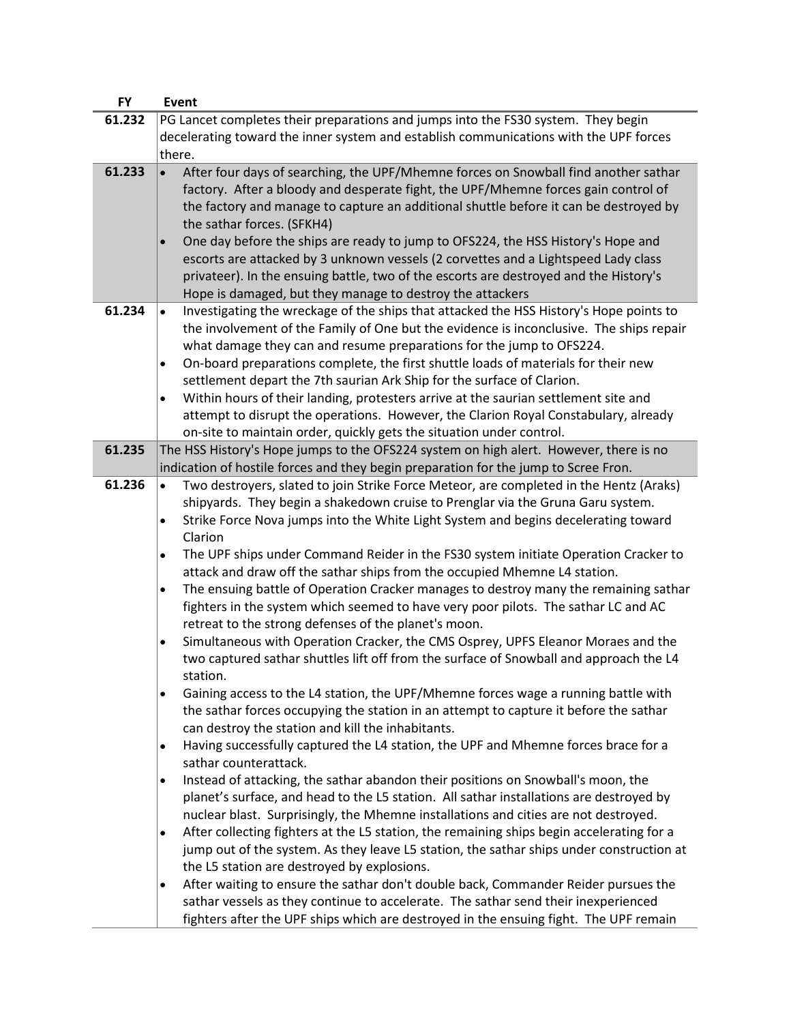| <b>FY</b> | Event                                                                                                                                                                                                                                           |
|-----------|-------------------------------------------------------------------------------------------------------------------------------------------------------------------------------------------------------------------------------------------------|
| 61.232    | PG Lancet completes their preparations and jumps into the FS30 system. They begin                                                                                                                                                               |
|           | decelerating toward the inner system and establish communications with the UPF forces                                                                                                                                                           |
|           | there.                                                                                                                                                                                                                                          |
| 61.233    | After four days of searching, the UPF/Mhemne forces on Snowball find another sathar<br>$\bullet$<br>factory. After a bloody and desperate fight, the UPF/Mhemne forces gain control of                                                          |
|           | the factory and manage to capture an additional shuttle before it can be destroyed by<br>the sathar forces. (SFKH4)<br>One day before the ships are ready to jump to OFS224, the HSS History's Hope and<br>$\bullet$                            |
|           | escorts are attacked by 3 unknown vessels (2 corvettes and a Lightspeed Lady class<br>privateer). In the ensuing battle, two of the escorts are destroyed and the History's<br>Hope is damaged, but they manage to destroy the attackers        |
| 61.234    | Investigating the wreckage of the ships that attacked the HSS History's Hope points to<br>$\bullet$                                                                                                                                             |
|           | the involvement of the Family of One but the evidence is inconclusive. The ships repair<br>what damage they can and resume preparations for the jump to OFS224.                                                                                 |
|           | On-board preparations complete, the first shuttle loads of materials for their new<br>$\bullet$<br>settlement depart the 7th saurian Ark Ship for the surface of Clarion.                                                                       |
|           | Within hours of their landing, protesters arrive at the saurian settlement site and<br>$\bullet$<br>attempt to disrupt the operations. However, the Clarion Royal Constabulary, already                                                         |
|           | on-site to maintain order, quickly gets the situation under control.                                                                                                                                                                            |
| 61.235    | The HSS History's Hope jumps to the OFS224 system on high alert. However, there is no<br>indication of hostile forces and they begin preparation for the jump to Scree Fron.                                                                    |
| 61.236    | Two destroyers, slated to join Strike Force Meteor, are completed in the Hentz (Araks)                                                                                                                                                          |
|           | shipyards. They begin a shakedown cruise to Prenglar via the Gruna Garu system.                                                                                                                                                                 |
|           | Strike Force Nova jumps into the White Light System and begins decelerating toward<br>$\bullet$<br>Clarion                                                                                                                                      |
|           | The UPF ships under Command Reider in the FS30 system initiate Operation Cracker to<br>$\bullet$<br>attack and draw off the sathar ships from the occupied Mhemne L4 station.                                                                   |
|           | The ensuing battle of Operation Cracker manages to destroy many the remaining sathar<br>$\bullet$<br>fighters in the system which seemed to have very poor pilots. The sathar LC and AC<br>retreat to the strong defenses of the planet's moon. |
|           | Simultaneous with Operation Cracker, the CMS Osprey, UPFS Eleanor Moraes and the<br>$\bullet$                                                                                                                                                   |
|           | two captured sathar shuttles lift off from the surface of Snowball and approach the L4<br>station.                                                                                                                                              |
|           | Gaining access to the L4 station, the UPF/Mhemne forces wage a running battle with<br>$\bullet$                                                                                                                                                 |
|           | the sathar forces occupying the station in an attempt to capture it before the sathar<br>can destroy the station and kill the inhabitants.                                                                                                      |
|           | Having successfully captured the L4 station, the UPF and Mhemne forces brace for a<br>$\bullet$<br>sathar counterattack.                                                                                                                        |
|           | Instead of attacking, the sathar abandon their positions on Snowball's moon, the<br>$\bullet$                                                                                                                                                   |
|           | planet's surface, and head to the L5 station. All sathar installations are destroyed by                                                                                                                                                         |
|           | nuclear blast. Surprisingly, the Mhemne installations and cities are not destroyed.                                                                                                                                                             |
|           | After collecting fighters at the L5 station, the remaining ships begin accelerating for a<br>$\bullet$                                                                                                                                          |
|           | jump out of the system. As they leave L5 station, the sathar ships under construction at                                                                                                                                                        |
|           | the L5 station are destroyed by explosions.                                                                                                                                                                                                     |
|           | After waiting to ensure the sathar don't double back, Commander Reider pursues the<br>$\bullet$                                                                                                                                                 |
|           | sathar vessels as they continue to accelerate. The sathar send their inexperienced                                                                                                                                                              |
|           | fighters after the UPF ships which are destroyed in the ensuing fight. The UPF remain                                                                                                                                                           |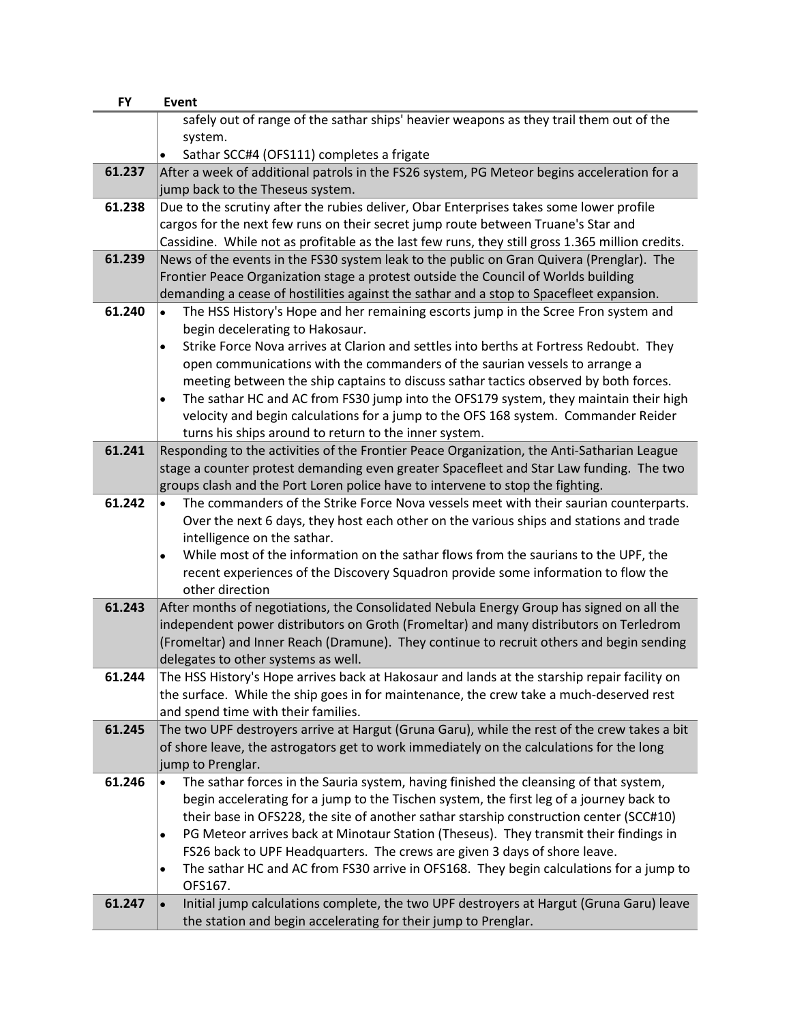| <b>FY</b> | <b>Event</b>                                                                                                          |
|-----------|-----------------------------------------------------------------------------------------------------------------------|
|           | safely out of range of the sathar ships' heavier weapons as they trail them out of the                                |
|           | system.                                                                                                               |
|           | Sathar SCC#4 (OFS111) completes a frigate                                                                             |
| 61.237    | After a week of additional patrols in the FS26 system, PG Meteor begins acceleration for a                            |
|           | jump back to the Theseus system.                                                                                      |
| 61.238    | Due to the scrutiny after the rubies deliver, Obar Enterprises takes some lower profile                               |
|           | cargos for the next few runs on their secret jump route between Truane's Star and                                     |
|           | Cassidine. While not as profitable as the last few runs, they still gross 1.365 million credits.                      |
| 61.239    | News of the events in the FS30 system leak to the public on Gran Quivera (Prenglar). The                              |
|           | Frontier Peace Organization stage a protest outside the Council of Worlds building                                    |
|           | demanding a cease of hostilities against the sathar and a stop to Spacefleet expansion.                               |
| 61.240    | The HSS History's Hope and her remaining escorts jump in the Scree Fron system and<br>$\bullet$                       |
|           | begin decelerating to Hakosaur.                                                                                       |
|           | Strike Force Nova arrives at Clarion and settles into berths at Fortress Redoubt. They<br>$\bullet$                   |
|           | open communications with the commanders of the saurian vessels to arrange a                                           |
|           | meeting between the ship captains to discuss sathar tactics observed by both forces.                                  |
|           | The sathar HC and AC from FS30 jump into the OFS179 system, they maintain their high<br>$\bullet$                     |
|           | velocity and begin calculations for a jump to the OFS 168 system. Commander Reider                                    |
|           | turns his ships around to return to the inner system.                                                                 |
| 61.241    | Responding to the activities of the Frontier Peace Organization, the Anti-Satharian League                            |
|           | stage a counter protest demanding even greater Spacefleet and Star Law funding. The two                               |
|           | groups clash and the Port Loren police have to intervene to stop the fighting.                                        |
| 61.242    | The commanders of the Strike Force Nova vessels meet with their saurian counterparts.<br>$\bullet$                    |
|           | Over the next 6 days, they host each other on the various ships and stations and trade<br>intelligence on the sathar. |
|           | While most of the information on the sathar flows from the saurians to the UPF, the<br>$\bullet$                      |
|           | recent experiences of the Discovery Squadron provide some information to flow the                                     |
|           | other direction                                                                                                       |
| 61.243    | After months of negotiations, the Consolidated Nebula Energy Group has signed on all the                              |
|           | independent power distributors on Groth (Fromeltar) and many distributors on Terledrom                                |
|           | (Fromeltar) and Inner Reach (Dramune). They continue to recruit others and begin sending                              |
|           | delegates to other systems as well.                                                                                   |
| 61.244    | The HSS History's Hope arrives back at Hakosaur and lands at the starship repair facility on                          |
|           | the surface. While the ship goes in for maintenance, the crew take a much-deserved rest                               |
|           | and spend time with their families.                                                                                   |
| 61.245    | The two UPF destroyers arrive at Hargut (Gruna Garu), while the rest of the crew takes a bit                          |
|           | of shore leave, the astrogators get to work immediately on the calculations for the long                              |
|           | jump to Prenglar.                                                                                                     |
| 61.246    | The sathar forces in the Sauria system, having finished the cleansing of that system,                                 |
|           | begin accelerating for a jump to the Tischen system, the first leg of a journey back to                               |
|           | their base in OFS228, the site of another sathar starship construction center (SCC#10)                                |
|           | PG Meteor arrives back at Minotaur Station (Theseus). They transmit their findings in<br>$\bullet$                    |
|           | FS26 back to UPF Headquarters. The crews are given 3 days of shore leave.                                             |
|           | The sathar HC and AC from FS30 arrive in OFS168. They begin calculations for a jump to<br>$\bullet$                   |
|           | OFS167.                                                                                                               |
| 61.247    | Initial jump calculations complete, the two UPF destroyers at Hargut (Gruna Garu) leave<br>$\bullet$                  |
|           | the station and begin accelerating for their jump to Prenglar.                                                        |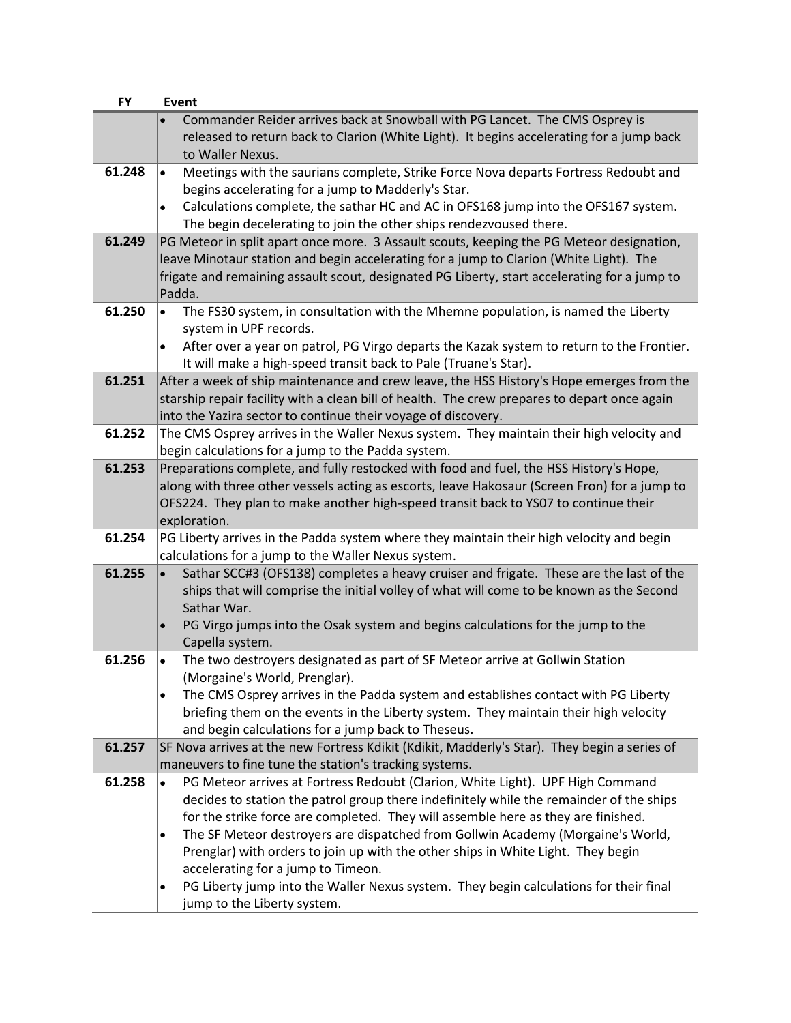| <b>FY</b> | <b>Event</b>                                                                                                                                                                            |
|-----------|-----------------------------------------------------------------------------------------------------------------------------------------------------------------------------------------|
|           | Commander Reider arrives back at Snowball with PG Lancet. The CMS Osprey is                                                                                                             |
|           | released to return back to Clarion (White Light). It begins accelerating for a jump back                                                                                                |
|           | to Waller Nexus.                                                                                                                                                                        |
| 61.248    | Meetings with the saurians complete, Strike Force Nova departs Fortress Redoubt and<br>$\bullet$                                                                                        |
|           | begins accelerating for a jump to Madderly's Star.                                                                                                                                      |
|           | Calculations complete, the sathar HC and AC in OFS168 jump into the OFS167 system.<br>$\bullet$                                                                                         |
|           | The begin decelerating to join the other ships rendezvoused there.                                                                                                                      |
| 61.249    | PG Meteor in split apart once more. 3 Assault scouts, keeping the PG Meteor designation,                                                                                                |
|           | leave Minotaur station and begin accelerating for a jump to Clarion (White Light). The                                                                                                  |
|           | frigate and remaining assault scout, designated PG Liberty, start accelerating for a jump to                                                                                            |
|           | Padda.                                                                                                                                                                                  |
| 61.250    | The FS30 system, in consultation with the Mhemne population, is named the Liberty<br>$\bullet$                                                                                          |
|           | system in UPF records.                                                                                                                                                                  |
|           | After over a year on patrol, PG Virgo departs the Kazak system to return to the Frontier.<br>$\bullet$                                                                                  |
| 61.251    | It will make a high-speed transit back to Pale (Truane's Star).<br>After a week of ship maintenance and crew leave, the HSS History's Hope emerges from the                             |
|           | starship repair facility with a clean bill of health. The crew prepares to depart once again                                                                                            |
|           | into the Yazira sector to continue their voyage of discovery.                                                                                                                           |
| 61.252    | The CMS Osprey arrives in the Waller Nexus system. They maintain their high velocity and                                                                                                |
|           | begin calculations for a jump to the Padda system.                                                                                                                                      |
| 61.253    | Preparations complete, and fully restocked with food and fuel, the HSS History's Hope,                                                                                                  |
|           | along with three other vessels acting as escorts, leave Hakosaur (Screen Fron) for a jump to                                                                                            |
|           | OFS224. They plan to make another high-speed transit back to YS07 to continue their                                                                                                     |
|           | exploration.                                                                                                                                                                            |
| 61.254    | PG Liberty arrives in the Padda system where they maintain their high velocity and begin                                                                                                |
|           | calculations for a jump to the Waller Nexus system.                                                                                                                                     |
| 61.255    | Sathar SCC#3 (OFS138) completes a heavy cruiser and frigate. These are the last of the                                                                                                  |
|           | ships that will comprise the initial volley of what will come to be known as the Second                                                                                                 |
|           | Sathar War.                                                                                                                                                                             |
|           | PG Virgo jumps into the Osak system and begins calculations for the jump to the                                                                                                         |
|           | Capella system.                                                                                                                                                                         |
| 61.256    | The two destroyers designated as part of SF Meteor arrive at Gollwin Station                                                                                                            |
|           | (Morgaine's World, Prenglar).                                                                                                                                                           |
|           | The CMS Osprey arrives in the Padda system and establishes contact with PG Liberty<br>$\bullet$<br>briefing them on the events in the Liberty system. They maintain their high velocity |
|           | and begin calculations for a jump back to Theseus.                                                                                                                                      |
| 61.257    | SF Nova arrives at the new Fortress Kdikit (Kdikit, Madderly's Star). They begin a series of                                                                                            |
|           | maneuvers to fine tune the station's tracking systems.                                                                                                                                  |
| 61.258    | PG Meteor arrives at Fortress Redoubt (Clarion, White Light). UPF High Command<br>$\bullet$                                                                                             |
|           | decides to station the patrol group there indefinitely while the remainder of the ships                                                                                                 |
|           | for the strike force are completed. They will assemble here as they are finished.                                                                                                       |
|           | The SF Meteor destroyers are dispatched from Gollwin Academy (Morgaine's World,<br>$\bullet$                                                                                            |
|           | Prenglar) with orders to join up with the other ships in White Light. They begin                                                                                                        |
|           | accelerating for a jump to Timeon.                                                                                                                                                      |
|           | PG Liberty jump into the Waller Nexus system. They begin calculations for their final<br>$\bullet$                                                                                      |
|           | jump to the Liberty system.                                                                                                                                                             |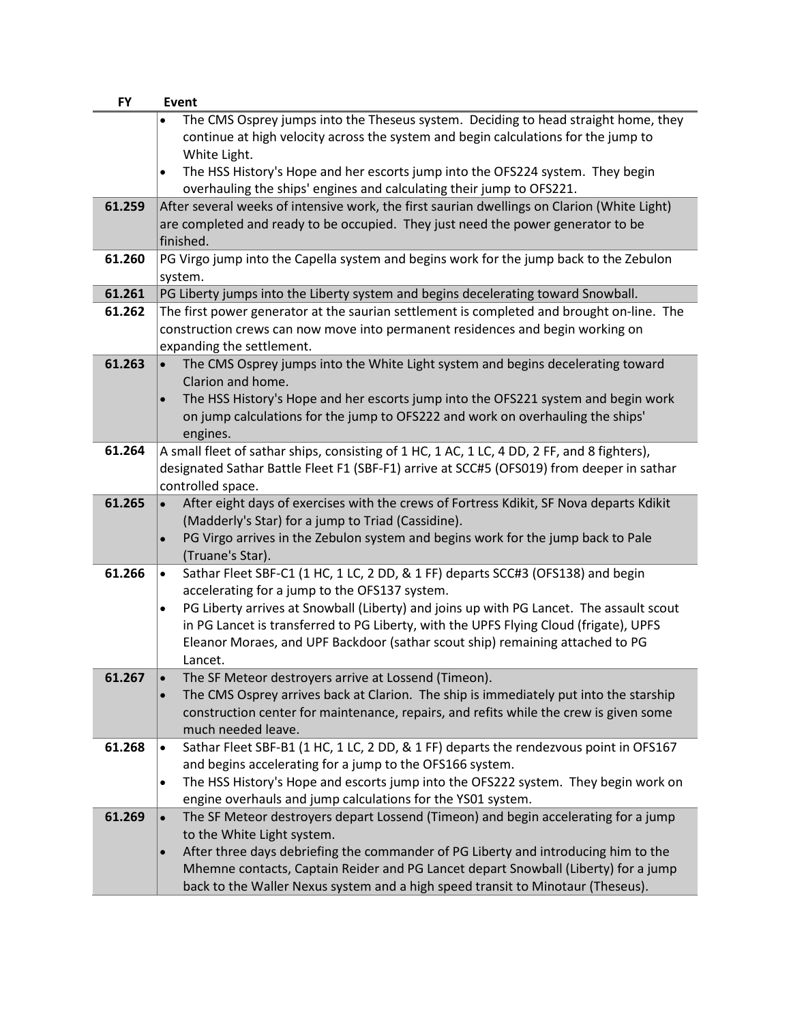| <b>FY</b> | Event                                                                                                          |
|-----------|----------------------------------------------------------------------------------------------------------------|
|           | The CMS Osprey jumps into the Theseus system. Deciding to head straight home, they                             |
|           | continue at high velocity across the system and begin calculations for the jump to                             |
|           | White Light.                                                                                                   |
|           | The HSS History's Hope and her escorts jump into the OFS224 system. They begin<br>$\bullet$                    |
|           | overhauling the ships' engines and calculating their jump to OFS221.                                           |
| 61.259    | After several weeks of intensive work, the first saurian dwellings on Clarion (White Light)                    |
|           | are completed and ready to be occupied. They just need the power generator to be                               |
|           | finished.                                                                                                      |
| 61.260    | PG Virgo jump into the Capella system and begins work for the jump back to the Zebulon                         |
|           | system.                                                                                                        |
| 61.261    | PG Liberty jumps into the Liberty system and begins decelerating toward Snowball.                              |
| 61.262    | The first power generator at the saurian settlement is completed and brought on-line. The                      |
|           | construction crews can now move into permanent residences and begin working on                                 |
|           | expanding the settlement.                                                                                      |
| 61.263    | The CMS Osprey jumps into the White Light system and begins decelerating toward<br>$\bullet$                   |
|           | Clarion and home.                                                                                              |
|           | The HSS History's Hope and her escorts jump into the OFS221 system and begin work                              |
|           | on jump calculations for the jump to OFS222 and work on overhauling the ships'                                 |
|           | engines.                                                                                                       |
| 61.264    | A small fleet of sathar ships, consisting of 1 HC, 1 AC, 1 LC, 4 DD, 2 FF, and 8 fighters),                    |
|           | designated Sathar Battle Fleet F1 (SBF-F1) arrive at SCC#5 (OFS019) from deeper in sathar<br>controlled space. |
| 61.265    | After eight days of exercises with the crews of Fortress Kdikit, SF Nova departs Kdikit<br>$\bullet$           |
|           | (Madderly's Star) for a jump to Triad (Cassidine).                                                             |
|           | PG Virgo arrives in the Zebulon system and begins work for the jump back to Pale                               |
|           | (Truane's Star).                                                                                               |
| 61.266    | Sathar Fleet SBF-C1 (1 HC, 1 LC, 2 DD, & 1 FF) departs SCC#3 (OFS138) and begin<br>$\bullet$                   |
|           | accelerating for a jump to the OFS137 system.                                                                  |
|           | PG Liberty arrives at Snowball (Liberty) and joins up with PG Lancet. The assault scout<br>$\bullet$           |
|           | in PG Lancet is transferred to PG Liberty, with the UPFS Flying Cloud (frigate), UPFS                          |
|           | Eleanor Moraes, and UPF Backdoor (sathar scout ship) remaining attached to PG                                  |
|           | Lancet.                                                                                                        |
| 61.267    | The SF Meteor destroyers arrive at Lossend (Timeon).                                                           |
|           | The CMS Osprey arrives back at Clarion. The ship is immediately put into the starship<br>$\bullet$             |
|           | construction center for maintenance, repairs, and refits while the crew is given some                          |
|           | much needed leave.                                                                                             |
| 61.268    | Sathar Fleet SBF-B1 (1 HC, 1 LC, 2 DD, & 1 FF) departs the rendezvous point in OFS167<br>$\bullet$             |
|           | and begins accelerating for a jump to the OFS166 system.                                                       |
|           | The HSS History's Hope and escorts jump into the OFS222 system. They begin work on<br>$\bullet$                |
|           | engine overhauls and jump calculations for the YS01 system.                                                    |
| 61.269    | The SF Meteor destroyers depart Lossend (Timeon) and begin accelerating for a jump<br>$\bullet$                |
|           | to the White Light system.                                                                                     |
|           | After three days debriefing the commander of PG Liberty and introducing him to the<br>$\bullet$                |
|           | Mhemne contacts, Captain Reider and PG Lancet depart Snowball (Liberty) for a jump                             |
|           | back to the Waller Nexus system and a high speed transit to Minotaur (Theseus).                                |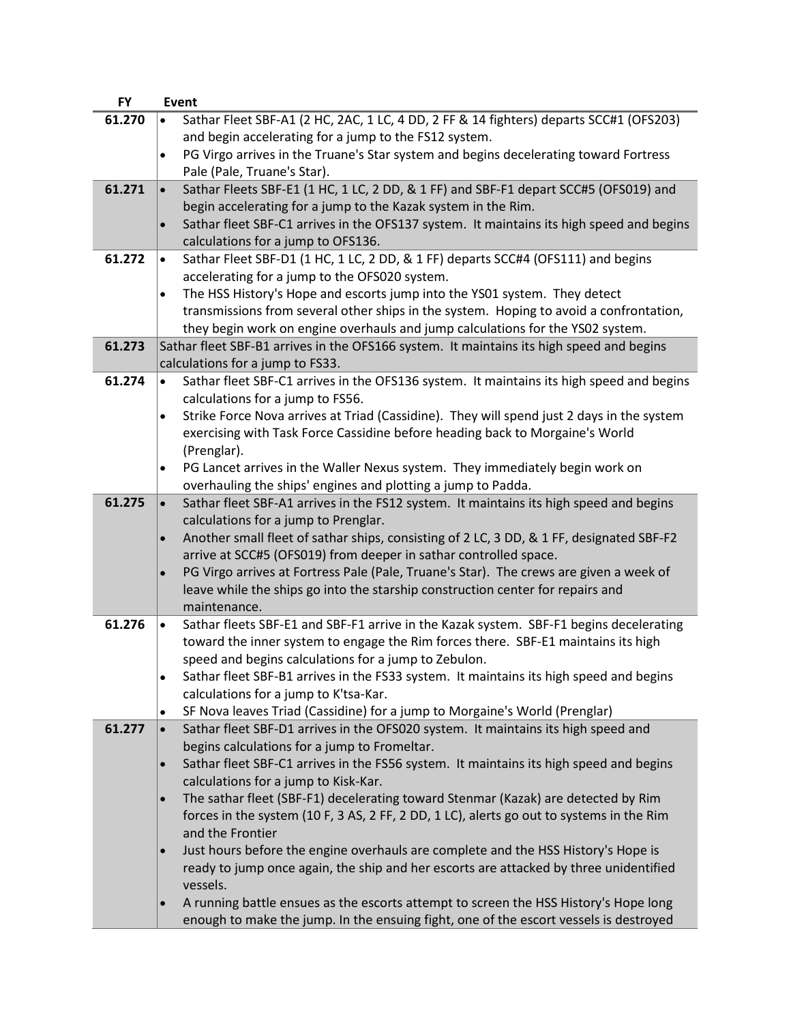| <b>FY</b> | <b>Event</b>                                                                                           |  |
|-----------|--------------------------------------------------------------------------------------------------------|--|
| 61.270    | Sathar Fleet SBF-A1 (2 HC, 2AC, 1 LC, 4 DD, 2 FF & 14 fighters) departs SCC#1 (OFS203)<br>$\bullet$    |  |
|           | and begin accelerating for a jump to the FS12 system.                                                  |  |
|           | PG Virgo arrives in the Truane's Star system and begins decelerating toward Fortress                   |  |
|           | Pale (Pale, Truane's Star).                                                                            |  |
| 61.271    | Sathar Fleets SBF-E1 (1 HC, 1 LC, 2 DD, & 1 FF) and SBF-F1 depart SCC#5 (OFS019) and                   |  |
|           | begin accelerating for a jump to the Kazak system in the Rim.                                          |  |
|           | Sathar fleet SBF-C1 arrives in the OFS137 system. It maintains its high speed and begins               |  |
|           | calculations for a jump to OFS136.                                                                     |  |
| 61.272    | Sathar Fleet SBF-D1 (1 HC, 1 LC, 2 DD, & 1 FF) departs SCC#4 (OFS111) and begins<br>$\bullet$          |  |
|           | accelerating for a jump to the OFS020 system.                                                          |  |
|           | The HSS History's Hope and escorts jump into the YS01 system. They detect<br>$\bullet$                 |  |
|           | transmissions from several other ships in the system. Hoping to avoid a confrontation,                 |  |
|           | they begin work on engine overhauls and jump calculations for the YS02 system.                         |  |
| 61.273    | Sathar fleet SBF-B1 arrives in the OFS166 system. It maintains its high speed and begins               |  |
|           | calculations for a jump to FS33.                                                                       |  |
| 61.274    | Sathar fleet SBF-C1 arrives in the OFS136 system. It maintains its high speed and begins<br>$\bullet$  |  |
|           | calculations for a jump to FS56.                                                                       |  |
|           | Strike Force Nova arrives at Triad (Cassidine). They will spend just 2 days in the system<br>$\bullet$ |  |
|           | exercising with Task Force Cassidine before heading back to Morgaine's World                           |  |
|           | (Prenglar).                                                                                            |  |
|           | PG Lancet arrives in the Waller Nexus system. They immediately begin work on<br>$\bullet$              |  |
|           | overhauling the ships' engines and plotting a jump to Padda.                                           |  |
| 61.275    | Sathar fleet SBF-A1 arrives in the FS12 system. It maintains its high speed and begins                 |  |
|           | calculations for a jump to Prenglar.                                                                   |  |
|           | Another small fleet of sathar ships, consisting of 2 LC, 3 DD, & 1 FF, designated SBF-F2<br>$\bullet$  |  |
|           | arrive at SCC#5 (OFS019) from deeper in sathar controlled space.                                       |  |
|           | PG Virgo arrives at Fortress Pale (Pale, Truane's Star). The crews are given a week of                 |  |
|           | leave while the ships go into the starship construction center for repairs and                         |  |
|           | maintenance.                                                                                           |  |
| 61.276    | Sathar fleets SBF-E1 and SBF-F1 arrive in the Kazak system. SBF-F1 begins decelerating<br>$\bullet$    |  |
|           | toward the inner system to engage the Rim forces there. SBF-E1 maintains its high                      |  |
|           | speed and begins calculations for a jump to Zebulon.                                                   |  |
|           | Sathar fleet SBF-B1 arrives in the FS33 system. It maintains its high speed and begins<br>$\bullet$    |  |
|           | calculations for a jump to K'tsa-Kar.                                                                  |  |
|           | SF Nova leaves Triad (Cassidine) for a jump to Morgaine's World (Prenglar)<br>$\bullet$                |  |
| 61.277    | Sathar fleet SBF-D1 arrives in the OFS020 system. It maintains its high speed and                      |  |
|           | begins calculations for a jump to Fromeltar.                                                           |  |
|           | Sathar fleet SBF-C1 arrives in the FS56 system. It maintains its high speed and begins<br>$\bullet$    |  |
|           | calculations for a jump to Kisk-Kar.                                                                   |  |
|           | The sathar fleet (SBF-F1) decelerating toward Stenmar (Kazak) are detected by Rim<br>$\bullet$         |  |
|           | forces in the system (10 F, 3 AS, 2 FF, 2 DD, 1 LC), alerts go out to systems in the Rim               |  |
|           | and the Frontier                                                                                       |  |
|           | Just hours before the engine overhauls are complete and the HSS History's Hope is                      |  |
|           | ready to jump once again, the ship and her escorts are attacked by three unidentified                  |  |
|           | vessels.                                                                                               |  |
|           | A running battle ensues as the escorts attempt to screen the HSS History's Hope long<br>$\bullet$      |  |
|           | enough to make the jump. In the ensuing fight, one of the escort vessels is destroyed                  |  |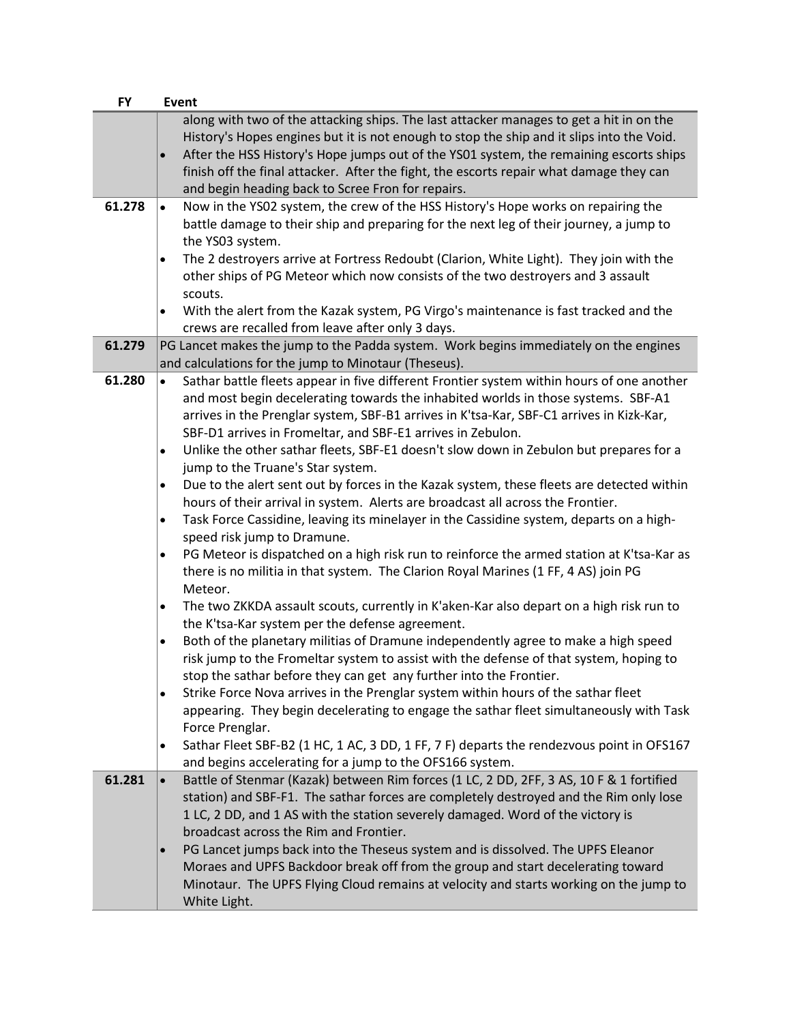| <b>FY</b> | <b>Event</b>                                                                                                                                                                                                                                                                                                                                                                                                                                |
|-----------|---------------------------------------------------------------------------------------------------------------------------------------------------------------------------------------------------------------------------------------------------------------------------------------------------------------------------------------------------------------------------------------------------------------------------------------------|
|           | along with two of the attacking ships. The last attacker manages to get a hit in on the<br>History's Hopes engines but it is not enough to stop the ship and it slips into the Void.<br>After the HSS History's Hope jumps out of the YS01 system, the remaining escorts ships<br>$\bullet$<br>finish off the final attacker. After the fight, the escorts repair what damage they can<br>and begin heading back to Scree Fron for repairs. |
| 61.278    | Now in the YS02 system, the crew of the HSS History's Hope works on repairing the<br>$\bullet$<br>battle damage to their ship and preparing for the next leg of their journey, a jump to<br>the YS03 system.                                                                                                                                                                                                                                |
|           | The 2 destroyers arrive at Fortress Redoubt (Clarion, White Light). They join with the<br>other ships of PG Meteor which now consists of the two destroyers and 3 assault<br>scouts.                                                                                                                                                                                                                                                        |
|           | With the alert from the Kazak system, PG Virgo's maintenance is fast tracked and the<br>$\bullet$<br>crews are recalled from leave after only 3 days.                                                                                                                                                                                                                                                                                       |
| 61.279    | PG Lancet makes the jump to the Padda system. Work begins immediately on the engines<br>and calculations for the jump to Minotaur (Theseus).                                                                                                                                                                                                                                                                                                |
| 61.280    | Sathar battle fleets appear in five different Frontier system within hours of one another<br>$\bullet$<br>and most begin decelerating towards the inhabited worlds in those systems. SBF-A1<br>arrives in the Prenglar system, SBF-B1 arrives in K'tsa-Kar, SBF-C1 arrives in Kizk-Kar,<br>SBF-D1 arrives in Fromeltar, and SBF-E1 arrives in Zebulon.                                                                                      |
|           | Unlike the other sathar fleets, SBF-E1 doesn't slow down in Zebulon but prepares for a<br>$\bullet$<br>jump to the Truane's Star system.                                                                                                                                                                                                                                                                                                    |
|           | Due to the alert sent out by forces in the Kazak system, these fleets are detected within<br>$\bullet$<br>hours of their arrival in system. Alerts are broadcast all across the Frontier.                                                                                                                                                                                                                                                   |
|           | Task Force Cassidine, leaving its minelayer in the Cassidine system, departs on a high-<br>$\bullet$<br>speed risk jump to Dramune.                                                                                                                                                                                                                                                                                                         |
|           | PG Meteor is dispatched on a high risk run to reinforce the armed station at K'tsa-Kar as<br>$\bullet$<br>there is no militia in that system. The Clarion Royal Marines (1 FF, 4 AS) join PG<br>Meteor.                                                                                                                                                                                                                                     |
|           | The two ZKKDA assault scouts, currently in K'aken-Kar also depart on a high risk run to<br>$\bullet$<br>the K'tsa-Kar system per the defense agreement.                                                                                                                                                                                                                                                                                     |
|           | Both of the planetary militias of Dramune independently agree to make a high speed<br>$\bullet$<br>risk jump to the Fromeltar system to assist with the defense of that system, hoping to<br>stop the sathar before they can get any further into the Frontier.                                                                                                                                                                             |
|           | Strike Force Nova arrives in the Prenglar system within hours of the sathar fleet<br>$\bullet$<br>appearing. They begin decelerating to engage the sathar fleet simultaneously with Task<br>Force Prenglar.                                                                                                                                                                                                                                 |
|           | Sathar Fleet SBF-B2 (1 HC, 1 AC, 3 DD, 1 FF, 7 F) departs the rendezvous point in OFS167<br>$\bullet$<br>and begins accelerating for a jump to the OFS166 system.                                                                                                                                                                                                                                                                           |
| 61.281    | Battle of Stenmar (Kazak) between Rim forces (1 LC, 2 DD, 2FF, 3 AS, 10 F & 1 fortified<br>$\bullet$<br>station) and SBF-F1. The sathar forces are completely destroyed and the Rim only lose<br>1 LC, 2 DD, and 1 AS with the station severely damaged. Word of the victory is<br>broadcast across the Rim and Frontier.                                                                                                                   |
|           | PG Lancet jumps back into the Theseus system and is dissolved. The UPFS Eleanor<br>$\bullet$<br>Moraes and UPFS Backdoor break off from the group and start decelerating toward<br>Minotaur. The UPFS Flying Cloud remains at velocity and starts working on the jump to<br>White Light.                                                                                                                                                    |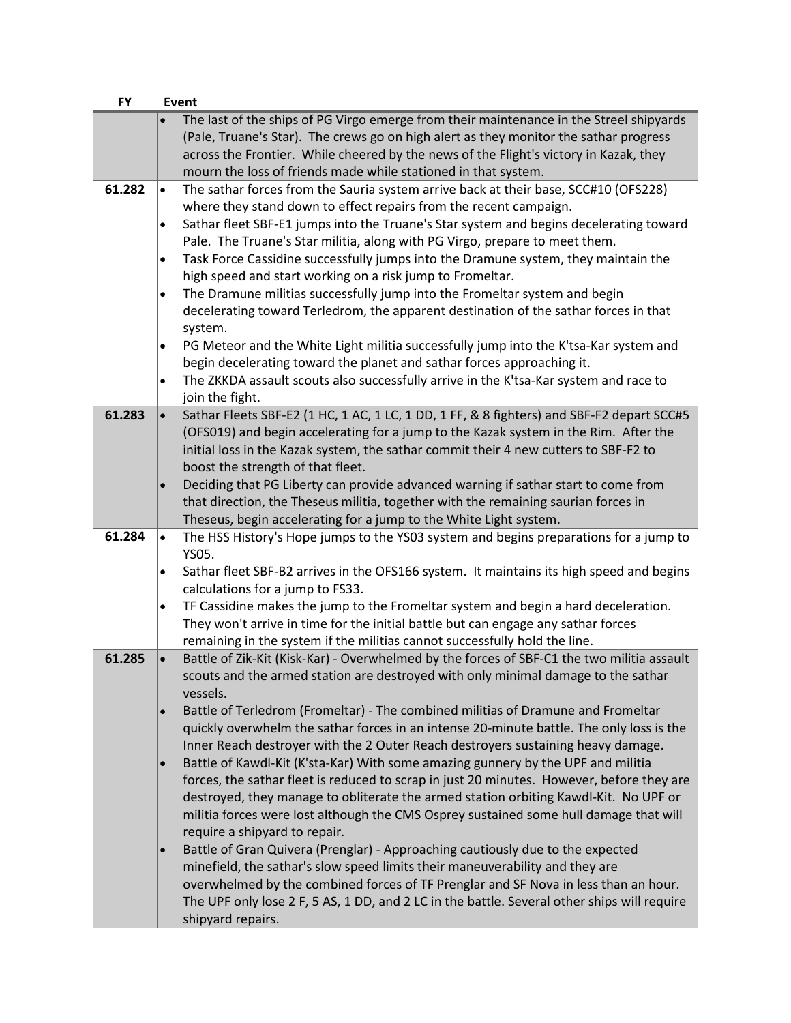| <b>FY</b> |           | <b>Event</b>                                                                                                                                                                                                                                                                                                                                |
|-----------|-----------|---------------------------------------------------------------------------------------------------------------------------------------------------------------------------------------------------------------------------------------------------------------------------------------------------------------------------------------------|
|           | $\bullet$ | The last of the ships of PG Virgo emerge from their maintenance in the Streel shipyards<br>(Pale, Truane's Star). The crews go on high alert as they monitor the sathar progress<br>across the Frontier. While cheered by the news of the Flight's victory in Kazak, they<br>mourn the loss of friends made while stationed in that system. |
| 61.282    | $\bullet$ | The sathar forces from the Sauria system arrive back at their base, SCC#10 (OFS228)                                                                                                                                                                                                                                                         |
|           |           | where they stand down to effect repairs from the recent campaign.                                                                                                                                                                                                                                                                           |
|           | $\bullet$ | Sathar fleet SBF-E1 jumps into the Truane's Star system and begins decelerating toward                                                                                                                                                                                                                                                      |
|           |           | Pale. The Truane's Star militia, along with PG Virgo, prepare to meet them.                                                                                                                                                                                                                                                                 |
|           | $\bullet$ | Task Force Cassidine successfully jumps into the Dramune system, they maintain the                                                                                                                                                                                                                                                          |
|           |           | high speed and start working on a risk jump to Fromeltar.                                                                                                                                                                                                                                                                                   |
|           | $\bullet$ | The Dramune militias successfully jump into the Fromeltar system and begin                                                                                                                                                                                                                                                                  |
|           |           | decelerating toward Terledrom, the apparent destination of the sathar forces in that                                                                                                                                                                                                                                                        |
|           |           | system.                                                                                                                                                                                                                                                                                                                                     |
|           |           | PG Meteor and the White Light militia successfully jump into the K'tsa-Kar system and                                                                                                                                                                                                                                                       |
|           |           | begin decelerating toward the planet and sathar forces approaching it.<br>The ZKKDA assault scouts also successfully arrive in the K'tsa-Kar system and race to                                                                                                                                                                             |
|           | $\bullet$ | join the fight.                                                                                                                                                                                                                                                                                                                             |
| 61.283    | $\bullet$ | Sathar Fleets SBF-E2 (1 HC, 1 AC, 1 LC, 1 DD, 1 FF, & 8 fighters) and SBF-F2 depart SCC#5                                                                                                                                                                                                                                                   |
|           |           | (OFS019) and begin accelerating for a jump to the Kazak system in the Rim. After the                                                                                                                                                                                                                                                        |
|           |           | initial loss in the Kazak system, the sathar commit their 4 new cutters to SBF-F2 to                                                                                                                                                                                                                                                        |
|           |           | boost the strength of that fleet.                                                                                                                                                                                                                                                                                                           |
|           | $\bullet$ | Deciding that PG Liberty can provide advanced warning if sathar start to come from                                                                                                                                                                                                                                                          |
|           |           | that direction, the Theseus militia, together with the remaining saurian forces in                                                                                                                                                                                                                                                          |
|           |           | Theseus, begin accelerating for a jump to the White Light system.                                                                                                                                                                                                                                                                           |
| 61.284    | $\bullet$ | The HSS History's Hope jumps to the YSO3 system and begins preparations for a jump to                                                                                                                                                                                                                                                       |
|           | $\bullet$ | YS05.<br>Sathar fleet SBF-B2 arrives in the OFS166 system. It maintains its high speed and begins                                                                                                                                                                                                                                           |
|           |           | calculations for a jump to FS33.                                                                                                                                                                                                                                                                                                            |
|           | $\bullet$ | TF Cassidine makes the jump to the Fromeltar system and begin a hard deceleration.                                                                                                                                                                                                                                                          |
|           |           | They won't arrive in time for the initial battle but can engage any sathar forces                                                                                                                                                                                                                                                           |
|           |           | remaining in the system if the militias cannot successfully hold the line.                                                                                                                                                                                                                                                                  |
| 61.285    | $\bullet$ | Battle of Zik-Kit (Kisk-Kar) - Overwhelmed by the forces of SBF-C1 the two militia assault                                                                                                                                                                                                                                                  |
|           |           | scouts and the armed station are destroyed with only minimal damage to the sathar                                                                                                                                                                                                                                                           |
|           |           | vessels.                                                                                                                                                                                                                                                                                                                                    |
|           | $\bullet$ | Battle of Terledrom (Fromeltar) - The combined militias of Dramune and Fromeltar                                                                                                                                                                                                                                                            |
|           |           | quickly overwhelm the sathar forces in an intense 20-minute battle. The only loss is the<br>Inner Reach destroyer with the 2 Outer Reach destroyers sustaining heavy damage.                                                                                                                                                                |
|           | $\bullet$ | Battle of Kawdl-Kit (K'sta-Kar) With some amazing gunnery by the UPF and militia                                                                                                                                                                                                                                                            |
|           |           | forces, the sathar fleet is reduced to scrap in just 20 minutes. However, before they are                                                                                                                                                                                                                                                   |
|           |           | destroyed, they manage to obliterate the armed station orbiting Kawdl-Kit. No UPF or                                                                                                                                                                                                                                                        |
|           |           | militia forces were lost although the CMS Osprey sustained some hull damage that will                                                                                                                                                                                                                                                       |
|           |           | require a shipyard to repair.                                                                                                                                                                                                                                                                                                               |
|           | $\bullet$ | Battle of Gran Quivera (Prenglar) - Approaching cautiously due to the expected                                                                                                                                                                                                                                                              |
|           |           | minefield, the sathar's slow speed limits their maneuverability and they are                                                                                                                                                                                                                                                                |
|           |           | overwhelmed by the combined forces of TF Prenglar and SF Nova in less than an hour.                                                                                                                                                                                                                                                         |
|           |           | The UPF only lose 2 F, 5 AS, 1 DD, and 2 LC in the battle. Several other ships will require                                                                                                                                                                                                                                                 |
|           |           | shipyard repairs.                                                                                                                                                                                                                                                                                                                           |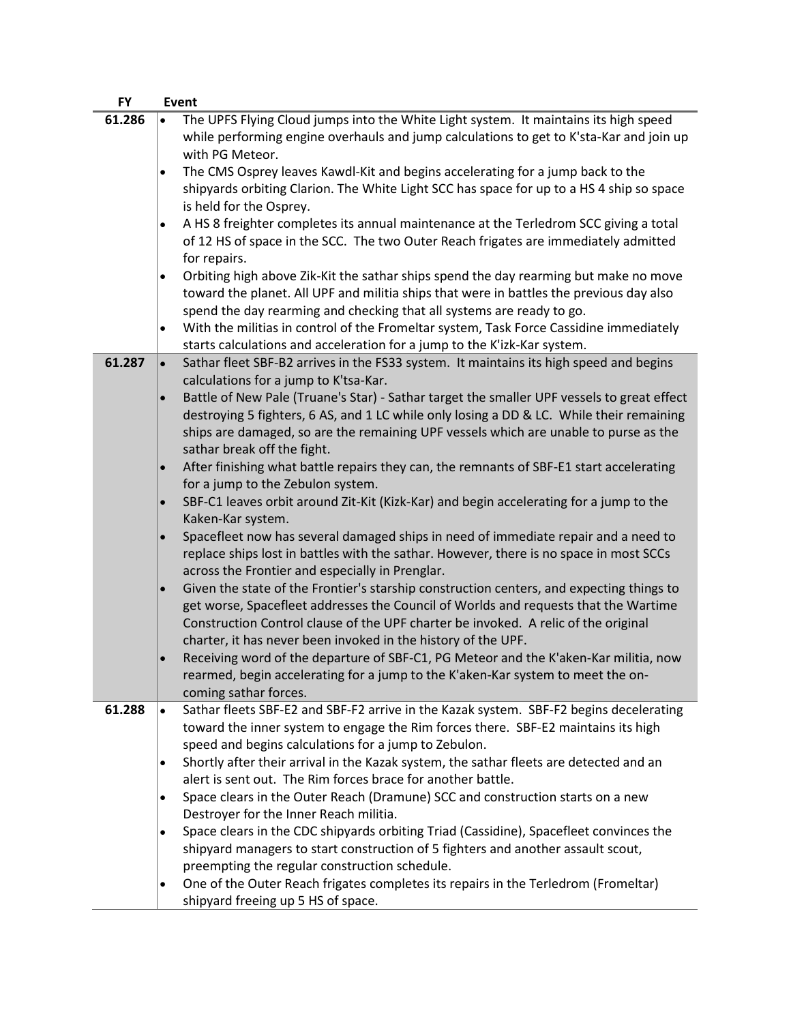| <b>FY</b> | Event                                                                                                                                                                                                                                                                                                                                               |
|-----------|-----------------------------------------------------------------------------------------------------------------------------------------------------------------------------------------------------------------------------------------------------------------------------------------------------------------------------------------------------|
| 61.286    | The UPFS Flying Cloud jumps into the White Light system. It maintains its high speed<br>$\bullet$<br>while performing engine overhauls and jump calculations to get to K'sta-Kar and join up                                                                                                                                                        |
|           | with PG Meteor.<br>The CMS Osprey leaves Kawdl-Kit and begins accelerating for a jump back to the<br>$\bullet$                                                                                                                                                                                                                                      |
|           | shipyards orbiting Clarion. The White Light SCC has space for up to a HS 4 ship so space<br>is held for the Osprey.                                                                                                                                                                                                                                 |
|           | A HS 8 freighter completes its annual maintenance at the Terledrom SCC giving a total<br>$\bullet$<br>of 12 HS of space in the SCC. The two Outer Reach frigates are immediately admitted                                                                                                                                                           |
|           | for repairs.<br>Orbiting high above Zik-Kit the sathar ships spend the day rearming but make no move<br>$\bullet$<br>toward the planet. All UPF and militia ships that were in battles the previous day also                                                                                                                                        |
|           | spend the day rearming and checking that all systems are ready to go.<br>With the militias in control of the Fromeltar system, Task Force Cassidine immediately<br>$\bullet$                                                                                                                                                                        |
|           | starts calculations and acceleration for a jump to the K'izk-Kar system.                                                                                                                                                                                                                                                                            |
| 61.287    | Sathar fleet SBF-B2 arrives in the FS33 system. It maintains its high speed and begins<br>$\bullet$<br>calculations for a jump to K'tsa-Kar.                                                                                                                                                                                                        |
|           | Battle of New Pale (Truane's Star) - Sathar target the smaller UPF vessels to great effect<br>$\bullet$                                                                                                                                                                                                                                             |
|           | destroying 5 fighters, 6 AS, and 1 LC while only losing a DD & LC. While their remaining                                                                                                                                                                                                                                                            |
|           | ships are damaged, so are the remaining UPF vessels which are unable to purse as the<br>sathar break off the fight.                                                                                                                                                                                                                                 |
|           | After finishing what battle repairs they can, the remnants of SBF-E1 start accelerating<br>$\bullet$<br>for a jump to the Zebulon system.                                                                                                                                                                                                           |
|           | SBF-C1 leaves orbit around Zit-Kit (Kizk-Kar) and begin accelerating for a jump to the<br>$\bullet$<br>Kaken-Kar system.                                                                                                                                                                                                                            |
|           | Spacefleet now has several damaged ships in need of immediate repair and a need to<br>$\bullet$<br>replace ships lost in battles with the sathar. However, there is no space in most SCCs<br>across the Frontier and especially in Prenglar.                                                                                                        |
|           | Given the state of the Frontier's starship construction centers, and expecting things to<br>$\bullet$<br>get worse, Spacefleet addresses the Council of Worlds and requests that the Wartime<br>Construction Control clause of the UPF charter be invoked. A relic of the original<br>charter, it has never been invoked in the history of the UPF. |
|           | Receiving word of the departure of SBF-C1, PG Meteor and the K'aken-Kar militia, now<br>$\bullet$<br>rearmed, begin accelerating for a jump to the K'aken-Kar system to meet the on-<br>coming sathar forces.                                                                                                                                       |
| 61.288    | Sathar fleets SBF-E2 and SBF-F2 arrive in the Kazak system. SBF-F2 begins decelerating<br>$\bullet$<br>toward the inner system to engage the Rim forces there. SBF-E2 maintains its high<br>speed and begins calculations for a jump to Zebulon.                                                                                                    |
|           | Shortly after their arrival in the Kazak system, the sathar fleets are detected and an<br>$\bullet$<br>alert is sent out. The Rim forces brace for another battle.                                                                                                                                                                                  |
|           | Space clears in the Outer Reach (Dramune) SCC and construction starts on a new<br>$\bullet$                                                                                                                                                                                                                                                         |
|           | Destroyer for the Inner Reach militia.                                                                                                                                                                                                                                                                                                              |
|           | Space clears in the CDC shipyards orbiting Triad (Cassidine), Spacefleet convinces the<br>$\bullet$<br>shipyard managers to start construction of 5 fighters and another assault scout,                                                                                                                                                             |
|           | preempting the regular construction schedule.<br>One of the Outer Reach frigates completes its repairs in the Terledrom (Fromeltar)<br>٠<br>shipyard freeing up 5 HS of space.                                                                                                                                                                      |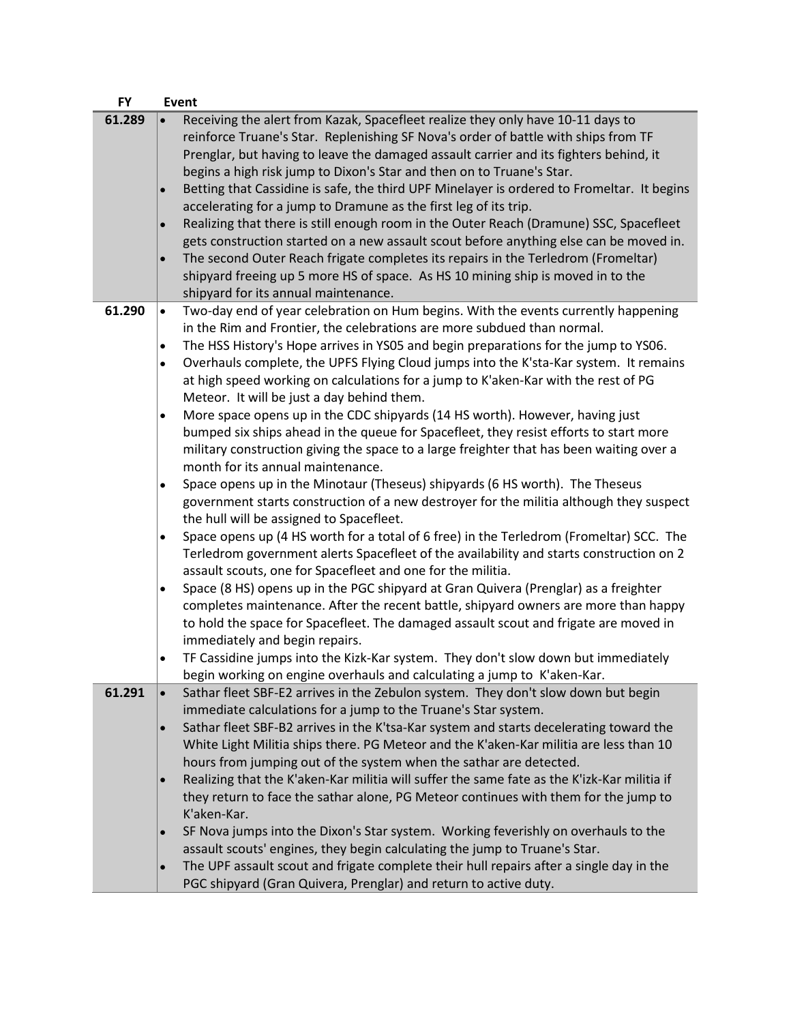| <b>FY</b> | Event                                                                                                                         |
|-----------|-------------------------------------------------------------------------------------------------------------------------------|
| 61.289    | Receiving the alert from Kazak, Spacefleet realize they only have 10-11 days to                                               |
|           | reinforce Truane's Star. Replenishing SF Nova's order of battle with ships from TF                                            |
|           | Prenglar, but having to leave the damaged assault carrier and its fighters behind, it                                         |
|           | begins a high risk jump to Dixon's Star and then on to Truane's Star.                                                         |
|           | Betting that Cassidine is safe, the third UPF Minelayer is ordered to Fromeltar. It begins<br>$\bullet$                       |
|           | accelerating for a jump to Dramune as the first leg of its trip.                                                              |
|           | Realizing that there is still enough room in the Outer Reach (Dramune) SSC, Spacefleet<br>$\bullet$                           |
|           | gets construction started on a new assault scout before anything else can be moved in.                                        |
|           | The second Outer Reach frigate completes its repairs in the Terledrom (Fromeltar)                                             |
|           | shipyard freeing up 5 more HS of space. As HS 10 mining ship is moved in to the                                               |
|           | shipyard for its annual maintenance.                                                                                          |
| 61.290    | Two-day end of year celebration on Hum begins. With the events currently happening<br>$\bullet$                               |
|           | in the Rim and Frontier, the celebrations are more subdued than normal.                                                       |
|           | The HSS History's Hope arrives in YS05 and begin preparations for the jump to YS06.<br>$\bullet$                              |
|           | Overhauls complete, the UPFS Flying Cloud jumps into the K'sta-Kar system. It remains<br>$\bullet$                            |
|           | at high speed working on calculations for a jump to K'aken-Kar with the rest of PG                                            |
|           | Meteor. It will be just a day behind them.                                                                                    |
|           | More space opens up in the CDC shipyards (14 HS worth). However, having just                                                  |
|           | ٠<br>bumped six ships ahead in the queue for Spacefleet, they resist efforts to start more                                    |
|           |                                                                                                                               |
|           | military construction giving the space to a large freighter that has been waiting over a<br>month for its annual maintenance. |
|           |                                                                                                                               |
|           | Space opens up in the Minotaur (Theseus) shipyards (6 HS worth). The Theseus<br>٠                                             |
|           | government starts construction of a new destroyer for the militia although they suspect                                       |
|           | the hull will be assigned to Spacefleet.                                                                                      |
|           | Space opens up (4 HS worth for a total of 6 free) in the Terledrom (Fromeltar) SCC. The<br>$\bullet$                          |
|           | Terledrom government alerts Spacefleet of the availability and starts construction on 2                                       |
|           | assault scouts, one for Spacefleet and one for the militia.                                                                   |
|           | Space (8 HS) opens up in the PGC shipyard at Gran Quivera (Prenglar) as a freighter<br>$\bullet$                              |
|           | completes maintenance. After the recent battle, shipyard owners are more than happy                                           |
|           | to hold the space for Spacefleet. The damaged assault scout and frigate are moved in                                          |
|           | immediately and begin repairs.                                                                                                |
|           | TF Cassidine jumps into the Kizk-Kar system. They don't slow down but immediately<br>$\bullet$                                |
|           | begin working on engine overhauls and calculating a jump to K'aken-Kar.                                                       |
| 61.291    | Sathar fleet SBF-E2 arrives in the Zebulon system. They don't slow down but begin<br>$\bullet$                                |
|           | immediate calculations for a jump to the Truane's Star system.                                                                |
|           | Sathar fleet SBF-B2 arrives in the K'tsa-Kar system and starts decelerating toward the<br>$\bullet$                           |
|           | White Light Militia ships there. PG Meteor and the K'aken-Kar militia are less than 10                                        |
|           | hours from jumping out of the system when the sathar are detected.                                                            |
|           | Realizing that the K'aken-Kar militia will suffer the same fate as the K'izk-Kar militia if<br>$\bullet$                      |
|           | they return to face the sathar alone, PG Meteor continues with them for the jump to                                           |
|           | K'aken-Kar.                                                                                                                   |
|           | SF Nova jumps into the Dixon's Star system. Working feverishly on overhauls to the                                            |
|           | assault scouts' engines, they begin calculating the jump to Truane's Star.                                                    |
|           | The UPF assault scout and frigate complete their hull repairs after a single day in the<br>$\bullet$                          |
|           | PGC shipyard (Gran Quivera, Prenglar) and return to active duty.                                                              |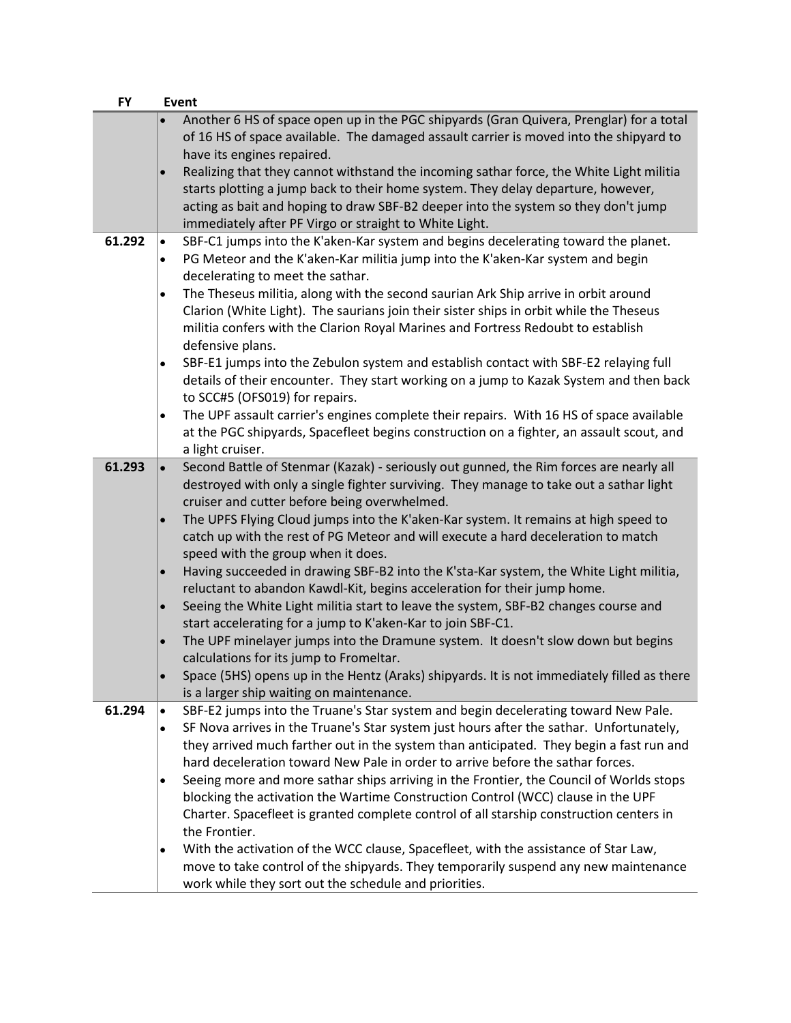| <b>FY</b> | <b>Event</b>                                                                                                                                                                                                                                                                                                                                                            |
|-----------|-------------------------------------------------------------------------------------------------------------------------------------------------------------------------------------------------------------------------------------------------------------------------------------------------------------------------------------------------------------------------|
|           | Another 6 HS of space open up in the PGC shipyards (Gran Quivera, Prenglar) for a total<br>of 16 HS of space available. The damaged assault carrier is moved into the shipyard to                                                                                                                                                                                       |
|           | have its engines repaired.<br>Realizing that they cannot withstand the incoming sathar force, the White Light militia<br>$\bullet$<br>starts plotting a jump back to their home system. They delay departure, however,<br>acting as bait and hoping to draw SBF-B2 deeper into the system so they don't jump<br>immediately after PF Virgo or straight to White Light.  |
| 61.292    | SBF-C1 jumps into the K'aken-Kar system and begins decelerating toward the planet.<br>$\bullet$<br>PG Meteor and the K'aken-Kar militia jump into the K'aken-Kar system and begin<br>decelerating to meet the sathar.                                                                                                                                                   |
|           | The Theseus militia, along with the second saurian Ark Ship arrive in orbit around<br>$\bullet$<br>Clarion (White Light). The saurians join their sister ships in orbit while the Theseus<br>militia confers with the Clarion Royal Marines and Fortress Redoubt to establish<br>defensive plans.                                                                       |
|           | SBF-E1 jumps into the Zebulon system and establish contact with SBF-E2 relaying full<br>$\bullet$<br>details of their encounter. They start working on a jump to Kazak System and then back<br>to SCC#5 (OFS019) for repairs.                                                                                                                                           |
|           | The UPF assault carrier's engines complete their repairs. With 16 HS of space available<br>$\bullet$<br>at the PGC shipyards, Spacefleet begins construction on a fighter, an assault scout, and<br>a light cruiser.                                                                                                                                                    |
| 61.293    | Second Battle of Stenmar (Kazak) - seriously out gunned, the Rim forces are nearly all<br>destroyed with only a single fighter surviving. They manage to take out a sathar light<br>cruiser and cutter before being overwhelmed.                                                                                                                                        |
|           | The UPFS Flying Cloud jumps into the K'aken-Kar system. It remains at high speed to<br>$\bullet$<br>catch up with the rest of PG Meteor and will execute a hard deceleration to match<br>speed with the group when it does.                                                                                                                                             |
|           | Having succeeded in drawing SBF-B2 into the K'sta-Kar system, the White Light militia,<br>$\bullet$<br>reluctant to abandon Kawdl-Kit, begins acceleration for their jump home.<br>Seeing the White Light militia start to leave the system, SBF-B2 changes course and<br>$\bullet$                                                                                     |
|           | start accelerating for a jump to K'aken-Kar to join SBF-C1.<br>The UPF minelayer jumps into the Dramune system. It doesn't slow down but begins<br>$\bullet$                                                                                                                                                                                                            |
|           | calculations for its jump to Fromeltar.<br>Space (5HS) opens up in the Hentz (Araks) shipyards. It is not immediately filled as there<br>is a larger ship waiting on maintenance.                                                                                                                                                                                       |
| 61.294    | SBF-E2 jumps into the Truane's Star system and begin decelerating toward New Pale.<br>SF Nova arrives in the Truane's Star system just hours after the sathar. Unfortunately,<br>$\bullet$<br>they arrived much farther out in the system than anticipated. They begin a fast run and<br>hard deceleration toward New Pale in order to arrive before the sathar forces. |
|           | Seeing more and more sathar ships arriving in the Frontier, the Council of Worlds stops<br>blocking the activation the Wartime Construction Control (WCC) clause in the UPF<br>Charter. Spacefleet is granted complete control of all starship construction centers in<br>the Frontier.                                                                                 |
|           | With the activation of the WCC clause, Spacefleet, with the assistance of Star Law,<br>move to take control of the shipyards. They temporarily suspend any new maintenance<br>work while they sort out the schedule and priorities.                                                                                                                                     |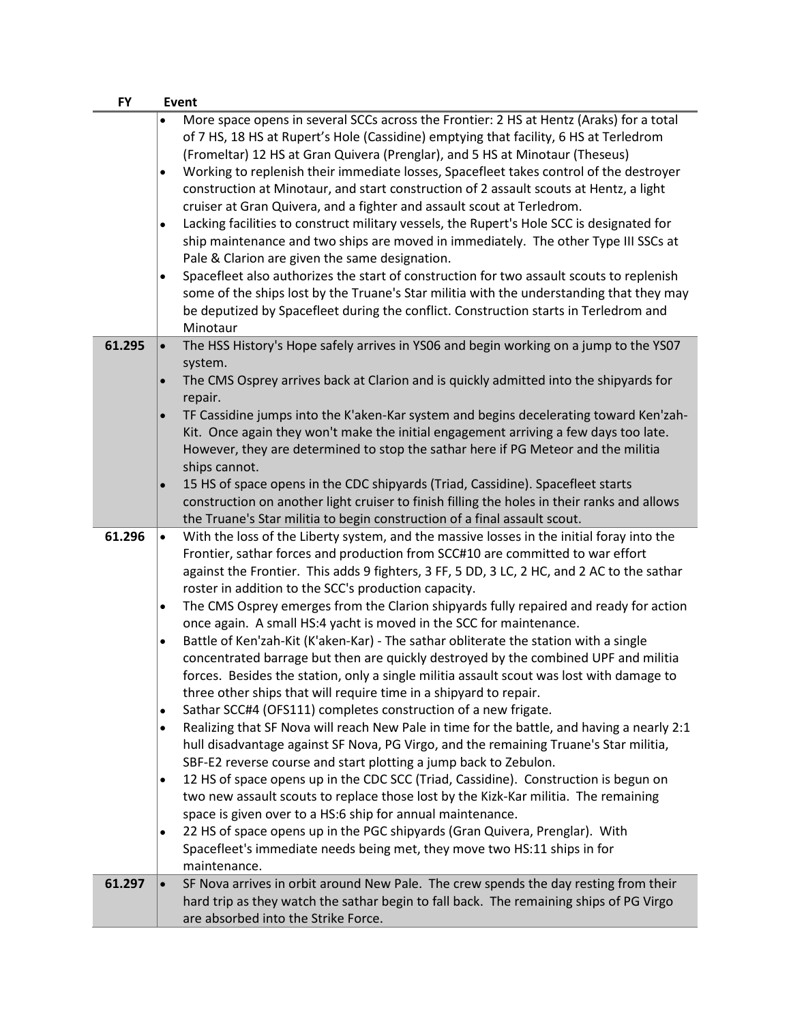| <b>FY</b> | Event                                                                                                                                                                                                                                                                                                                                                                                                                                                                                                                                                                                                                                                                                                                                                                                                                                                                                                                                                                                                                                                                                                                                                                                                                                                                                                                                                                                                                                                                                                                                                                                                                                                            |
|-----------|------------------------------------------------------------------------------------------------------------------------------------------------------------------------------------------------------------------------------------------------------------------------------------------------------------------------------------------------------------------------------------------------------------------------------------------------------------------------------------------------------------------------------------------------------------------------------------------------------------------------------------------------------------------------------------------------------------------------------------------------------------------------------------------------------------------------------------------------------------------------------------------------------------------------------------------------------------------------------------------------------------------------------------------------------------------------------------------------------------------------------------------------------------------------------------------------------------------------------------------------------------------------------------------------------------------------------------------------------------------------------------------------------------------------------------------------------------------------------------------------------------------------------------------------------------------------------------------------------------------------------------------------------------------|
|           | More space opens in several SCCs across the Frontier: 2 HS at Hentz (Araks) for a total<br>of 7 HS, 18 HS at Rupert's Hole (Cassidine) emptying that facility, 6 HS at Terledrom<br>(Fromeltar) 12 HS at Gran Quivera (Prenglar), and 5 HS at Minotaur (Theseus)<br>Working to replenish their immediate losses, Spacefleet takes control of the destroyer<br>$\bullet$<br>construction at Minotaur, and start construction of 2 assault scouts at Hentz, a light<br>cruiser at Gran Quivera, and a fighter and assault scout at Terledrom.<br>Lacking facilities to construct military vessels, the Rupert's Hole SCC is designated for<br>$\bullet$<br>ship maintenance and two ships are moved in immediately. The other Type III SSCs at<br>Pale & Clarion are given the same designation.<br>Spacefleet also authorizes the start of construction for two assault scouts to replenish<br>$\bullet$<br>some of the ships lost by the Truane's Star militia with the understanding that they may<br>be deputized by Spacefleet during the conflict. Construction starts in Terledrom and<br>Minotaur                                                                                                                                                                                                                                                                                                                                                                                                                                                                                                                                                          |
| 61.295    | The HSS History's Hope safely arrives in YS06 and begin working on a jump to the YS07<br>$\bullet$<br>system.<br>The CMS Osprey arrives back at Clarion and is quickly admitted into the shipyards for<br>$\bullet$<br>repair.<br>TF Cassidine jumps into the K'aken-Kar system and begins decelerating toward Ken'zah-<br>Kit. Once again they won't make the initial engagement arriving a few days too late.<br>However, they are determined to stop the sathar here if PG Meteor and the militia<br>ships cannot.<br>15 HS of space opens in the CDC shipyards (Triad, Cassidine). Spacefleet starts<br>construction on another light cruiser to finish filling the holes in their ranks and allows<br>the Truane's Star militia to begin construction of a final assault scout.                                                                                                                                                                                                                                                                                                                                                                                                                                                                                                                                                                                                                                                                                                                                                                                                                                                                             |
| 61.296    | With the loss of the Liberty system, and the massive losses in the initial foray into the<br>$\bullet$<br>Frontier, sathar forces and production from SCC#10 are committed to war effort<br>against the Frontier. This adds 9 fighters, 3 FF, 5 DD, 3 LC, 2 HC, and 2 AC to the sathar<br>roster in addition to the SCC's production capacity.<br>The CMS Osprey emerges from the Clarion shipyards fully repaired and ready for action<br>$\bullet$<br>once again. A small HS:4 yacht is moved in the SCC for maintenance.<br>Battle of Ken'zah-Kit (K'aken-Kar) - The sathar obliterate the station with a single<br>٠<br>concentrated barrage but then are quickly destroyed by the combined UPF and militia<br>forces. Besides the station, only a single militia assault scout was lost with damage to<br>three other ships that will require time in a shipyard to repair.<br>Sathar SCC#4 (OFS111) completes construction of a new frigate.<br>$\bullet$<br>Realizing that SF Nova will reach New Pale in time for the battle, and having a nearly 2:1<br>٠<br>hull disadvantage against SF Nova, PG Virgo, and the remaining Truane's Star militia,<br>SBF-E2 reverse course and start plotting a jump back to Zebulon.<br>12 HS of space opens up in the CDC SCC (Triad, Cassidine). Construction is begun on<br>٠<br>two new assault scouts to replace those lost by the Kizk-Kar militia. The remaining<br>space is given over to a HS:6 ship for annual maintenance.<br>22 HS of space opens up in the PGC shipyards (Gran Quivera, Prenglar). With<br>٠<br>Spacefleet's immediate needs being met, they move two HS:11 ships in for<br>maintenance. |
| 61.297    | SF Nova arrives in orbit around New Pale. The crew spends the day resting from their<br>$\bullet$<br>hard trip as they watch the sathar begin to fall back. The remaining ships of PG Virgo<br>are absorbed into the Strike Force.                                                                                                                                                                                                                                                                                                                                                                                                                                                                                                                                                                                                                                                                                                                                                                                                                                                                                                                                                                                                                                                                                                                                                                                                                                                                                                                                                                                                                               |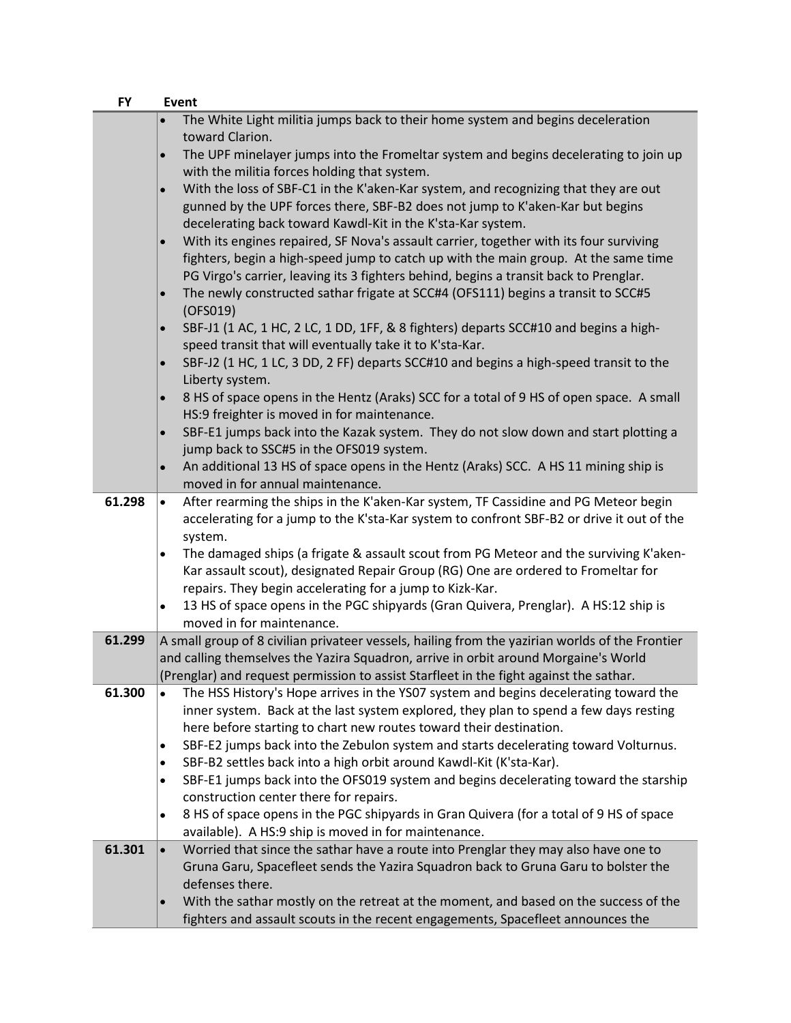| <b>FY</b> | Event                                                                                                                                                   |
|-----------|---------------------------------------------------------------------------------------------------------------------------------------------------------|
|           | The White Light militia jumps back to their home system and begins deceleration<br>toward Clarion.                                                      |
|           | The UPF minelayer jumps into the Fromeltar system and begins decelerating to join up<br>$\bullet$                                                       |
|           | with the militia forces holding that system.                                                                                                            |
|           | With the loss of SBF-C1 in the K'aken-Kar system, and recognizing that they are out<br>$\bullet$                                                        |
|           | gunned by the UPF forces there, SBF-B2 does not jump to K'aken-Kar but begins                                                                           |
|           | decelerating back toward Kawdl-Kit in the K'sta-Kar system.                                                                                             |
|           | With its engines repaired, SF Nova's assault carrier, together with its four surviving<br>$\bullet$                                                     |
|           | fighters, begin a high-speed jump to catch up with the main group. At the same time                                                                     |
|           | PG Virgo's carrier, leaving its 3 fighters behind, begins a transit back to Prenglar.                                                                   |
|           | The newly constructed sathar frigate at SCC#4 (OFS111) begins a transit to SCC#5<br>$\bullet$<br>(OFS019)                                               |
|           | SBF-J1 (1 AC, 1 HC, 2 LC, 1 DD, 1FF, & 8 fighters) departs SCC#10 and begins a high-<br>$\bullet$                                                       |
|           | speed transit that will eventually take it to K'sta-Kar.                                                                                                |
|           | SBF-J2 (1 HC, 1 LC, 3 DD, 2 FF) departs SCC#10 and begins a high-speed transit to the<br>$\bullet$                                                      |
|           | Liberty system.                                                                                                                                         |
|           | 8 HS of space opens in the Hentz (Araks) SCC for a total of 9 HS of open space. A small                                                                 |
|           | HS:9 freighter is moved in for maintenance.                                                                                                             |
|           | SBF-E1 jumps back into the Kazak system. They do not slow down and start plotting a<br>$\bullet$                                                        |
|           | jump back to SSC#5 in the OFS019 system.<br>An additional 13 HS of space opens in the Hentz (Araks) SCC. A HS 11 mining ship is<br>$\bullet$            |
|           | moved in for annual maintenance.                                                                                                                        |
| 61.298    | After rearming the ships in the K'aken-Kar system, TF Cassidine and PG Meteor begin<br>$\bullet$                                                        |
|           | accelerating for a jump to the K'sta-Kar system to confront SBF-B2 or drive it out of the                                                               |
|           | system.                                                                                                                                                 |
|           | The damaged ships (a frigate & assault scout from PG Meteor and the surviving K'aken-                                                                   |
|           | Kar assault scout), designated Repair Group (RG) One are ordered to Fromeltar for                                                                       |
|           | repairs. They begin accelerating for a jump to Kizk-Kar.                                                                                                |
|           | 13 HS of space opens in the PGC shipyards (Gran Quivera, Prenglar). A HS:12 ship is<br>$\bullet$                                                        |
| 61.299    | moved in for maintenance.<br>A small group of 8 civilian privateer vessels, hailing from the yazirian worlds of the Frontier                            |
|           | and calling themselves the Yazira Squadron, arrive in orbit around Morgaine's World                                                                     |
|           | (Prenglar) and request permission to assist Starfleet in the fight against the sathar.                                                                  |
| 61.300    | The HSS History's Hope arrives in the YSO7 system and begins decelerating toward the                                                                    |
|           | inner system. Back at the last system explored, they plan to spend a few days resting                                                                   |
|           | here before starting to chart new routes toward their destination.                                                                                      |
|           | SBF-E2 jumps back into the Zebulon system and starts decelerating toward Volturnus.<br>٠                                                                |
|           | SBF-B2 settles back into a high orbit around Kawdl-Kit (K'sta-Kar).<br>٠                                                                                |
|           | SBF-E1 jumps back into the OFS019 system and begins decelerating toward the starship<br>$\bullet$                                                       |
|           | construction center there for repairs.                                                                                                                  |
|           | 8 HS of space opens in the PGC shipyards in Gran Quivera (for a total of 9 HS of space<br>$\bullet$                                                     |
| 61.301    | available). A HS:9 ship is moved in for maintenance.<br>Worried that since the sathar have a route into Prenglar they may also have one to<br>$\bullet$ |
|           | Gruna Garu, Spacefleet sends the Yazira Squadron back to Gruna Garu to bolster the                                                                      |
|           | defenses there.                                                                                                                                         |
|           | With the sathar mostly on the retreat at the moment, and based on the success of the<br>$\bullet$                                                       |
|           | fighters and assault scouts in the recent engagements, Spacefleet announces the                                                                         |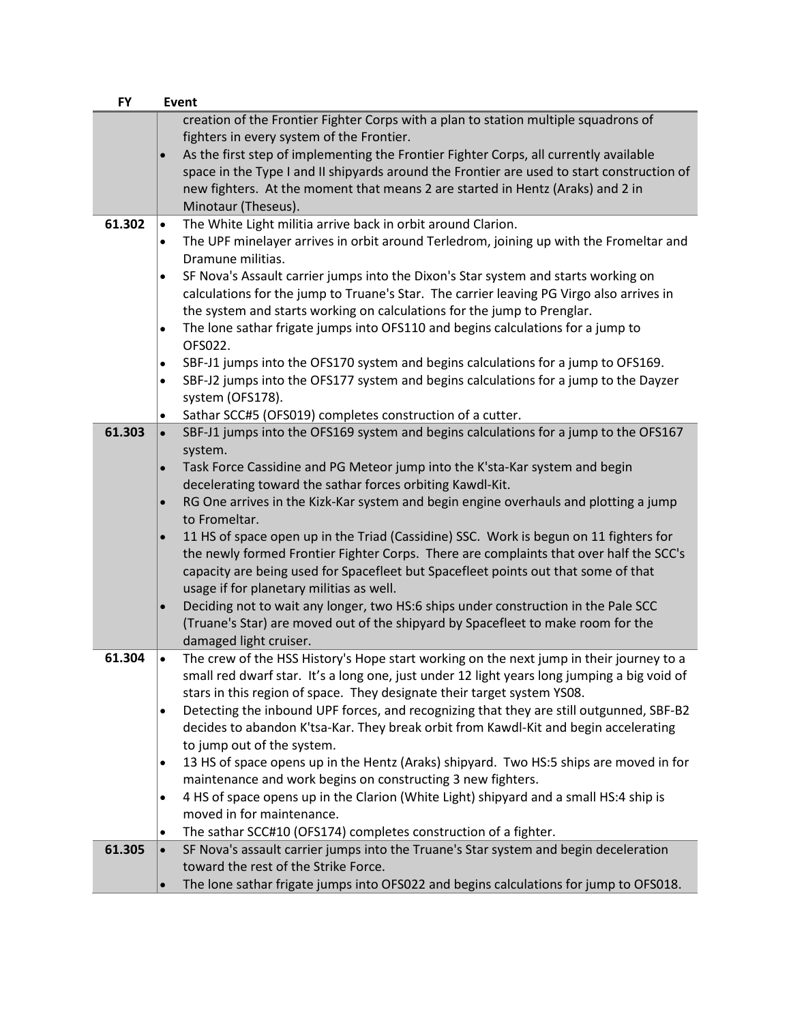| <b>FY</b> | <b>Event</b>                                                                                                                     |
|-----------|----------------------------------------------------------------------------------------------------------------------------------|
|           | creation of the Frontier Fighter Corps with a plan to station multiple squadrons of<br>fighters in every system of the Frontier. |
|           | As the first step of implementing the Frontier Fighter Corps, all currently available                                            |
|           |                                                                                                                                  |
|           | space in the Type I and II shipyards around the Frontier are used to start construction of                                       |
|           | new fighters. At the moment that means 2 are started in Hentz (Araks) and 2 in                                                   |
|           | Minotaur (Theseus).                                                                                                              |
| 61.302    | The White Light militia arrive back in orbit around Clarion.<br>$\bullet$                                                        |
|           | The UPF minelayer arrives in orbit around Terledrom, joining up with the Fromeltar and<br>$\bullet$<br>Dramune militias.         |
|           | SF Nova's Assault carrier jumps into the Dixon's Star system and starts working on<br>٠                                          |
|           | calculations for the jump to Truane's Star. The carrier leaving PG Virgo also arrives in                                         |
|           | the system and starts working on calculations for the jump to Prenglar.                                                          |
|           | The lone sathar frigate jumps into OFS110 and begins calculations for a jump to                                                  |
|           |                                                                                                                                  |
|           | OFS022.                                                                                                                          |
|           | SBF-J1 jumps into the OFS170 system and begins calculations for a jump to OFS169.<br>$\bullet$                                   |
|           | SBF-J2 jumps into the OFS177 system and begins calculations for a jump to the Dayzer<br>$\bullet$                                |
|           | system (OFS178).                                                                                                                 |
|           | Sathar SCC#5 (OFS019) completes construction of a cutter.<br>$\bullet$                                                           |
| 61.303    | SBF-J1 jumps into the OFS169 system and begins calculations for a jump to the OFS167                                             |
|           | system.                                                                                                                          |
|           | Task Force Cassidine and PG Meteor jump into the K'sta-Kar system and begin<br>$\bullet$                                         |
|           | decelerating toward the sathar forces orbiting Kawdl-Kit.                                                                        |
|           | RG One arrives in the Kizk-Kar system and begin engine overhauls and plotting a jump<br>$\bullet$                                |
|           | to Fromeltar.                                                                                                                    |
|           | 11 HS of space open up in the Triad (Cassidine) SSC. Work is begun on 11 fighters for                                            |
|           | the newly formed Frontier Fighter Corps. There are complaints that over half the SCC's                                           |
|           | capacity are being used for Spacefleet but Spacefleet points out that some of that                                               |
|           | usage if for planetary militias as well.                                                                                         |
|           | Deciding not to wait any longer, two HS:6 ships under construction in the Pale SCC<br>$\bullet$                                  |
|           |                                                                                                                                  |
|           | (Truane's Star) are moved out of the shipyard by Spacefleet to make room for the                                                 |
|           | damaged light cruiser.                                                                                                           |
| 61.304    | The crew of the HSS History's Hope start working on the next jump in their journey to a<br>$\bullet$                             |
|           | small red dwarf star. It's a long one, just under 12 light years long jumping a big void of                                      |
|           | stars in this region of space. They designate their target system YS08.                                                          |
|           | Detecting the inbound UPF forces, and recognizing that they are still outgunned, SBF-B2<br>$\bullet$                             |
|           | decides to abandon K'tsa-Kar. They break orbit from Kawdl-Kit and begin accelerating                                             |
|           | to jump out of the system.                                                                                                       |
|           | 13 HS of space opens up in the Hentz (Araks) shipyard. Two HS:5 ships are moved in for                                           |
|           | maintenance and work begins on constructing 3 new fighters.                                                                      |
|           | 4 HS of space opens up in the Clarion (White Light) shipyard and a small HS:4 ship is<br>$\bullet$                               |
|           | moved in for maintenance.                                                                                                        |
|           |                                                                                                                                  |
| 61.305    | The sathar SCC#10 (OFS174) completes construction of a fighter.                                                                  |
|           | SF Nova's assault carrier jumps into the Truane's Star system and begin deceleration                                             |
|           | toward the rest of the Strike Force.                                                                                             |
|           | The lone sathar frigate jumps into OFS022 and begins calculations for jump to OFS018.<br>$\bullet$                               |
|           |                                                                                                                                  |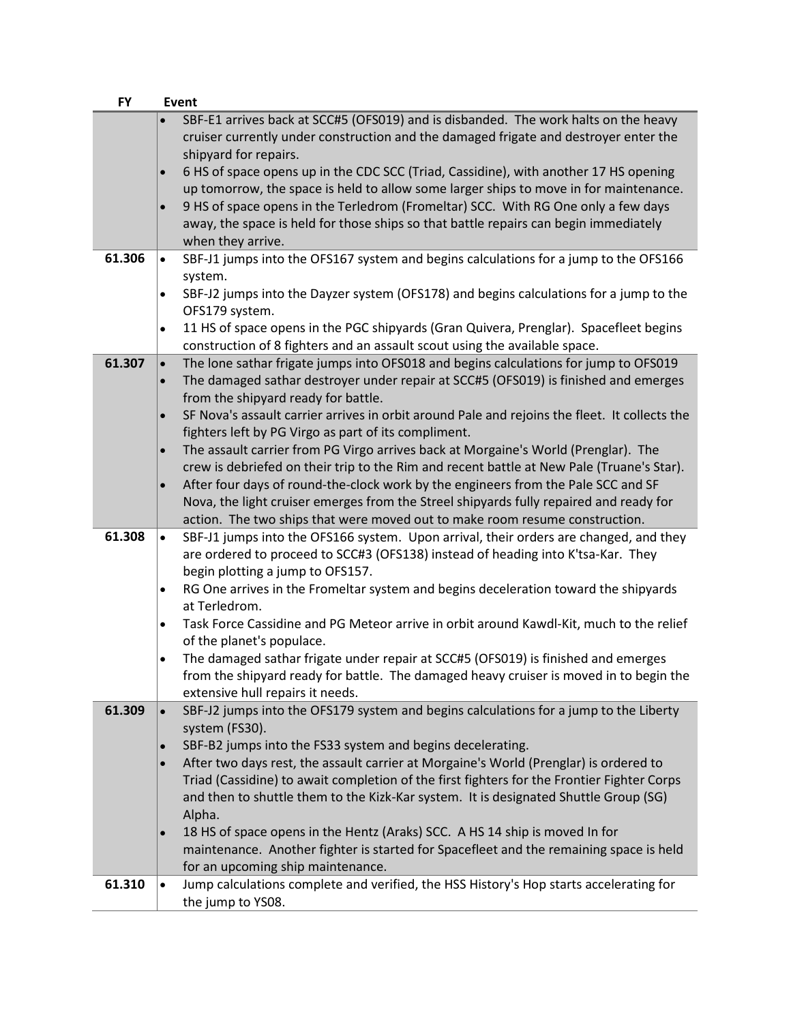| <b>FY</b> | <b>Event</b>                                                                                                                                                                                                                                                                                                                                                                                                                                                                                                                                                                                                                                                                                                                                                                                                                                                                     |
|-----------|----------------------------------------------------------------------------------------------------------------------------------------------------------------------------------------------------------------------------------------------------------------------------------------------------------------------------------------------------------------------------------------------------------------------------------------------------------------------------------------------------------------------------------------------------------------------------------------------------------------------------------------------------------------------------------------------------------------------------------------------------------------------------------------------------------------------------------------------------------------------------------|
| 61.306    | SBF-E1 arrives back at SCC#5 (OFS019) and is disbanded. The work halts on the heavy<br>cruiser currently under construction and the damaged frigate and destroyer enter the<br>shipyard for repairs.<br>6 HS of space opens up in the CDC SCC (Triad, Cassidine), with another 17 HS opening<br>up tomorrow, the space is held to allow some larger ships to move in for maintenance.<br>9 HS of space opens in the Terledrom (Fromeltar) SCC. With RG One only a few days<br>$\bullet$<br>away, the space is held for those ships so that battle repairs can begin immediately<br>when they arrive.<br>SBF-J1 jumps into the OFS167 system and begins calculations for a jump to the OFS166<br>$\bullet$                                                                                                                                                                        |
|           | system.<br>SBF-J2 jumps into the Dayzer system (OFS178) and begins calculations for a jump to the<br>$\bullet$<br>OFS179 system.<br>11 HS of space opens in the PGC shipyards (Gran Quivera, Prenglar). Spacefleet begins<br>$\bullet$<br>construction of 8 fighters and an assault scout using the available space.                                                                                                                                                                                                                                                                                                                                                                                                                                                                                                                                                             |
| 61.307    | The lone sathar frigate jumps into OFS018 and begins calculations for jump to OFS019<br>$\bullet$<br>The damaged sathar destroyer under repair at SCC#5 (OFS019) is finished and emerges<br>$\bullet$<br>from the shipyard ready for battle.<br>SF Nova's assault carrier arrives in orbit around Pale and rejoins the fleet. It collects the<br>$\bullet$<br>fighters left by PG Virgo as part of its compliment.<br>The assault carrier from PG Virgo arrives back at Morgaine's World (Prenglar). The<br>$\bullet$<br>crew is debriefed on their trip to the Rim and recent battle at New Pale (Truane's Star).<br>After four days of round-the-clock work by the engineers from the Pale SCC and SF<br>Nova, the light cruiser emerges from the Streel shipyards fully repaired and ready for<br>action. The two ships that were moved out to make room resume construction. |
| 61.308    | SBF-J1 jumps into the OFS166 system. Upon arrival, their orders are changed, and they<br>$\bullet$<br>are ordered to proceed to SCC#3 (OFS138) instead of heading into K'tsa-Kar. They<br>begin plotting a jump to OFS157.<br>RG One arrives in the Fromeltar system and begins deceleration toward the shipyards<br>$\bullet$                                                                                                                                                                                                                                                                                                                                                                                                                                                                                                                                                   |
|           | at Terledrom.<br>Task Force Cassidine and PG Meteor arrive in orbit around Kawdl-Kit, much to the relief<br>٠<br>of the planet's populace.                                                                                                                                                                                                                                                                                                                                                                                                                                                                                                                                                                                                                                                                                                                                       |
|           | The damaged sathar frigate under repair at SCC#5 (OFS019) is finished and emerges<br>$\bullet$<br>from the shipyard ready for battle. The damaged heavy cruiser is moved in to begin the<br>extensive hull repairs it needs.                                                                                                                                                                                                                                                                                                                                                                                                                                                                                                                                                                                                                                                     |
| 61.309    | SBF-J2 jumps into the OFS179 system and begins calculations for a jump to the Liberty<br>$\bullet$<br>system (FS30).<br>SBF-B2 jumps into the FS33 system and begins decelerating.<br>After two days rest, the assault carrier at Morgaine's World (Prenglar) is ordered to<br>$\bullet$<br>Triad (Cassidine) to await completion of the first fighters for the Frontier Fighter Corps<br>and then to shuttle them to the Kizk-Kar system. It is designated Shuttle Group (SG)<br>Alpha.<br>18 HS of space opens in the Hentz (Araks) SCC. A HS 14 ship is moved In for<br>$\bullet$<br>maintenance. Another fighter is started for Spacefleet and the remaining space is held                                                                                                                                                                                                   |
|           | for an upcoming ship maintenance.                                                                                                                                                                                                                                                                                                                                                                                                                                                                                                                                                                                                                                                                                                                                                                                                                                                |
| 61.310    | Jump calculations complete and verified, the HSS History's Hop starts accelerating for<br>$\bullet$<br>the jump to YS08.                                                                                                                                                                                                                                                                                                                                                                                                                                                                                                                                                                                                                                                                                                                                                         |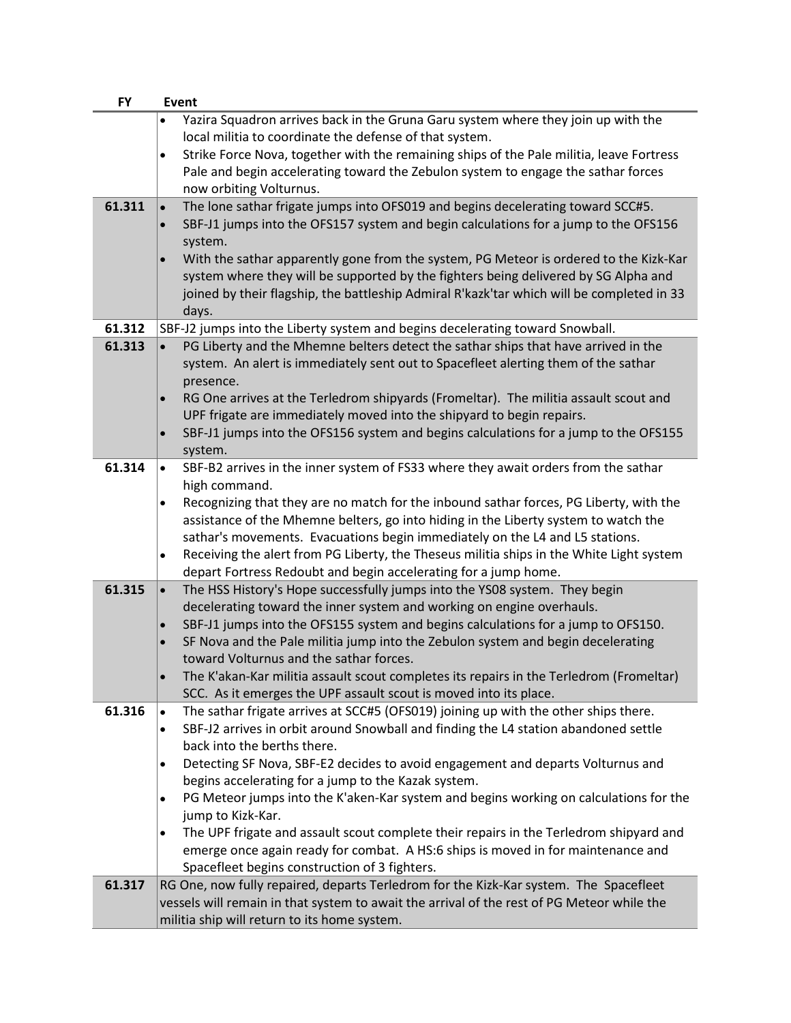| <b>FY</b> | <b>Event</b>                                                                                          |
|-----------|-------------------------------------------------------------------------------------------------------|
|           | Yazira Squadron arrives back in the Gruna Garu system where they join up with the                     |
|           | local militia to coordinate the defense of that system.                                               |
|           | Strike Force Nova, together with the remaining ships of the Pale militia, leave Fortress<br>$\bullet$ |
|           | Pale and begin accelerating toward the Zebulon system to engage the sathar forces                     |
|           | now orbiting Volturnus.                                                                               |
| 61.311    | The lone sathar frigate jumps into OFS019 and begins decelerating toward SCC#5.<br>$\bullet$          |
|           | SBF-J1 jumps into the OFS157 system and begin calculations for a jump to the OFS156<br>$\bullet$      |
|           | system.                                                                                               |
|           | With the sathar apparently gone from the system, PG Meteor is ordered to the Kizk-Kar                 |
|           | system where they will be supported by the fighters being delivered by SG Alpha and                   |
|           |                                                                                                       |
|           | joined by their flagship, the battleship Admiral R'kazk'tar which will be completed in 33             |
|           | days.                                                                                                 |
| 61.312    | SBF-J2 jumps into the Liberty system and begins decelerating toward Snowball.                         |
| 61.313    | PG Liberty and the Mhemne belters detect the sathar ships that have arrived in the<br>$\bullet$       |
|           | system. An alert is immediately sent out to Spacefleet alerting them of the sathar                    |
|           | presence.                                                                                             |
|           | RG One arrives at the Terledrom shipyards (Fromeltar). The militia assault scout and                  |
|           | UPF frigate are immediately moved into the shipyard to begin repairs.                                 |
|           | SBF-J1 jumps into the OFS156 system and begins calculations for a jump to the OFS155<br>$\bullet$     |
|           | system.                                                                                               |
| 61.314    | SBF-B2 arrives in the inner system of FS33 where they await orders from the sathar<br>$\bullet$       |
|           | high command.                                                                                         |
|           | Recognizing that they are no match for the inbound sathar forces, PG Liberty, with the<br>$\bullet$   |
|           | assistance of the Mhemne belters, go into hiding in the Liberty system to watch the                   |
|           | sathar's movements. Evacuations begin immediately on the L4 and L5 stations.                          |
|           | Receiving the alert from PG Liberty, the Theseus militia ships in the White Light system<br>$\bullet$ |
|           | depart Fortress Redoubt and begin accelerating for a jump home.                                       |
| 61.315    | The HSS History's Hope successfully jumps into the YS08 system. They begin<br>$\bullet$               |
|           | decelerating toward the inner system and working on engine overhauls.                                 |
|           | SBF-J1 jumps into the OFS155 system and begins calculations for a jump to OFS150.<br>$\bullet$        |
|           | SF Nova and the Pale militia jump into the Zebulon system and begin decelerating<br>$\bullet$         |
|           | toward Volturnus and the sathar forces.                                                               |
|           | The K'akan-Kar militia assault scout completes its repairs in the Terledrom (Fromeltar)               |
|           | SCC. As it emerges the UPF assault scout is moved into its place.                                     |
| 61.316    | The sathar frigate arrives at SCC#5 (OFS019) joining up with the other ships there.<br>$\bullet$      |
|           | SBF-J2 arrives in orbit around Snowball and finding the L4 station abandoned settle<br>$\bullet$      |
|           | back into the berths there.                                                                           |
|           | Detecting SF Nova, SBF-E2 decides to avoid engagement and departs Volturnus and                       |
|           | $\bullet$<br>begins accelerating for a jump to the Kazak system.                                      |
|           |                                                                                                       |
|           | PG Meteor jumps into the K'aken-Kar system and begins working on calculations for the<br>$\bullet$    |
|           | jump to Kizk-Kar.                                                                                     |
|           | The UPF frigate and assault scout complete their repairs in the Terledrom shipyard and<br>٠           |
|           | emerge once again ready for combat. A HS:6 ships is moved in for maintenance and                      |
|           | Spacefleet begins construction of 3 fighters.                                                         |
| 61.317    | RG One, now fully repaired, departs Terledrom for the Kizk-Kar system. The Spacefleet                 |
|           | vessels will remain in that system to await the arrival of the rest of PG Meteor while the            |
|           | militia ship will return to its home system.                                                          |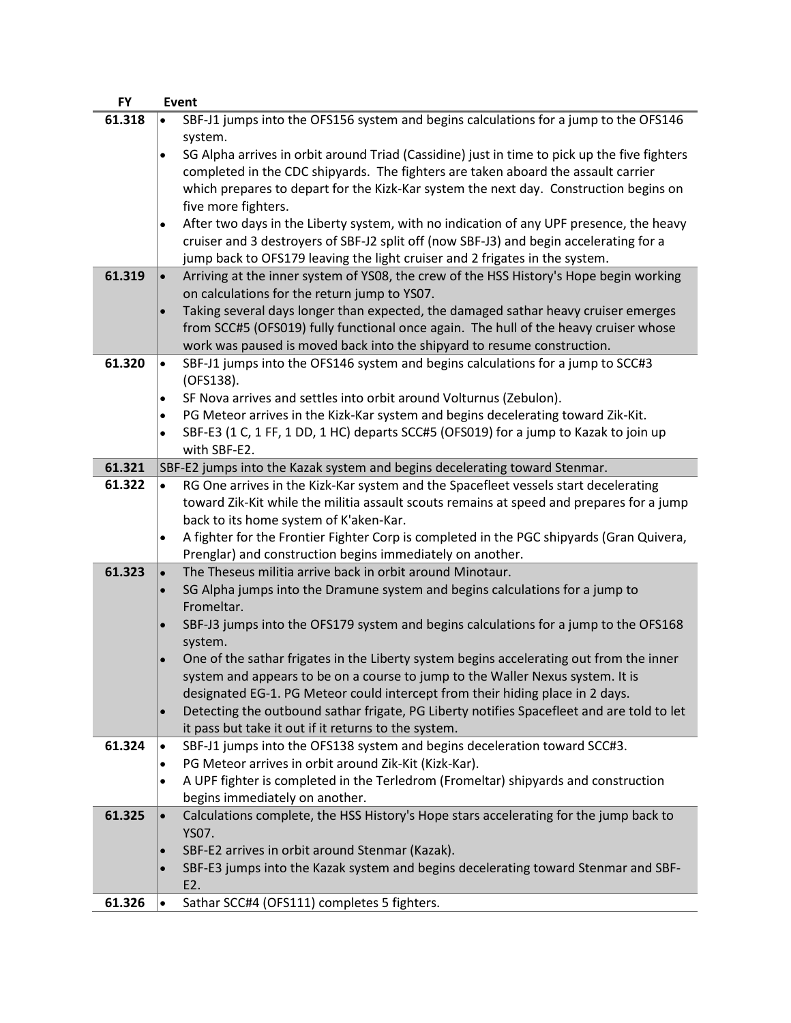| <b>FY</b> | <b>Event</b>                                                                                              |
|-----------|-----------------------------------------------------------------------------------------------------------|
| 61.318    | SBF-J1 jumps into the OFS156 system and begins calculations for a jump to the OFS146<br>$\bullet$         |
|           | system.                                                                                                   |
|           | SG Alpha arrives in orbit around Triad (Cassidine) just in time to pick up the five fighters<br>$\bullet$ |
|           | completed in the CDC shipyards. The fighters are taken aboard the assault carrier                         |
|           | which prepares to depart for the Kizk-Kar system the next day. Construction begins on                     |
|           | five more fighters.                                                                                       |
|           | After two days in the Liberty system, with no indication of any UPF presence, the heavy<br>$\bullet$      |
|           | cruiser and 3 destroyers of SBF-J2 split off (now SBF-J3) and begin accelerating for a                    |
|           | jump back to OFS179 leaving the light cruiser and 2 frigates in the system.                               |
| 61.319    | Arriving at the inner system of YS08, the crew of the HSS History's Hope begin working<br>$\bullet$       |
|           | on calculations for the return jump to YS07.                                                              |
|           | Taking several days longer than expected, the damaged sathar heavy cruiser emerges<br>$\bullet$           |
|           | from SCC#5 (OFS019) fully functional once again. The hull of the heavy cruiser whose                      |
|           | work was paused is moved back into the shipyard to resume construction.                                   |
| 61.320    | SBF-J1 jumps into the OFS146 system and begins calculations for a jump to SCC#3<br>$\bullet$              |
|           | (OFS138).                                                                                                 |
|           | SF Nova arrives and settles into orbit around Volturnus (Zebulon).                                        |
|           | PG Meteor arrives in the Kizk-Kar system and begins decelerating toward Zik-Kit.<br>$\bullet$             |
|           | SBF-E3 (1 C, 1 FF, 1 DD, 1 HC) departs SCC#5 (OFS019) for a jump to Kazak to join up<br>$\bullet$         |
|           | with SBF-E2.                                                                                              |
| 61.321    | SBF-E2 jumps into the Kazak system and begins decelerating toward Stenmar.                                |
| 61.322    | RG One arrives in the Kizk-Kar system and the Spacefleet vessels start decelerating<br>$\bullet$          |
|           | toward Zik-Kit while the militia assault scouts remains at speed and prepares for a jump                  |
|           | back to its home system of K'aken-Kar.                                                                    |
|           | A fighter for the Frontier Fighter Corp is completed in the PGC shipyards (Gran Quivera,                  |
|           | Prenglar) and construction begins immediately on another.                                                 |
| 61.323    | The Theseus militia arrive back in orbit around Minotaur.<br>$\bullet$                                    |
|           | SG Alpha jumps into the Dramune system and begins calculations for a jump to<br>$\bullet$                 |
|           | Fromeltar.                                                                                                |
|           | SBF-J3 jumps into the OFS179 system and begins calculations for a jump to the OFS168<br>$\bullet$         |
|           | system.                                                                                                   |
|           | One of the sathar frigates in the Liberty system begins accelerating out from the inner                   |
|           | system and appears to be on a course to jump to the Waller Nexus system. It is                            |
|           | designated EG-1. PG Meteor could intercept from their hiding place in 2 days.                             |
|           | Detecting the outbound sathar frigate, PG Liberty notifies Spacefleet and are told to let<br>$\bullet$    |
|           | it pass but take it out if it returns to the system.                                                      |
| 61.324    | SBF-J1 jumps into the OFS138 system and begins deceleration toward SCC#3.<br>$\bullet$                    |
|           | PG Meteor arrives in orbit around Zik-Kit (Kizk-Kar).<br>$\bullet$                                        |
|           | A UPF fighter is completed in the Terledrom (Fromeltar) shipyards and construction<br>$\bullet$           |
|           | begins immediately on another.                                                                            |
| 61.325    | Calculations complete, the HSS History's Hope stars accelerating for the jump back to<br>$\bullet$        |
|           | YS07.                                                                                                     |
|           | SBF-E2 arrives in orbit around Stenmar (Kazak).<br>$\bullet$                                              |
|           | SBF-E3 jumps into the Kazak system and begins decelerating toward Stenmar and SBF-<br>$\bullet$           |
|           | E2.                                                                                                       |
| 61.326    | Sathar SCC#4 (OFS111) completes 5 fighters.<br>$\bullet$                                                  |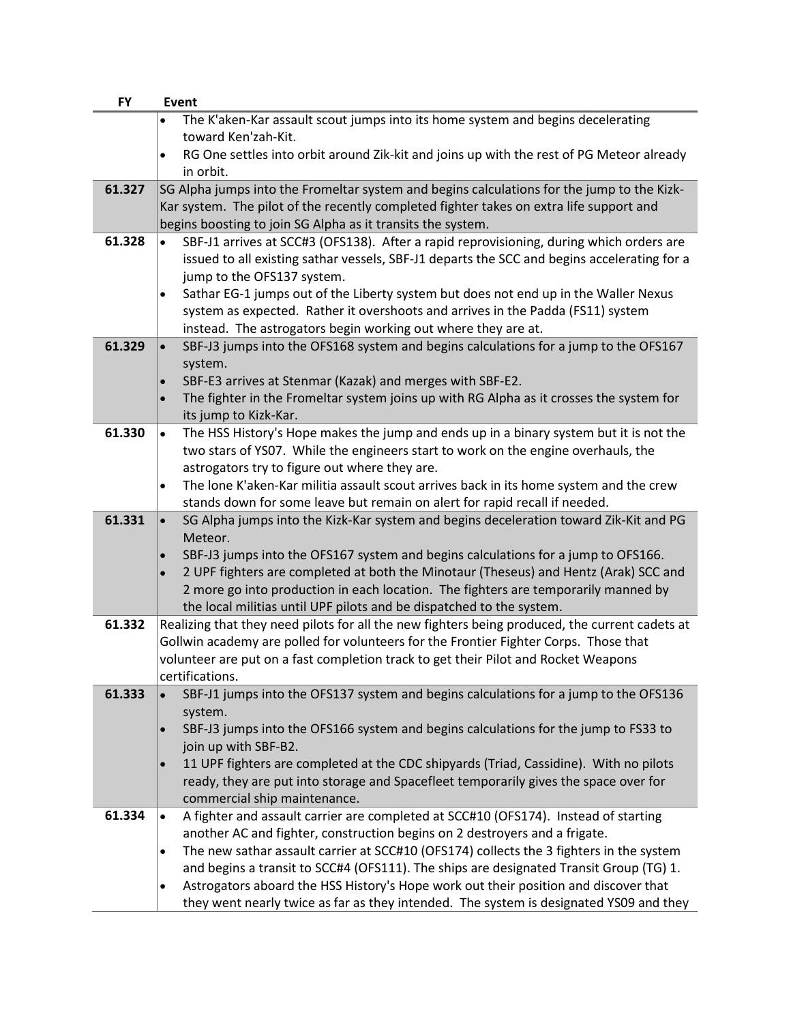| <b>FY</b> | Event                                                                                                                                                                 |
|-----------|-----------------------------------------------------------------------------------------------------------------------------------------------------------------------|
|           | The K'aken-Kar assault scout jumps into its home system and begins decelerating                                                                                       |
|           | toward Ken'zah-Kit.                                                                                                                                                   |
|           | RG One settles into orbit around Zik-kit and joins up with the rest of PG Meteor already<br>$\bullet$                                                                 |
|           | in orbit.                                                                                                                                                             |
| 61.327    | SG Alpha jumps into the Fromeltar system and begins calculations for the jump to the Kizk-                                                                            |
|           | Kar system. The pilot of the recently completed fighter takes on extra life support and                                                                               |
| 61.328    | begins boosting to join SG Alpha as it transits the system.<br>SBF-J1 arrives at SCC#3 (OFS138). After a rapid reprovisioning, during which orders are                |
|           | $\bullet$<br>issued to all existing sathar vessels, SBF-J1 departs the SCC and begins accelerating for a                                                              |
|           | jump to the OFS137 system.                                                                                                                                            |
|           | Sathar EG-1 jumps out of the Liberty system but does not end up in the Waller Nexus<br>$\bullet$                                                                      |
|           | system as expected. Rather it overshoots and arrives in the Padda (FS11) system                                                                                       |
|           | instead. The astrogators begin working out where they are at.                                                                                                         |
| 61.329    | SBF-J3 jumps into the OFS168 system and begins calculations for a jump to the OFS167<br>$\bullet$                                                                     |
|           | system.                                                                                                                                                               |
|           | SBF-E3 arrives at Stenmar (Kazak) and merges with SBF-E2.<br>$\bullet$                                                                                                |
|           | The fighter in the Fromeltar system joins up with RG Alpha as it crosses the system for<br>$\bullet$                                                                  |
|           | its jump to Kizk-Kar.                                                                                                                                                 |
| 61.330    | The HSS History's Hope makes the jump and ends up in a binary system but it is not the<br>$\bullet$                                                                   |
|           | two stars of YS07. While the engineers start to work on the engine overhauls, the                                                                                     |
|           | astrogators try to figure out where they are.                                                                                                                         |
|           | The lone K'aken-Kar militia assault scout arrives back in its home system and the crew<br>$\bullet$                                                                   |
|           | stands down for some leave but remain on alert for rapid recall if needed.                                                                                            |
| 61.331    | SG Alpha jumps into the Kizk-Kar system and begins deceleration toward Zik-Kit and PG<br>$\bullet$                                                                    |
|           | Meteor.<br>SBF-J3 jumps into the OFS167 system and begins calculations for a jump to OFS166.                                                                          |
|           | $\bullet$<br>2 UPF fighters are completed at both the Minotaur (Theseus) and Hentz (Arak) SCC and<br>$\bullet$                                                        |
|           | 2 more go into production in each location. The fighters are temporarily manned by                                                                                    |
|           | the local militias until UPF pilots and be dispatched to the system.                                                                                                  |
| 61.332    | Realizing that they need pilots for all the new fighters being produced, the current cadets at                                                                        |
|           | Gollwin academy are polled for volunteers for the Frontier Fighter Corps. Those that                                                                                  |
|           | volunteer are put on a fast completion track to get their Pilot and Rocket Weapons                                                                                    |
|           | certifications.                                                                                                                                                       |
| 61.333    | SBF-J1 jumps into the OFS137 system and begins calculations for a jump to the OFS136<br>$\bullet$                                                                     |
|           | system.                                                                                                                                                               |
|           | SBF-J3 jumps into the OFS166 system and begins calculations for the jump to FS33 to<br>$\bullet$                                                                      |
|           | join up with SBF-B2.                                                                                                                                                  |
|           | 11 UPF fighters are completed at the CDC shipyards (Triad, Cassidine). With no pilots<br>$\bullet$                                                                    |
|           | ready, they are put into storage and Spacefleet temporarily gives the space over for                                                                                  |
|           | commercial ship maintenance.                                                                                                                                          |
| 61.334    | A fighter and assault carrier are completed at SCC#10 (OFS174). Instead of starting<br>$\bullet$                                                                      |
|           | another AC and fighter, construction begins on 2 destroyers and a frigate.<br>The new sathar assault carrier at SCC#10 (OFS174) collects the 3 fighters in the system |
|           | $\bullet$<br>and begins a transit to SCC#4 (OFS111). The ships are designated Transit Group (TG) 1.                                                                   |
|           | Astrogators aboard the HSS History's Hope work out their position and discover that<br>$\bullet$                                                                      |
|           | they went nearly twice as far as they intended. The system is designated YS09 and they                                                                                |
|           |                                                                                                                                                                       |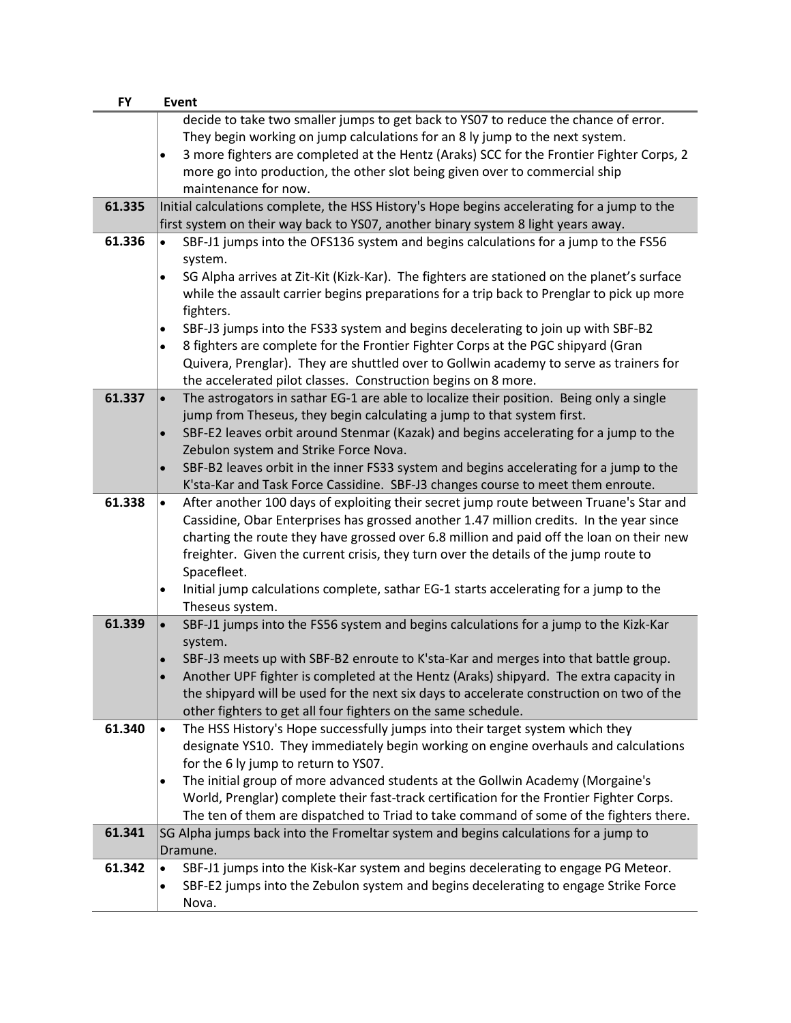| <b>FY</b> | <b>Event</b>                                                                                            |
|-----------|---------------------------------------------------------------------------------------------------------|
|           | decide to take two smaller jumps to get back to YSO7 to reduce the chance of error.                     |
|           | They begin working on jump calculations for an 8 ly jump to the next system.                            |
|           | 3 more fighters are completed at the Hentz (Araks) SCC for the Frontier Fighter Corps, 2<br>$\bullet$   |
|           | more go into production, the other slot being given over to commercial ship                             |
|           | maintenance for now.                                                                                    |
| 61.335    | Initial calculations complete, the HSS History's Hope begins accelerating for a jump to the             |
|           | first system on their way back to YSO7, another binary system 8 light years away.                       |
| 61.336    | SBF-J1 jumps into the OFS136 system and begins calculations for a jump to the FS56<br>$\bullet$         |
|           | system.                                                                                                 |
|           | SG Alpha arrives at Zit-Kit (Kizk-Kar). The fighters are stationed on the planet's surface<br>$\bullet$ |
|           | while the assault carrier begins preparations for a trip back to Prenglar to pick up more               |
|           | fighters.                                                                                               |
|           | SBF-J3 jumps into the FS33 system and begins decelerating to join up with SBF-B2<br>$\bullet$           |
|           | 8 fighters are complete for the Frontier Fighter Corps at the PGC shipyard (Gran<br>$\bullet$           |
|           | Quivera, Prenglar). They are shuttled over to Gollwin academy to serve as trainers for                  |
|           | the accelerated pilot classes. Construction begins on 8 more.                                           |
| 61.337    | The astrogators in sathar EG-1 are able to localize their position. Being only a single<br>$\bullet$    |
|           | jump from Theseus, they begin calculating a jump to that system first.                                  |
|           | SBF-E2 leaves orbit around Stenmar (Kazak) and begins accelerating for a jump to the<br>$\bullet$       |
|           | Zebulon system and Strike Force Nova.                                                                   |
|           | SBF-B2 leaves orbit in the inner FS33 system and begins accelerating for a jump to the<br>$\bullet$     |
|           | K'sta-Kar and Task Force Cassidine. SBF-J3 changes course to meet them enroute.                         |
| 61.338    | After another 100 days of exploiting their secret jump route between Truane's Star and<br>$\bullet$     |
|           | Cassidine, Obar Enterprises has grossed another 1.47 million credits. In the year since                 |
|           | charting the route they have grossed over 6.8 million and paid off the loan on their new                |
|           | freighter. Given the current crisis, they turn over the details of the jump route to                    |
|           | Spacefleet.                                                                                             |
|           | Initial jump calculations complete, sathar EG-1 starts accelerating for a jump to the<br>$\bullet$      |
|           | Theseus system.                                                                                         |
| 61.339    | SBF-J1 jumps into the FS56 system and begins calculations for a jump to the Kizk-Kar<br>$\bullet$       |
|           | system.                                                                                                 |
|           | SBF-J3 meets up with SBF-B2 enroute to K'sta-Kar and merges into that battle group.                     |
|           | Another UPF fighter is completed at the Hentz (Araks) shipyard. The extra capacity in                   |
|           | the shipyard will be used for the next six days to accelerate construction on two of the                |
|           | other fighters to get all four fighters on the same schedule.                                           |
| 61.340    | The HSS History's Hope successfully jumps into their target system which they<br>$\bullet$              |
|           | designate YS10. They immediately begin working on engine overhauls and calculations                     |
|           | for the 6 ly jump to return to YS07.                                                                    |
|           | The initial group of more advanced students at the Gollwin Academy (Morgaine's<br>$\bullet$             |
|           | World, Prenglar) complete their fast-track certification for the Frontier Fighter Corps.                |
|           | The ten of them are dispatched to Triad to take command of some of the fighters there.                  |
| 61.341    | SG Alpha jumps back into the Fromeltar system and begins calculations for a jump to<br>Dramune.         |
| 61.342    | SBF-J1 jumps into the Kisk-Kar system and begins decelerating to engage PG Meteor.<br>$\bullet$         |
|           | SBF-E2 jumps into the Zebulon system and begins decelerating to engage Strike Force                     |
|           | ٠<br>Nova.                                                                                              |
|           |                                                                                                         |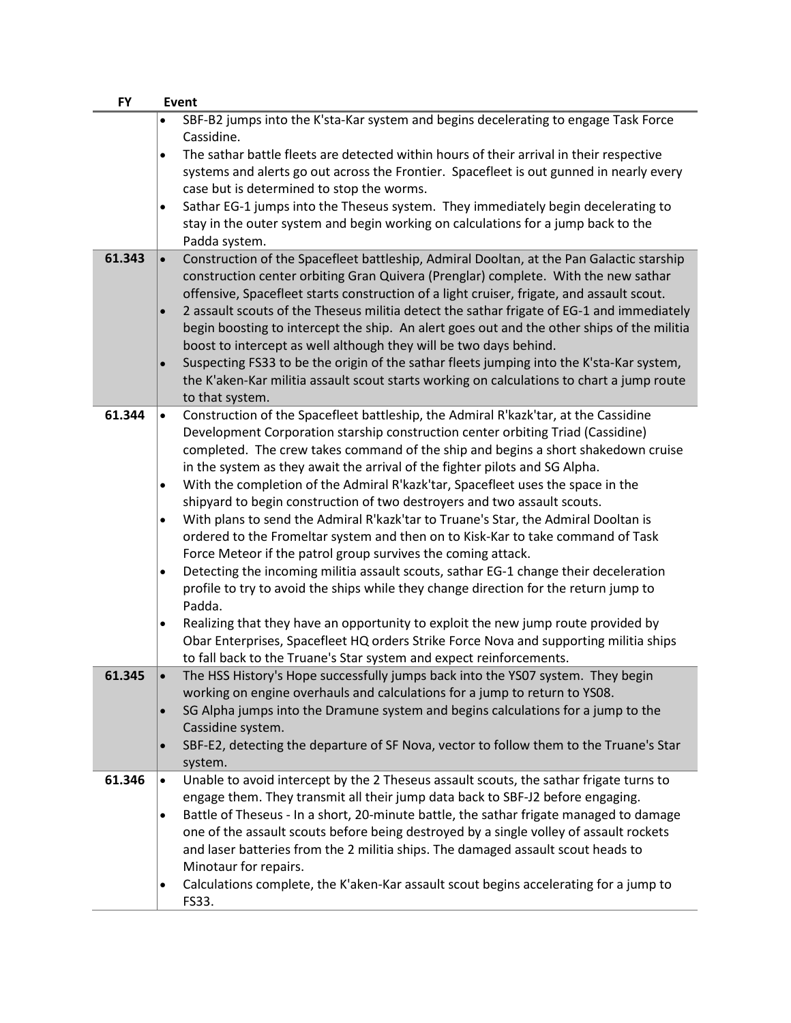| SBF-B2 jumps into the K'sta-Kar system and begins decelerating to engage Task Force<br>Cassidine.<br>The sathar battle fleets are detected within hours of their arrival in their respective<br>$\bullet$<br>systems and alerts go out across the Frontier. Spacefleet is out gunned in nearly every<br>case but is determined to stop the worms.<br>Sathar EG-1 jumps into the Theseus system. They immediately begin decelerating to<br>$\bullet$<br>stay in the outer system and begin working on calculations for a jump back to the<br>Padda system.<br>61.343<br>Construction of the Spacefleet battleship, Admiral Dooltan, at the Pan Galactic starship<br>$\bullet$<br>construction center orbiting Gran Quivera (Prenglar) complete. With the new sathar<br>offensive, Spacefleet starts construction of a light cruiser, frigate, and assault scout.<br>2 assault scouts of the Theseus militia detect the sathar frigate of EG-1 and immediately<br>$\bullet$ | <b>FY</b> | <b>Event</b>                                                                               |  |
|---------------------------------------------------------------------------------------------------------------------------------------------------------------------------------------------------------------------------------------------------------------------------------------------------------------------------------------------------------------------------------------------------------------------------------------------------------------------------------------------------------------------------------------------------------------------------------------------------------------------------------------------------------------------------------------------------------------------------------------------------------------------------------------------------------------------------------------------------------------------------------------------------------------------------------------------------------------------------|-----------|--------------------------------------------------------------------------------------------|--|
|                                                                                                                                                                                                                                                                                                                                                                                                                                                                                                                                                                                                                                                                                                                                                                                                                                                                                                                                                                           |           |                                                                                            |  |
|                                                                                                                                                                                                                                                                                                                                                                                                                                                                                                                                                                                                                                                                                                                                                                                                                                                                                                                                                                           |           |                                                                                            |  |
|                                                                                                                                                                                                                                                                                                                                                                                                                                                                                                                                                                                                                                                                                                                                                                                                                                                                                                                                                                           |           |                                                                                            |  |
|                                                                                                                                                                                                                                                                                                                                                                                                                                                                                                                                                                                                                                                                                                                                                                                                                                                                                                                                                                           |           |                                                                                            |  |
|                                                                                                                                                                                                                                                                                                                                                                                                                                                                                                                                                                                                                                                                                                                                                                                                                                                                                                                                                                           |           |                                                                                            |  |
|                                                                                                                                                                                                                                                                                                                                                                                                                                                                                                                                                                                                                                                                                                                                                                                                                                                                                                                                                                           |           |                                                                                            |  |
|                                                                                                                                                                                                                                                                                                                                                                                                                                                                                                                                                                                                                                                                                                                                                                                                                                                                                                                                                                           |           |                                                                                            |  |
|                                                                                                                                                                                                                                                                                                                                                                                                                                                                                                                                                                                                                                                                                                                                                                                                                                                                                                                                                                           |           |                                                                                            |  |
|                                                                                                                                                                                                                                                                                                                                                                                                                                                                                                                                                                                                                                                                                                                                                                                                                                                                                                                                                                           |           |                                                                                            |  |
|                                                                                                                                                                                                                                                                                                                                                                                                                                                                                                                                                                                                                                                                                                                                                                                                                                                                                                                                                                           |           |                                                                                            |  |
|                                                                                                                                                                                                                                                                                                                                                                                                                                                                                                                                                                                                                                                                                                                                                                                                                                                                                                                                                                           |           | begin boosting to intercept the ship. An alert goes out and the other ships of the militia |  |
| boost to intercept as well although they will be two days behind.                                                                                                                                                                                                                                                                                                                                                                                                                                                                                                                                                                                                                                                                                                                                                                                                                                                                                                         |           |                                                                                            |  |
| Suspecting FS33 to be the origin of the sathar fleets jumping into the K'sta-Kar system,<br>$\bullet$                                                                                                                                                                                                                                                                                                                                                                                                                                                                                                                                                                                                                                                                                                                                                                                                                                                                     |           |                                                                                            |  |
| the K'aken-Kar militia assault scout starts working on calculations to chart a jump route                                                                                                                                                                                                                                                                                                                                                                                                                                                                                                                                                                                                                                                                                                                                                                                                                                                                                 |           |                                                                                            |  |
| to that system.<br>61.344<br>Construction of the Spacefleet battleship, the Admiral R'kazk'tar, at the Cassidine<br>$\bullet$                                                                                                                                                                                                                                                                                                                                                                                                                                                                                                                                                                                                                                                                                                                                                                                                                                             |           |                                                                                            |  |
| Development Corporation starship construction center orbiting Triad (Cassidine)                                                                                                                                                                                                                                                                                                                                                                                                                                                                                                                                                                                                                                                                                                                                                                                                                                                                                           |           |                                                                                            |  |
| completed. The crew takes command of the ship and begins a short shakedown cruise                                                                                                                                                                                                                                                                                                                                                                                                                                                                                                                                                                                                                                                                                                                                                                                                                                                                                         |           |                                                                                            |  |
| in the system as they await the arrival of the fighter pilots and SG Alpha.                                                                                                                                                                                                                                                                                                                                                                                                                                                                                                                                                                                                                                                                                                                                                                                                                                                                                               |           |                                                                                            |  |
| With the completion of the Admiral R'kazk'tar, Spacefleet uses the space in the<br>$\bullet$                                                                                                                                                                                                                                                                                                                                                                                                                                                                                                                                                                                                                                                                                                                                                                                                                                                                              |           |                                                                                            |  |
| shipyard to begin construction of two destroyers and two assault scouts.                                                                                                                                                                                                                                                                                                                                                                                                                                                                                                                                                                                                                                                                                                                                                                                                                                                                                                  |           |                                                                                            |  |
| With plans to send the Admiral R'kazk'tar to Truane's Star, the Admiral Dooltan is<br>$\bullet$                                                                                                                                                                                                                                                                                                                                                                                                                                                                                                                                                                                                                                                                                                                                                                                                                                                                           |           |                                                                                            |  |
| ordered to the Fromeltar system and then on to Kisk-Kar to take command of Task                                                                                                                                                                                                                                                                                                                                                                                                                                                                                                                                                                                                                                                                                                                                                                                                                                                                                           |           |                                                                                            |  |
| Force Meteor if the patrol group survives the coming attack.                                                                                                                                                                                                                                                                                                                                                                                                                                                                                                                                                                                                                                                                                                                                                                                                                                                                                                              |           |                                                                                            |  |
| Detecting the incoming militia assault scouts, sathar EG-1 change their deceleration<br>$\bullet$                                                                                                                                                                                                                                                                                                                                                                                                                                                                                                                                                                                                                                                                                                                                                                                                                                                                         |           |                                                                                            |  |
| profile to try to avoid the ships while they change direction for the return jump to                                                                                                                                                                                                                                                                                                                                                                                                                                                                                                                                                                                                                                                                                                                                                                                                                                                                                      |           |                                                                                            |  |
| Padda.                                                                                                                                                                                                                                                                                                                                                                                                                                                                                                                                                                                                                                                                                                                                                                                                                                                                                                                                                                    |           |                                                                                            |  |
| Realizing that they have an opportunity to exploit the new jump route provided by<br>٠<br>Obar Enterprises, Spacefleet HQ orders Strike Force Nova and supporting militia ships                                                                                                                                                                                                                                                                                                                                                                                                                                                                                                                                                                                                                                                                                                                                                                                           |           |                                                                                            |  |
| to fall back to the Truane's Star system and expect reinforcements.                                                                                                                                                                                                                                                                                                                                                                                                                                                                                                                                                                                                                                                                                                                                                                                                                                                                                                       |           |                                                                                            |  |
| 61.345<br>The HSS History's Hope successfully jumps back into the YS07 system. They begin                                                                                                                                                                                                                                                                                                                                                                                                                                                                                                                                                                                                                                                                                                                                                                                                                                                                                 |           |                                                                                            |  |
| working on engine overhauls and calculations for a jump to return to YS08.                                                                                                                                                                                                                                                                                                                                                                                                                                                                                                                                                                                                                                                                                                                                                                                                                                                                                                |           |                                                                                            |  |
| SG Alpha jumps into the Dramune system and begins calculations for a jump to the<br>$\bullet$                                                                                                                                                                                                                                                                                                                                                                                                                                                                                                                                                                                                                                                                                                                                                                                                                                                                             |           |                                                                                            |  |
| Cassidine system.                                                                                                                                                                                                                                                                                                                                                                                                                                                                                                                                                                                                                                                                                                                                                                                                                                                                                                                                                         |           |                                                                                            |  |
| SBF-E2, detecting the departure of SF Nova, vector to follow them to the Truane's Star<br>$\bullet$                                                                                                                                                                                                                                                                                                                                                                                                                                                                                                                                                                                                                                                                                                                                                                                                                                                                       |           |                                                                                            |  |
| system.                                                                                                                                                                                                                                                                                                                                                                                                                                                                                                                                                                                                                                                                                                                                                                                                                                                                                                                                                                   |           |                                                                                            |  |
| Unable to avoid intercept by the 2 Theseus assault scouts, the sathar frigate turns to<br>61.346<br>$\bullet$                                                                                                                                                                                                                                                                                                                                                                                                                                                                                                                                                                                                                                                                                                                                                                                                                                                             |           |                                                                                            |  |
| engage them. They transmit all their jump data back to SBF-J2 before engaging.                                                                                                                                                                                                                                                                                                                                                                                                                                                                                                                                                                                                                                                                                                                                                                                                                                                                                            |           |                                                                                            |  |
| Battle of Theseus - In a short, 20-minute battle, the sathar frigate managed to damage<br>$\bullet$                                                                                                                                                                                                                                                                                                                                                                                                                                                                                                                                                                                                                                                                                                                                                                                                                                                                       |           |                                                                                            |  |
| one of the assault scouts before being destroyed by a single volley of assault rockets                                                                                                                                                                                                                                                                                                                                                                                                                                                                                                                                                                                                                                                                                                                                                                                                                                                                                    |           |                                                                                            |  |
| and laser batteries from the 2 militia ships. The damaged assault scout heads to<br>Minotaur for repairs.                                                                                                                                                                                                                                                                                                                                                                                                                                                                                                                                                                                                                                                                                                                                                                                                                                                                 |           |                                                                                            |  |
| Calculations complete, the K'aken-Kar assault scout begins accelerating for a jump to<br>$\bullet$                                                                                                                                                                                                                                                                                                                                                                                                                                                                                                                                                                                                                                                                                                                                                                                                                                                                        |           |                                                                                            |  |
| FS33.                                                                                                                                                                                                                                                                                                                                                                                                                                                                                                                                                                                                                                                                                                                                                                                                                                                                                                                                                                     |           |                                                                                            |  |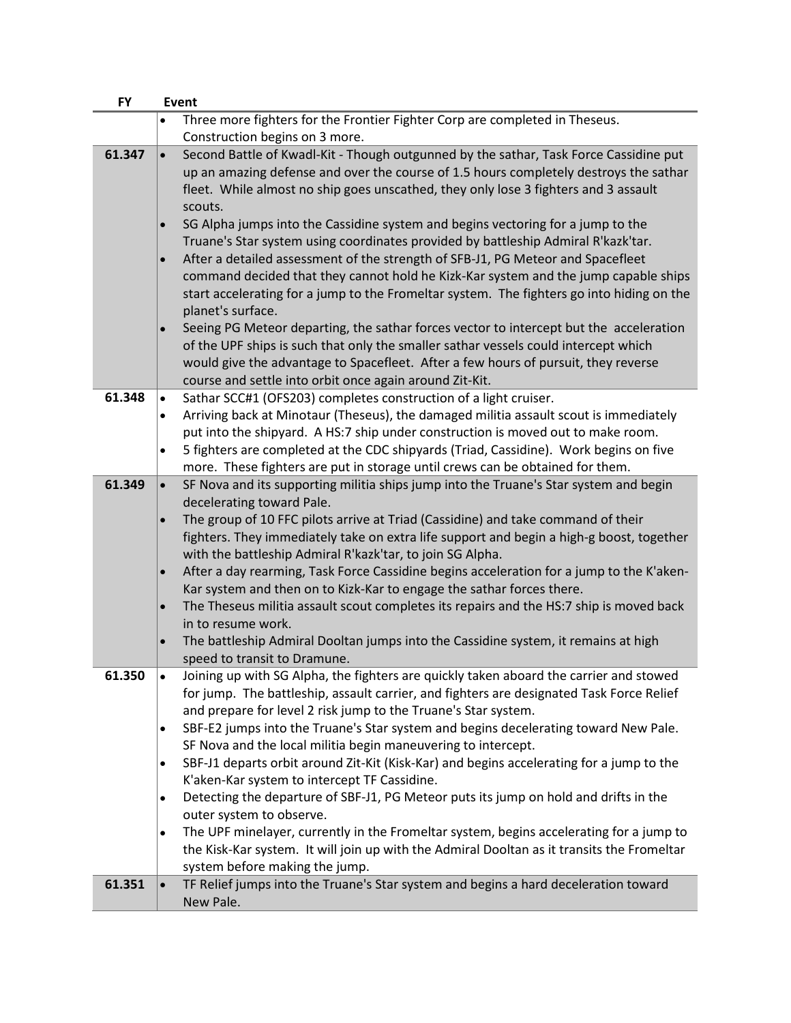| <b>FY</b> |           | <b>Event</b>                                                                               |
|-----------|-----------|--------------------------------------------------------------------------------------------|
|           |           | Three more fighters for the Frontier Fighter Corp are completed in Theseus.                |
|           |           | Construction begins on 3 more.                                                             |
| 61.347    | $\bullet$ | Second Battle of Kwadl-Kit - Though outgunned by the sathar, Task Force Cassidine put      |
|           |           | up an amazing defense and over the course of 1.5 hours completely destroys the sathar      |
|           |           | fleet. While almost no ship goes unscathed, they only lose 3 fighters and 3 assault        |
|           |           | scouts.                                                                                    |
|           | $\bullet$ | SG Alpha jumps into the Cassidine system and begins vectoring for a jump to the            |
|           |           | Truane's Star system using coordinates provided by battleship Admiral R'kazk'tar.          |
|           | $\bullet$ | After a detailed assessment of the strength of SFB-J1, PG Meteor and Spacefleet            |
|           |           | command decided that they cannot hold he Kizk-Kar system and the jump capable ships        |
|           |           | start accelerating for a jump to the Fromeltar system. The fighters go into hiding on the  |
|           |           | planet's surface.                                                                          |
|           | $\bullet$ | Seeing PG Meteor departing, the sathar forces vector to intercept but the acceleration     |
|           |           | of the UPF ships is such that only the smaller sathar vessels could intercept which        |
|           |           | would give the advantage to Spacefleet. After a few hours of pursuit, they reverse         |
|           |           | course and settle into orbit once again around Zit-Kit.                                    |
| 61.348    | $\bullet$ | Sathar SCC#1 (OFS203) completes construction of a light cruiser.                           |
|           | $\bullet$ | Arriving back at Minotaur (Theseus), the damaged militia assault scout is immediately      |
|           |           | put into the shipyard. A HS:7 ship under construction is moved out to make room.           |
|           | $\bullet$ | 5 fighters are completed at the CDC shipyards (Triad, Cassidine). Work begins on five      |
|           |           | more. These fighters are put in storage until crews can be obtained for them.              |
| 61.349    | $\bullet$ | SF Nova and its supporting militia ships jump into the Truane's Star system and begin      |
|           |           | decelerating toward Pale.                                                                  |
|           | $\bullet$ | The group of 10 FFC pilots arrive at Triad (Cassidine) and take command of their           |
|           |           | fighters. They immediately take on extra life support and begin a high-g boost, together   |
|           |           | with the battleship Admiral R'kazk'tar, to join SG Alpha.                                  |
|           | $\bullet$ | After a day rearming, Task Force Cassidine begins acceleration for a jump to the K'aken-   |
|           |           | Kar system and then on to Kizk-Kar to engage the sathar forces there.                      |
|           | $\bullet$ | The Theseus militia assault scout completes its repairs and the HS:7 ship is moved back    |
|           |           |                                                                                            |
|           |           | in to resume work.                                                                         |
|           | $\bullet$ | The battleship Admiral Dooltan jumps into the Cassidine system, it remains at high         |
|           |           | speed to transit to Dramune.                                                               |
| 61.350    |           | Joining up with SG Alpha, the fighters are quickly taken aboard the carrier and stowed     |
|           |           | for jump. The battleship, assault carrier, and fighters are designated Task Force Relief   |
|           |           | and prepare for level 2 risk jump to the Truane's Star system.                             |
|           | $\bullet$ | SBF-E2 jumps into the Truane's Star system and begins decelerating toward New Pale.        |
|           |           | SF Nova and the local militia begin maneuvering to intercept.                              |
|           | $\bullet$ | SBF-J1 departs orbit around Zit-Kit (Kisk-Kar) and begins accelerating for a jump to the   |
|           |           | K'aken-Kar system to intercept TF Cassidine.                                               |
|           | $\bullet$ | Detecting the departure of SBF-J1, PG Meteor puts its jump on hold and drifts in the       |
|           |           | outer system to observe.                                                                   |
|           | $\bullet$ | The UPF minelayer, currently in the Fromeltar system, begins accelerating for a jump to    |
|           |           | the Kisk-Kar system. It will join up with the Admiral Dooltan as it transits the Fromeltar |
|           |           | system before making the jump.                                                             |
| 61.351    | $\bullet$ | TF Relief jumps into the Truane's Star system and begins a hard deceleration toward        |
|           |           | New Pale.                                                                                  |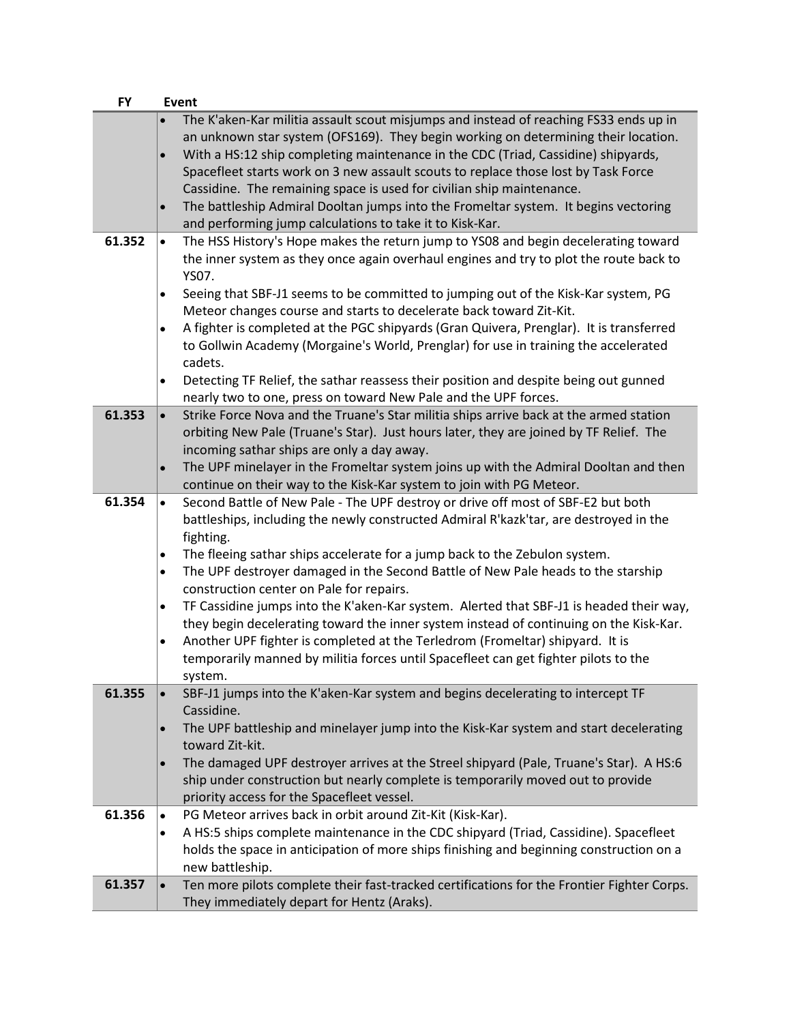| <b>FY</b> | Event                                                                                                   |
|-----------|---------------------------------------------------------------------------------------------------------|
|           | The K'aken-Kar militia assault scout misjumps and instead of reaching FS33 ends up in<br>$\bullet$      |
|           | an unknown star system (OFS169). They begin working on determining their location.                      |
|           | With a HS:12 ship completing maintenance in the CDC (Triad, Cassidine) shipyards,<br>$\bullet$          |
|           | Spacefleet starts work on 3 new assault scouts to replace those lost by Task Force                      |
|           | Cassidine. The remaining space is used for civilian ship maintenance.                                   |
|           | The battleship Admiral Dooltan jumps into the Fromeltar system. It begins vectoring<br>$\bullet$        |
|           | and performing jump calculations to take it to Kisk-Kar.                                                |
| 61.352    | The HSS History's Hope makes the return jump to YS08 and begin decelerating toward<br>$\bullet$         |
|           | the inner system as they once again overhaul engines and try to plot the route back to                  |
|           | YS07.                                                                                                   |
|           | Seeing that SBF-J1 seems to be committed to jumping out of the Kisk-Kar system, PG<br>$\bullet$         |
|           | Meteor changes course and starts to decelerate back toward Zit-Kit.                                     |
|           | A fighter is completed at the PGC shipyards (Gran Quivera, Prenglar). It is transferred<br>$\bullet$    |
|           | to Gollwin Academy (Morgaine's World, Prenglar) for use in training the accelerated                     |
|           | cadets.                                                                                                 |
|           | Detecting TF Relief, the sathar reassess their position and despite being out gunned<br>$\bullet$       |
|           | nearly two to one, press on toward New Pale and the UPF forces.                                         |
| 61.353    | Strike Force Nova and the Truane's Star militia ships arrive back at the armed station<br>$\bullet$     |
|           | orbiting New Pale (Truane's Star). Just hours later, they are joined by TF Relief. The                  |
|           | incoming sathar ships are only a day away.                                                              |
|           | The UPF minelayer in the Fromeltar system joins up with the Admiral Dooltan and then<br>$\bullet$       |
|           | continue on their way to the Kisk-Kar system to join with PG Meteor.                                    |
| 61.354    | Second Battle of New Pale - The UPF destroy or drive off most of SBF-E2 but both<br>$\bullet$           |
|           | battleships, including the newly constructed Admiral R'kazk'tar, are destroyed in the                   |
|           | fighting.                                                                                               |
|           | The fleeing sathar ships accelerate for a jump back to the Zebulon system.<br>$\bullet$                 |
|           | The UPF destroyer damaged in the Second Battle of New Pale heads to the starship<br>$\bullet$           |
|           | construction center on Pale for repairs.                                                                |
|           | TF Cassidine jumps into the K'aken-Kar system. Alerted that SBF-J1 is headed their way,<br>$\bullet$    |
|           | they begin decelerating toward the inner system instead of continuing on the Kisk-Kar.                  |
|           | Another UPF fighter is completed at the Terledrom (Fromeltar) shipyard. It is<br>$\bullet$              |
|           | temporarily manned by militia forces until Spacefleet can get fighter pilots to the                     |
|           | system.                                                                                                 |
| 61.355    | SBF-J1 jumps into the K'aken-Kar system and begins decelerating to intercept TF<br>$\bullet$            |
|           | Cassidine.                                                                                              |
|           | The UPF battleship and minelayer jump into the Kisk-Kar system and start decelerating<br>$\bullet$      |
|           | toward Zit-kit.                                                                                         |
|           | The damaged UPF destroyer arrives at the Streel shipyard (Pale, Truane's Star). A HS:6<br>$\bullet$     |
|           | ship under construction but nearly complete is temporarily moved out to provide                         |
|           | priority access for the Spacefleet vessel.                                                              |
| 61.356    | PG Meteor arrives back in orbit around Zit-Kit (Kisk-Kar).<br>$\bullet$                                 |
|           | A HS:5 ships complete maintenance in the CDC shipyard (Triad, Cassidine). Spacefleet<br>$\bullet$       |
|           | holds the space in anticipation of more ships finishing and beginning construction on a                 |
|           | new battleship.                                                                                         |
| 61.357    | Ten more pilots complete their fast-tracked certifications for the Frontier Fighter Corps.<br>$\bullet$ |
|           | They immediately depart for Hentz (Araks).                                                              |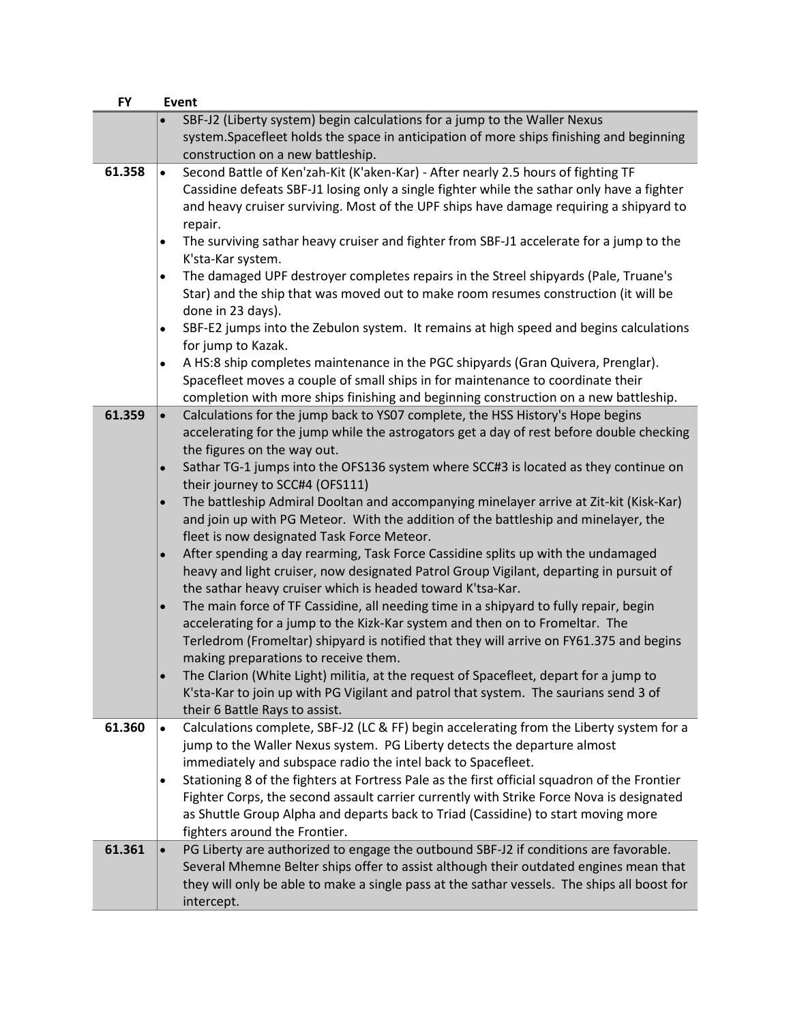| <b>FY</b> | <b>Event</b> |                                                                                                                                  |
|-----------|--------------|----------------------------------------------------------------------------------------------------------------------------------|
|           |              | SBF-J2 (Liberty system) begin calculations for a jump to the Waller Nexus                                                        |
|           |              | system.Spacefleet holds the space in anticipation of more ships finishing and beginning                                          |
|           |              | construction on a new battleship.                                                                                                |
| 61.358    | $\bullet$    | Second Battle of Ken'zah-Kit (K'aken-Kar) - After nearly 2.5 hours of fighting TF                                                |
|           |              | Cassidine defeats SBF-J1 losing only a single fighter while the sathar only have a fighter                                       |
|           |              | and heavy cruiser surviving. Most of the UPF ships have damage requiring a shipyard to                                           |
|           |              | repair.<br>The surviving sathar heavy cruiser and fighter from SBF-J1 accelerate for a jump to the                               |
|           | $\bullet$    | K'sta-Kar system.                                                                                                                |
|           | $\bullet$    | The damaged UPF destroyer completes repairs in the Streel shipyards (Pale, Truane's                                              |
|           |              | Star) and the ship that was moved out to make room resumes construction (it will be                                              |
|           |              | done in 23 days).                                                                                                                |
|           | $\bullet$    | SBF-E2 jumps into the Zebulon system. It remains at high speed and begins calculations                                           |
|           |              | for jump to Kazak.                                                                                                               |
|           | $\bullet$    | A HS:8 ship completes maintenance in the PGC shipyards (Gran Quivera, Prenglar).                                                 |
|           |              | Spacefleet moves a couple of small ships in for maintenance to coordinate their                                                  |
|           |              | completion with more ships finishing and beginning construction on a new battleship.                                             |
| 61.359    | $\bullet$    | Calculations for the jump back to YS07 complete, the HSS History's Hope begins                                                   |
|           |              | accelerating for the jump while the astrogators get a day of rest before double checking                                         |
|           |              | the figures on the way out.                                                                                                      |
|           |              | Sathar TG-1 jumps into the OFS136 system where SCC#3 is located as they continue on                                              |
|           |              | their journey to SCC#4 (OFS111)                                                                                                  |
|           | $\bullet$    | The battleship Admiral Dooltan and accompanying minelayer arrive at Zit-kit (Kisk-Kar)                                           |
|           |              | and join up with PG Meteor. With the addition of the battleship and minelayer, the<br>fleet is now designated Task Force Meteor. |
|           | $\bullet$    | After spending a day rearming, Task Force Cassidine splits up with the undamaged                                                 |
|           |              | heavy and light cruiser, now designated Patrol Group Vigilant, departing in pursuit of                                           |
|           |              | the sathar heavy cruiser which is headed toward K'tsa-Kar.                                                                       |
|           | $\bullet$    | The main force of TF Cassidine, all needing time in a shipyard to fully repair, begin                                            |
|           |              | accelerating for a jump to the Kizk-Kar system and then on to Fromeltar. The                                                     |
|           |              | Terledrom (Fromeltar) shipyard is notified that they will arrive on FY61.375 and begins                                          |
|           |              | making preparations to receive them.                                                                                             |
|           |              | The Clarion (White Light) militia, at the request of Spacefleet, depart for a jump to                                            |
|           |              | K'sta-Kar to join up with PG Vigilant and patrol that system. The saurians send 3 of                                             |
|           |              | their 6 Battle Rays to assist.                                                                                                   |
| 61.360    | $\bullet$    | Calculations complete, SBF-J2 (LC & FF) begin accelerating from the Liberty system for a                                         |
|           |              | jump to the Waller Nexus system. PG Liberty detects the departure almost                                                         |
|           |              | immediately and subspace radio the intel back to Spacefleet.                                                                     |
|           | $\bullet$    | Stationing 8 of the fighters at Fortress Pale as the first official squadron of the Frontier                                     |
|           |              | Fighter Corps, the second assault carrier currently with Strike Force Nova is designated                                         |
|           |              | as Shuttle Group Alpha and departs back to Triad (Cassidine) to start moving more                                                |
| 61.361    |              | fighters around the Frontier.<br>PG Liberty are authorized to engage the outbound SBF-J2 if conditions are favorable.            |
|           |              | Several Mhemne Belter ships offer to assist although their outdated engines mean that                                            |
|           |              | they will only be able to make a single pass at the sathar vessels. The ships all boost for                                      |
|           |              | intercept.                                                                                                                       |
|           |              |                                                                                                                                  |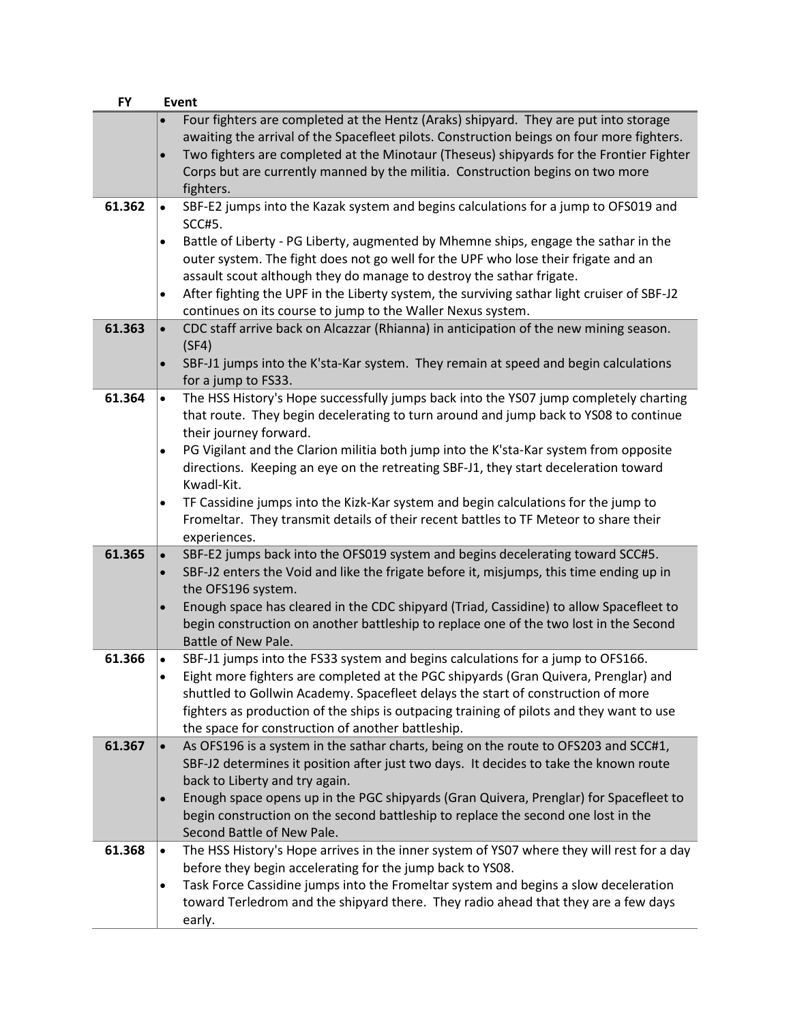| <b>FY</b> | <b>Event</b>                                                                                                                                                                                                                                                                                                                                                                                                             |
|-----------|--------------------------------------------------------------------------------------------------------------------------------------------------------------------------------------------------------------------------------------------------------------------------------------------------------------------------------------------------------------------------------------------------------------------------|
|           | Four fighters are completed at the Hentz (Araks) shipyard. They are put into storage<br>awaiting the arrival of the Spacefleet pilots. Construction beings on four more fighters.<br>Two fighters are completed at the Minotaur (Theseus) shipyards for the Frontier Fighter<br>$\bullet$<br>Corps but are currently manned by the militia. Construction begins on two more<br>fighters.                                 |
| 61.362    | SBF-E2 jumps into the Kazak system and begins calculations for a jump to OFS019 and<br>$\bullet$<br><b>SCC#5.</b><br>Battle of Liberty - PG Liberty, augmented by Mhemne ships, engage the sathar in the<br>outer system. The fight does not go well for the UPF who lose their frigate and an                                                                                                                           |
|           | assault scout although they do manage to destroy the sathar frigate.<br>After fighting the UPF in the Liberty system, the surviving sathar light cruiser of SBF-J2<br>$\bullet$<br>continues on its course to jump to the Waller Nexus system.                                                                                                                                                                           |
| 61.363    | CDC staff arrive back on Alcazzar (Rhianna) in anticipation of the new mining season.<br>$\bullet$<br>(SF4)                                                                                                                                                                                                                                                                                                              |
|           | SBF-J1 jumps into the K'sta-Kar system. They remain at speed and begin calculations<br>$\bullet$<br>for a jump to FS33.                                                                                                                                                                                                                                                                                                  |
| 61.364    | The HSS History's Hope successfully jumps back into the YS07 jump completely charting<br>$\bullet$<br>that route. They begin decelerating to turn around and jump back to YS08 to continue<br>their journey forward.                                                                                                                                                                                                     |
|           | PG Vigilant and the Clarion militia both jump into the K'sta-Kar system from opposite<br>$\bullet$<br>directions. Keeping an eye on the retreating SBF-J1, they start deceleration toward<br>Kwadl-Kit.                                                                                                                                                                                                                  |
|           | TF Cassidine jumps into the Kizk-Kar system and begin calculations for the jump to<br>$\bullet$<br>Fromeltar. They transmit details of their recent battles to TF Meteor to share their<br>experiences.                                                                                                                                                                                                                  |
| 61.365    | SBF-E2 jumps back into the OFS019 system and begins decelerating toward SCC#5.<br>$\bullet$<br>SBF-J2 enters the Void and like the frigate before it, misjumps, this time ending up in<br>$\bullet$<br>the OFS196 system.                                                                                                                                                                                                |
|           | Enough space has cleared in the CDC shipyard (Triad, Cassidine) to allow Spacefleet to<br>begin construction on another battleship to replace one of the two lost in the Second<br>Battle of New Pale.                                                                                                                                                                                                                   |
| 61.366    | SBF-J1 jumps into the FS33 system and begins calculations for a jump to OFS166.<br>$\bullet$<br>Eight more fighters are completed at the PGC shipyards (Gran Quivera, Prenglar) and<br>shuttled to Gollwin Academy. Spacefleet delays the start of construction of more<br>fighters as production of the ships is outpacing training of pilots and they want to use<br>the space for construction of another battleship. |
| 61.367    | As OFS196 is a system in the sathar charts, being on the route to OFS203 and SCC#1,<br>$\bullet$<br>SBF-J2 determines it position after just two days. It decides to take the known route<br>back to Liberty and try again.                                                                                                                                                                                              |
|           | Enough space opens up in the PGC shipyards (Gran Quivera, Prenglar) for Spacefleet to<br>$\bullet$<br>begin construction on the second battleship to replace the second one lost in the<br>Second Battle of New Pale.                                                                                                                                                                                                    |
| 61.368    | The HSS History's Hope arrives in the inner system of YS07 where they will rest for a day<br>$\bullet$<br>before they begin accelerating for the jump back to YS08.<br>Task Force Cassidine jumps into the Fromeltar system and begins a slow deceleration<br>$\bullet$<br>toward Terledrom and the shipyard there. They radio ahead that they are a few days<br>early.                                                  |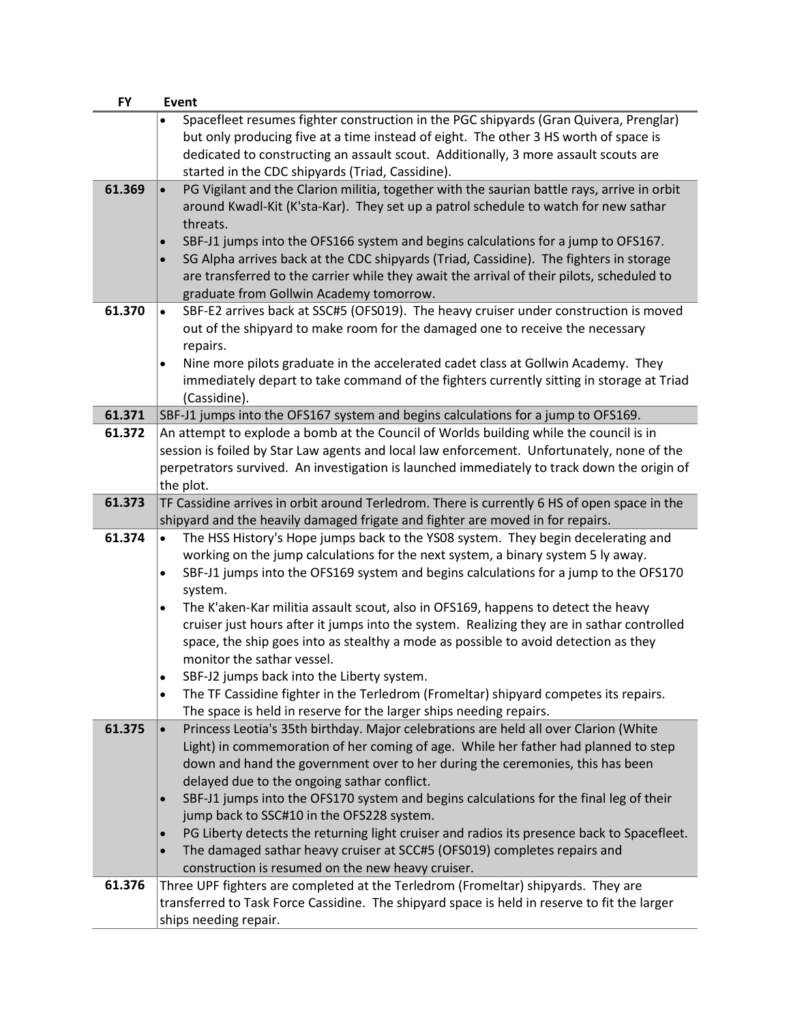| <b>FY</b> | Event                                                                                                                                                                                                                                                                                                                                                                                      |
|-----------|--------------------------------------------------------------------------------------------------------------------------------------------------------------------------------------------------------------------------------------------------------------------------------------------------------------------------------------------------------------------------------------------|
|           | Spacefleet resumes fighter construction in the PGC shipyards (Gran Quivera, Prenglar)                                                                                                                                                                                                                                                                                                      |
|           | but only producing five at a time instead of eight. The other 3 HS worth of space is                                                                                                                                                                                                                                                                                                       |
|           | dedicated to constructing an assault scout. Additionally, 3 more assault scouts are                                                                                                                                                                                                                                                                                                        |
|           | started in the CDC shipyards (Triad, Cassidine).                                                                                                                                                                                                                                                                                                                                           |
| 61.369    | PG Vigilant and the Clarion militia, together with the saurian battle rays, arrive in orbit<br>$\bullet$<br>around Kwadl-Kit (K'sta-Kar). They set up a patrol schedule to watch for new sathar<br>threats.<br>SBF-J1 jumps into the OFS166 system and begins calculations for a jump to OFS167.<br>SG Alpha arrives back at the CDC shipyards (Triad, Cassidine). The fighters in storage |
|           | are transferred to the carrier while they await the arrival of their pilots, scheduled to<br>graduate from Gollwin Academy tomorrow.                                                                                                                                                                                                                                                       |
| 61.370    | SBF-E2 arrives back at SSC#5 (OFS019). The heavy cruiser under construction is moved<br>$\bullet$                                                                                                                                                                                                                                                                                          |
|           | out of the shipyard to make room for the damaged one to receive the necessary<br>repairs.                                                                                                                                                                                                                                                                                                  |
|           | Nine more pilots graduate in the accelerated cadet class at Gollwin Academy. They<br>$\bullet$                                                                                                                                                                                                                                                                                             |
|           | immediately depart to take command of the fighters currently sitting in storage at Triad                                                                                                                                                                                                                                                                                                   |
|           | (Cassidine).                                                                                                                                                                                                                                                                                                                                                                               |
| 61.371    | SBF-J1 jumps into the OFS167 system and begins calculations for a jump to OFS169.                                                                                                                                                                                                                                                                                                          |
| 61.372    | An attempt to explode a bomb at the Council of Worlds building while the council is in                                                                                                                                                                                                                                                                                                     |
|           | session is foiled by Star Law agents and local law enforcement. Unfortunately, none of the                                                                                                                                                                                                                                                                                                 |
|           | perpetrators survived. An investigation is launched immediately to track down the origin of                                                                                                                                                                                                                                                                                                |
|           | the plot.                                                                                                                                                                                                                                                                                                                                                                                  |
| 61.373    | TF Cassidine arrives in orbit around Terledrom. There is currently 6 HS of open space in the                                                                                                                                                                                                                                                                                               |
|           | shipyard and the heavily damaged frigate and fighter are moved in for repairs.                                                                                                                                                                                                                                                                                                             |
| 61.374    | The HSS History's Hope jumps back to the YS08 system. They begin decelerating and<br>$\bullet$                                                                                                                                                                                                                                                                                             |
|           | working on the jump calculations for the next system, a binary system 5 ly away.                                                                                                                                                                                                                                                                                                           |
|           | SBF-J1 jumps into the OFS169 system and begins calculations for a jump to the OFS170<br>$\bullet$                                                                                                                                                                                                                                                                                          |
|           | system.<br>The K'aken-Kar militia assault scout, also in OFS169, happens to detect the heavy                                                                                                                                                                                                                                                                                               |
|           | $\bullet$<br>cruiser just hours after it jumps into the system. Realizing they are in sathar controlled                                                                                                                                                                                                                                                                                    |
|           | space, the ship goes into as stealthy a mode as possible to avoid detection as they                                                                                                                                                                                                                                                                                                        |
|           | monitor the sathar vessel.                                                                                                                                                                                                                                                                                                                                                                 |
|           | SBF-J2 jumps back into the Liberty system.                                                                                                                                                                                                                                                                                                                                                 |
|           | The TF Cassidine fighter in the Terledrom (Fromeltar) shipyard competes its repairs.<br>$\bullet$                                                                                                                                                                                                                                                                                          |
|           | The space is held in reserve for the larger ships needing repairs.                                                                                                                                                                                                                                                                                                                         |
| 61.375    | Princess Leotia's 35th birthday. Major celebrations are held all over Clarion (White<br>$\bullet$                                                                                                                                                                                                                                                                                          |
|           | Light) in commemoration of her coming of age. While her father had planned to step                                                                                                                                                                                                                                                                                                         |
|           | down and hand the government over to her during the ceremonies, this has been                                                                                                                                                                                                                                                                                                              |
|           | delayed due to the ongoing sathar conflict.                                                                                                                                                                                                                                                                                                                                                |
|           | SBF-J1 jumps into the OFS170 system and begins calculations for the final leg of their<br>$\bullet$                                                                                                                                                                                                                                                                                        |
|           | jump back to SSC#10 in the OFS228 system.                                                                                                                                                                                                                                                                                                                                                  |
|           | PG Liberty detects the returning light cruiser and radios its presence back to Spacefleet.                                                                                                                                                                                                                                                                                                 |
|           | The damaged sathar heavy cruiser at SCC#5 (OFS019) completes repairs and<br>$\bullet$                                                                                                                                                                                                                                                                                                      |
|           | construction is resumed on the new heavy cruiser.                                                                                                                                                                                                                                                                                                                                          |
| 61.376    | Three UPF fighters are completed at the Terledrom (Fromeltar) shipyards. They are                                                                                                                                                                                                                                                                                                          |
|           | transferred to Task Force Cassidine. The shipyard space is held in reserve to fit the larger                                                                                                                                                                                                                                                                                               |
|           | ships needing repair.                                                                                                                                                                                                                                                                                                                                                                      |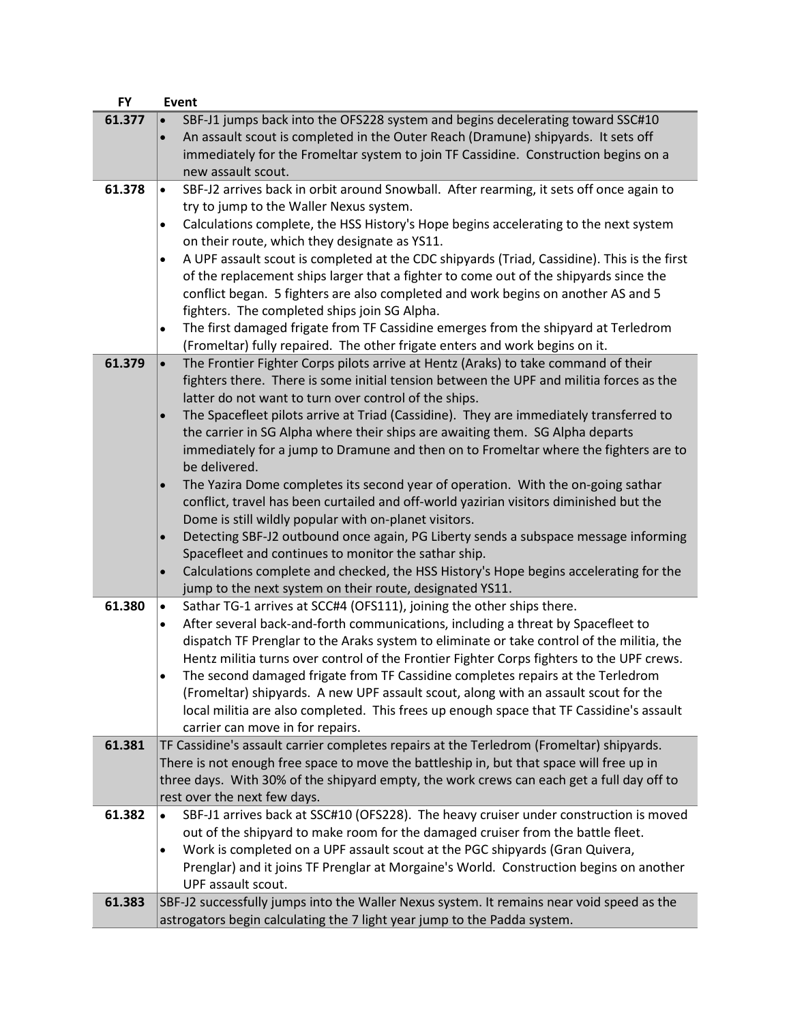| <b>FY</b> | Event                                                                                                                                                                                                                                                                                                                                                                                                                                                                                                                                                                                                                                                                                                                                                                                                                                                                                                                                                                                                                                                                                                                                  |
|-----------|----------------------------------------------------------------------------------------------------------------------------------------------------------------------------------------------------------------------------------------------------------------------------------------------------------------------------------------------------------------------------------------------------------------------------------------------------------------------------------------------------------------------------------------------------------------------------------------------------------------------------------------------------------------------------------------------------------------------------------------------------------------------------------------------------------------------------------------------------------------------------------------------------------------------------------------------------------------------------------------------------------------------------------------------------------------------------------------------------------------------------------------|
| 61.377    | SBF-J1 jumps back into the OFS228 system and begins decelerating toward SSC#10<br>$\bullet$<br>An assault scout is completed in the Outer Reach (Dramune) shipyards. It sets off<br>$\bullet$<br>immediately for the Fromeltar system to join TF Cassidine. Construction begins on a<br>new assault scout.                                                                                                                                                                                                                                                                                                                                                                                                                                                                                                                                                                                                                                                                                                                                                                                                                             |
| 61.378    | SBF-J2 arrives back in orbit around Snowball. After rearming, it sets off once again to<br>$\bullet$<br>try to jump to the Waller Nexus system.<br>Calculations complete, the HSS History's Hope begins accelerating to the next system<br>$\bullet$<br>on their route, which they designate as YS11.<br>A UPF assault scout is completed at the CDC shipyards (Triad, Cassidine). This is the first<br>$\bullet$<br>of the replacement ships larger that a fighter to come out of the shipyards since the<br>conflict began. 5 fighters are also completed and work begins on another AS and 5<br>fighters. The completed ships join SG Alpha.<br>The first damaged frigate from TF Cassidine emerges from the shipyard at Terledrom<br>$\bullet$<br>(Fromeltar) fully repaired. The other frigate enters and work begins on it.                                                                                                                                                                                                                                                                                                      |
| 61.379    | The Frontier Fighter Corps pilots arrive at Hentz (Araks) to take command of their<br>$\bullet$<br>fighters there. There is some initial tension between the UPF and militia forces as the<br>latter do not want to turn over control of the ships.<br>The Spacefleet pilots arrive at Triad (Cassidine). They are immediately transferred to<br>$\bullet$<br>the carrier in SG Alpha where their ships are awaiting them. SG Alpha departs<br>immediately for a jump to Dramune and then on to Fromeltar where the fighters are to<br>be delivered.<br>The Yazira Dome completes its second year of operation. With the on-going sathar<br>$\bullet$<br>conflict, travel has been curtailed and off-world yazirian visitors diminished but the<br>Dome is still wildly popular with on-planet visitors.<br>Detecting SBF-J2 outbound once again, PG Liberty sends a subspace message informing<br>$\bullet$<br>Spacefleet and continues to monitor the sathar ship.<br>Calculations complete and checked, the HSS History's Hope begins accelerating for the<br>$\bullet$<br>jump to the next system on their route, designated YS11. |
| 61.380    | Sathar TG-1 arrives at SCC#4 (OFS111), joining the other ships there.<br>$\bullet$<br>After several back-and-forth communications, including a threat by Spacefleet to<br>$\bullet$<br>dispatch TF Prenglar to the Araks system to eliminate or take control of the militia, the<br>Hentz militia turns over control of the Frontier Fighter Corps fighters to the UPF crews.<br>The second damaged frigate from TF Cassidine completes repairs at the Terledrom<br>(Fromeltar) shipyards. A new UPF assault scout, along with an assault scout for the<br>local militia are also completed. This frees up enough space that TF Cassidine's assault<br>carrier can move in for repairs.                                                                                                                                                                                                                                                                                                                                                                                                                                                |
| 61.381    | TF Cassidine's assault carrier completes repairs at the Terledrom (Fromeltar) shipyards.<br>There is not enough free space to move the battleship in, but that space will free up in<br>three days. With 30% of the shipyard empty, the work crews can each get a full day off to<br>rest over the next few days.                                                                                                                                                                                                                                                                                                                                                                                                                                                                                                                                                                                                                                                                                                                                                                                                                      |
| 61.382    | SBF-J1 arrives back at SSC#10 (OFS228). The heavy cruiser under construction is moved<br>$\bullet$<br>out of the shipyard to make room for the damaged cruiser from the battle fleet.<br>Work is completed on a UPF assault scout at the PGC shipyards (Gran Quivera,<br>$\bullet$<br>Prenglar) and it joins TF Prenglar at Morgaine's World. Construction begins on another<br>UPF assault scout.                                                                                                                                                                                                                                                                                                                                                                                                                                                                                                                                                                                                                                                                                                                                     |
| 61.383    | SBF-J2 successfully jumps into the Waller Nexus system. It remains near void speed as the<br>astrogators begin calculating the 7 light year jump to the Padda system.                                                                                                                                                                                                                                                                                                                                                                                                                                                                                                                                                                                                                                                                                                                                                                                                                                                                                                                                                                  |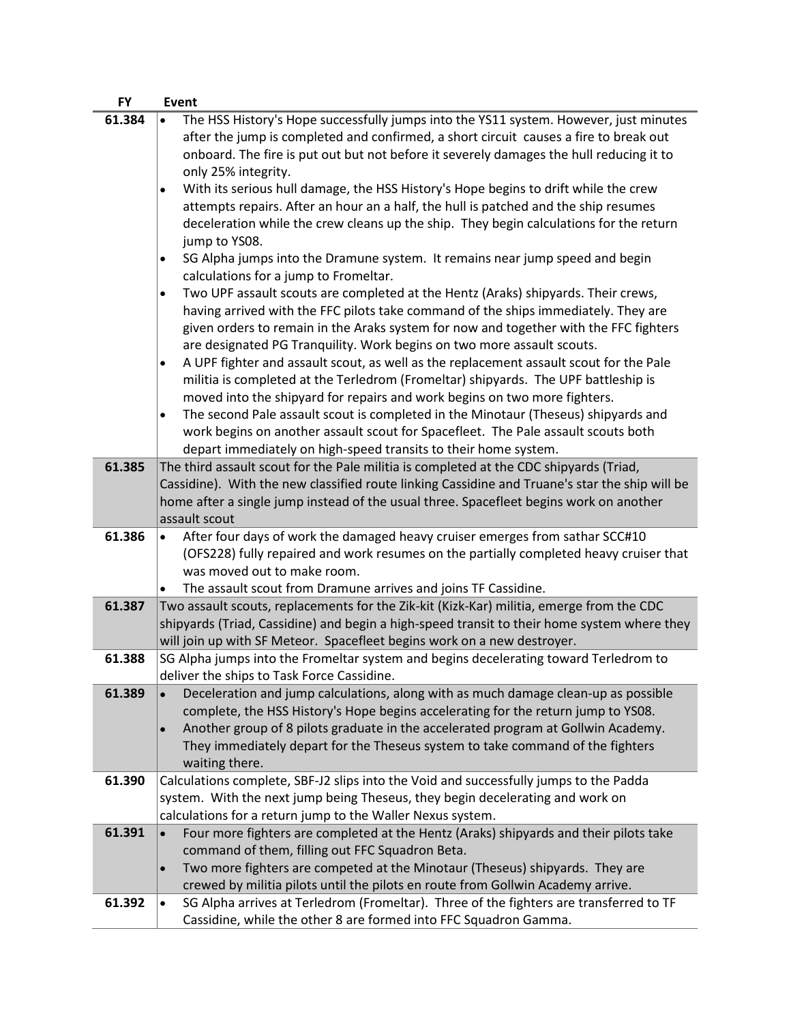| <b>FY</b> | <b>Event</b>                                                                                        |
|-----------|-----------------------------------------------------------------------------------------------------|
| 61.384    | The HSS History's Hope successfully jumps into the YS11 system. However, just minutes<br>$\bullet$  |
|           | after the jump is completed and confirmed, a short circuit causes a fire to break out               |
|           | onboard. The fire is put out but not before it severely damages the hull reducing it to             |
|           | only 25% integrity.                                                                                 |
|           | With its serious hull damage, the HSS History's Hope begins to drift while the crew<br>$\bullet$    |
|           | attempts repairs. After an hour an a half, the hull is patched and the ship resumes                 |
|           | deceleration while the crew cleans up the ship. They begin calculations for the return              |
|           | jump to YS08.                                                                                       |
|           | SG Alpha jumps into the Dramune system. It remains near jump speed and begin<br>$\bullet$           |
|           | calculations for a jump to Fromeltar.                                                               |
|           | Two UPF assault scouts are completed at the Hentz (Araks) shipyards. Their crews,<br>٠              |
|           | having arrived with the FFC pilots take command of the ships immediately. They are                  |
|           | given orders to remain in the Araks system for now and together with the FFC fighters               |
|           | are designated PG Tranquility. Work begins on two more assault scouts.                              |
|           | A UPF fighter and assault scout, as well as the replacement assault scout for the Pale<br>٠         |
|           | militia is completed at the Terledrom (Fromeltar) shipyards. The UPF battleship is                  |
|           | moved into the shipyard for repairs and work begins on two more fighters.                           |
|           | The second Pale assault scout is completed in the Minotaur (Theseus) shipyards and<br>$\bullet$     |
|           | work begins on another assault scout for Spacefleet. The Pale assault scouts both                   |
|           | depart immediately on high-speed transits to their home system.                                     |
| 61.385    | The third assault scout for the Pale militia is completed at the CDC shipyards (Triad,              |
|           | Cassidine). With the new classified route linking Cassidine and Truane's star the ship will be      |
|           | home after a single jump instead of the usual three. Spacefleet begins work on another              |
|           | assault scout                                                                                       |
| 61.386    | After four days of work the damaged heavy cruiser emerges from sathar SCC#10<br>$\bullet$           |
|           | (OFS228) fully repaired and work resumes on the partially completed heavy cruiser that              |
|           | was moved out to make room.                                                                         |
|           | The assault scout from Dramune arrives and joins TF Cassidine.<br>٠                                 |
| 61.387    | Two assault scouts, replacements for the Zik-kit (Kizk-Kar) militia, emerge from the CDC            |
|           | shipyards (Triad, Cassidine) and begin a high-speed transit to their home system where they         |
|           | will join up with SF Meteor. Spacefleet begins work on a new destroyer.                             |
| 61.388    | SG Alpha jumps into the Fromeltar system and begins decelerating toward Terledrom to                |
|           | deliver the ships to Task Force Cassidine.                                                          |
| 61.389    | Deceleration and jump calculations, along with as much damage clean-up as possible<br>$\bullet$     |
|           | complete, the HSS History's Hope begins accelerating for the return jump to YS08.                   |
|           | Another group of 8 pilots graduate in the accelerated program at Gollwin Academy.<br>$\bullet$      |
|           | They immediately depart for the Theseus system to take command of the fighters                      |
|           | waiting there.                                                                                      |
| 61.390    | Calculations complete, SBF-J2 slips into the Void and successfully jumps to the Padda               |
|           | system. With the next jump being Theseus, they begin decelerating and work on                       |
|           | calculations for a return jump to the Waller Nexus system.                                          |
| 61.391    | Four more fighters are completed at the Hentz (Araks) shipyards and their pilots take<br>$\bullet$  |
|           | command of them, filling out FFC Squadron Beta.                                                     |
|           | Two more fighters are competed at the Minotaur (Theseus) shipyards. They are<br>$\bullet$           |
|           | crewed by militia pilots until the pilots en route from Gollwin Academy arrive.                     |
| 61.392    | SG Alpha arrives at Terledrom (Fromeltar). Three of the fighters are transferred to TF<br>$\bullet$ |
|           | Cassidine, while the other 8 are formed into FFC Squadron Gamma.                                    |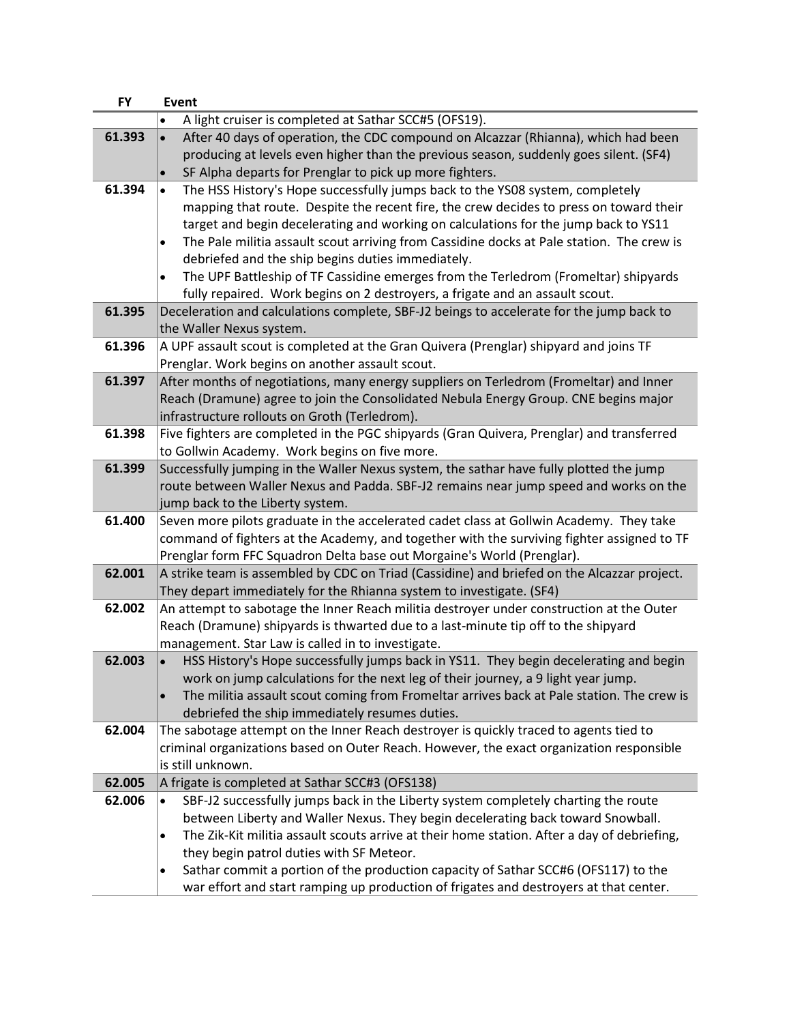| <b>FY</b> | <b>Event</b>                                                                                                                              |
|-----------|-------------------------------------------------------------------------------------------------------------------------------------------|
|           | A light cruiser is completed at Sathar SCC#5 (OFS19).                                                                                     |
| 61.393    | After 40 days of operation, the CDC compound on Alcazzar (Rhianna), which had been                                                        |
|           | producing at levels even higher than the previous season, suddenly goes silent. (SF4)                                                     |
|           | SF Alpha departs for Prenglar to pick up more fighters.<br>$\bullet$                                                                      |
| 61.394    | The HSS History's Hope successfully jumps back to the YS08 system, completely                                                             |
|           | mapping that route. Despite the recent fire, the crew decides to press on toward their                                                    |
|           | target and begin decelerating and working on calculations for the jump back to YS11                                                       |
|           | The Pale militia assault scout arriving from Cassidine docks at Pale station. The crew is<br>$\bullet$                                    |
|           | debriefed and the ship begins duties immediately.                                                                                         |
|           | The UPF Battleship of TF Cassidine emerges from the Terledrom (Fromeltar) shipyards<br>٠                                                  |
|           | fully repaired. Work begins on 2 destroyers, a frigate and an assault scout.                                                              |
| 61.395    | Deceleration and calculations complete, SBF-J2 beings to accelerate for the jump back to                                                  |
|           | the Waller Nexus system.                                                                                                                  |
| 61.396    | A UPF assault scout is completed at the Gran Quivera (Prenglar) shipyard and joins TF                                                     |
| 61.397    | Prenglar. Work begins on another assault scout.<br>After months of negotiations, many energy suppliers on Terledrom (Fromeltar) and Inner |
|           | Reach (Dramune) agree to join the Consolidated Nebula Energy Group. CNE begins major                                                      |
|           | infrastructure rollouts on Groth (Terledrom).                                                                                             |
| 61.398    | Five fighters are completed in the PGC shipyards (Gran Quivera, Prenglar) and transferred                                                 |
|           | to Gollwin Academy. Work begins on five more.                                                                                             |
| 61.399    | Successfully jumping in the Waller Nexus system, the sathar have fully plotted the jump                                                   |
|           | route between Waller Nexus and Padda. SBF-J2 remains near jump speed and works on the                                                     |
|           | jump back to the Liberty system.                                                                                                          |
| 61.400    | Seven more pilots graduate in the accelerated cadet class at Gollwin Academy. They take                                                   |
|           | command of fighters at the Academy, and together with the surviving fighter assigned to TF                                                |
|           | Prenglar form FFC Squadron Delta base out Morgaine's World (Prenglar).                                                                    |
| 62.001    | A strike team is assembled by CDC on Triad (Cassidine) and briefed on the Alcazzar project.                                               |
|           | They depart immediately for the Rhianna system to investigate. (SF4)                                                                      |
| 62.002    | An attempt to sabotage the Inner Reach militia destroyer under construction at the Outer                                                  |
|           | Reach (Dramune) shipyards is thwarted due to a last-minute tip off to the shipyard                                                        |
|           | management. Star Law is called in to investigate.                                                                                         |
| 62.003    | HSS History's Hope successfully jumps back in YS11. They begin decelerating and begin                                                     |
|           | work on jump calculations for the next leg of their journey, a 9 light year jump.                                                         |
|           | The militia assault scout coming from Fromeltar arrives back at Pale station. The crew is                                                 |
|           | debriefed the ship immediately resumes duties.                                                                                            |
| 62.004    | The sabotage attempt on the Inner Reach destroyer is quickly traced to agents tied to                                                     |
|           | criminal organizations based on Outer Reach. However, the exact organization responsible<br>is still unknown.                             |
| 62.005    | A frigate is completed at Sathar SCC#3 (OFS138)                                                                                           |
| 62.006    | SBF-J2 successfully jumps back in the Liberty system completely charting the route<br>$\bullet$                                           |
|           | between Liberty and Waller Nexus. They begin decelerating back toward Snowball.                                                           |
|           | The Zik-Kit militia assault scouts arrive at their home station. After a day of debriefing,<br>٠                                          |
|           | they begin patrol duties with SF Meteor.                                                                                                  |
|           | Sathar commit a portion of the production capacity of Sathar SCC#6 (OFS117) to the<br>$\bullet$                                           |
|           | war effort and start ramping up production of frigates and destroyers at that center.                                                     |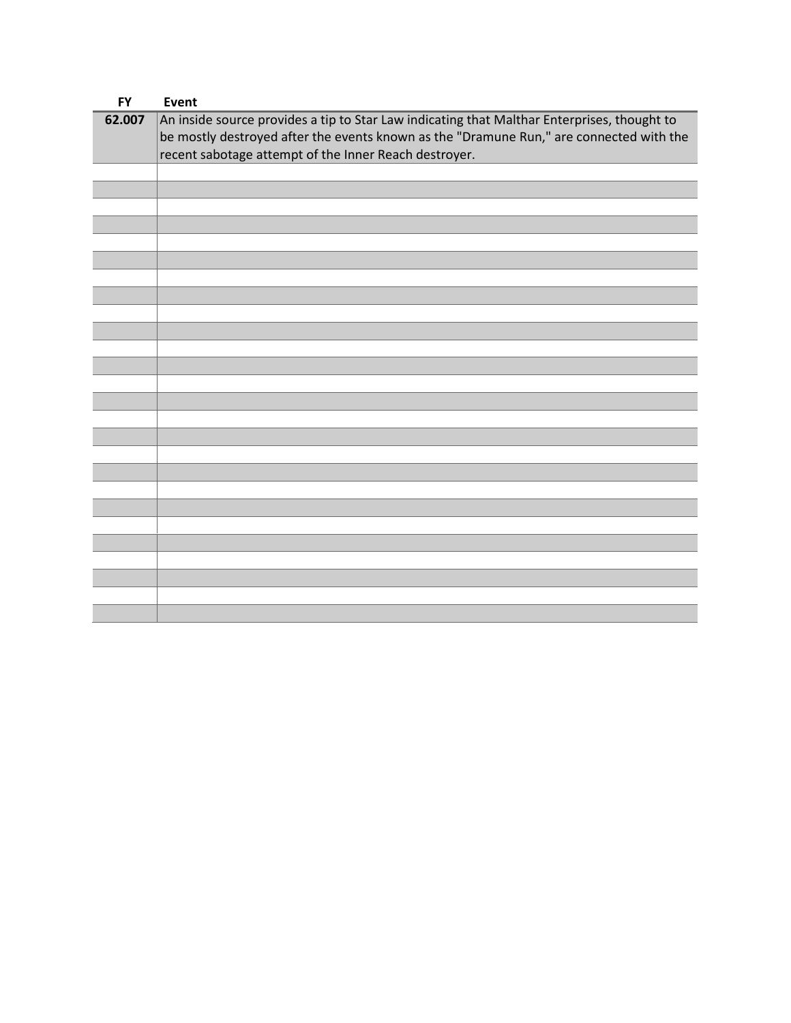| <b>FY</b> | Event                                                                                                                                                                                  |
|-----------|----------------------------------------------------------------------------------------------------------------------------------------------------------------------------------------|
| 62.007    | An inside source provides a tip to Star Law indicating that Malthar Enterprises, thought to<br>be mostly destroyed after the events known as the "Dramune Run," are connected with the |
|           | recent sabotage attempt of the Inner Reach destroyer.                                                                                                                                  |
|           |                                                                                                                                                                                        |
|           |                                                                                                                                                                                        |
|           |                                                                                                                                                                                        |
|           |                                                                                                                                                                                        |
|           |                                                                                                                                                                                        |
|           |                                                                                                                                                                                        |
|           |                                                                                                                                                                                        |
|           |                                                                                                                                                                                        |
|           |                                                                                                                                                                                        |
|           |                                                                                                                                                                                        |
|           |                                                                                                                                                                                        |
|           |                                                                                                                                                                                        |
|           |                                                                                                                                                                                        |
|           |                                                                                                                                                                                        |
|           |                                                                                                                                                                                        |
|           |                                                                                                                                                                                        |
|           |                                                                                                                                                                                        |
|           |                                                                                                                                                                                        |
|           |                                                                                                                                                                                        |
|           |                                                                                                                                                                                        |
|           |                                                                                                                                                                                        |
|           |                                                                                                                                                                                        |
|           |                                                                                                                                                                                        |
|           |                                                                                                                                                                                        |
|           |                                                                                                                                                                                        |